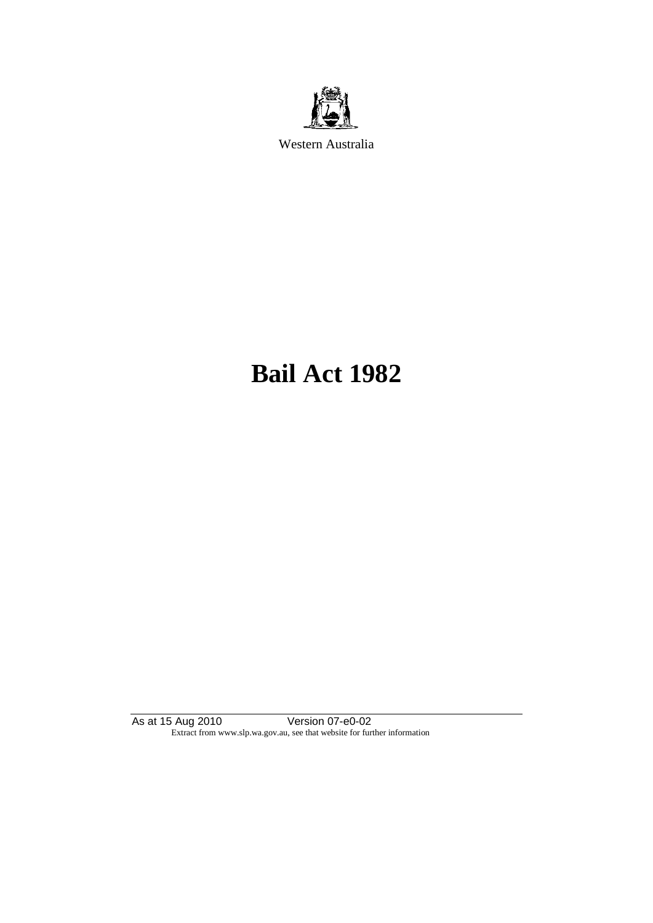

Western Australia

# **Bail Act 1982**

As at 15 Aug 2010 Version 07-e0-02 Extract from www.slp.wa.gov.au, see that website for further information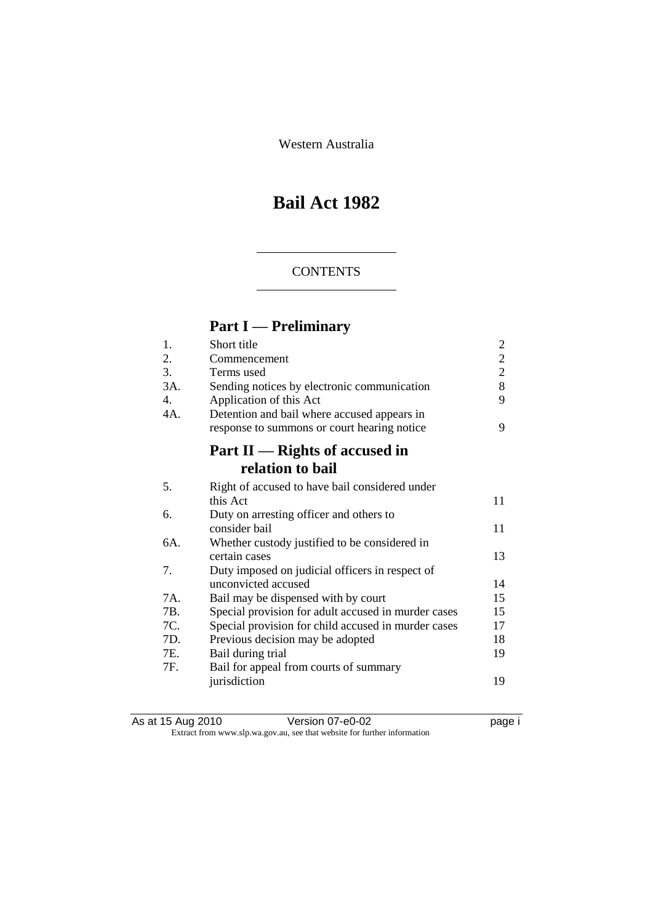Western Australia

# **Bail Act 1982**

### **CONTENTS**

# **Part I — Preliminary**

| 1.  | Short title                                         | 2              |
|-----|-----------------------------------------------------|----------------|
| 2.  | Commencement                                        | $\overline{c}$ |
| 3.  | Terms used                                          | $\overline{2}$ |
| 3A. | Sending notices by electronic communication         | 8              |
| 4.  | Application of this Act                             | 9              |
| 4A. | Detention and bail where accused appears in         |                |
|     | response to summons or court hearing notice         | 9              |
|     | Part II — Rights of accused in                      |                |
|     | relation to bail                                    |                |
| 5.  | Right of accused to have bail considered under      |                |
|     | this Act                                            | 11             |
| 6.  | Duty on arresting officer and others to             |                |
|     | consider bail                                       | 11             |
| 6A. | Whether custody justified to be considered in       |                |
|     | certain cases                                       | 13             |
| 7.  | Duty imposed on judicial officers in respect of     |                |
|     | unconvicted accused                                 | 14             |
| 7A. | Bail may be dispensed with by court                 | 15             |
| 7B. | Special provision for adult accused in murder cases | 15             |
| 7C. | Special provision for child accused in murder cases | 17             |
| 7D. | Previous decision may be adopted                    | 18             |
| 7E. | Bail during trial                                   | 19             |
| 7F. | Bail for appeal from courts of summary              |                |
|     | jurisdiction                                        | 19             |
|     |                                                     |                |

| As at 15 Aug 2010 | Version 07-e0-02                                                         | page i |
|-------------------|--------------------------------------------------------------------------|--------|
|                   | Extract from www.slp.wa.gov.au, see that website for further information |        |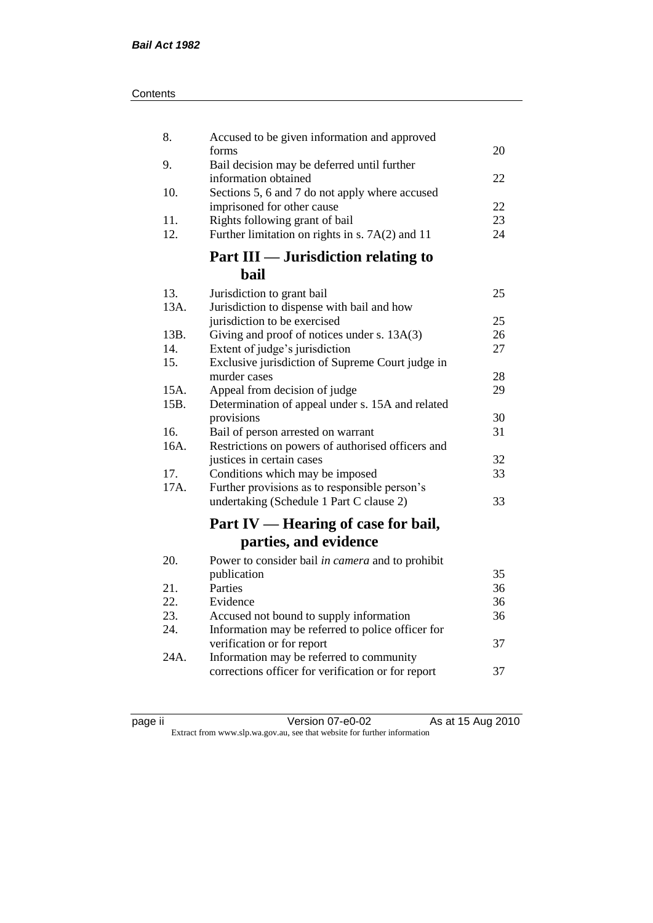| Contents |
|----------|
|----------|

| 8.   | Accused to be given information and approved                        |          |
|------|---------------------------------------------------------------------|----------|
|      | forms                                                               | 20       |
| 9.   | Bail decision may be deferred until further<br>information obtained | 22       |
| 10.  | Sections 5, 6 and 7 do not apply where accused                      |          |
|      | imprisoned for other cause                                          | 22       |
| 11.  | Rights following grant of bail                                      | 23       |
| 12.  | Further limitation on rights in s. 7A(2) and 11                     | 24       |
|      | Part III — Jurisdiction relating to                                 |          |
|      | bail                                                                |          |
| 13.  | Jurisdiction to grant bail                                          | 25       |
| 13A. | Jurisdiction to dispense with bail and how                          |          |
|      | jurisdiction to be exercised                                        | 25       |
| 13B. | Giving and proof of notices under s. 13A(3)                         | 26       |
| 14.  | Extent of judge's jurisdiction                                      | 27       |
| 15.  | Exclusive jurisdiction of Supreme Court judge in                    |          |
|      | murder cases                                                        | 28       |
| 15A. | Appeal from decision of judge                                       | 29       |
| 15B. | Determination of appeal under s. 15A and related                    |          |
|      | provisions                                                          | 30       |
| 16.  | Bail of person arrested on warrant                                  | 31       |
| 16A. | Restrictions on powers of authorised officers and                   |          |
| 17.  | justices in certain cases<br>Conditions which may be imposed        | 32<br>33 |
| 17A. | Further provisions as to responsible person's                       |          |
|      | undertaking (Schedule 1 Part C clause 2)                            | 33       |
|      |                                                                     |          |
|      | Part IV — Hearing of case for bail,                                 |          |
|      | parties, and evidence                                               |          |
| 20.  | Power to consider bail in camera and to prohibit                    |          |
|      | publication                                                         | 35       |
| 21.  | Parties                                                             | 36       |
| 22.  | Evidence                                                            | 36       |
| 23.  | Accused not bound to supply information                             | 36       |
| 24.  | Information may be referred to police officer for                   |          |
|      | verification or for report                                          | 37       |
| 24A. | Information may be referred to community                            |          |
|      | corrections officer for verification or for report                  | 37       |
|      |                                                                     |          |

| C<br>я<br>c |  |
|-------------|--|
|             |  |
|             |  |

page ii Version 07-e0-02 As at 15 Aug 2010 Extract from www.slp.wa.gov.au, see that website for further information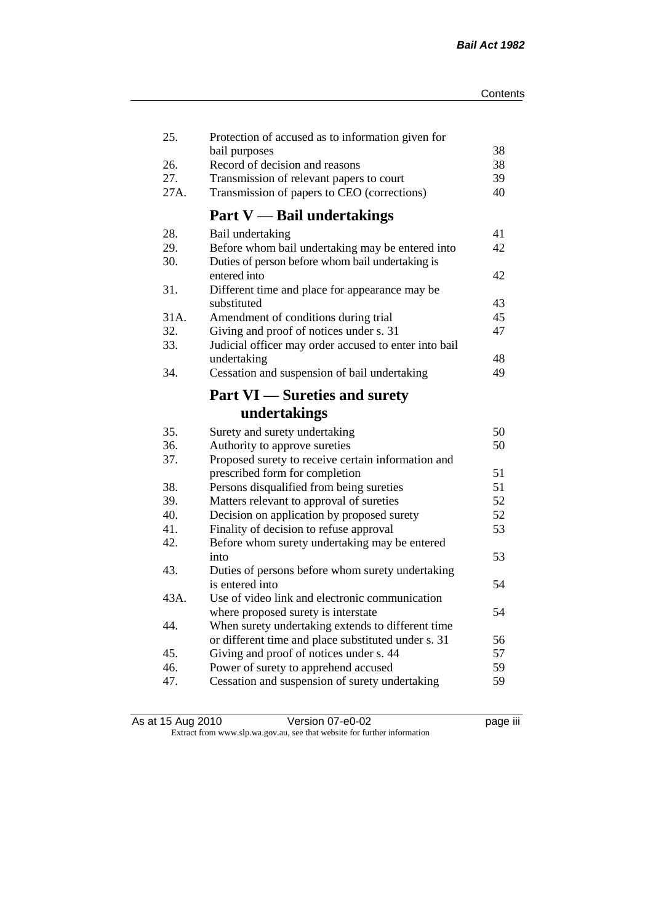| 25.        | Protection of accused as to information given for<br>bail purposes                                                   | 38       |
|------------|----------------------------------------------------------------------------------------------------------------------|----------|
| 26.        | Record of decision and reasons                                                                                       | 38       |
| 27.        | Transmission of relevant papers to court                                                                             | 39       |
| 27A.       | Transmission of papers to CEO (corrections)                                                                          | 40       |
|            | <b>Part V</b> — Bail undertakings                                                                                    |          |
|            |                                                                                                                      |          |
| 28.        | Bail undertaking                                                                                                     | 41       |
| 29.<br>30. | Before whom bail undertaking may be entered into<br>Duties of person before whom bail undertaking is<br>entered into | 42<br>42 |
| 31.        |                                                                                                                      |          |
|            | Different time and place for appearance may be<br>substituted                                                        | 43       |
| 31A.       | Amendment of conditions during trial                                                                                 | 45       |
| 32.        | Giving and proof of notices under s. 31                                                                              | 47       |
| 33.        | Judicial officer may order accused to enter into bail                                                                |          |
|            | undertaking                                                                                                          | 48       |
| 34.        | Cessation and suspension of bail undertaking                                                                         | 49       |
|            |                                                                                                                      |          |
|            | <b>Part VI</b> — Sureties and surety                                                                                 |          |
|            | undertakings                                                                                                         |          |
| 35.        | Surety and surety undertaking                                                                                        | 50       |
| 36.        | Authority to approve sureties                                                                                        | 50       |
| 37.        | Proposed surety to receive certain information and                                                                   |          |
|            | prescribed form for completion                                                                                       | 51       |
| 38.        | Persons disqualified from being sureties                                                                             | 51       |
| 39.        | Matters relevant to approval of sureties                                                                             | 52       |
| 40.        | Decision on application by proposed surety                                                                           | 52       |
| 41.        | Finality of decision to refuse approval                                                                              | 53       |
| 42.        | Before whom surety undertaking may be entered                                                                        |          |
|            | into                                                                                                                 | 53       |
| 43.        | Duties of persons before whom surety undertaking                                                                     |          |
|            | is entered into                                                                                                      | 54       |
| 43A.       | Use of video link and electronic communication                                                                       |          |
|            | where proposed surety is interstate                                                                                  | 54       |
| 44.        | When surety undertaking extends to different time                                                                    |          |
|            | or different time and place substituted under s. 31                                                                  | 56       |
| 45.        | Giving and proof of notices under s. 44                                                                              | 57       |
| 46.        | Power of surety to apprehend accused                                                                                 | 59       |
| 47.        | Cessation and suspension of surety undertaking                                                                       | 59       |
|            |                                                                                                                      |          |

As at 15 Aug 2010 **Version 07-e0-02 page iii** Extract from www.slp.wa.gov.au, see that website for further information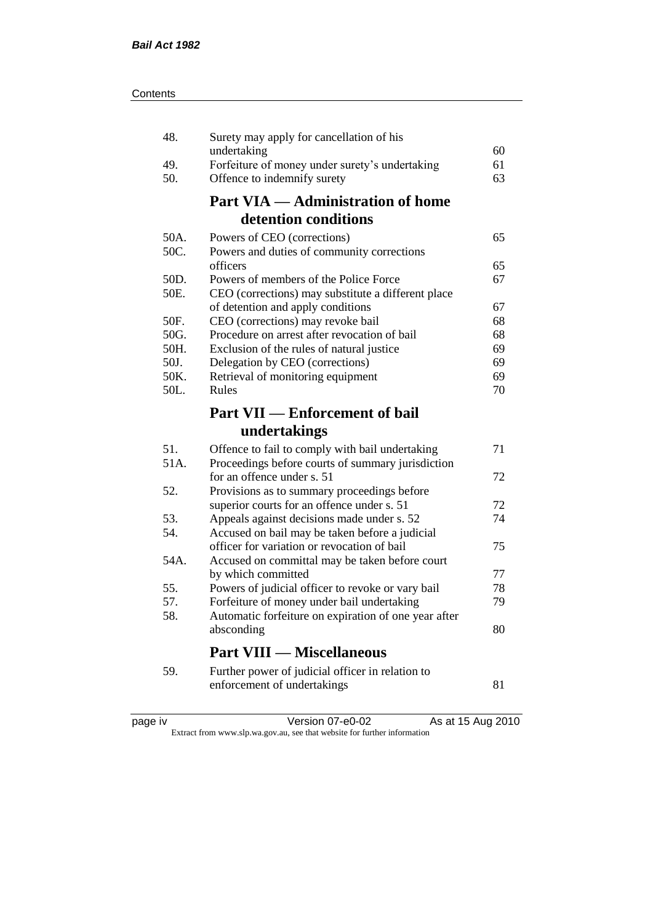| 48.  | Surety may apply for cancellation of his             |    |
|------|------------------------------------------------------|----|
|      | undertaking                                          | 60 |
| 49.  | Forfeiture of money under surety's undertaking       | 61 |
| 50.  | Offence to indemnify surety                          | 63 |
|      | <b>Part VIA — Administration of home</b>             |    |
|      | detention conditions                                 |    |
| 50A. | Powers of CEO (corrections)                          | 65 |
| 50C. | Powers and duties of community corrections           |    |
|      | officers                                             | 65 |
| 50D. | Powers of members of the Police Force                | 67 |
| 50E. | CEO (corrections) may substitute a different place   |    |
|      | of detention and apply conditions                    | 67 |
| 50F. | CEO (corrections) may revoke bail                    | 68 |
| 50G. | Procedure on arrest after revocation of bail         | 68 |
| 50H. | Exclusion of the rules of natural justice            | 69 |
| 50J. | Delegation by CEO (corrections)                      | 69 |
| 50K. | Retrieval of monitoring equipment                    | 69 |
| 50L. | Rules                                                | 70 |
|      | <b>Part VII — Enforcement of bail</b>                |    |
|      | undertakings                                         |    |
| 51.  | Offence to fail to comply with bail undertaking      | 71 |
| 51A. | Proceedings before courts of summary jurisdiction    |    |
|      | for an offence under s. 51                           | 72 |
| 52.  | Provisions as to summary proceedings before          |    |
|      | superior courts for an offence under s. 51           | 72 |
| 53.  | Appeals against decisions made under s. 52           | 74 |
| 54.  | Accused on bail may be taken before a judicial       |    |
|      | officer for variation or revocation of bail          | 75 |
| 54A. | Accused on committal may be taken before court       |    |
|      | by which committed                                   | 77 |
| 55.  | Powers of judicial officer to revoke or vary bail    | 78 |
| 57.  | Forfeiture of money under bail undertaking           | 79 |
| 58.  | Automatic forfeiture on expiration of one year after |    |
|      | absconding                                           | 80 |
|      | <b>Part VIII — Miscellaneous</b>                     |    |
| 59.  | Further power of judicial officer in relation to     |    |
|      | enforcement of undertakings                          | 81 |
|      |                                                      |    |

| د،    |  |
|-------|--|
| ); 10 |  |
|       |  |
|       |  |
|       |  |

page iv Version 07-e0-02 As at 15 Aug 2010 Extract from www.slp.wa.gov.au, see that website for further information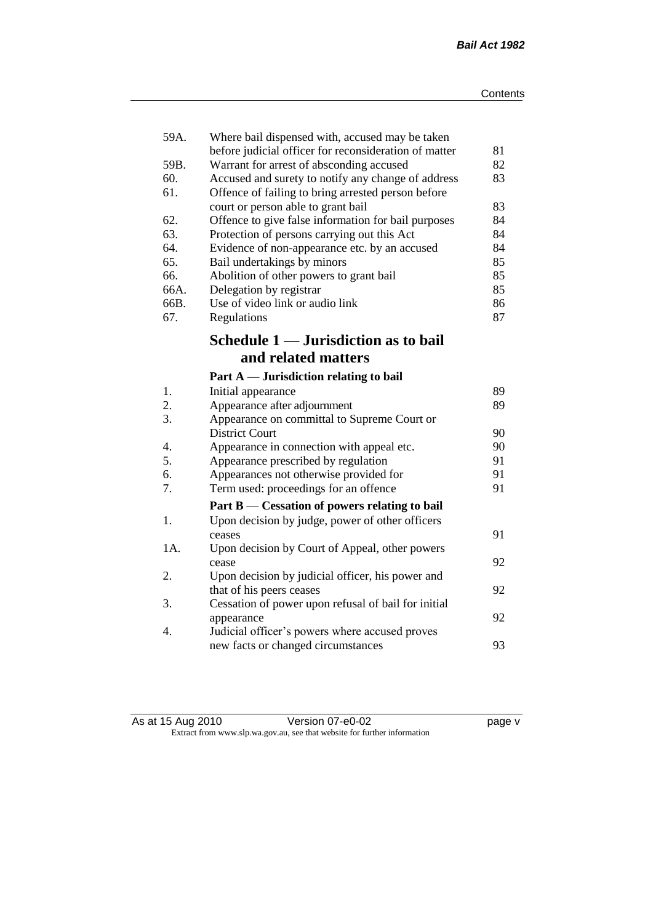| 59A. | Where bail dispensed with, accused may be taken       |    |
|------|-------------------------------------------------------|----|
|      | before judicial officer for reconsideration of matter | 81 |
| 59B. | Warrant for arrest of absconding accused              | 82 |
| 60.  | Accused and surety to notify any change of address    | 83 |
| 61.  | Offence of failing to bring arrested person before    |    |
|      | court or person able to grant bail                    | 83 |
| 62.  | Offence to give false information for bail purposes   | 84 |
| 63.  | Protection of persons carrying out this Act           | 84 |
| 64.  | Evidence of non-appearance etc. by an accused         | 84 |
| 65.  | Bail undertakings by minors                           | 85 |
| 66.  | Abolition of other powers to grant bail               | 85 |
| 66A. | Delegation by registrar                               | 85 |
| 66B. | Use of video link or audio link                       | 86 |
| 67.  | Regulations                                           | 87 |
|      | Schedule 1 — Jurisdiction as to bail                  |    |
|      | and related matters                                   |    |
|      | Part $A$ — Jurisdiction relating to bail              |    |
| 1.   | Initial appearance                                    | 89 |
| 2.   | Appearance after adjournment                          | 89 |
| 3.   | Appearance on committal to Supreme Court or           |    |
|      | <b>District Court</b>                                 | 90 |
| 4.   | Appearance in connection with appeal etc.             | 90 |
| 5.   | Appearance prescribed by regulation                   | 91 |
| 6.   | Appearances not otherwise provided for                | 91 |
| 7.   | Term used: proceedings for an offence                 | 91 |
|      | Part B — Cessation of powers relating to bail         |    |
| 1.   | Upon decision by judge, power of other officers       |    |
|      | ceases                                                | 91 |
| 1A.  | Upon decision by Court of Appeal, other powers        |    |
|      | cease                                                 | 92 |
| 2.   | Upon decision by judicial officer, his power and      |    |
|      | that of his peers ceases                              | 92 |
| 3.   | Cessation of power upon refusal of bail for initial   |    |
|      | appearance                                            | 92 |
| 4.   | Judicial officer's powers where accused proves        |    |
|      | new facts or changed circumstances                    | 93 |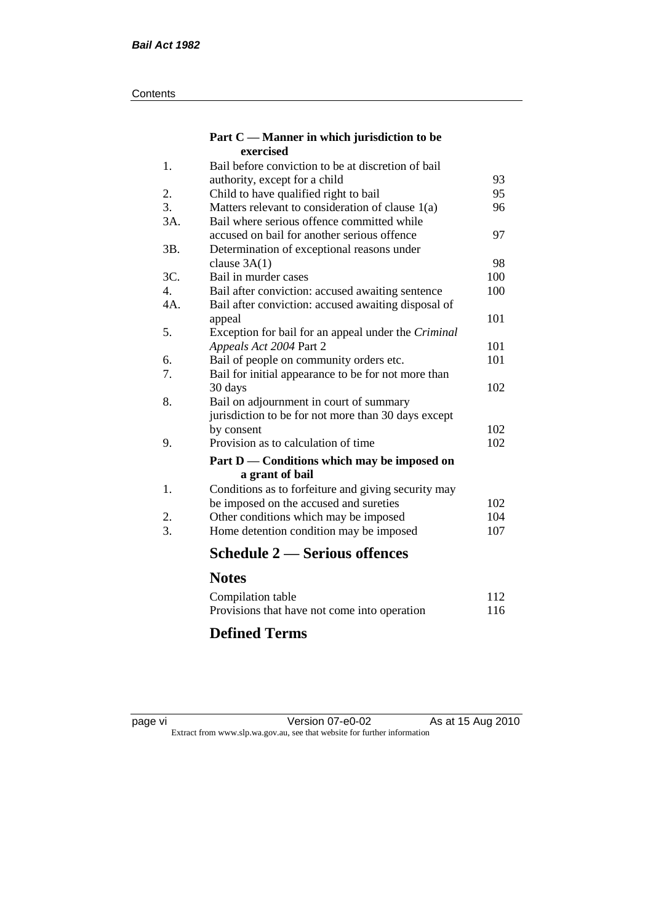#### **Contents**

#### **Part C — Manner in which jurisdiction to be exercised**

| 1.  | Bail before conviction to be at discretion of bail  |     |
|-----|-----------------------------------------------------|-----|
|     | authority, except for a child                       | 93  |
| 2.  | Child to have qualified right to bail               | 95  |
| 3.  | Matters relevant to consideration of clause $1(a)$  | 96  |
| 3A. | Bail where serious offence committed while          |     |
|     | accused on bail for another serious offence         | 97  |
| 3B. | Determination of exceptional reasons under          |     |
|     | clause $3A(1)$                                      | 98  |
| 3C. | Bail in murder cases                                | 100 |
| 4.  | Bail after conviction: accused awaiting sentence    | 100 |
| 4A. | Bail after conviction: accused awaiting disposal of |     |
|     | appeal                                              | 101 |
| 5.  | Exception for bail for an appeal under the Criminal |     |
|     | Appeals Act 2004 Part 2                             | 101 |
| 6.  | Bail of people on community orders etc.             | 101 |
| 7.  | Bail for initial appearance to be for not more than |     |
|     | 30 days                                             | 102 |
| 8.  | Bail on adjournment in court of summary             |     |
|     | jurisdiction to be for not more than 30 days except |     |
|     | by consent                                          | 102 |
| 9.  | Provision as to calculation of time                 | 102 |
|     | Part D — Conditions which may be imposed on         |     |
|     | a grant of bail                                     |     |
| 1.  | Conditions as to forfeiture and giving security may |     |
|     | be imposed on the accused and sureties              | 102 |
| 2.  | Other conditions which may be imposed               | 104 |
| 3.  | Home detention condition may be imposed             | 107 |
|     | <b>Schedule 2 — Serious offences</b>                |     |
|     | <b>Notes</b>                                        |     |
|     | Compilation table                                   | 112 |
|     |                                                     |     |

### Provisions that have not come into operation 116 **Defined Terms**

page vi Version 07-e0-02 As at 15 Aug 2010 Extract from www.slp.wa.gov.au, see that website for further information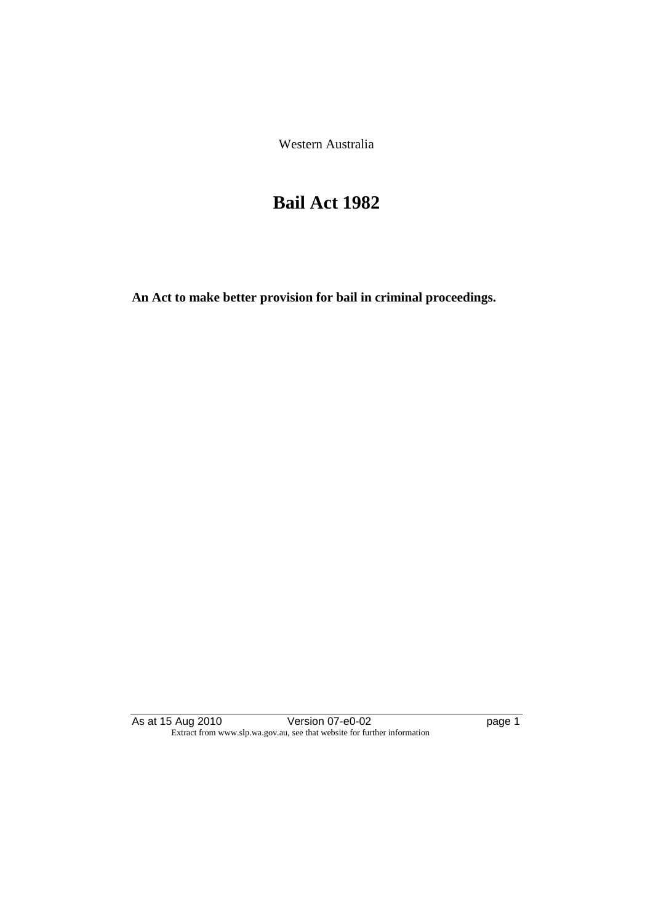Western Australia

# **Bail Act 1982**

**An Act to make better provision for bail in criminal proceedings.** 

As at 15 Aug 2010 **Version 07-e0-02 page 1** Extract from www.slp.wa.gov.au, see that website for further information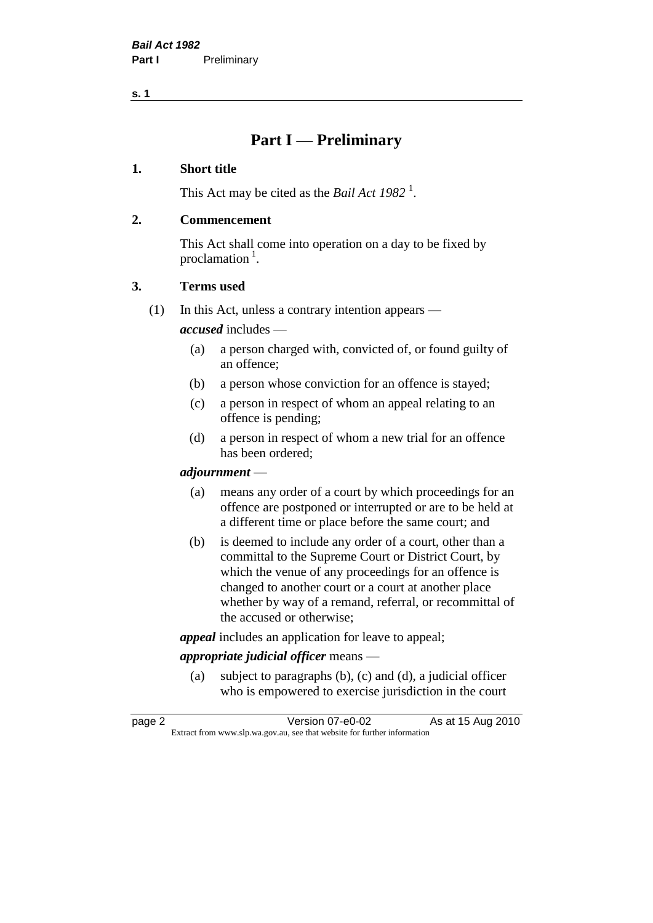**s. 1**

# **Part I — Preliminary**

#### **1. Short title**

This Act may be cited as the *Bail Act* 1982<sup>1</sup>.

#### **2. Commencement**

This Act shall come into operation on a day to be fixed by proclamation  $<sup>1</sup>$ .</sup>

#### **3. Terms used**

(1) In this Act, unless a contrary intention appears —

*accused* includes —

- (a) a person charged with, convicted of, or found guilty of an offence;
- (b) a person whose conviction for an offence is stayed;
- (c) a person in respect of whom an appeal relating to an offence is pending;
- (d) a person in respect of whom a new trial for an offence has been ordered;

#### *adjournment* —

- (a) means any order of a court by which proceedings for an offence are postponed or interrupted or are to be held at a different time or place before the same court; and
- (b) is deemed to include any order of a court, other than a committal to the Supreme Court or District Court, by which the venue of any proceedings for an offence is changed to another court or a court at another place whether by way of a remand, referral, or recommittal of the accused or otherwise;

*appeal* includes an application for leave to appeal;

#### *appropriate judicial officer* means —

(a) subject to paragraphs (b), (c) and (d), a judicial officer who is empowered to exercise jurisdiction in the court

| page 2 | Version 07-e0-02                                                         | As at 15 Aug 2010 |
|--------|--------------------------------------------------------------------------|-------------------|
|        | Extract from www.slp.wa.gov.au, see that website for further information |                   |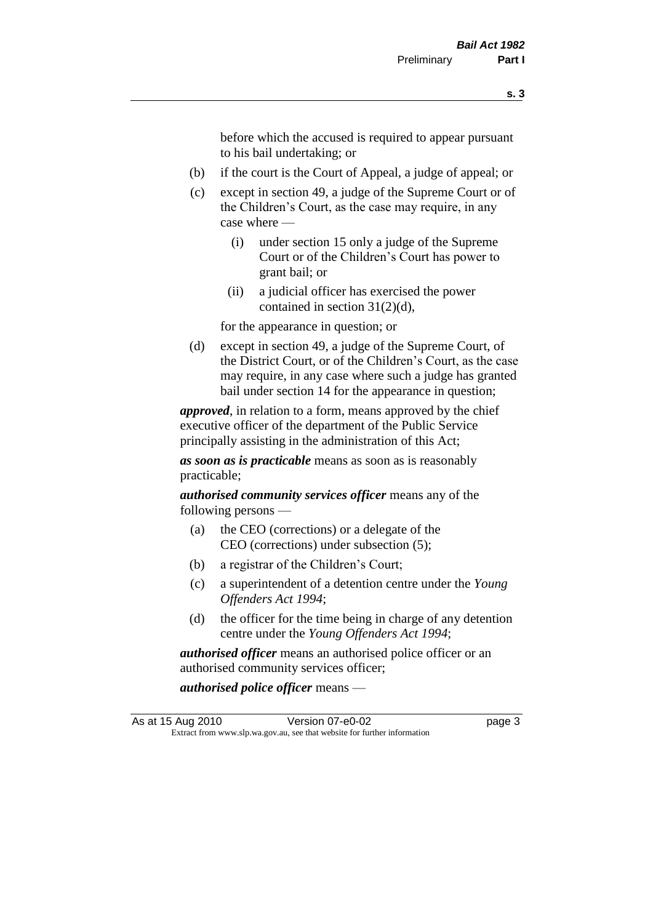before which the accused is required to appear pursuant to his bail undertaking; or

- (b) if the court is the Court of Appeal, a judge of appeal; or
- (c) except in section 49, a judge of the Supreme Court or of the Children's Court, as the case may require, in any case where —
	- (i) under section 15 only a judge of the Supreme Court or of the Children's Court has power to grant bail; or
	- (ii) a judicial officer has exercised the power contained in section 31(2)(d),

for the appearance in question; or

(d) except in section 49, a judge of the Supreme Court, of the District Court, or of the Children's Court, as the case may require, in any case where such a judge has granted bail under section 14 for the appearance in question;

*approved*, in relation to a form, means approved by the chief executive officer of the department of the Public Service principally assisting in the administration of this Act;

*as soon as is practicable* means as soon as is reasonably practicable;

*authorised community services officer* means any of the following persons —

- (a) the CEO (corrections) or a delegate of the CEO (corrections) under subsection (5);
- (b) a registrar of the Children's Court;
- (c) a superintendent of a detention centre under the *Young Offenders Act 1994*;
- (d) the officer for the time being in charge of any detention centre under the *Young Offenders Act 1994*;

*authorised officer* means an authorised police officer or an authorised community services officer;

*authorised police officer* means —

As at 15 Aug 2010 Version 07-e0-02 Page 3 Extract from www.slp.wa.gov.au, see that website for further information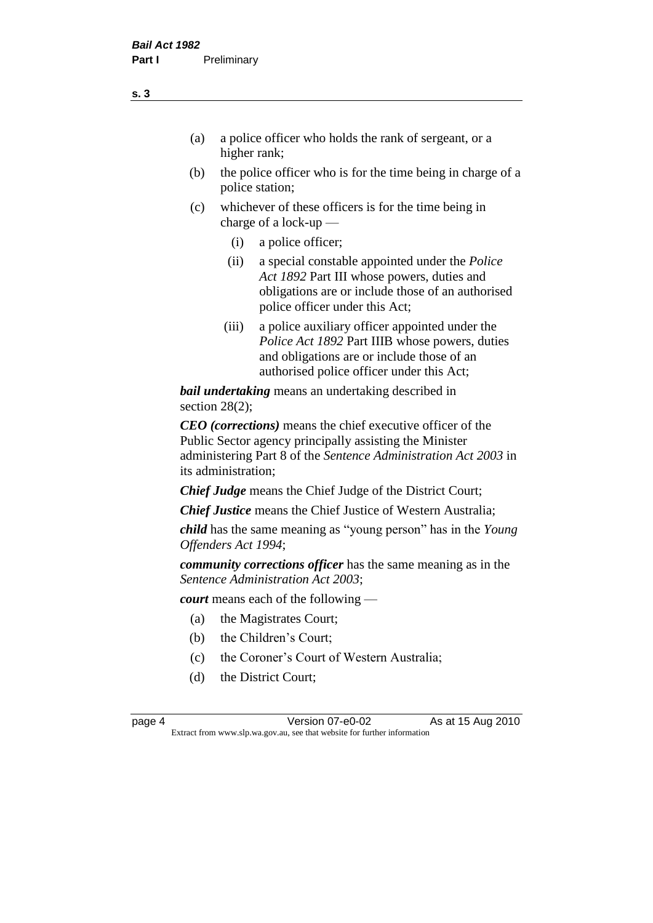- (a) a police officer who holds the rank of sergeant, or a higher rank;
- (b) the police officer who is for the time being in charge of a police station;
- (c) whichever of these officers is for the time being in charge of a lock-up —
	- (i) a police officer;
	- (ii) a special constable appointed under the *Police Act 1892* Part III whose powers, duties and obligations are or include those of an authorised police officer under this Act;
	- (iii) a police auxiliary officer appointed under the *Police Act 1892* Part IIIB whose powers, duties and obligations are or include those of an authorised police officer under this Act;

*bail undertaking* means an undertaking described in section 28(2):

*CEO (corrections)* means the chief executive officer of the Public Sector agency principally assisting the Minister administering Part 8 of the *Sentence Administration Act 2003* in its administration;

*Chief Judge* means the Chief Judge of the District Court;

*Chief Justice* means the Chief Justice of Western Australia;

*child* has the same meaning as "young person" has in the *Young Offenders Act 1994*;

*community corrections officer* has the same meaning as in the *Sentence Administration Act 2003*;

*court* means each of the following —

- (a) the Magistrates Court;
- (b) the Children's Court;
- (c) the Coroner's Court of Western Australia;
- (d) the District Court;

page 4 **Version 07-e0-02** As at 15 Aug 2010 Extract from www.slp.wa.gov.au, see that website for further information

**s. 3**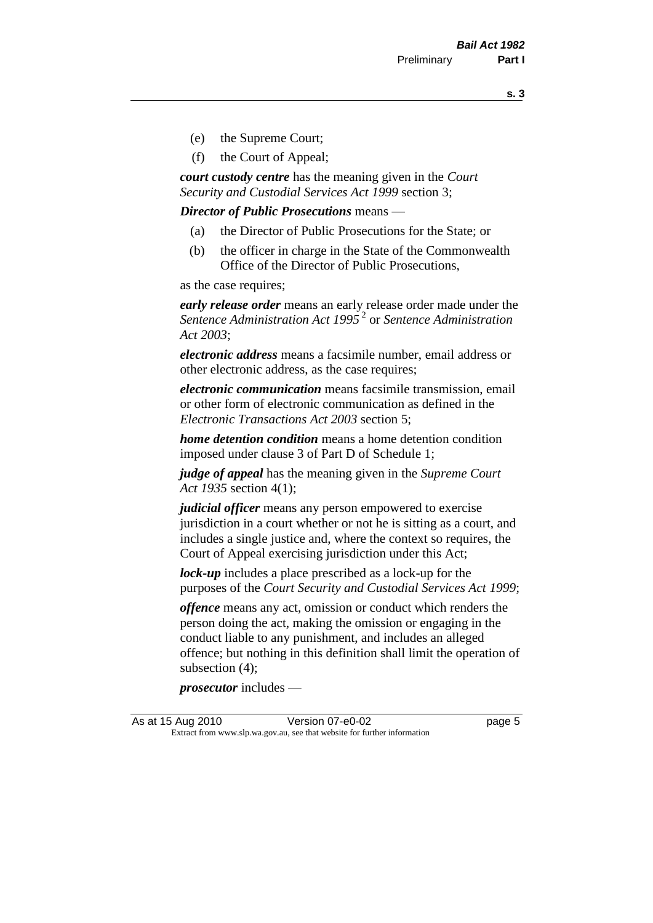**s. 3**

- (e) the Supreme Court;
- (f) the Court of Appeal;

*court custody centre* has the meaning given in the *Court Security and Custodial Services Act 1999* section 3;

*Director of Public Prosecutions* means —

- (a) the Director of Public Prosecutions for the State; or
- (b) the officer in charge in the State of the Commonwealth Office of the Director of Public Prosecutions,

as the case requires;

*early release order* means an early release order made under the *Sentence Administration Act 1995* <sup>2</sup> or *Sentence Administration Act 2003*;

*electronic address* means a facsimile number, email address or other electronic address, as the case requires;

*electronic communication* means facsimile transmission, email or other form of electronic communication as defined in the *Electronic Transactions Act 2003* section 5;

*home detention condition* means a home detention condition imposed under clause 3 of Part D of Schedule 1;

*judge of appeal* has the meaning given in the *Supreme Court Act 1935* section 4(1);

*judicial officer* means any person empowered to exercise jurisdiction in a court whether or not he is sitting as a court, and includes a single justice and, where the context so requires, the Court of Appeal exercising jurisdiction under this Act;

*lock-up* includes a place prescribed as a lock-up for the purposes of the *Court Security and Custodial Services Act 1999*;

*offence* means any act, omission or conduct which renders the person doing the act, making the omission or engaging in the conduct liable to any punishment, and includes an alleged offence; but nothing in this definition shall limit the operation of subsection (4);

*prosecutor* includes —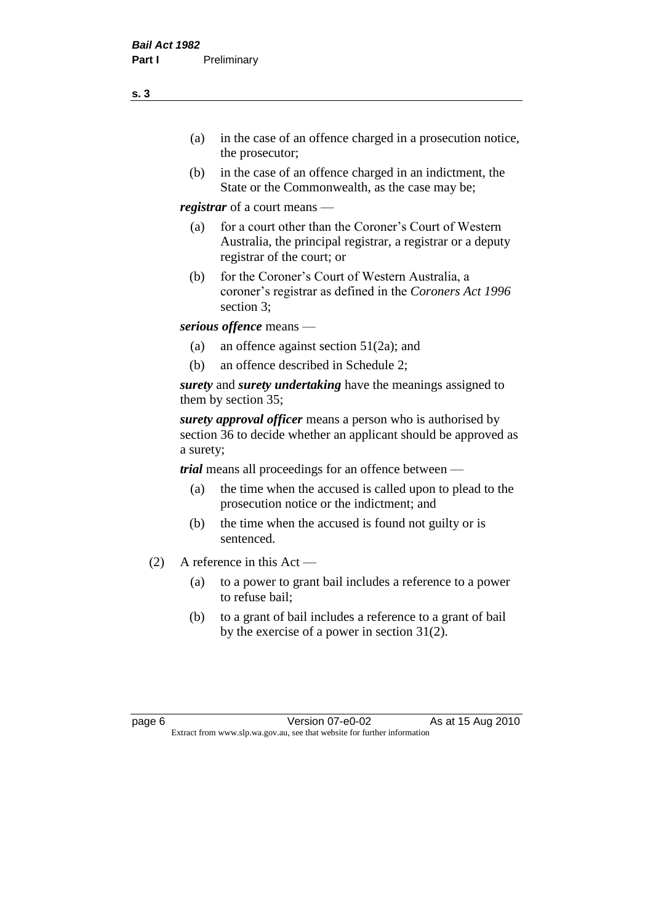- (a) in the case of an offence charged in a prosecution notice, the prosecutor;
- (b) in the case of an offence charged in an indictment, the State or the Commonwealth, as the case may be;

*registrar* of a court means —

- (a) for a court other than the Coroner's Court of Western Australia, the principal registrar, a registrar or a deputy registrar of the court; or
- (b) for the Coroner's Court of Western Australia, a coroner's registrar as defined in the *Coroners Act 1996* section 3;

*serious offence* means —

- (a) an offence against section 51(2a); and
- (b) an offence described in Schedule 2;

*surety* and *surety undertaking* have the meanings assigned to them by section 35;

*surety approval officer* means a person who is authorised by section 36 to decide whether an applicant should be approved as a surety;

*trial* means all proceedings for an offence between —

- (a) the time when the accused is called upon to plead to the prosecution notice or the indictment; and
- (b) the time when the accused is found not guilty or is sentenced.
- (2) A reference in this Act
	- (a) to a power to grant bail includes a reference to a power to refuse bail;
	- (b) to a grant of bail includes a reference to a grant of bail by the exercise of a power in section 31(2).

page 6 Version 07-e0-02 As at 15 Aug 2010 Extract from www.slp.wa.gov.au, see that website for further information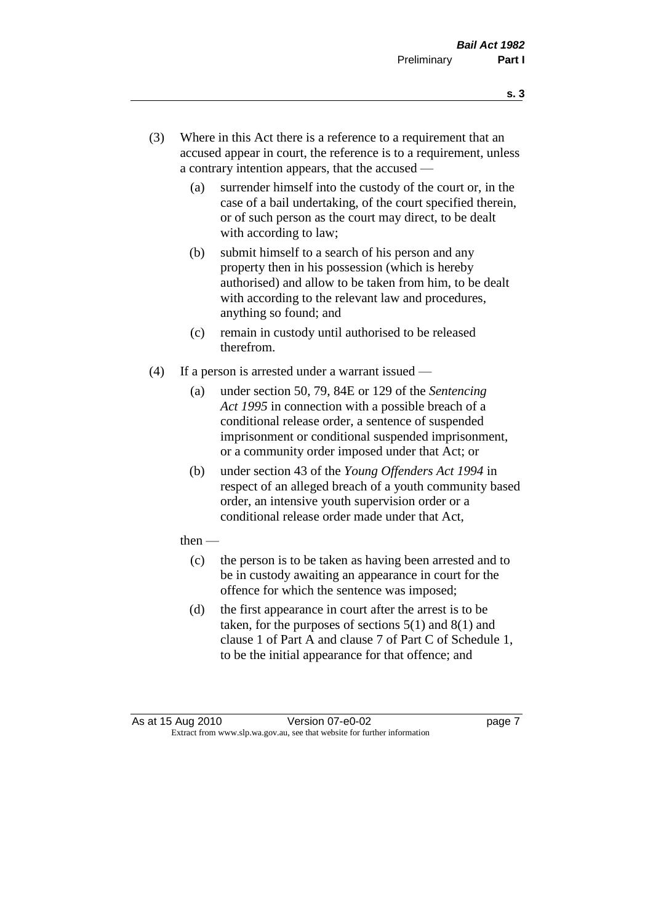- **s. 3**
- (3) Where in this Act there is a reference to a requirement that an accused appear in court, the reference is to a requirement, unless a contrary intention appears, that the accused —
	- (a) surrender himself into the custody of the court or, in the case of a bail undertaking, of the court specified therein, or of such person as the court may direct, to be dealt with according to law;
	- (b) submit himself to a search of his person and any property then in his possession (which is hereby authorised) and allow to be taken from him, to be dealt with according to the relevant law and procedures, anything so found; and
	- (c) remain in custody until authorised to be released therefrom.
- (4) If a person is arrested under a warrant issued
	- (a) under section 50, 79, 84E or 129 of the *Sentencing Act 1995* in connection with a possible breach of a conditional release order, a sentence of suspended imprisonment or conditional suspended imprisonment, or a community order imposed under that Act; or
	- (b) under section 43 of the *Young Offenders Act 1994* in respect of an alleged breach of a youth community based order, an intensive youth supervision order or a conditional release order made under that Act,
	- then
		- (c) the person is to be taken as having been arrested and to be in custody awaiting an appearance in court for the offence for which the sentence was imposed;
		- (d) the first appearance in court after the arrest is to be taken, for the purposes of sections  $5(1)$  and  $8(1)$  and clause 1 of Part A and clause 7 of Part C of Schedule 1, to be the initial appearance for that offence; and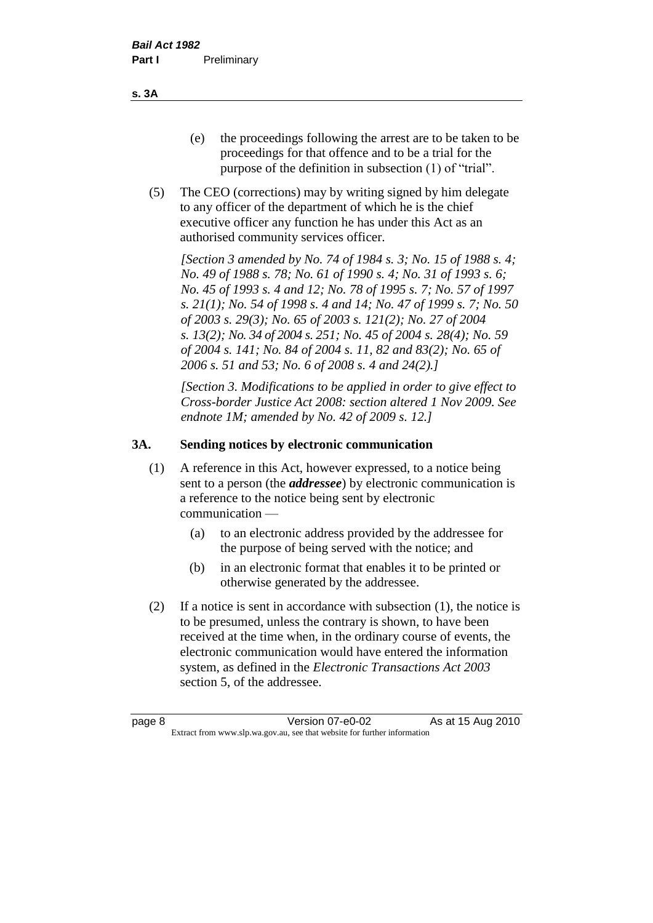- (e) the proceedings following the arrest are to be taken to be proceedings for that offence and to be a trial for the purpose of the definition in subsection (1) of "trial".
- (5) The CEO (corrections) may by writing signed by him delegate to any officer of the department of which he is the chief executive officer any function he has under this Act as an authorised community services officer.

*[Section 3 amended by No. 74 of 1984 s. 3; No. 15 of 1988 s. 4; No. 49 of 1988 s. 78; No. 61 of 1990 s. 4; No. 31 of 1993 s. 6; No. 45 of 1993 s. 4 and 12; No. 78 of 1995 s. 7; No. 57 of 1997 s. 21(1); No. 54 of 1998 s. 4 and 14; No. 47 of 1999 s. 7; No. 50 of 2003 s. 29(3); No. 65 of 2003 s. 121(2); No. 27 of 2004 s. 13(2); No. 34 of 2004 s. 251; No. 45 of 2004 s. 28(4); No. 59 of 2004 s. 141; No. 84 of 2004 s. 11, 82 and 83(2); No. 65 of 2006 s. 51 and 53; No. 6 of 2008 s. 4 and 24(2).]* 

*[Section 3. Modifications to be applied in order to give effect to Cross-border Justice Act 2008: section altered 1 Nov 2009. See endnote 1M; amended by No. 42 of 2009 s. 12.]*

#### **3A. Sending notices by electronic communication**

- (1) A reference in this Act, however expressed, to a notice being sent to a person (the *addressee*) by electronic communication is a reference to the notice being sent by electronic communication —
	- (a) to an electronic address provided by the addressee for the purpose of being served with the notice; and
	- (b) in an electronic format that enables it to be printed or otherwise generated by the addressee.
- (2) If a notice is sent in accordance with subsection (1), the notice is to be presumed, unless the contrary is shown, to have been received at the time when, in the ordinary course of events, the electronic communication would have entered the information system, as defined in the *Electronic Transactions Act 2003* section 5, of the addressee.

**s. 3A**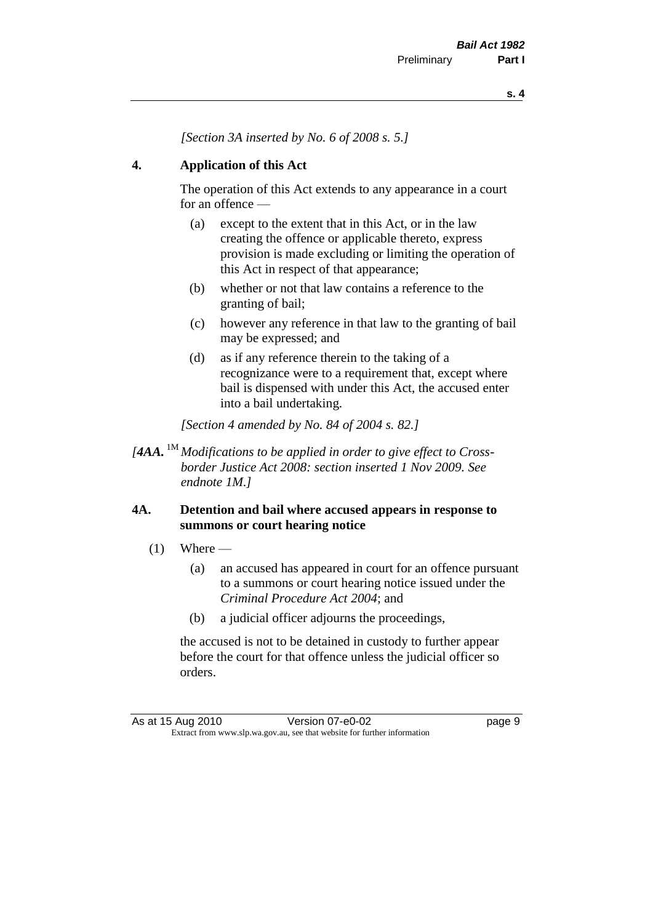*[Section 3A inserted by No. 6 of 2008 s. 5.]*

#### **4. Application of this Act**

The operation of this Act extends to any appearance in a court for an offence —

- (a) except to the extent that in this Act, or in the law creating the offence or applicable thereto, express provision is made excluding or limiting the operation of this Act in respect of that appearance;
- (b) whether or not that law contains a reference to the granting of bail;
- (c) however any reference in that law to the granting of bail may be expressed; and
- (d) as if any reference therein to the taking of a recognizance were to a requirement that, except where bail is dispensed with under this Act, the accused enter into a bail undertaking.

*[Section 4 amended by No. 84 of 2004 s. 82.]*

*[4AA.* 1M *Modifications to be applied in order to give effect to Crossborder Justice Act 2008: section inserted 1 Nov 2009. See endnote 1M.]*

#### **4A. Detention and bail where accused appears in response to summons or court hearing notice**

- $(1)$  Where
	- (a) an accused has appeared in court for an offence pursuant to a summons or court hearing notice issued under the *Criminal Procedure Act 2004*; and
	- (b) a judicial officer adjourns the proceedings,

the accused is not to be detained in custody to further appear before the court for that offence unless the judicial officer so orders.

As at 15 Aug 2010 Version 07-e0-02 Page 9 Extract from www.slp.wa.gov.au, see that website for further information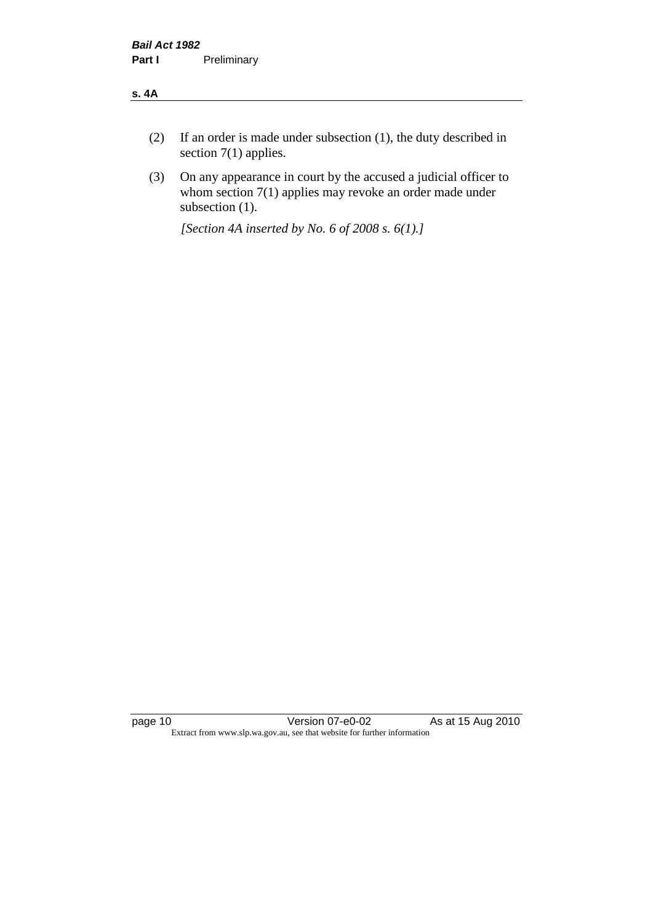#### **s. 4A**

- (2) If an order is made under subsection (1), the duty described in section 7(1) applies.
- (3) On any appearance in court by the accused a judicial officer to whom section 7(1) applies may revoke an order made under subsection (1).

*[Section 4A inserted by No. 6 of 2008 s. 6(1).]*

page 10 Version 07-e0-02 As at 15 Aug 2010 Extract from www.slp.wa.gov.au, see that website for further information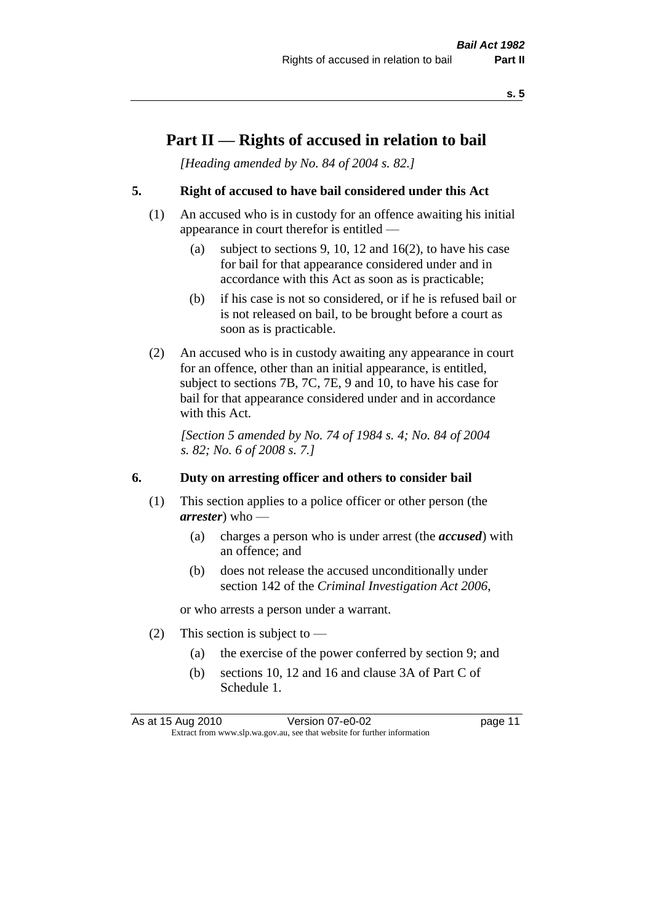## **Part II — Rights of accused in relation to bail**

*[Heading amended by No. 84 of 2004 s. 82.]* 

#### **5. Right of accused to have bail considered under this Act**

- (1) An accused who is in custody for an offence awaiting his initial appearance in court therefor is entitled —
	- (a) subject to sections 9, 10, 12 and 16(2), to have his case for bail for that appearance considered under and in accordance with this Act as soon as is practicable;
	- (b) if his case is not so considered, or if he is refused bail or is not released on bail, to be brought before a court as soon as is practicable.
- (2) An accused who is in custody awaiting any appearance in court for an offence, other than an initial appearance, is entitled, subject to sections 7B, 7C, 7E, 9 and 10, to have his case for bail for that appearance considered under and in accordance with this Act.

*[Section 5 amended by No. 74 of 1984 s. 4; No. 84 of 2004 s. 82; No. 6 of 2008 s. 7.]* 

#### **6. Duty on arresting officer and others to consider bail**

- (1) This section applies to a police officer or other person (the *arrester*) who —
	- (a) charges a person who is under arrest (the *accused*) with an offence; and
	- (b) does not release the accused unconditionally under section 142 of the *Criminal Investigation Act 2006*,

or who arrests a person under a warrant.

- (2) This section is subject to  $-$ 
	- (a) the exercise of the power conferred by section 9; and
	- (b) sections 10, 12 and 16 and clause 3A of Part C of Schedule 1.

As at 15 Aug 2010 Version 07-e0-02 Page 11 Extract from www.slp.wa.gov.au, see that website for further information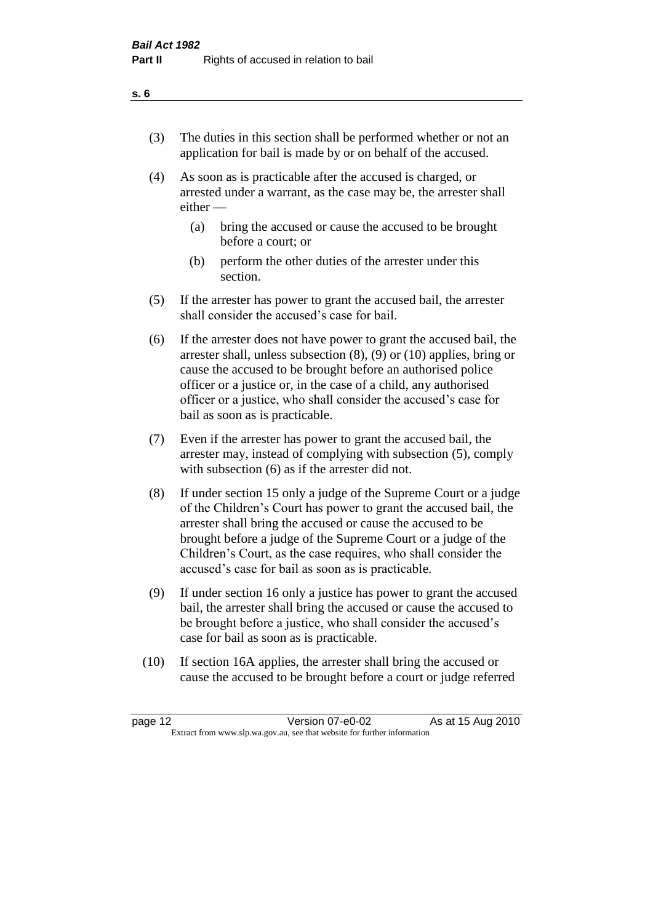- (3) The duties in this section shall be performed whether or not an application for bail is made by or on behalf of the accused.
- (4) As soon as is practicable after the accused is charged, or arrested under a warrant, as the case may be, the arrester shall either —
	- (a) bring the accused or cause the accused to be brought before a court; or
	- (b) perform the other duties of the arrester under this section.
- (5) If the arrester has power to grant the accused bail, the arrester shall consider the accused's case for bail.
- (6) If the arrester does not have power to grant the accused bail, the arrester shall, unless subsection (8), (9) or (10) applies, bring or cause the accused to be brought before an authorised police officer or a justice or, in the case of a child, any authorised officer or a justice, who shall consider the accused's case for bail as soon as is practicable.
- (7) Even if the arrester has power to grant the accused bail, the arrester may, instead of complying with subsection (5), comply with subsection (6) as if the arrester did not.
- (8) If under section 15 only a judge of the Supreme Court or a judge of the Children's Court has power to grant the accused bail, the arrester shall bring the accused or cause the accused to be brought before a judge of the Supreme Court or a judge of the Children's Court, as the case requires, who shall consider the accused's case for bail as soon as is practicable.
- (9) If under section 16 only a justice has power to grant the accused bail, the arrester shall bring the accused or cause the accused to be brought before a justice, who shall consider the accused's case for bail as soon as is practicable.
- (10) If section 16A applies, the arrester shall bring the accused or cause the accused to be brought before a court or judge referred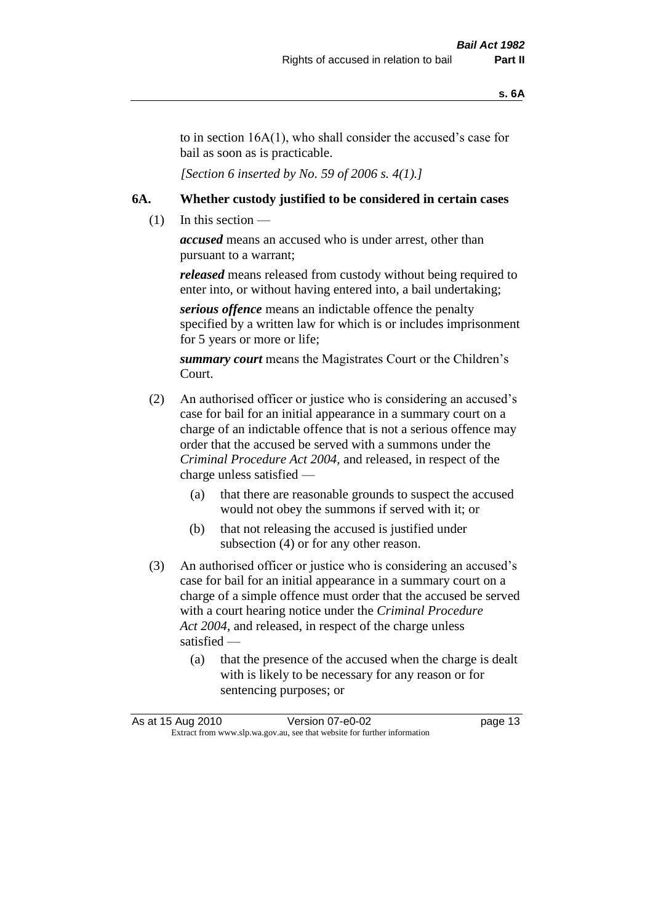to in section 16A(1), who shall consider the accused's case for bail as soon as is practicable.

*[Section 6 inserted by No. 59 of 2006 s. 4(1).]* 

#### **6A. Whether custody justified to be considered in certain cases**

 $(1)$  In this section —

*accused* means an accused who is under arrest, other than pursuant to a warrant;

*released* means released from custody without being required to enter into, or without having entered into, a bail undertaking;

*serious offence* means an indictable offence the penalty specified by a written law for which is or includes imprisonment for 5 years or more or life;

*summary court* means the Magistrates Court or the Children's Court.

- (2) An authorised officer or justice who is considering an accused's case for bail for an initial appearance in a summary court on a charge of an indictable offence that is not a serious offence may order that the accused be served with a summons under the *Criminal Procedure Act 2004*, and released, in respect of the charge unless satisfied —
	- (a) that there are reasonable grounds to suspect the accused would not obey the summons if served with it; or
	- (b) that not releasing the accused is justified under subsection (4) or for any other reason.
- (3) An authorised officer or justice who is considering an accused's case for bail for an initial appearance in a summary court on a charge of a simple offence must order that the accused be served with a court hearing notice under the *Criminal Procedure Act 2004*, and released, in respect of the charge unless satisfied —
	- (a) that the presence of the accused when the charge is dealt with is likely to be necessary for any reason or for sentencing purposes; or

| As at 15 Aug 2010 | Version 07-e0-02                                                         | page 13 |
|-------------------|--------------------------------------------------------------------------|---------|
|                   | Extract from www.slp.wa.gov.au, see that website for further information |         |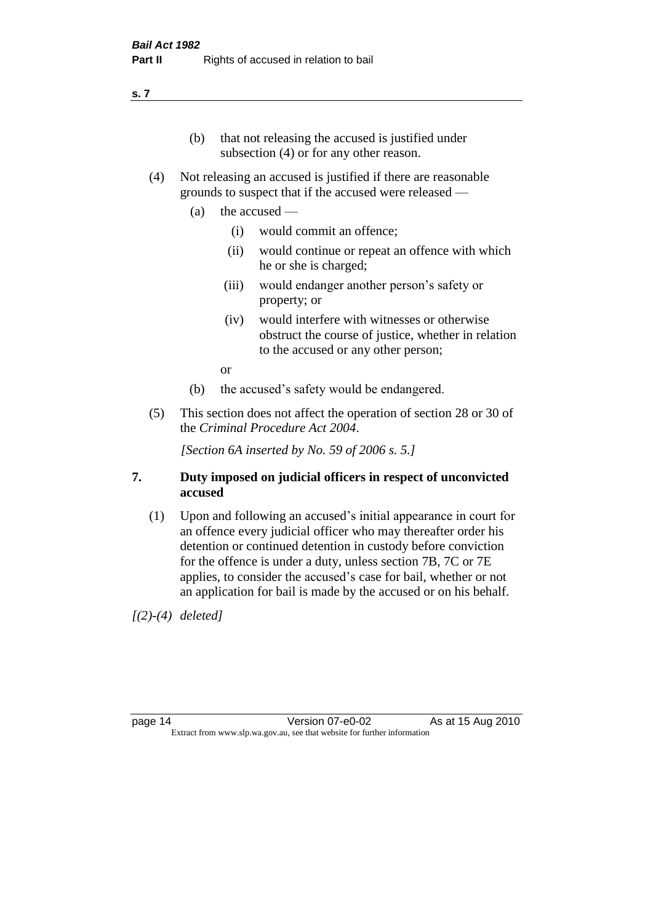#### **s. 7**

- (b) that not releasing the accused is justified under subsection (4) or for any other reason.
- (4) Not releasing an accused is justified if there are reasonable grounds to suspect that if the accused were released —
	- (a) the accused
		- (i) would commit an offence;
		- (ii) would continue or repeat an offence with which he or she is charged;
		- (iii) would endanger another person's safety or property; or
		- (iv) would interfere with witnesses or otherwise obstruct the course of justice, whether in relation to the accused or any other person;

or

- (b) the accused's safety would be endangered.
- (5) This section does not affect the operation of section 28 or 30 of the *Criminal Procedure Act 2004*.

*[Section 6A inserted by No. 59 of 2006 s. 5.]* 

#### **7. Duty imposed on judicial officers in respect of unconvicted accused**

(1) Upon and following an accused's initial appearance in court for an offence every judicial officer who may thereafter order his detention or continued detention in custody before conviction for the offence is under a duty, unless section 7B, 7C or 7E applies, to consider the accused's case for bail, whether or not an application for bail is made by the accused or on his behalf.

*[(2)-(4) deleted]*

page 14 Version 07-e0-02 As at 15 Aug 2010 Extract from www.slp.wa.gov.au, see that website for further information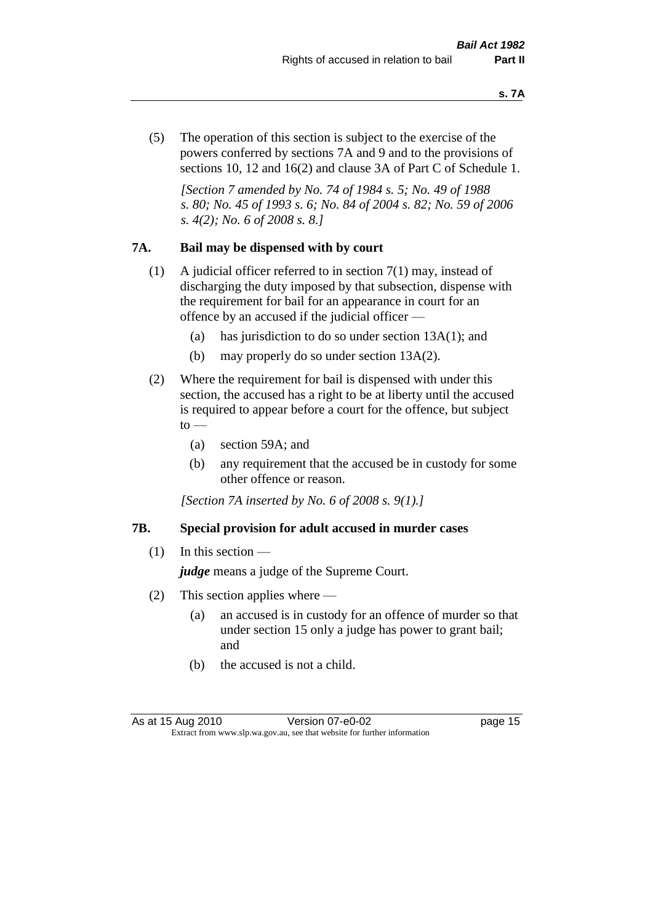(5) The operation of this section is subject to the exercise of the powers conferred by sections 7A and 9 and to the provisions of sections 10, 12 and 16(2) and clause 3A of Part C of Schedule 1.

*[Section 7 amended by No. 74 of 1984 s. 5; No. 49 of 1988 s. 80; No. 45 of 1993 s. 6; No. 84 of 2004 s. 82; No. 59 of 2006 s. 4(2); No. 6 of 2008 s. 8.]* 

#### **7A. Bail may be dispensed with by court**

- (1) A judicial officer referred to in section 7(1) may, instead of discharging the duty imposed by that subsection, dispense with the requirement for bail for an appearance in court for an offence by an accused if the judicial officer —
	- (a) has jurisdiction to do so under section 13A(1); and
	- (b) may properly do so under section 13A(2).
- (2) Where the requirement for bail is dispensed with under this section, the accused has a right to be at liberty until the accused is required to appear before a court for the offence, but subject  $\mathrm{to}$  —
	- (a) section 59A; and
	- (b) any requirement that the accused be in custody for some other offence or reason.

*[Section 7A inserted by No. 6 of 2008 s. 9(1).]*

#### **7B. Special provision for adult accused in murder cases**

 $(1)$  In this section —

*judge* means a judge of the Supreme Court.

- (2) This section applies where
	- (a) an accused is in custody for an offence of murder so that under section 15 only a judge has power to grant bail; and
	- (b) the accused is not a child.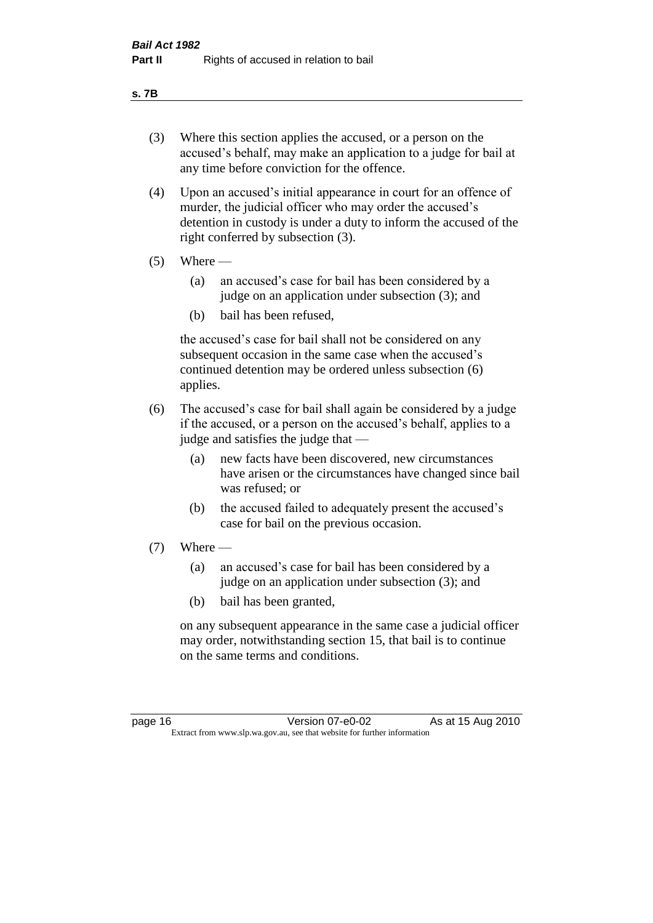#### **s. 7B**

- (3) Where this section applies the accused, or a person on the accused's behalf, may make an application to a judge for bail at any time before conviction for the offence.
- (4) Upon an accused's initial appearance in court for an offence of murder, the judicial officer who may order the accused's detention in custody is under a duty to inform the accused of the right conferred by subsection (3).
- $(5)$  Where
	- (a) an accused's case for bail has been considered by a judge on an application under subsection (3); and
	- (b) bail has been refused,

the accused's case for bail shall not be considered on any subsequent occasion in the same case when the accused's continued detention may be ordered unless subsection (6) applies.

- (6) The accused's case for bail shall again be considered by a judge if the accused, or a person on the accused's behalf, applies to a judge and satisfies the judge that —
	- (a) new facts have been discovered, new circumstances have arisen or the circumstances have changed since bail was refused; or
	- (b) the accused failed to adequately present the accused's case for bail on the previous occasion.
- $(7)$  Where
	- (a) an accused's case for bail has been considered by a judge on an application under subsection (3); and
	- (b) bail has been granted,

on any subsequent appearance in the same case a judicial officer may order, notwithstanding section 15, that bail is to continue on the same terms and conditions.

page 16 Version 07-e0-02 As at 15 Aug 2010 Extract from www.slp.wa.gov.au, see that website for further information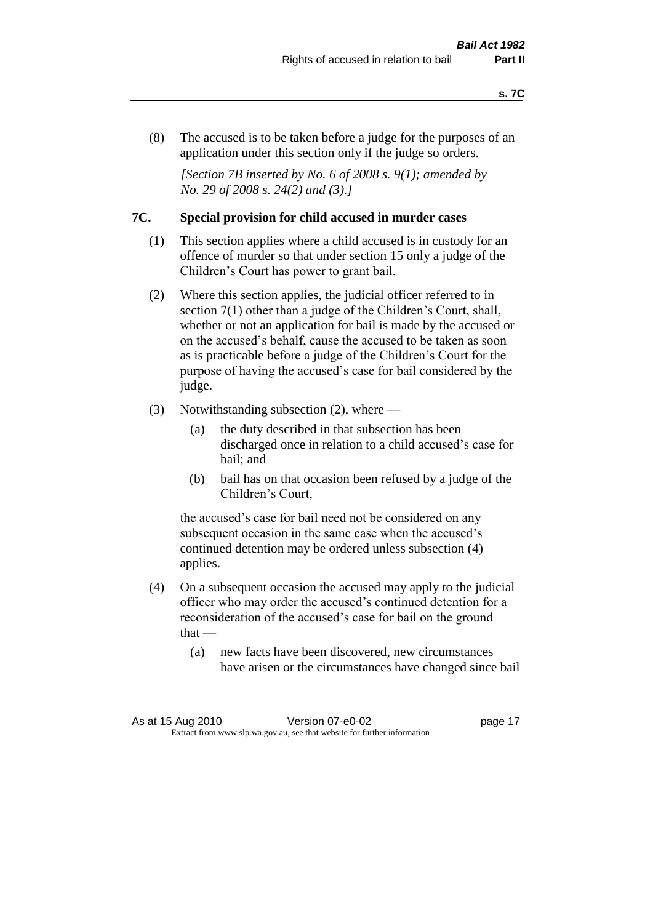(8) The accused is to be taken before a judge for the purposes of an application under this section only if the judge so orders.

*[Section 7B inserted by No. 6 of 2008 s. 9(1); amended by No. 29 of 2008 s. 24(2) and (3).]*

#### **7C. Special provision for child accused in murder cases**

- (1) This section applies where a child accused is in custody for an offence of murder so that under section 15 only a judge of the Children's Court has power to grant bail.
- (2) Where this section applies, the judicial officer referred to in section 7(1) other than a judge of the Children's Court, shall, whether or not an application for bail is made by the accused or on the accused's behalf, cause the accused to be taken as soon as is practicable before a judge of the Children's Court for the purpose of having the accused's case for bail considered by the judge.
- (3) Notwithstanding subsection (2), where
	- (a) the duty described in that subsection has been discharged once in relation to a child accused's case for bail; and
	- (b) bail has on that occasion been refused by a judge of the Children's Court,

the accused's case for bail need not be considered on any subsequent occasion in the same case when the accused's continued detention may be ordered unless subsection (4) applies.

- (4) On a subsequent occasion the accused may apply to the judicial officer who may order the accused's continued detention for a reconsideration of the accused's case for bail on the ground  $that -$ 
	- (a) new facts have been discovered, new circumstances have arisen or the circumstances have changed since bail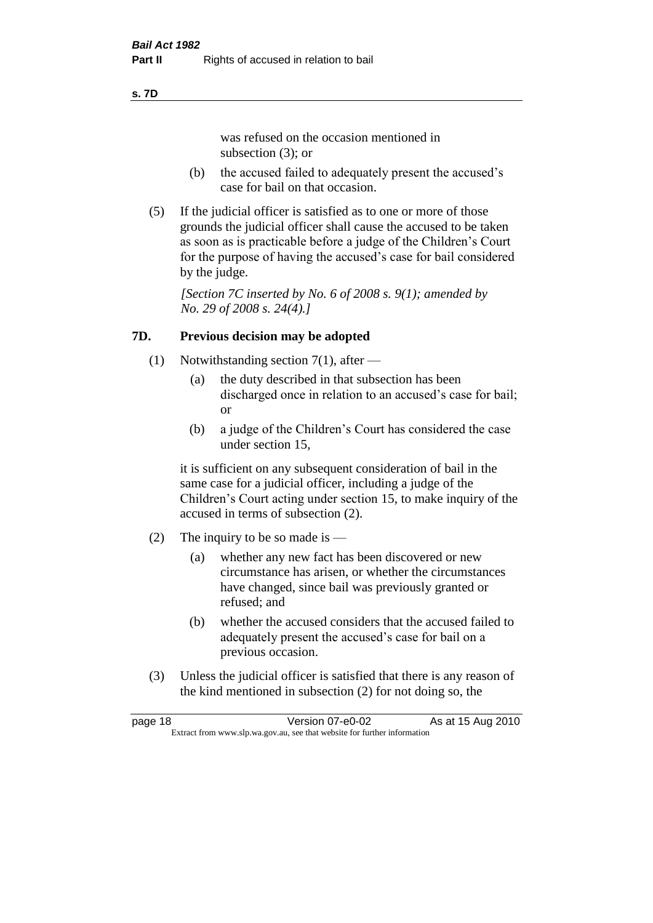#### **s. 7D**

was refused on the occasion mentioned in subsection (3); or

- (b) the accused failed to adequately present the accused's case for bail on that occasion.
- (5) If the judicial officer is satisfied as to one or more of those grounds the judicial officer shall cause the accused to be taken as soon as is practicable before a judge of the Children's Court for the purpose of having the accused's case for bail considered by the judge.

*[Section 7C inserted by No. 6 of 2008 s. 9(1); amended by No. 29 of 2008 s. 24(4).]*

#### **7D. Previous decision may be adopted**

- (1) Notwithstanding section 7(1), after
	- (a) the duty described in that subsection has been discharged once in relation to an accused's case for bail; or
	- (b) a judge of the Children's Court has considered the case under section 15,

it is sufficient on any subsequent consideration of bail in the same case for a judicial officer, including a judge of the Children's Court acting under section 15, to make inquiry of the accused in terms of subsection (2).

- (2) The inquiry to be so made is  $-$ 
	- (a) whether any new fact has been discovered or new circumstance has arisen, or whether the circumstances have changed, since bail was previously granted or refused; and
	- (b) whether the accused considers that the accused failed to adequately present the accused's case for bail on a previous occasion.
- (3) Unless the judicial officer is satisfied that there is any reason of the kind mentioned in subsection (2) for not doing so, the

page 18 Version 07-e0-02 As at 15 Aug 2010 Extract from www.slp.wa.gov.au, see that website for further information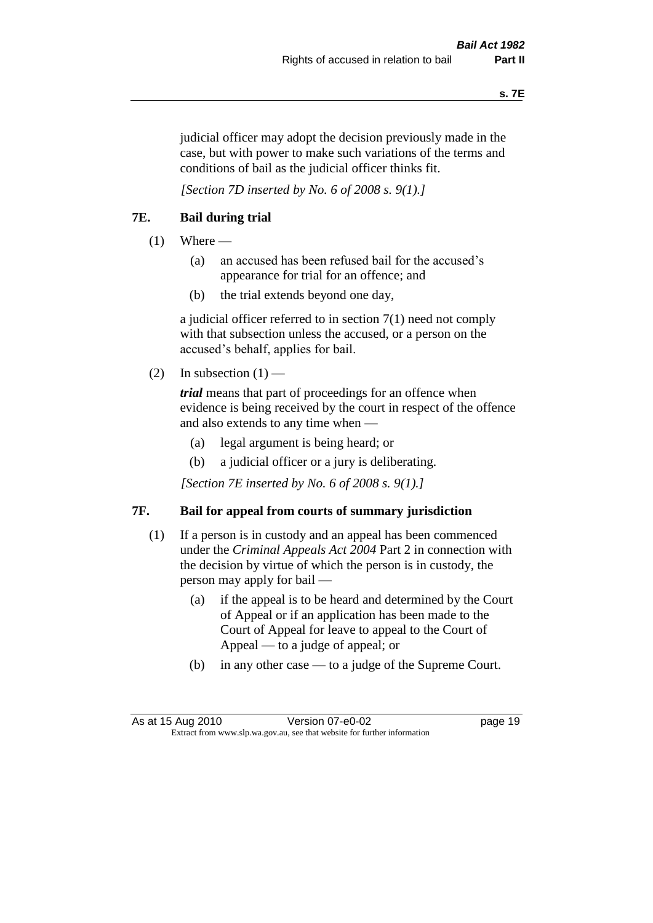judicial officer may adopt the decision previously made in the case, but with power to make such variations of the terms and conditions of bail as the judicial officer thinks fit.

*[Section 7D inserted by No. 6 of 2008 s. 9(1).]*

#### **7E. Bail during trial**

- $(1)$  Where
	- (a) an accused has been refused bail for the accused's appearance for trial for an offence; and
	- (b) the trial extends beyond one day,

a judicial officer referred to in section 7(1) need not comply with that subsection unless the accused, or a person on the accused's behalf, applies for bail.

(2) In subsection  $(1)$  —

*trial* means that part of proceedings for an offence when evidence is being received by the court in respect of the offence and also extends to any time when —

- (a) legal argument is being heard; or
- (b) a judicial officer or a jury is deliberating.

*[Section 7E inserted by No. 6 of 2008 s. 9(1).]*

#### **7F. Bail for appeal from courts of summary jurisdiction**

- (1) If a person is in custody and an appeal has been commenced under the *Criminal Appeals Act 2004* Part 2 in connection with the decision by virtue of which the person is in custody, the person may apply for bail —
	- (a) if the appeal is to be heard and determined by the Court of Appeal or if an application has been made to the Court of Appeal for leave to appeal to the Court of Appeal — to a judge of appeal; or
	- (b) in any other case to a judge of the Supreme Court.

As at 15 Aug 2010 Version 07-e0-02 Page 19 Extract from www.slp.wa.gov.au, see that website for further information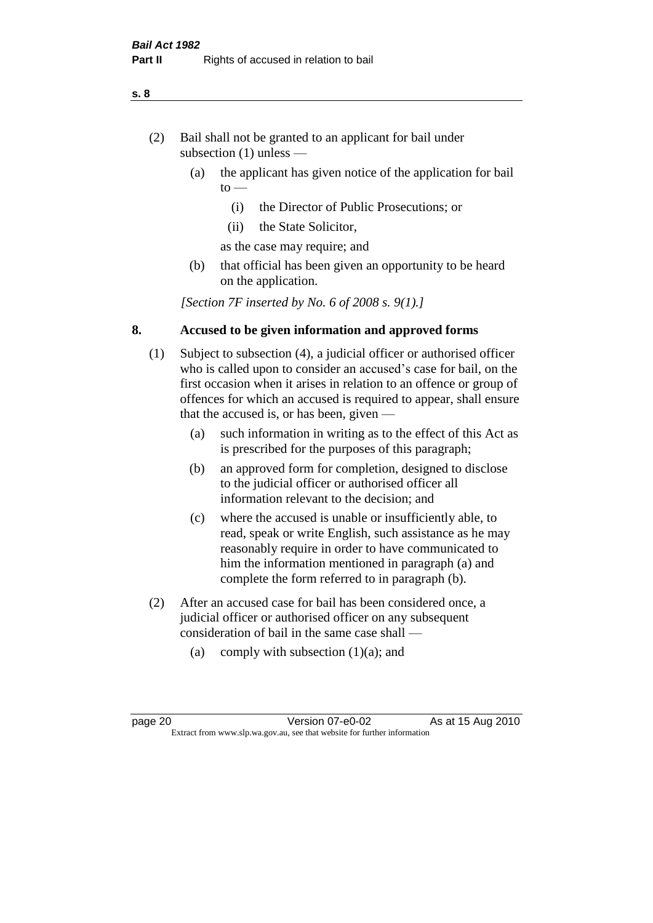- (2) Bail shall not be granted to an applicant for bail under subsection (1) unless —
	- (a) the applicant has given notice of the application for bail  $to -$ 
		- (i) the Director of Public Prosecutions; or
		- (ii) the State Solicitor,
		- as the case may require; and
	- (b) that official has been given an opportunity to be heard on the application.

*[Section 7F inserted by No. 6 of 2008 s. 9(1).]*

#### **8. Accused to be given information and approved forms**

- (1) Subject to subsection (4), a judicial officer or authorised officer who is called upon to consider an accused's case for bail, on the first occasion when it arises in relation to an offence or group of offences for which an accused is required to appear, shall ensure that the accused is, or has been, given —
	- (a) such information in writing as to the effect of this Act as is prescribed for the purposes of this paragraph;
	- (b) an approved form for completion, designed to disclose to the judicial officer or authorised officer all information relevant to the decision; and
	- (c) where the accused is unable or insufficiently able, to read, speak or write English, such assistance as he may reasonably require in order to have communicated to him the information mentioned in paragraph (a) and complete the form referred to in paragraph (b).
- (2) After an accused case for bail has been considered once, a judicial officer or authorised officer on any subsequent consideration of bail in the same case shall —
	- (a) comply with subsection  $(1)(a)$ ; and

**s. 8**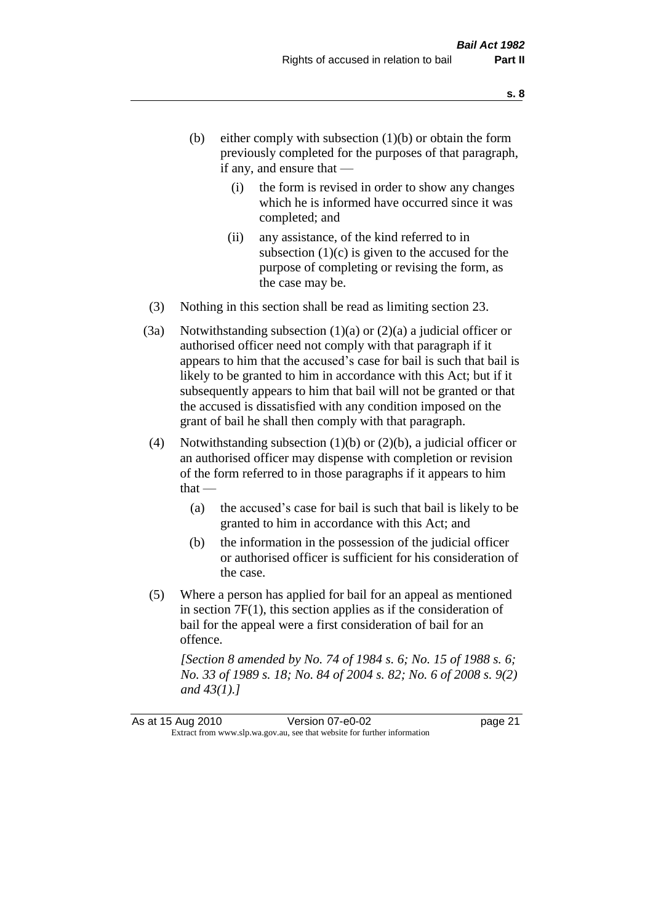- (b) either comply with subsection  $(1)(b)$  or obtain the form previously completed for the purposes of that paragraph, if any, and ensure that —
	- (i) the form is revised in order to show any changes which he is informed have occurred since it was completed; and
	- (ii) any assistance, of the kind referred to in subsection  $(1)(c)$  is given to the accused for the purpose of completing or revising the form, as the case may be.
- (3) Nothing in this section shall be read as limiting section 23.
- (3a) Notwithstanding subsection  $(1)(a)$  or  $(2)(a)$  a judicial officer or authorised officer need not comply with that paragraph if it appears to him that the accused's case for bail is such that bail is likely to be granted to him in accordance with this Act; but if it subsequently appears to him that bail will not be granted or that the accused is dissatisfied with any condition imposed on the grant of bail he shall then comply with that paragraph.
- (4) Notwithstanding subsection (1)(b) or (2)(b), a judicial officer or an authorised officer may dispense with completion or revision of the form referred to in those paragraphs if it appears to him  $that -$ 
	- (a) the accused's case for bail is such that bail is likely to be granted to him in accordance with this Act; and
	- (b) the information in the possession of the judicial officer or authorised officer is sufficient for his consideration of the case.
- (5) Where a person has applied for bail for an appeal as mentioned in section 7F(1), this section applies as if the consideration of bail for the appeal were a first consideration of bail for an offence.

*[Section 8 amended by No. 74 of 1984 s. 6; No. 15 of 1988 s. 6; No. 33 of 1989 s. 18; No. 84 of 2004 s. 82; No. 6 of 2008 s. 9(2) and 43(1).]*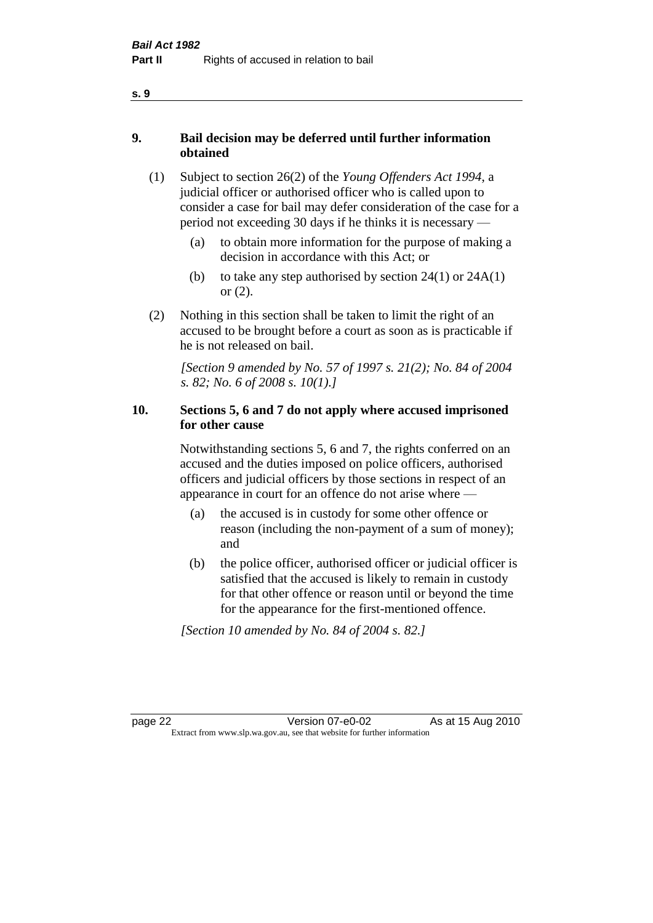- **9. Bail decision may be deferred until further information obtained**
	- (1) Subject to section 26(2) of the *Young Offenders Act 1994*, a judicial officer or authorised officer who is called upon to consider a case for bail may defer consideration of the case for a period not exceeding 30 days if he thinks it is necessary —
		- (a) to obtain more information for the purpose of making a decision in accordance with this Act; or
		- (b) to take any step authorised by section  $24(1)$  or  $24A(1)$ or (2).
	- (2) Nothing in this section shall be taken to limit the right of an accused to be brought before a court as soon as is practicable if he is not released on bail.

*[Section 9 amended by No. 57 of 1997 s. 21(2); No. 84 of 2004 s. 82; No. 6 of 2008 s. 10(1).]*

#### **10. Sections 5, 6 and 7 do not apply where accused imprisoned for other cause**

Notwithstanding sections 5, 6 and 7, the rights conferred on an accused and the duties imposed on police officers, authorised officers and judicial officers by those sections in respect of an appearance in court for an offence do not arise where —

- (a) the accused is in custody for some other offence or reason (including the non-payment of a sum of money); and
- (b) the police officer, authorised officer or judicial officer is satisfied that the accused is likely to remain in custody for that other offence or reason until or beyond the time for the appearance for the first-mentioned offence.

*[Section 10 amended by No. 84 of 2004 s. 82.]*

page 22 Version 07-e0-02 As at 15 Aug 2010 Extract from www.slp.wa.gov.au, see that website for further information

**s. 9**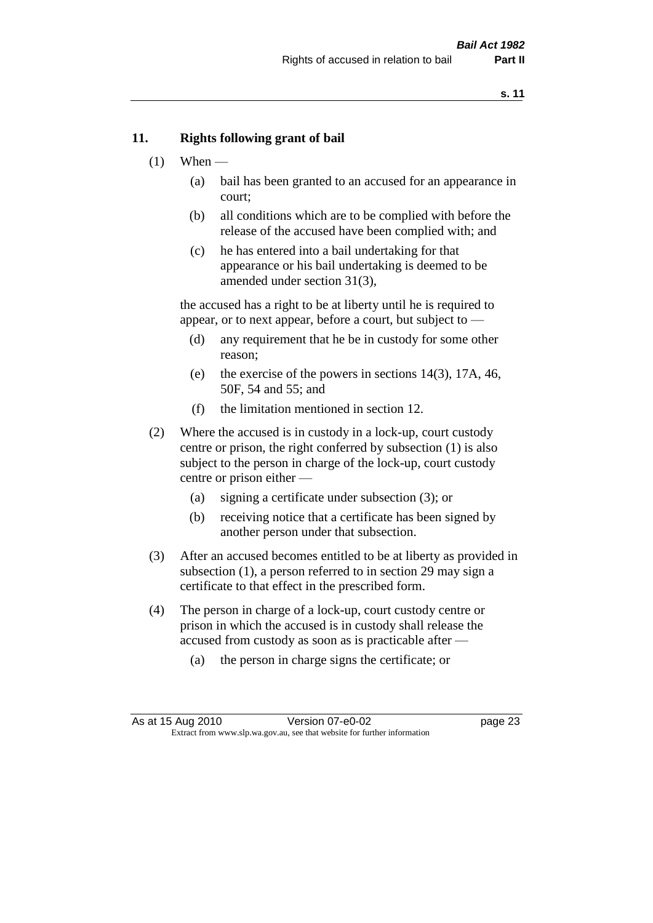#### **11. Rights following grant of bail**

- $(1)$  When
	- (a) bail has been granted to an accused for an appearance in court;
	- (b) all conditions which are to be complied with before the release of the accused have been complied with; and
	- (c) he has entered into a bail undertaking for that appearance or his bail undertaking is deemed to be amended under section 31(3),

the accused has a right to be at liberty until he is required to appear, or to next appear, before a court, but subject to —

- (d) any requirement that he be in custody for some other reason;
- (e) the exercise of the powers in sections 14(3), 17A, 46, 50F, 54 and 55; and
- (f) the limitation mentioned in section 12.
- (2) Where the accused is in custody in a lock-up, court custody centre or prison, the right conferred by subsection (1) is also subject to the person in charge of the lock-up, court custody centre or prison either —
	- (a) signing a certificate under subsection (3); or
	- (b) receiving notice that a certificate has been signed by another person under that subsection.
- (3) After an accused becomes entitled to be at liberty as provided in subsection (1), a person referred to in section 29 may sign a certificate to that effect in the prescribed form.
- (4) The person in charge of a lock-up, court custody centre or prison in which the accused is in custody shall release the accused from custody as soon as is practicable after —
	- (a) the person in charge signs the certificate; or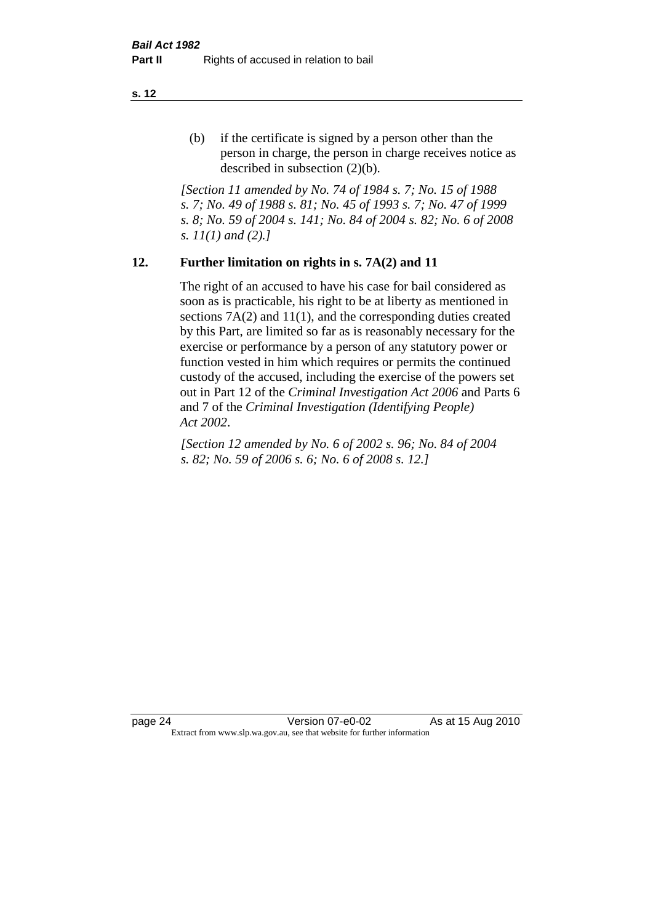(b) if the certificate is signed by a person other than the person in charge, the person in charge receives notice as described in subsection (2)(b).

*[Section 11 amended by No. 74 of 1984 s. 7; No. 15 of 1988 s. 7; No. 49 of 1988 s. 81; No. 45 of 1993 s. 7; No. 47 of 1999 s. 8; No. 59 of 2004 s. 141; No. 84 of 2004 s. 82; No. 6 of 2008 s. 11(1) and (2).]* 

#### **12. Further limitation on rights in s. 7A(2) and 11**

The right of an accused to have his case for bail considered as soon as is practicable, his right to be at liberty as mentioned in sections 7A(2) and 11(1), and the corresponding duties created by this Part, are limited so far as is reasonably necessary for the exercise or performance by a person of any statutory power or function vested in him which requires or permits the continued custody of the accused, including the exercise of the powers set out in Part 12 of the *Criminal Investigation Act 2006* and Parts 6 and 7 of the *Criminal Investigation (Identifying People) Act 2002*.

*[Section 12 amended by No. 6 of 2002 s. 96; No. 84 of 2004 s. 82; No. 59 of 2006 s. 6; No. 6 of 2008 s. 12.]*

page 24 Version 07-e0-02 As at 15 Aug 2010 Extract from www.slp.wa.gov.au, see that website for further information

**s. 12**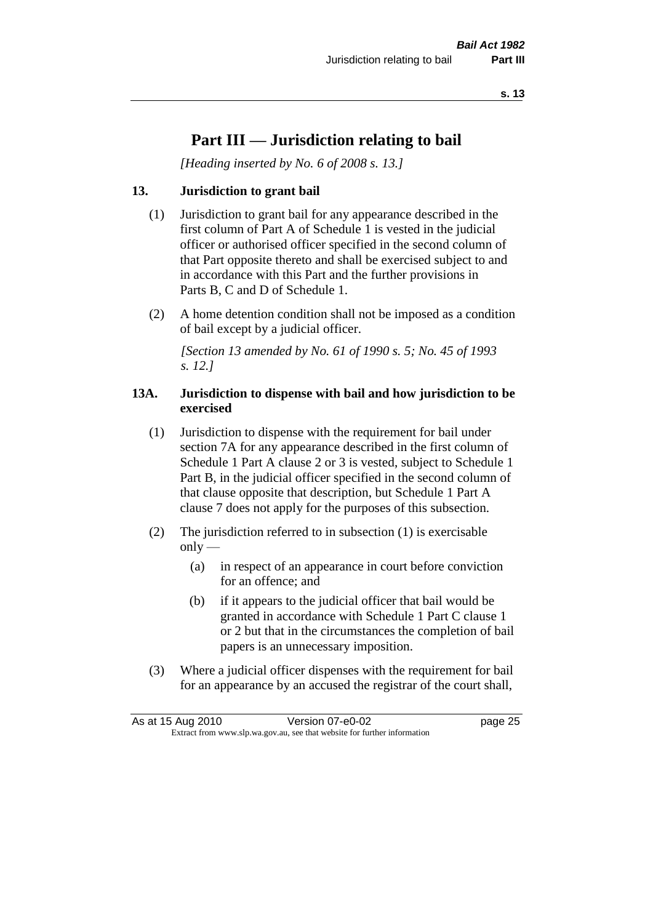# **Part III — Jurisdiction relating to bail**

*[Heading inserted by No. 6 of 2008 s. 13.]*

#### **13. Jurisdiction to grant bail**

- (1) Jurisdiction to grant bail for any appearance described in the first column of Part A of Schedule 1 is vested in the judicial officer or authorised officer specified in the second column of that Part opposite thereto and shall be exercised subject to and in accordance with this Part and the further provisions in Parts B, C and D of Schedule 1.
- (2) A home detention condition shall not be imposed as a condition of bail except by a judicial officer.

*[Section 13 amended by No. 61 of 1990 s. 5; No. 45 of 1993 s. 12.]* 

#### **13A. Jurisdiction to dispense with bail and how jurisdiction to be exercised**

- (1) Jurisdiction to dispense with the requirement for bail under section 7A for any appearance described in the first column of Schedule 1 Part A clause 2 or 3 is vested, subject to Schedule 1 Part B, in the judicial officer specified in the second column of that clause opposite that description, but Schedule 1 Part A clause 7 does not apply for the purposes of this subsection.
- (2) The jurisdiction referred to in subsection (1) is exercisable  $only$ —
	- (a) in respect of an appearance in court before conviction for an offence; and
	- (b) if it appears to the judicial officer that bail would be granted in accordance with Schedule 1 Part C clause 1 or 2 but that in the circumstances the completion of bail papers is an unnecessary imposition.
- (3) Where a judicial officer dispenses with the requirement for bail for an appearance by an accused the registrar of the court shall,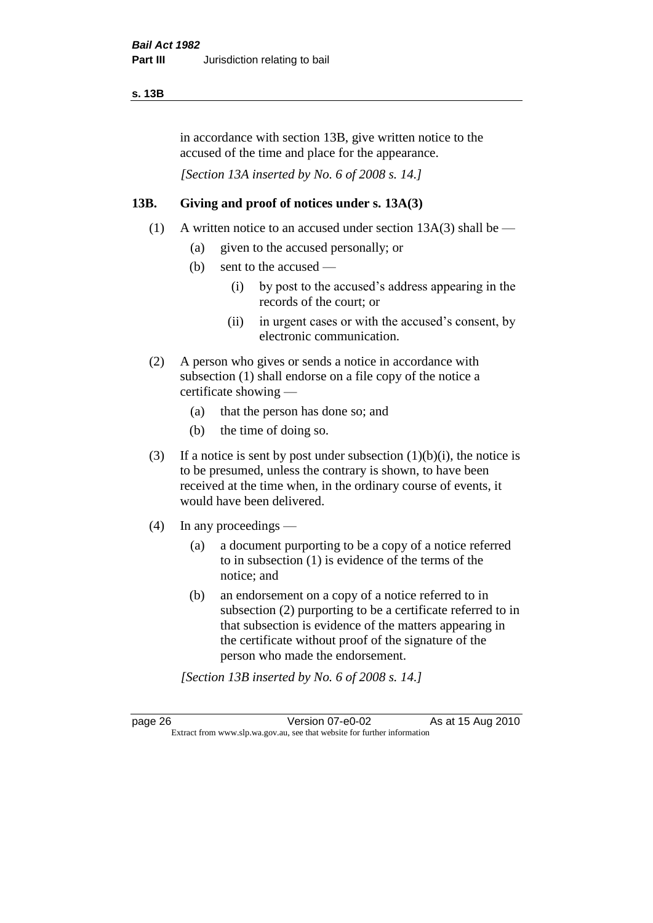#### **s. 13B**

in accordance with section 13B, give written notice to the accused of the time and place for the appearance.

*[Section 13A inserted by No. 6 of 2008 s. 14.]*

#### **13B. Giving and proof of notices under s. 13A(3)**

- (1) A written notice to an accused under section  $13A(3)$  shall be
	- (a) given to the accused personally; or
	- (b) sent to the accused
		- (i) by post to the accused's address appearing in the records of the court; or
		- (ii) in urgent cases or with the accused's consent, by electronic communication.
- (2) A person who gives or sends a notice in accordance with subsection (1) shall endorse on a file copy of the notice a certificate showing —
	- (a) that the person has done so; and
	- (b) the time of doing so.
- (3) If a notice is sent by post under subsection  $(1)(b)(i)$ , the notice is to be presumed, unless the contrary is shown, to have been received at the time when, in the ordinary course of events, it would have been delivered.
- (4) In any proceedings
	- (a) a document purporting to be a copy of a notice referred to in subsection (1) is evidence of the terms of the notice; and
	- (b) an endorsement on a copy of a notice referred to in subsection (2) purporting to be a certificate referred to in that subsection is evidence of the matters appearing in the certificate without proof of the signature of the person who made the endorsement.

*[Section 13B inserted by No. 6 of 2008 s. 14.]*

page 26 Version 07-e0-02 As at 15 Aug 2010 Extract from www.slp.wa.gov.au, see that website for further information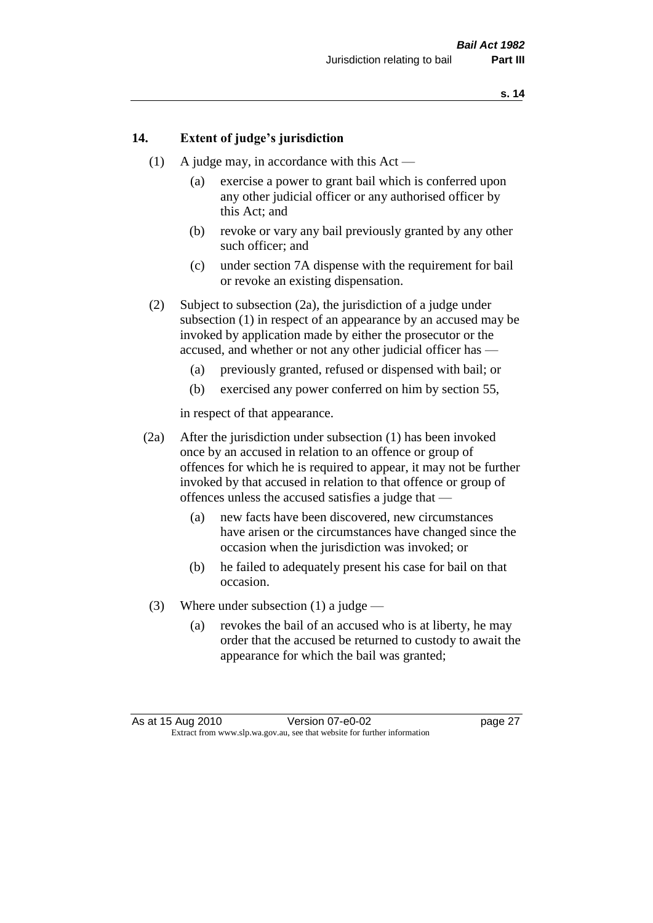#### **14. Extent of judge's jurisdiction**

- (1) A judge may, in accordance with this Act
	- (a) exercise a power to grant bail which is conferred upon any other judicial officer or any authorised officer by this Act; and
	- (b) revoke or vary any bail previously granted by any other such officer; and
	- (c) under section 7A dispense with the requirement for bail or revoke an existing dispensation.
- (2) Subject to subsection (2a), the jurisdiction of a judge under subsection (1) in respect of an appearance by an accused may be invoked by application made by either the prosecutor or the accused, and whether or not any other judicial officer has —
	- (a) previously granted, refused or dispensed with bail; or
	- (b) exercised any power conferred on him by section 55,

in respect of that appearance.

- (2a) After the jurisdiction under subsection (1) has been invoked once by an accused in relation to an offence or group of offences for which he is required to appear, it may not be further invoked by that accused in relation to that offence or group of offences unless the accused satisfies a judge that —
	- (a) new facts have been discovered, new circumstances have arisen or the circumstances have changed since the occasion when the jurisdiction was invoked; or
	- (b) he failed to adequately present his case for bail on that occasion.
- (3) Where under subsection (1) a judge
	- (a) revokes the bail of an accused who is at liberty, he may order that the accused be returned to custody to await the appearance for which the bail was granted;

As at 15 Aug 2010 Version 07-e0-02 Page 27 Extract from www.slp.wa.gov.au, see that website for further information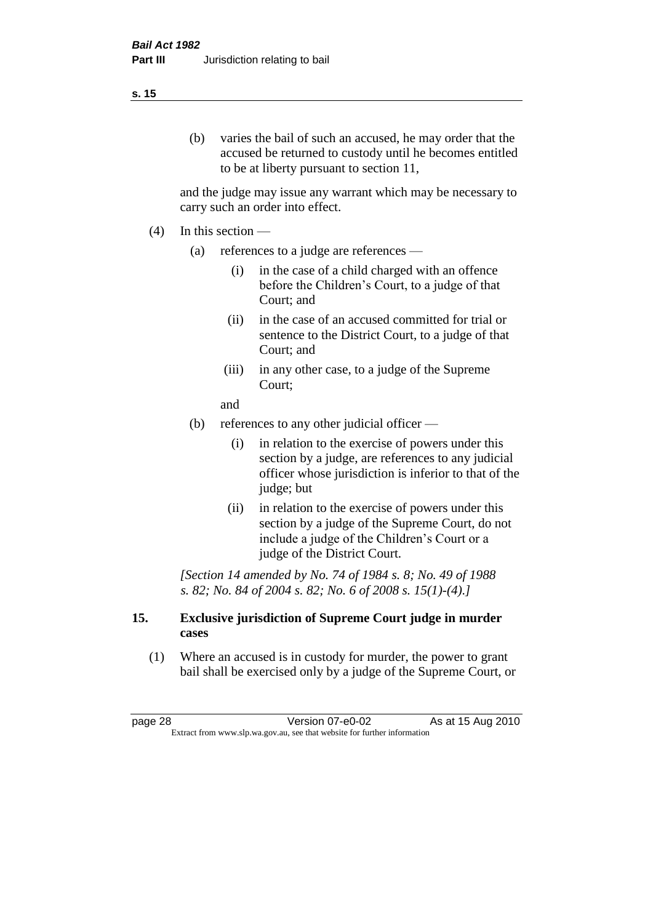#### **s. 15**

(b) varies the bail of such an accused, he may order that the accused be returned to custody until he becomes entitled to be at liberty pursuant to section 11,

and the judge may issue any warrant which may be necessary to carry such an order into effect.

- $(4)$  In this section
	- (a) references to a judge are references
		- (i) in the case of a child charged with an offence before the Children's Court, to a judge of that Court; and
		- (ii) in the case of an accused committed for trial or sentence to the District Court, to a judge of that Court; and
		- (iii) in any other case, to a judge of the Supreme Court;

and

- (b) references to any other judicial officer
	- (i) in relation to the exercise of powers under this section by a judge, are references to any judicial officer whose jurisdiction is inferior to that of the judge; but
	- (ii) in relation to the exercise of powers under this section by a judge of the Supreme Court, do not include a judge of the Children's Court or a judge of the District Court.

*[Section 14 amended by No. 74 of 1984 s. 8; No. 49 of 1988 s. 82; No. 84 of 2004 s. 82; No. 6 of 2008 s. 15(1)-(4).]* 

#### **15. Exclusive jurisdiction of Supreme Court judge in murder cases**

(1) Where an accused is in custody for murder, the power to grant bail shall be exercised only by a judge of the Supreme Court, or

page 28 **Version 07-e0-02** As at 15 Aug 2010 Extract from www.slp.wa.gov.au, see that website for further information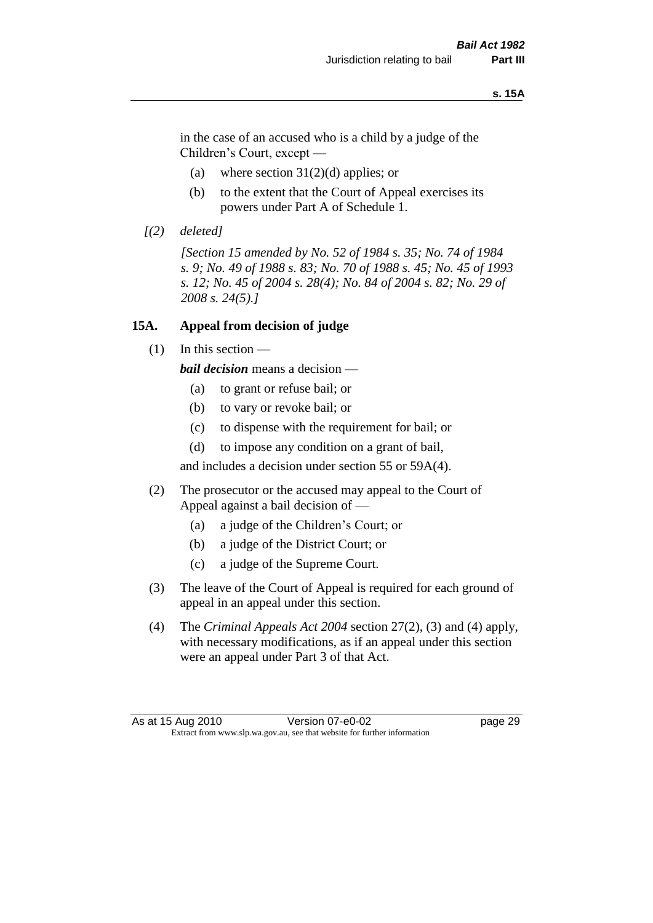#### **s. 15A**

in the case of an accused who is a child by a judge of the Children's Court, except —

- (a) where section  $31(2)(d)$  applies; or
- (b) to the extent that the Court of Appeal exercises its powers under Part A of Schedule 1.
- *[(2) deleted]*

*[Section 15 amended by No. 52 of 1984 s. 35; No. 74 of 1984 s. 9; No. 49 of 1988 s. 83; No. 70 of 1988 s. 45; No. 45 of 1993 s. 12; No. 45 of 2004 s. 28(4); No. 84 of 2004 s. 82; No. 29 of 2008 s. 24(5).]* 

#### **15A. Appeal from decision of judge**

(1) In this section —

*bail decision* means a decision —

- (a) to grant or refuse bail; or
- (b) to vary or revoke bail; or
- (c) to dispense with the requirement for bail; or
- (d) to impose any condition on a grant of bail,

and includes a decision under section 55 or 59A(4).

- (2) The prosecutor or the accused may appeal to the Court of Appeal against a bail decision of —
	- (a) a judge of the Children's Court; or
	- (b) a judge of the District Court; or
	- (c) a judge of the Supreme Court.
- (3) The leave of the Court of Appeal is required for each ground of appeal in an appeal under this section.
- (4) The *Criminal Appeals Act 2004* section 27(2), (3) and (4) apply, with necessary modifications, as if an appeal under this section were an appeal under Part 3 of that Act.

As at 15 Aug 2010 Version 07-e0-02 Page 29 Extract from www.slp.wa.gov.au, see that website for further information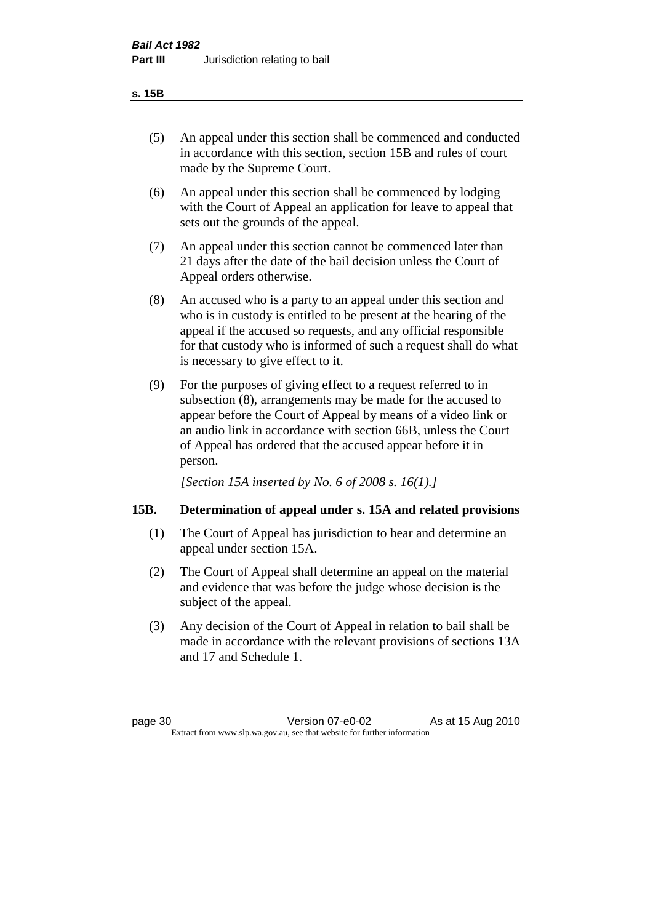- (5) An appeal under this section shall be commenced and conducted in accordance with this section, section 15B and rules of court made by the Supreme Court.
- (6) An appeal under this section shall be commenced by lodging with the Court of Appeal an application for leave to appeal that sets out the grounds of the appeal.
- (7) An appeal under this section cannot be commenced later than 21 days after the date of the bail decision unless the Court of Appeal orders otherwise.
- (8) An accused who is a party to an appeal under this section and who is in custody is entitled to be present at the hearing of the appeal if the accused so requests, and any official responsible for that custody who is informed of such a request shall do what is necessary to give effect to it.
- (9) For the purposes of giving effect to a request referred to in subsection (8), arrangements may be made for the accused to appear before the Court of Appeal by means of a video link or an audio link in accordance with section 66B, unless the Court of Appeal has ordered that the accused appear before it in person.

*[Section 15A inserted by No. 6 of 2008 s. 16(1).]*

#### **15B. Determination of appeal under s. 15A and related provisions**

- (1) The Court of Appeal has jurisdiction to hear and determine an appeal under section 15A.
- (2) The Court of Appeal shall determine an appeal on the material and evidence that was before the judge whose decision is the subject of the appeal.
- (3) Any decision of the Court of Appeal in relation to bail shall be made in accordance with the relevant provisions of sections 13A and 17 and Schedule 1.

page 30 Version 07-e0-02 As at 15 Aug 2010 Extract from www.slp.wa.gov.au, see that website for further information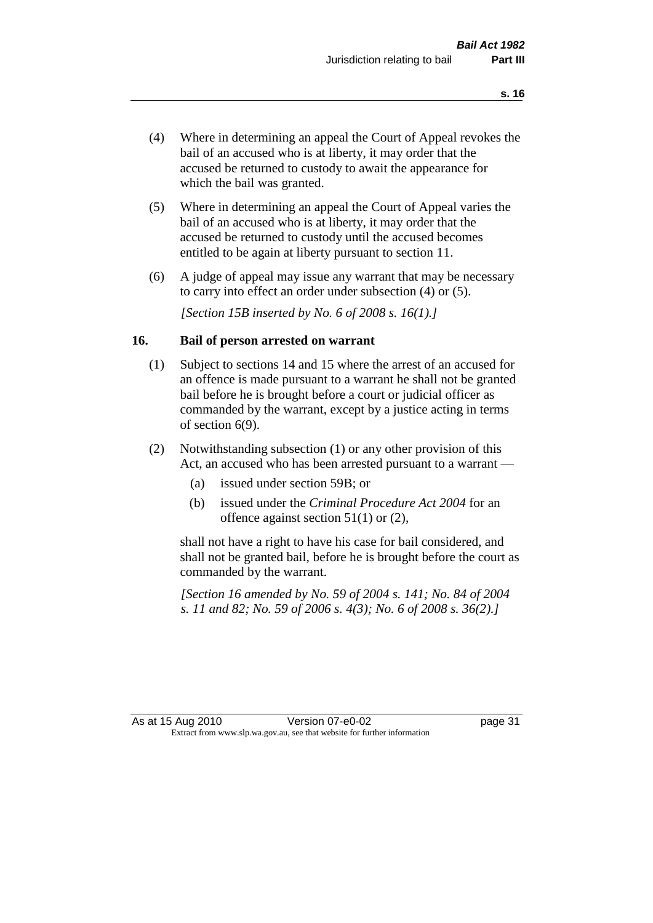- (4) Where in determining an appeal the Court of Appeal revokes the bail of an accused who is at liberty, it may order that the accused be returned to custody to await the appearance for which the bail was granted.
- (5) Where in determining an appeal the Court of Appeal varies the bail of an accused who is at liberty, it may order that the accused be returned to custody until the accused becomes entitled to be again at liberty pursuant to section 11.
- (6) A judge of appeal may issue any warrant that may be necessary to carry into effect an order under subsection (4) or (5).

*[Section 15B inserted by No. 6 of 2008 s. 16(1).]*

#### **16. Bail of person arrested on warrant**

- (1) Subject to sections 14 and 15 where the arrest of an accused for an offence is made pursuant to a warrant he shall not be granted bail before he is brought before a court or judicial officer as commanded by the warrant, except by a justice acting in terms of section 6(9).
- (2) Notwithstanding subsection (1) or any other provision of this Act, an accused who has been arrested pursuant to a warrant —
	- (a) issued under section 59B; or
	- (b) issued under the *Criminal Procedure Act 2004* for an offence against section 51(1) or (2),

shall not have a right to have his case for bail considered, and shall not be granted bail, before he is brought before the court as commanded by the warrant.

*[Section 16 amended by No. 59 of 2004 s. 141; No. 84 of 2004 s. 11 and 82; No. 59 of 2006 s. 4(3); No. 6 of 2008 s. 36(2).]*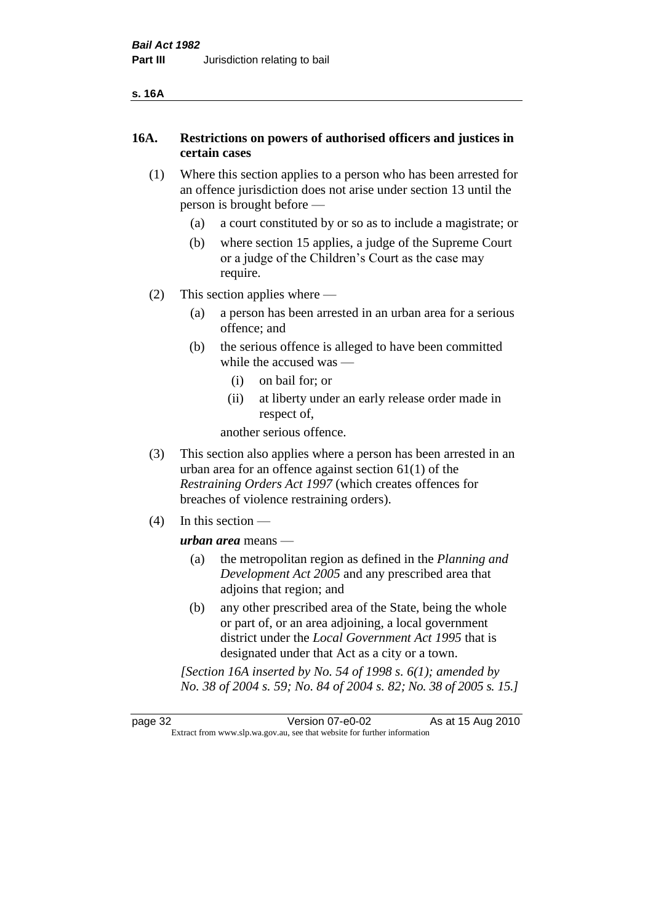| ۰, | ۰. |
|----|----|
|----|----|

#### **16A. Restrictions on powers of authorised officers and justices in certain cases**

- (1) Where this section applies to a person who has been arrested for an offence jurisdiction does not arise under section 13 until the person is brought before —
	- (a) a court constituted by or so as to include a magistrate; or
	- (b) where section 15 applies, a judge of the Supreme Court or a judge of the Children's Court as the case may require.
- (2) This section applies where
	- (a) a person has been arrested in an urban area for a serious offence; and
	- (b) the serious offence is alleged to have been committed while the accused was —
		- (i) on bail for; or
		- (ii) at liberty under an early release order made in respect of,

another serious offence.

- (3) This section also applies where a person has been arrested in an urban area for an offence against section 61(1) of the *Restraining Orders Act 1997* (which creates offences for breaches of violence restraining orders).
- (4) In this section —

*urban area* means —

- (a) the metropolitan region as defined in the *Planning and Development Act 2005* and any prescribed area that adjoins that region; and
- (b) any other prescribed area of the State, being the whole or part of, or an area adjoining, a local government district under the *Local Government Act 1995* that is designated under that Act as a city or a town.

*[Section 16A inserted by No. 54 of 1998 s. 6(1); amended by No. 38 of 2004 s. 59; No. 84 of 2004 s. 82; No. 38 of 2005 s. 15.]*

page 32 Version 07-e0-02 As at 15 Aug 2010 Extract from www.slp.wa.gov.au, see that website for further information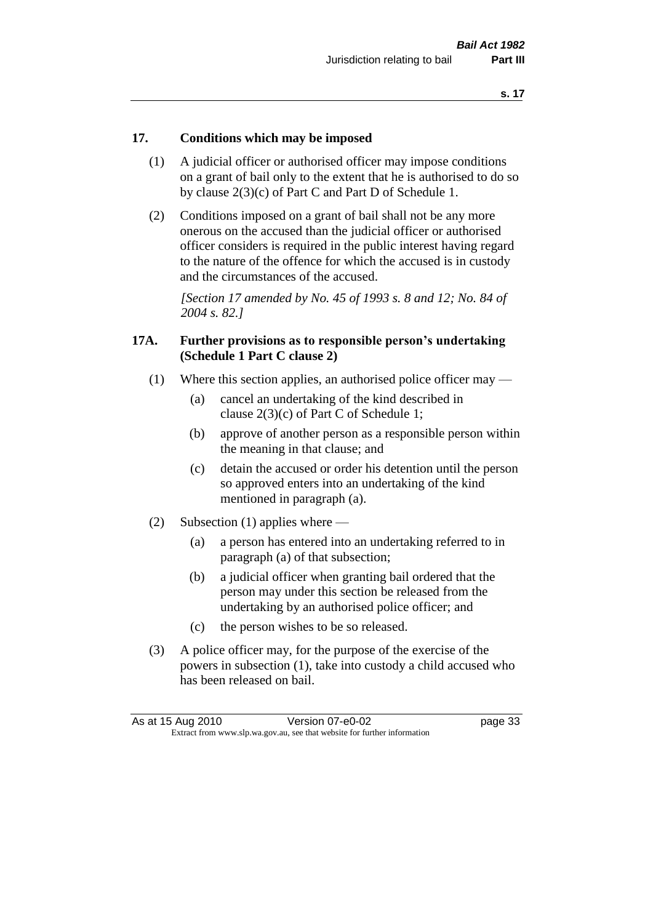#### **17. Conditions which may be imposed**

- (1) A judicial officer or authorised officer may impose conditions on a grant of bail only to the extent that he is authorised to do so by clause 2(3)(c) of Part C and Part D of Schedule 1.
- (2) Conditions imposed on a grant of bail shall not be any more onerous on the accused than the judicial officer or authorised officer considers is required in the public interest having regard to the nature of the offence for which the accused is in custody and the circumstances of the accused.

*[Section 17 amended by No. 45 of 1993 s. 8 and 12; No. 84 of 2004 s. 82.]* 

#### **17A. Further provisions as to responsible person's undertaking (Schedule 1 Part C clause 2)**

- (1) Where this section applies, an authorised police officer may
	- (a) cancel an undertaking of the kind described in clause 2(3)(c) of Part C of Schedule 1;
	- (b) approve of another person as a responsible person within the meaning in that clause; and
	- (c) detain the accused or order his detention until the person so approved enters into an undertaking of the kind mentioned in paragraph (a).
- (2) Subsection (1) applies where
	- (a) a person has entered into an undertaking referred to in paragraph (a) of that subsection;
	- (b) a judicial officer when granting bail ordered that the person may under this section be released from the undertaking by an authorised police officer; and
	- (c) the person wishes to be so released.
- (3) A police officer may, for the purpose of the exercise of the powers in subsection (1), take into custody a child accused who has been released on bail.

| As at 15 Aug 2010 | Version 07-e0-02                                                         | page 33 |
|-------------------|--------------------------------------------------------------------------|---------|
|                   | Extract from www.slp.wa.gov.au, see that website for further information |         |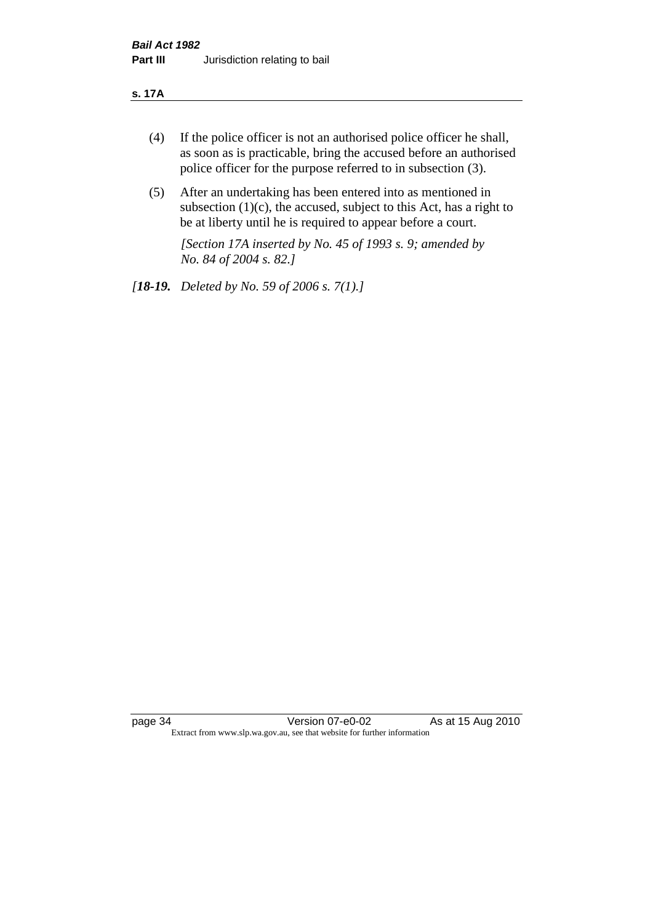#### **s. 17A**

- (4) If the police officer is not an authorised police officer he shall, as soon as is practicable, bring the accused before an authorised police officer for the purpose referred to in subsection (3).
- (5) After an undertaking has been entered into as mentioned in subsection  $(1)(c)$ , the accused, subject to this Act, has a right to be at liberty until he is required to appear before a court.

*[Section 17A inserted by No. 45 of 1993 s. 9; amended by No. 84 of 2004 s. 82.]* 

*[18-19. Deleted by No. 59 of 2006 s. 7(1).]*

page 34 Version 07-e0-02 As at 15 Aug 2010 Extract from www.slp.wa.gov.au, see that website for further information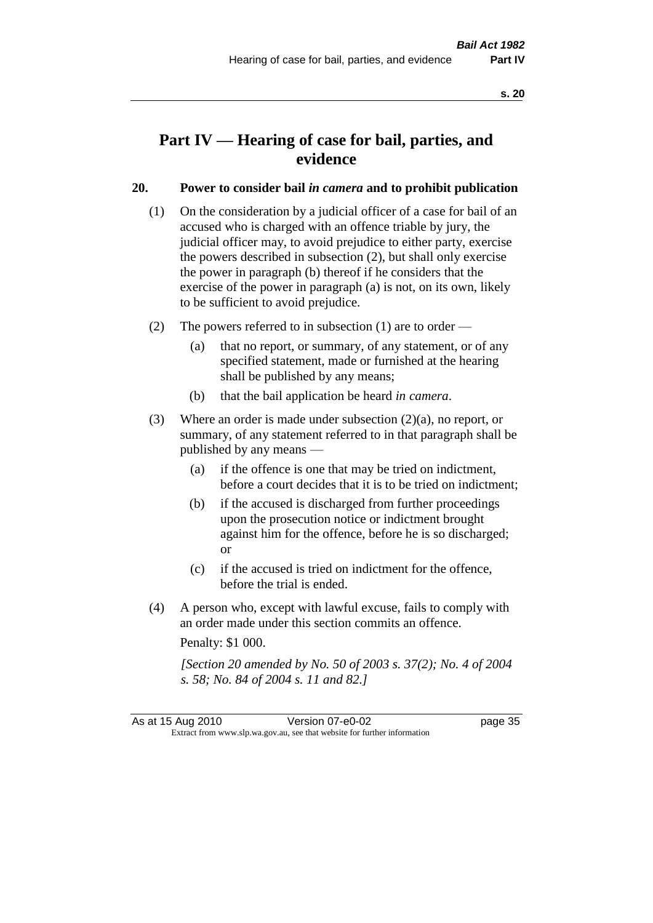## **Part IV — Hearing of case for bail, parties, and evidence**

#### **20. Power to consider bail** *in camera* **and to prohibit publication**

- (1) On the consideration by a judicial officer of a case for bail of an accused who is charged with an offence triable by jury, the judicial officer may, to avoid prejudice to either party, exercise the powers described in subsection (2), but shall only exercise the power in paragraph (b) thereof if he considers that the exercise of the power in paragraph (a) is not, on its own, likely to be sufficient to avoid prejudice.
- (2) The powers referred to in subsection (1) are to order
	- (a) that no report, or summary, of any statement, or of any specified statement, made or furnished at the hearing shall be published by any means;
	- (b) that the bail application be heard *in camera*.
- (3) Where an order is made under subsection (2)(a), no report, or summary, of any statement referred to in that paragraph shall be published by any means —
	- (a) if the offence is one that may be tried on indictment, before a court decides that it is to be tried on indictment;
	- (b) if the accused is discharged from further proceedings upon the prosecution notice or indictment brought against him for the offence, before he is so discharged; or
	- (c) if the accused is tried on indictment for the offence, before the trial is ended.
- (4) A person who, except with lawful excuse, fails to comply with an order made under this section commits an offence.

Penalty: \$1 000.

*[Section 20 amended by No. 50 of 2003 s. 37(2); No. 4 of 2004 s. 58; No. 84 of 2004 s. 11 and 82.]*

As at 15 Aug 2010 Version 07-e0-02 Page 35 Extract from www.slp.wa.gov.au, see that website for further information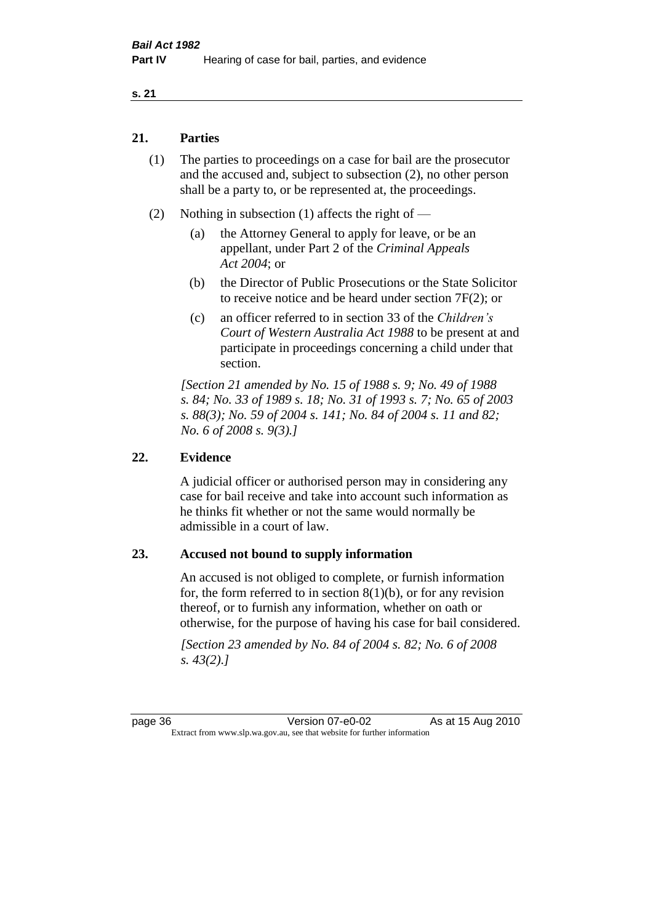#### **s. 21**

#### **21. Parties**

- (1) The parties to proceedings on a case for bail are the prosecutor and the accused and, subject to subsection (2), no other person shall be a party to, or be represented at, the proceedings.
- (2) Nothing in subsection (1) affects the right of
	- (a) the Attorney General to apply for leave, or be an appellant, under Part 2 of the *Criminal Appeals Act 2004*; or
	- (b) the Director of Public Prosecutions or the State Solicitor to receive notice and be heard under section 7F(2); or
	- (c) an officer referred to in section 33 of the *Children's Court of Western Australia Act 1988* to be present at and participate in proceedings concerning a child under that section.

*[Section 21 amended by No. 15 of 1988 s. 9; No. 49 of 1988 s. 84; No. 33 of 1989 s. 18; No. 31 of 1993 s. 7; No. 65 of 2003 s. 88(3); No. 59 of 2004 s. 141; No. 84 of 2004 s. 11 and 82; No. 6 of 2008 s. 9(3).]* 

#### **22. Evidence**

A judicial officer or authorised person may in considering any case for bail receive and take into account such information as he thinks fit whether or not the same would normally be admissible in a court of law.

#### **23. Accused not bound to supply information**

An accused is not obliged to complete, or furnish information for, the form referred to in section  $8(1)(b)$ , or for any revision thereof, or to furnish any information, whether on oath or otherwise, for the purpose of having his case for bail considered.

*[Section 23 amended by No. 84 of 2004 s. 82; No. 6 of 2008 s. 43(2).]*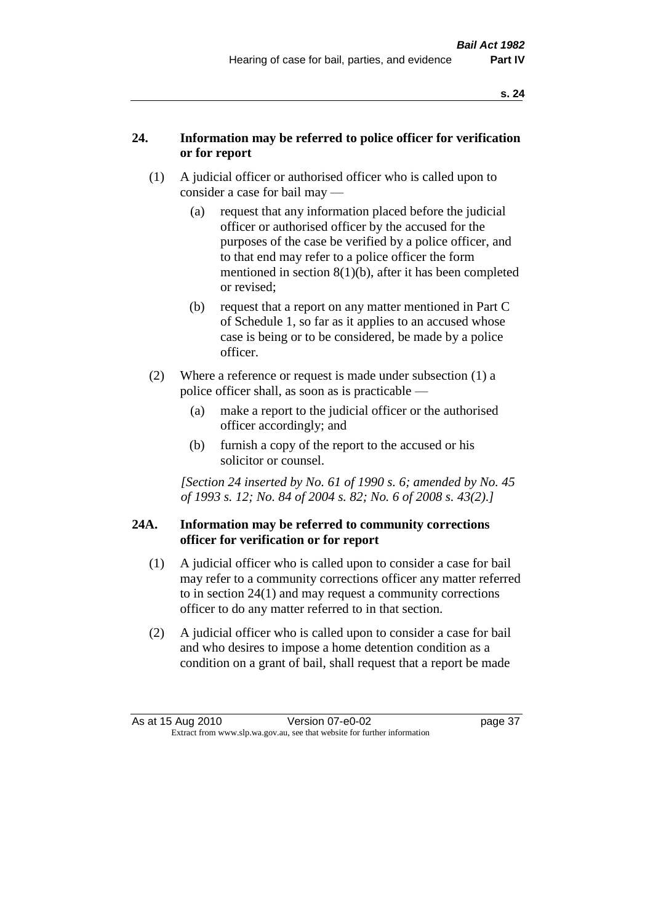#### **24. Information may be referred to police officer for verification or for report**

- (1) A judicial officer or authorised officer who is called upon to consider a case for bail may —
	- (a) request that any information placed before the judicial officer or authorised officer by the accused for the purposes of the case be verified by a police officer, and to that end may refer to a police officer the form mentioned in section 8(1)(b), after it has been completed or revised;
	- (b) request that a report on any matter mentioned in Part C of Schedule 1, so far as it applies to an accused whose case is being or to be considered, be made by a police officer.
- (2) Where a reference or request is made under subsection (1) a police officer shall, as soon as is practicable —
	- (a) make a report to the judicial officer or the authorised officer accordingly; and
	- (b) furnish a copy of the report to the accused or his solicitor or counsel.

*[Section 24 inserted by No. 61 of 1990 s. 6; amended by No. 45 of 1993 s. 12; No. 84 of 2004 s. 82; No. 6 of 2008 s. 43(2).]* 

#### **24A. Information may be referred to community corrections officer for verification or for report**

- (1) A judicial officer who is called upon to consider a case for bail may refer to a community corrections officer any matter referred to in section 24(1) and may request a community corrections officer to do any matter referred to in that section.
- (2) A judicial officer who is called upon to consider a case for bail and who desires to impose a home detention condition as a condition on a grant of bail, shall request that a report be made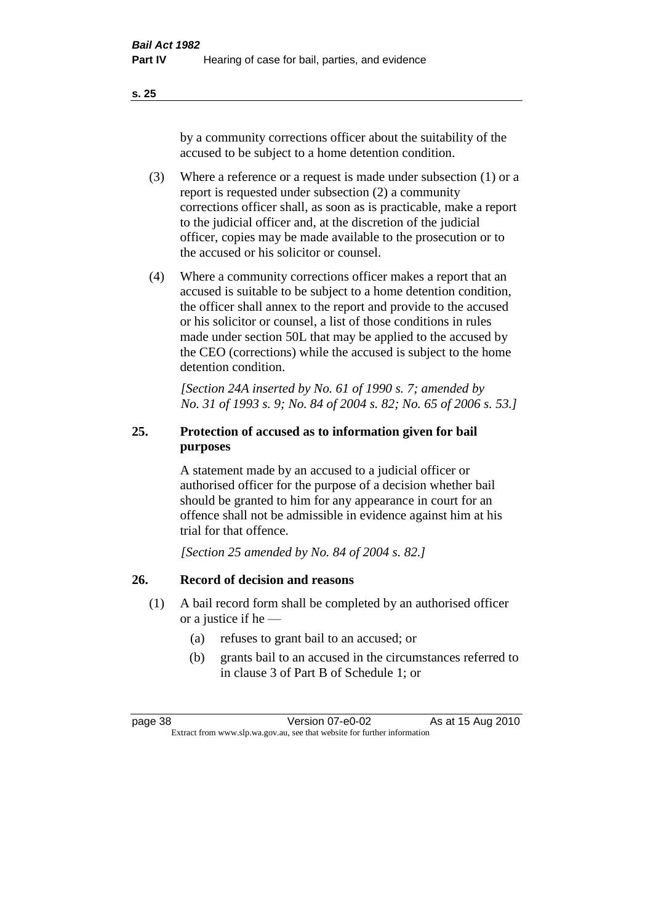**s. 25**

by a community corrections officer about the suitability of the accused to be subject to a home detention condition.

- (3) Where a reference or a request is made under subsection (1) or a report is requested under subsection (2) a community corrections officer shall, as soon as is practicable, make a report to the judicial officer and, at the discretion of the judicial officer, copies may be made available to the prosecution or to the accused or his solicitor or counsel.
- (4) Where a community corrections officer makes a report that an accused is suitable to be subject to a home detention condition, the officer shall annex to the report and provide to the accused or his solicitor or counsel, a list of those conditions in rules made under section 50L that may be applied to the accused by the CEO (corrections) while the accused is subject to the home detention condition.

*[Section 24A inserted by No. 61 of 1990 s. 7; amended by No. 31 of 1993 s. 9; No. 84 of 2004 s. 82; No. 65 of 2006 s. 53.]* 

### **25. Protection of accused as to information given for bail purposes**

A statement made by an accused to a judicial officer or authorised officer for the purpose of a decision whether bail should be granted to him for any appearance in court for an offence shall not be admissible in evidence against him at his trial for that offence.

*[Section 25 amended by No. 84 of 2004 s. 82.]* 

#### **26. Record of decision and reasons**

- (1) A bail record form shall be completed by an authorised officer or a justice if he —
	- (a) refuses to grant bail to an accused; or
	- (b) grants bail to an accused in the circumstances referred to in clause 3 of Part B of Schedule 1; or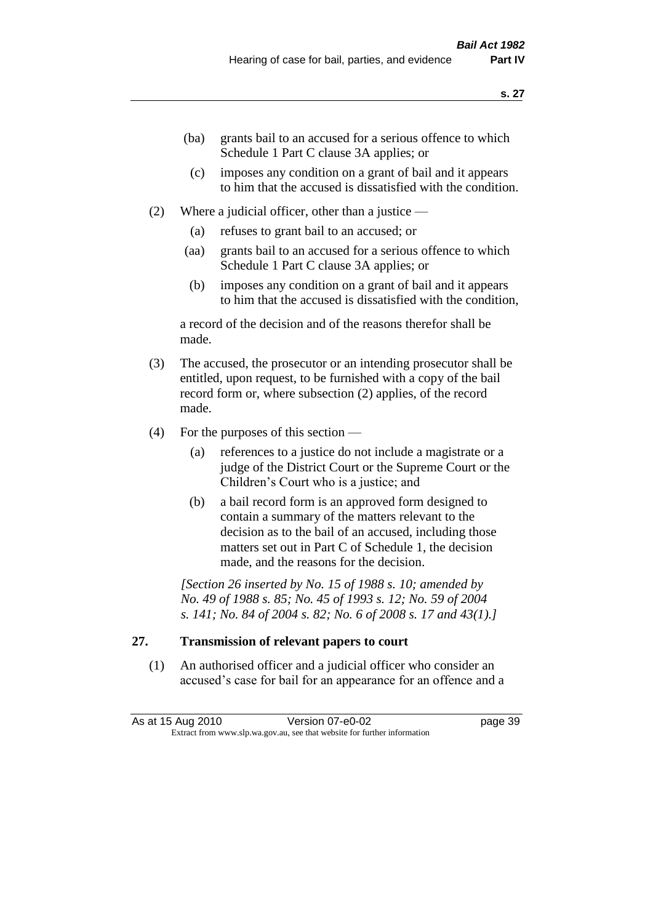- (ba) grants bail to an accused for a serious offence to which Schedule 1 Part C clause 3A applies; or
- (c) imposes any condition on a grant of bail and it appears to him that the accused is dissatisfied with the condition.
- (2) Where a judicial officer, other than a justice
	- (a) refuses to grant bail to an accused; or
	- (aa) grants bail to an accused for a serious offence to which Schedule 1 Part C clause 3A applies; or
	- (b) imposes any condition on a grant of bail and it appears to him that the accused is dissatisfied with the condition,

a record of the decision and of the reasons therefor shall be made.

- (3) The accused, the prosecutor or an intending prosecutor shall be entitled, upon request, to be furnished with a copy of the bail record form or, where subsection (2) applies, of the record made.
- (4) For the purposes of this section
	- (a) references to a justice do not include a magistrate or a judge of the District Court or the Supreme Court or the Children's Court who is a justice; and
	- (b) a bail record form is an approved form designed to contain a summary of the matters relevant to the decision as to the bail of an accused, including those matters set out in Part C of Schedule 1, the decision made, and the reasons for the decision.

*[Section 26 inserted by No. 15 of 1988 s. 10; amended by No. 49 of 1988 s. 85; No. 45 of 1993 s. 12; No. 59 of 2004 s. 141; No. 84 of 2004 s. 82; No. 6 of 2008 s. 17 and 43(1).]* 

#### **27. Transmission of relevant papers to court**

(1) An authorised officer and a judicial officer who consider an accused's case for bail for an appearance for an offence and a

As at 15 Aug 2010 Version 07-e0-02 Page 39 Extract from www.slp.wa.gov.au, see that website for further information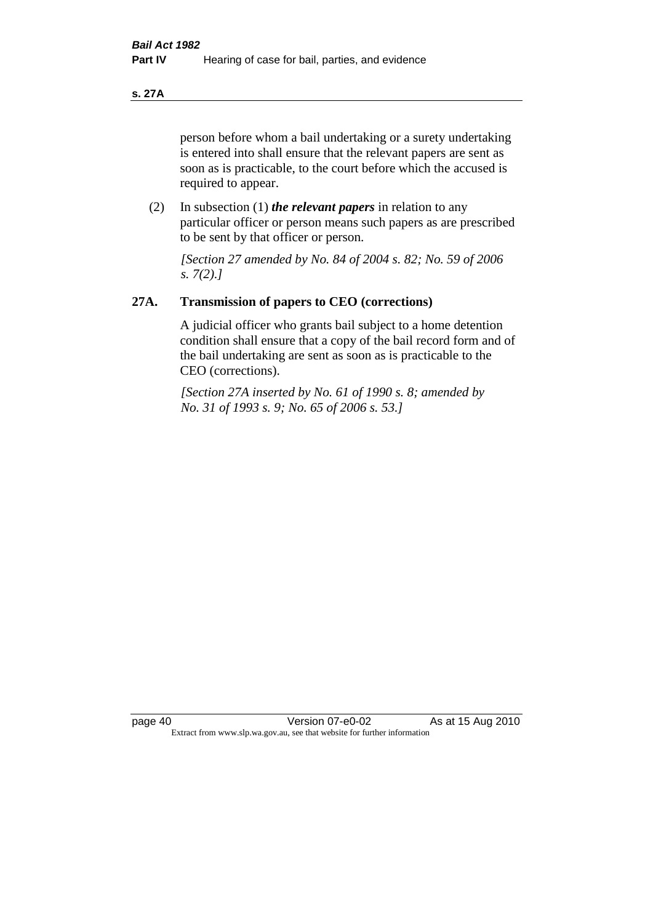**s. 27A**

person before whom a bail undertaking or a surety undertaking is entered into shall ensure that the relevant papers are sent as soon as is practicable, to the court before which the accused is required to appear.

(2) In subsection (1) *the relevant papers* in relation to any particular officer or person means such papers as are prescribed to be sent by that officer or person.

*[Section 27 amended by No. 84 of 2004 s. 82; No. 59 of 2006 s. 7(2).]* 

#### **27A. Transmission of papers to CEO (corrections)**

A judicial officer who grants bail subject to a home detention condition shall ensure that a copy of the bail record form and of the bail undertaking are sent as soon as is practicable to the CEO (corrections).

*[Section 27A inserted by No. 61 of 1990 s. 8; amended by No. 31 of 1993 s. 9; No. 65 of 2006 s. 53.]*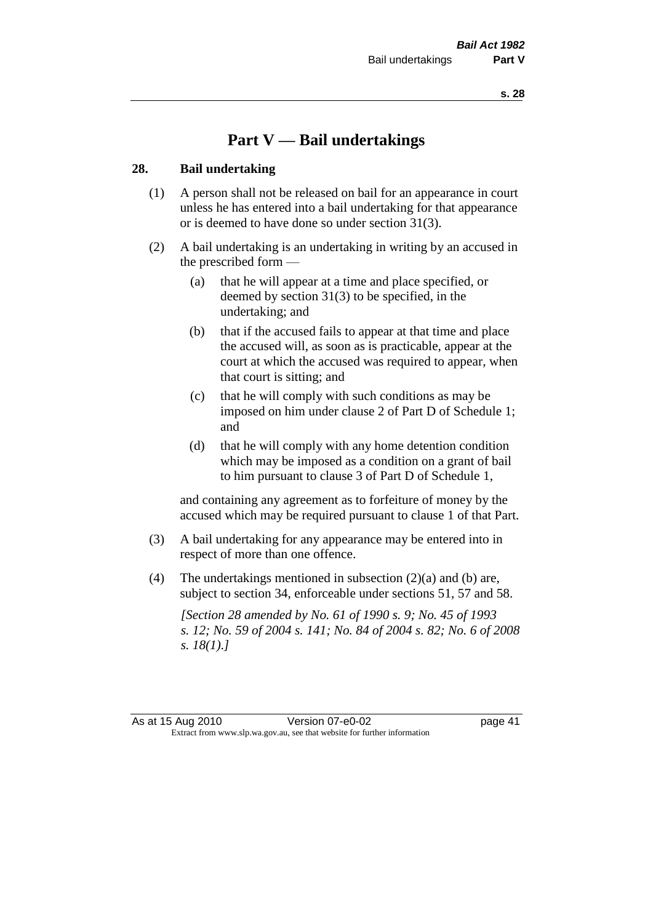# **Part V — Bail undertakings**

#### **28. Bail undertaking**

- (1) A person shall not be released on bail for an appearance in court unless he has entered into a bail undertaking for that appearance or is deemed to have done so under section 31(3).
- (2) A bail undertaking is an undertaking in writing by an accused in the prescribed form —
	- (a) that he will appear at a time and place specified, or deemed by section 31(3) to be specified, in the undertaking; and
	- (b) that if the accused fails to appear at that time and place the accused will, as soon as is practicable, appear at the court at which the accused was required to appear, when that court is sitting; and
	- (c) that he will comply with such conditions as may be imposed on him under clause 2 of Part D of Schedule 1; and
	- (d) that he will comply with any home detention condition which may be imposed as a condition on a grant of bail to him pursuant to clause 3 of Part D of Schedule 1,

and containing any agreement as to forfeiture of money by the accused which may be required pursuant to clause 1 of that Part.

- (3) A bail undertaking for any appearance may be entered into in respect of more than one offence.
- (4) The undertakings mentioned in subsection  $(2)(a)$  and  $(b)$  are, subject to section 34, enforceable under sections 51, 57 and 58.

*[Section 28 amended by No. 61 of 1990 s. 9; No. 45 of 1993 s. 12; No. 59 of 2004 s. 141; No. 84 of 2004 s. 82; No. 6 of 2008 s. 18(1).]*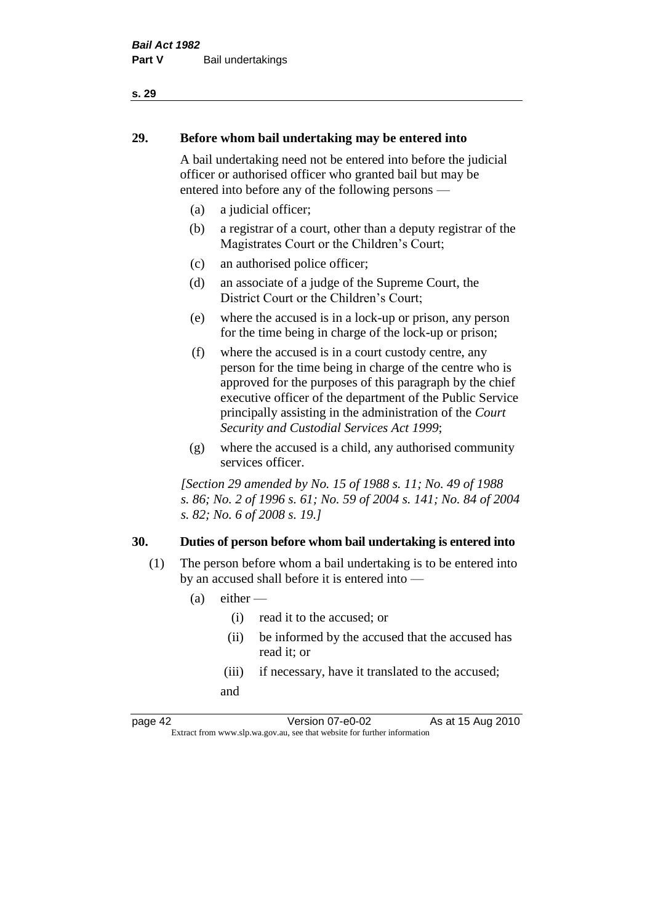# **29. Before whom bail undertaking may be entered into**

A bail undertaking need not be entered into before the judicial officer or authorised officer who granted bail but may be entered into before any of the following persons —

- (a) a judicial officer;
- (b) a registrar of a court, other than a deputy registrar of the Magistrates Court or the Children's Court;
- (c) an authorised police officer;
- (d) an associate of a judge of the Supreme Court, the District Court or the Children's Court;
- (e) where the accused is in a lock-up or prison, any person for the time being in charge of the lock-up or prison;
- (f) where the accused is in a court custody centre, any person for the time being in charge of the centre who is approved for the purposes of this paragraph by the chief executive officer of the department of the Public Service principally assisting in the administration of the *Court Security and Custodial Services Act 1999*;
- (g) where the accused is a child, any authorised community services officer.

*[Section 29 amended by No. 15 of 1988 s. 11; No. 49 of 1988 s. 86; No. 2 of 1996 s. 61; No. 59 of 2004 s. 141; No. 84 of 2004 s. 82; No. 6 of 2008 s. 19.]* 

#### **30. Duties of person before whom bail undertaking is entered into**

- (1) The person before whom a bail undertaking is to be entered into by an accused shall before it is entered into —
	- $(a)$  either
		- (i) read it to the accused; or
		- (ii) be informed by the accused that the accused has read it; or
		- (iii) if necessary, have it translated to the accused; and

page 42 Version 07-e0-02 As at 15 Aug 2010 Extract from www.slp.wa.gov.au, see that website for further information

**s. 29**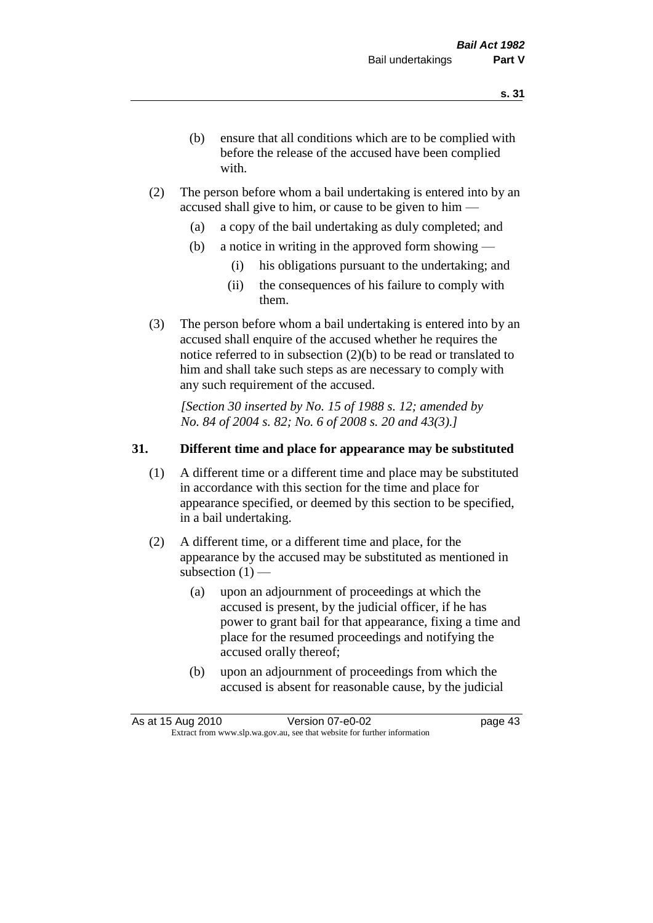- (b) ensure that all conditions which are to be complied with before the release of the accused have been complied with.
- (2) The person before whom a bail undertaking is entered into by an accused shall give to him, or cause to be given to him —
	- (a) a copy of the bail undertaking as duly completed; and
	- (b) a notice in writing in the approved form showing
		- (i) his obligations pursuant to the undertaking; and
		- (ii) the consequences of his failure to comply with them.
- (3) The person before whom a bail undertaking is entered into by an accused shall enquire of the accused whether he requires the notice referred to in subsection (2)(b) to be read or translated to him and shall take such steps as are necessary to comply with any such requirement of the accused.

*[Section 30 inserted by No. 15 of 1988 s. 12; amended by No. 84 of 2004 s. 82; No. 6 of 2008 s. 20 and 43(3).]* 

#### **31. Different time and place for appearance may be substituted**

- (1) A different time or a different time and place may be substituted in accordance with this section for the time and place for appearance specified, or deemed by this section to be specified, in a bail undertaking.
- (2) A different time, or a different time and place, for the appearance by the accused may be substituted as mentioned in subsection  $(1)$  —
	- (a) upon an adjournment of proceedings at which the accused is present, by the judicial officer, if he has power to grant bail for that appearance, fixing a time and place for the resumed proceedings and notifying the accused orally thereof;
	- (b) upon an adjournment of proceedings from which the accused is absent for reasonable cause, by the judicial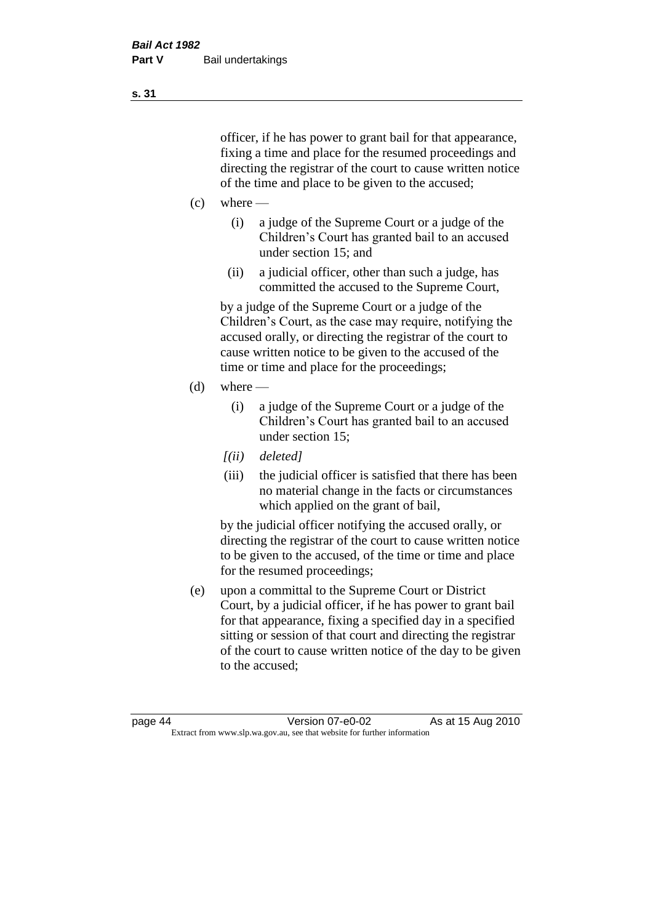officer, if he has power to grant bail for that appearance, fixing a time and place for the resumed proceedings and directing the registrar of the court to cause written notice of the time and place to be given to the accused;

- $(c)$  where
	- (i) a judge of the Supreme Court or a judge of the Children's Court has granted bail to an accused under section 15; and
	- (ii) a judicial officer, other than such a judge, has committed the accused to the Supreme Court,

by a judge of the Supreme Court or a judge of the Children's Court, as the case may require, notifying the accused orally, or directing the registrar of the court to cause written notice to be given to the accused of the time or time and place for the proceedings;

- $(d)$  where
	- (i) a judge of the Supreme Court or a judge of the Children's Court has granted bail to an accused under section 15;
	- *[(ii) deleted]*
	- (iii) the judicial officer is satisfied that there has been no material change in the facts or circumstances which applied on the grant of bail,

by the judicial officer notifying the accused orally, or directing the registrar of the court to cause written notice to be given to the accused, of the time or time and place for the resumed proceedings;

(e) upon a committal to the Supreme Court or District Court, by a judicial officer, if he has power to grant bail for that appearance, fixing a specified day in a specified sitting or session of that court and directing the registrar of the court to cause written notice of the day to be given to the accused;

**s. 31**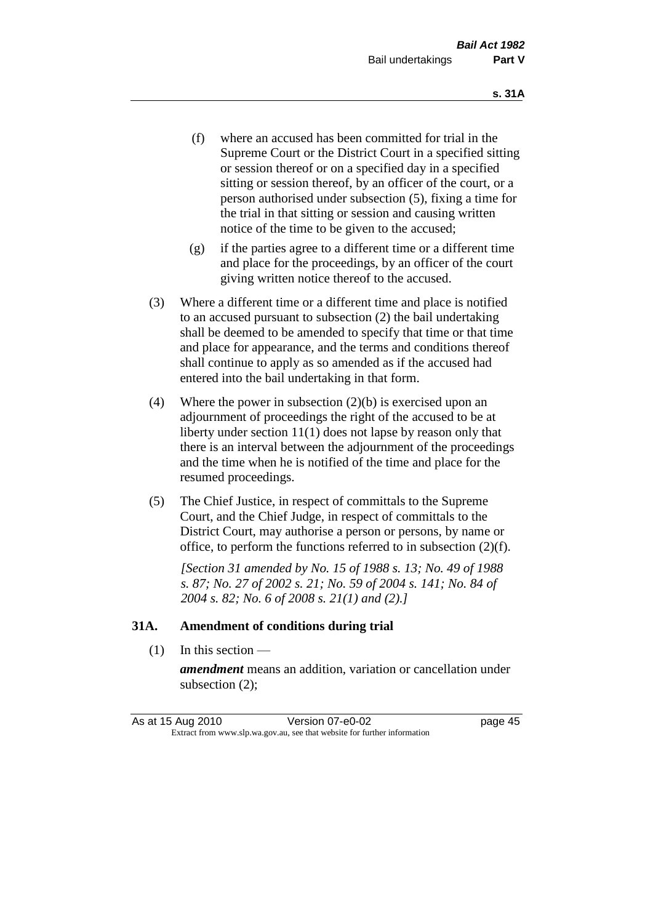- (f) where an accused has been committed for trial in the Supreme Court or the District Court in a specified sitting or session thereof or on a specified day in a specified sitting or session thereof, by an officer of the court, or a person authorised under subsection (5), fixing a time for the trial in that sitting or session and causing written notice of the time to be given to the accused;
- (g) if the parties agree to a different time or a different time and place for the proceedings, by an officer of the court giving written notice thereof to the accused.
- (3) Where a different time or a different time and place is notified to an accused pursuant to subsection (2) the bail undertaking shall be deemed to be amended to specify that time or that time and place for appearance, and the terms and conditions thereof shall continue to apply as so amended as if the accused had entered into the bail undertaking in that form.
- (4) Where the power in subsection (2)(b) is exercised upon an adjournment of proceedings the right of the accused to be at liberty under section 11(1) does not lapse by reason only that there is an interval between the adjournment of the proceedings and the time when he is notified of the time and place for the resumed proceedings.
- (5) The Chief Justice, in respect of committals to the Supreme Court, and the Chief Judge, in respect of committals to the District Court, may authorise a person or persons, by name or office, to perform the functions referred to in subsection (2)(f).

*[Section 31 amended by No. 15 of 1988 s. 13; No. 49 of 1988 s. 87; No. 27 of 2002 s. 21; No. 59 of 2004 s. 141; No. 84 of 2004 s. 82; No. 6 of 2008 s. 21(1) and (2).]* 

#### **31A. Amendment of conditions during trial**

(1) In this section —

*amendment* means an addition, variation or cancellation under subsection (2);

As at 15 Aug 2010 Version 07-e0-02 page 45 Extract from www.slp.wa.gov.au, see that website for further information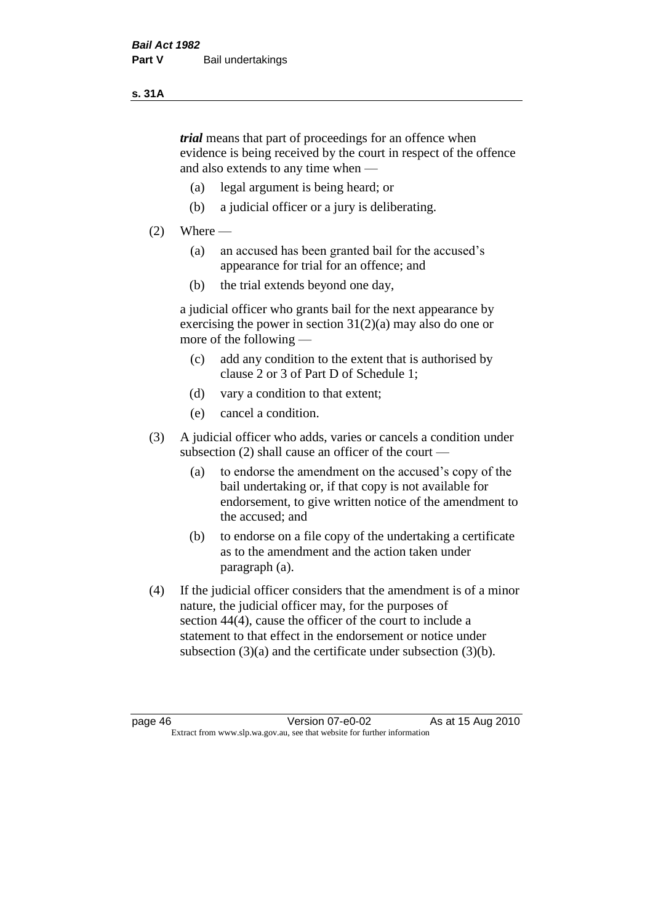#### **s. 31A**

*trial* means that part of proceedings for an offence when evidence is being received by the court in respect of the offence and also extends to any time when —

- (a) legal argument is being heard; or
- (b) a judicial officer or a jury is deliberating.

#### $(2)$  Where —

- (a) an accused has been granted bail for the accused's appearance for trial for an offence; and
- (b) the trial extends beyond one day,

a judicial officer who grants bail for the next appearance by exercising the power in section  $31(2)(a)$  may also do one or more of the following —

- (c) add any condition to the extent that is authorised by clause 2 or 3 of Part D of Schedule 1;
- (d) vary a condition to that extent;
- (e) cancel a condition.
- (3) A judicial officer who adds, varies or cancels a condition under subsection (2) shall cause an officer of the court —
	- (a) to endorse the amendment on the accused's copy of the bail undertaking or, if that copy is not available for endorsement, to give written notice of the amendment to the accused; and
	- (b) to endorse on a file copy of the undertaking a certificate as to the amendment and the action taken under paragraph (a).
- (4) If the judicial officer considers that the amendment is of a minor nature, the judicial officer may, for the purposes of section 44(4), cause the officer of the court to include a statement to that effect in the endorsement or notice under subsection (3)(a) and the certificate under subsection (3)(b).

page 46 Version 07-e0-02 As at 15 Aug 2010 Extract from www.slp.wa.gov.au, see that website for further information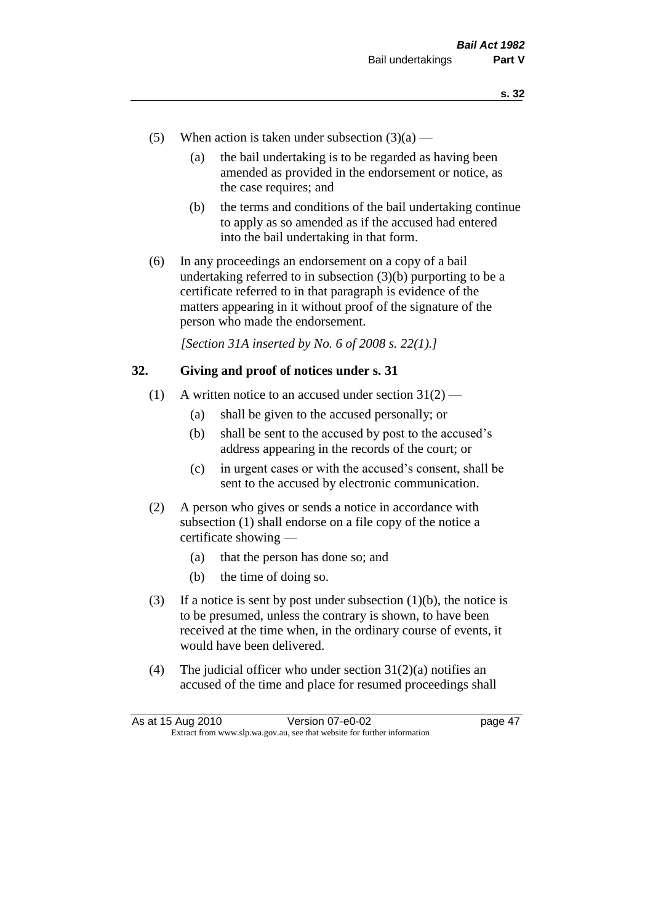- (5) When action is taken under subsection  $(3)(a)$ 
	- (a) the bail undertaking is to be regarded as having been amended as provided in the endorsement or notice, as the case requires; and
	- (b) the terms and conditions of the bail undertaking continue to apply as so amended as if the accused had entered into the bail undertaking in that form.
- (6) In any proceedings an endorsement on a copy of a bail undertaking referred to in subsection (3)(b) purporting to be a certificate referred to in that paragraph is evidence of the matters appearing in it without proof of the signature of the person who made the endorsement.

*[Section 31A inserted by No. 6 of 2008 s. 22(1).]*

#### **32. Giving and proof of notices under s. 31**

- (1) A written notice to an accused under section  $31(2)$ 
	- (a) shall be given to the accused personally; or
	- (b) shall be sent to the accused by post to the accused's address appearing in the records of the court; or
	- (c) in urgent cases or with the accused's consent, shall be sent to the accused by electronic communication.
- (2) A person who gives or sends a notice in accordance with subsection (1) shall endorse on a file copy of the notice a certificate showing —
	- (a) that the person has done so; and
	- (b) the time of doing so.
- (3) If a notice is sent by post under subsection  $(1)(b)$ , the notice is to be presumed, unless the contrary is shown, to have been received at the time when, in the ordinary course of events, it would have been delivered.
- (4) The judicial officer who under section  $31(2)(a)$  notifies an accused of the time and place for resumed proceedings shall

As at 15 Aug 2010 Version 07-e0-02 Page 47 Extract from www.slp.wa.gov.au, see that website for further information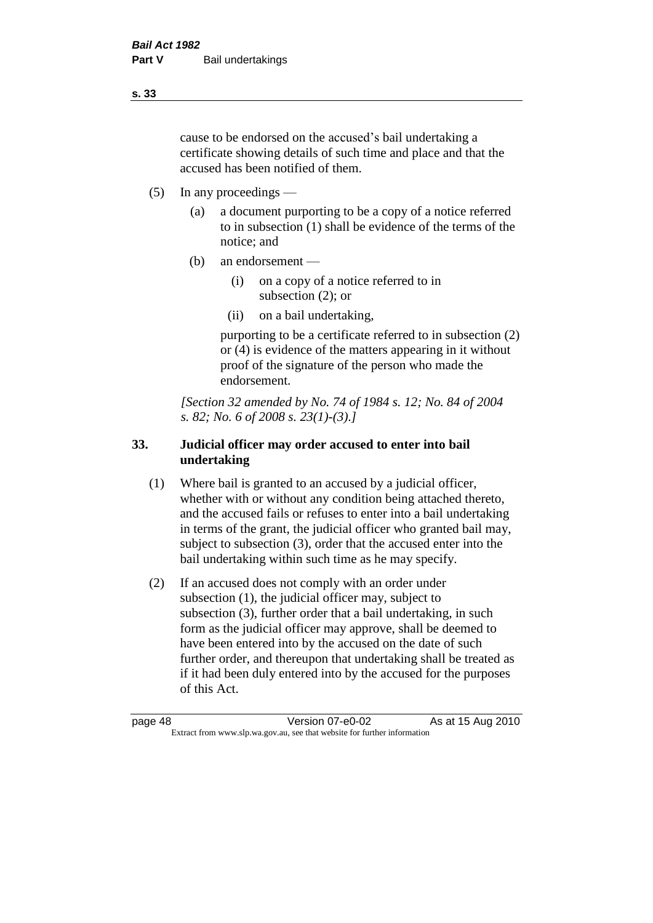cause to be endorsed on the accused's bail undertaking a certificate showing details of such time and place and that the accused has been notified of them.

- (5) In any proceedings
	- (a) a document purporting to be a copy of a notice referred to in subsection (1) shall be evidence of the terms of the notice; and
	- (b) an endorsement
		- (i) on a copy of a notice referred to in subsection (2); or
		- (ii) on a bail undertaking,

purporting to be a certificate referred to in subsection (2) or (4) is evidence of the matters appearing in it without proof of the signature of the person who made the endorsement.

*[Section 32 amended by No. 74 of 1984 s. 12; No. 84 of 2004 s. 82; No. 6 of 2008 s. 23(1)-(3).]* 

#### **33. Judicial officer may order accused to enter into bail undertaking**

- (1) Where bail is granted to an accused by a judicial officer, whether with or without any condition being attached thereto, and the accused fails or refuses to enter into a bail undertaking in terms of the grant, the judicial officer who granted bail may, subject to subsection (3), order that the accused enter into the bail undertaking within such time as he may specify.
- (2) If an accused does not comply with an order under subsection (1), the judicial officer may, subject to subsection (3), further order that a bail undertaking, in such form as the judicial officer may approve, shall be deemed to have been entered into by the accused on the date of such further order, and thereupon that undertaking shall be treated as if it had been duly entered into by the accused for the purposes of this Act.

page 48 Version 07-e0-02 As at 15 Aug 2010 Extract from www.slp.wa.gov.au, see that website for further information

**s. 33**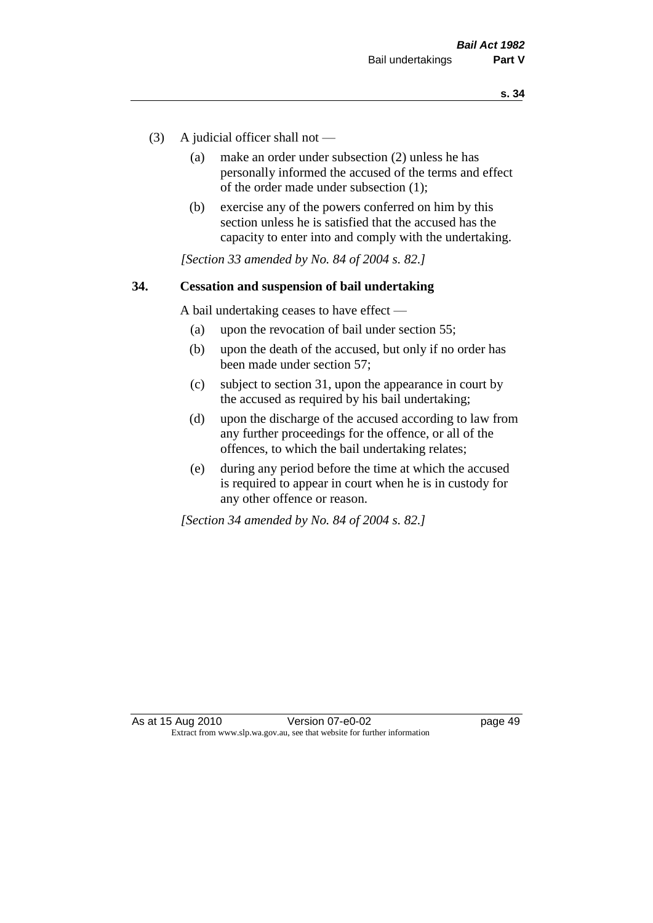- (3) A judicial officer shall not
	- (a) make an order under subsection (2) unless he has personally informed the accused of the terms and effect of the order made under subsection (1);
	- (b) exercise any of the powers conferred on him by this section unless he is satisfied that the accused has the capacity to enter into and comply with the undertaking.

*[Section 33 amended by No. 84 of 2004 s. 82.]* 

#### **34. Cessation and suspension of bail undertaking**

A bail undertaking ceases to have effect —

- (a) upon the revocation of bail under section 55;
- (b) upon the death of the accused, but only if no order has been made under section 57;
- (c) subject to section 31, upon the appearance in court by the accused as required by his bail undertaking;
- (d) upon the discharge of the accused according to law from any further proceedings for the offence, or all of the offences, to which the bail undertaking relates;
- (e) during any period before the time at which the accused is required to appear in court when he is in custody for any other offence or reason.

*[Section 34 amended by No. 84 of 2004 s. 82.]*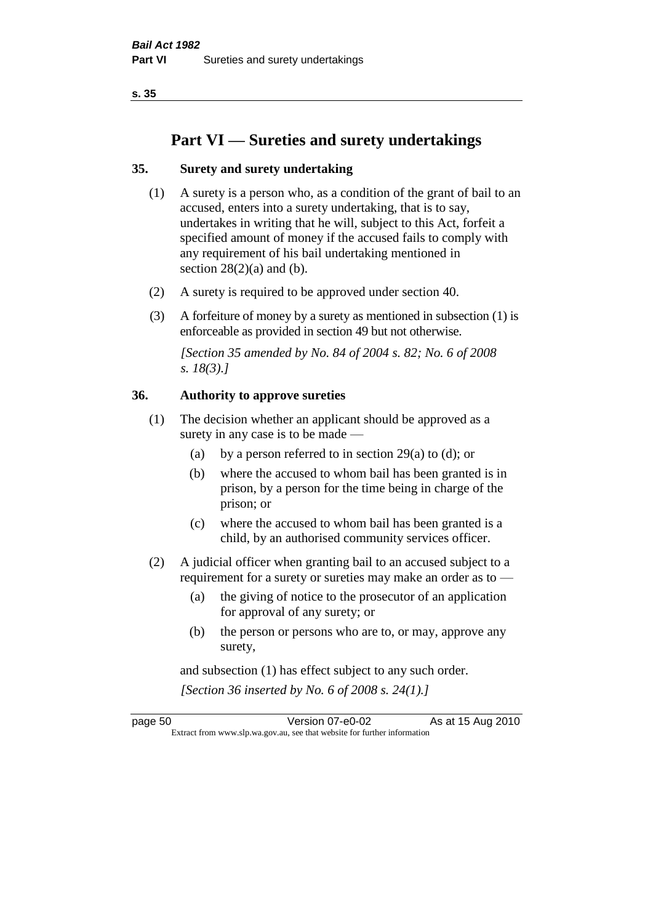**s. 35**

# **Part VI — Sureties and surety undertakings**

#### **35. Surety and surety undertaking**

- (1) A surety is a person who, as a condition of the grant of bail to an accused, enters into a surety undertaking, that is to say, undertakes in writing that he will, subject to this Act, forfeit a specified amount of money if the accused fails to comply with any requirement of his bail undertaking mentioned in section  $28(2)(a)$  and (b).
- (2) A surety is required to be approved under section 40.
- (3) A forfeiture of money by a surety as mentioned in subsection (1) is enforceable as provided in section 49 but not otherwise.

*[Section 35 amended by No. 84 of 2004 s. 82; No. 6 of 2008 s. 18(3).]* 

#### **36. Authority to approve sureties**

- (1) The decision whether an applicant should be approved as a surety in any case is to be made —
	- (a) by a person referred to in section 29(a) to (d); or
	- (b) where the accused to whom bail has been granted is in prison, by a person for the time being in charge of the prison; or
	- (c) where the accused to whom bail has been granted is a child, by an authorised community services officer.
- (2) A judicial officer when granting bail to an accused subject to a requirement for a surety or sureties may make an order as to —
	- (a) the giving of notice to the prosecutor of an application for approval of any surety; or
	- (b) the person or persons who are to, or may, approve any surety,

and subsection (1) has effect subject to any such order. *[Section 36 inserted by No. 6 of 2008 s. 24(1).]*

page 50 Version 07-e0-02 As at 15 Aug 2010 Extract from www.slp.wa.gov.au, see that website for further information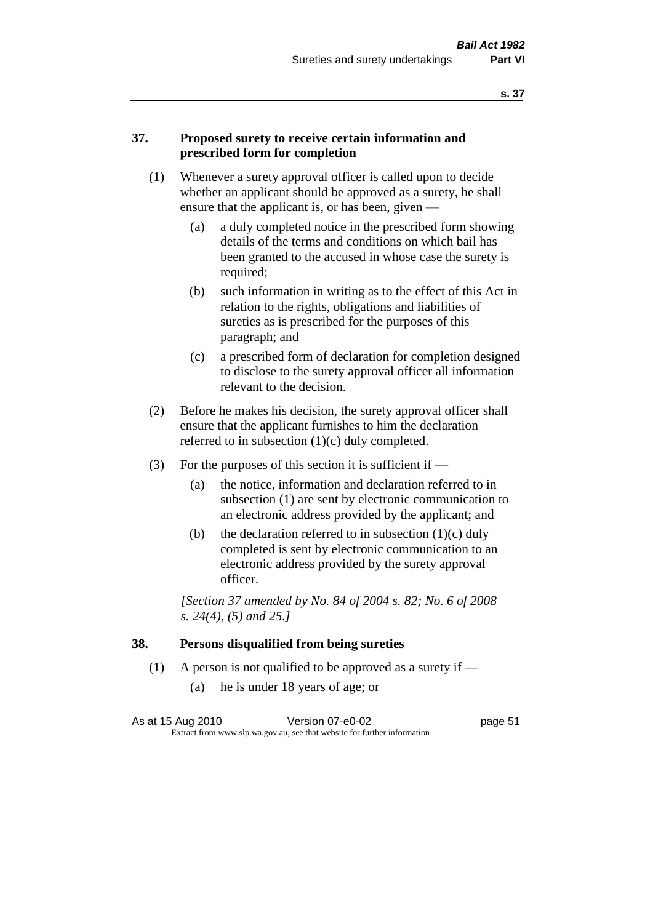#### **37. Proposed surety to receive certain information and prescribed form for completion**

- (1) Whenever a surety approval officer is called upon to decide whether an applicant should be approved as a surety, he shall ensure that the applicant is, or has been, given -
	- (a) a duly completed notice in the prescribed form showing details of the terms and conditions on which bail has been granted to the accused in whose case the surety is required;
	- (b) such information in writing as to the effect of this Act in relation to the rights, obligations and liabilities of sureties as is prescribed for the purposes of this paragraph; and
	- (c) a prescribed form of declaration for completion designed to disclose to the surety approval officer all information relevant to the decision.
- (2) Before he makes his decision, the surety approval officer shall ensure that the applicant furnishes to him the declaration referred to in subsection (1)(c) duly completed.
- (3) For the purposes of this section it is sufficient if  $-$ 
	- (a) the notice, information and declaration referred to in subsection (1) are sent by electronic communication to an electronic address provided by the applicant; and
	- (b) the declaration referred to in subsection  $(1)(c)$  duly completed is sent by electronic communication to an electronic address provided by the surety approval officer.

*[Section 37 amended by No. 84 of 2004 s. 82; No. 6 of 2008 s. 24(4), (5) and 25.]* 

#### **38. Persons disqualified from being sureties**

- (1) A person is not qualified to be approved as a surety if  $-$ 
	- (a) he is under 18 years of age; or

| As at 15 Aug 2010 | Version 07-e0-02                                                         | page 51 |
|-------------------|--------------------------------------------------------------------------|---------|
|                   | Extract from www.slp.wa.gov.au, see that website for further information |         |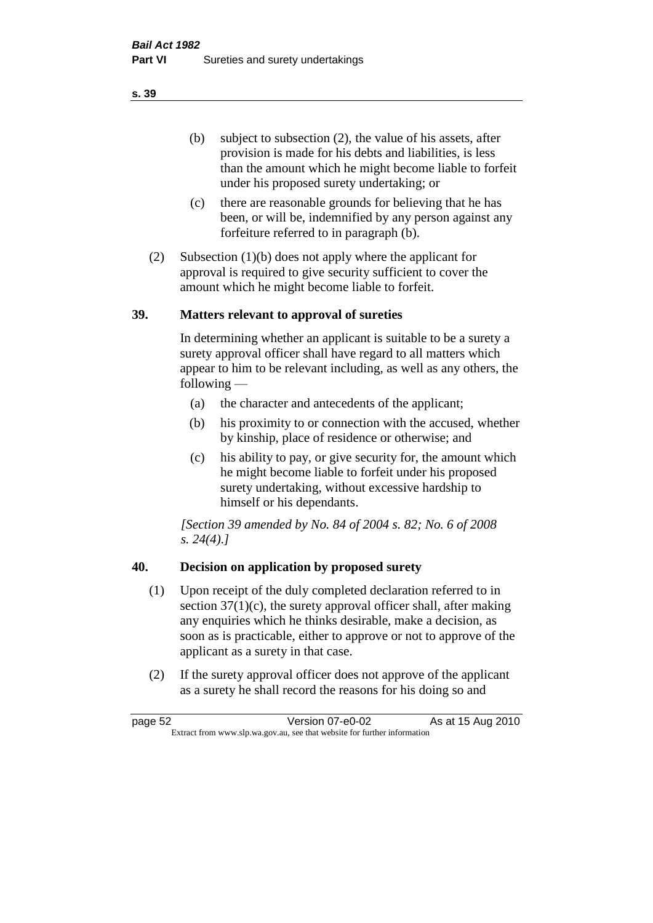(b) subject to subsection (2), the value of his assets, after provision is made for his debts and liabilities, is less than the amount which he might become liable to forfeit under his proposed surety undertaking; or

- (c) there are reasonable grounds for believing that he has been, or will be, indemnified by any person against any forfeiture referred to in paragraph (b).
- (2) Subsection (1)(b) does not apply where the applicant for approval is required to give security sufficient to cover the amount which he might become liable to forfeit.

#### **39. Matters relevant to approval of sureties**

In determining whether an applicant is suitable to be a surety a surety approval officer shall have regard to all matters which appear to him to be relevant including, as well as any others, the following —

- (a) the character and antecedents of the applicant;
- (b) his proximity to or connection with the accused, whether by kinship, place of residence or otherwise; and
- (c) his ability to pay, or give security for, the amount which he might become liable to forfeit under his proposed surety undertaking, without excessive hardship to himself or his dependants.

*[Section 39 amended by No. 84 of 2004 s. 82; No. 6 of 2008 s. 24(4).]* 

#### **40. Decision on application by proposed surety**

- (1) Upon receipt of the duly completed declaration referred to in section  $37(1)(c)$ , the surety approval officer shall, after making any enquiries which he thinks desirable, make a decision, as soon as is practicable, either to approve or not to approve of the applicant as a surety in that case.
- (2) If the surety approval officer does not approve of the applicant as a surety he shall record the reasons for his doing so and

page 52 Version 07-e0-02 As at 15 Aug 2010 Extract from www.slp.wa.gov.au, see that website for further information

#### **s. 39**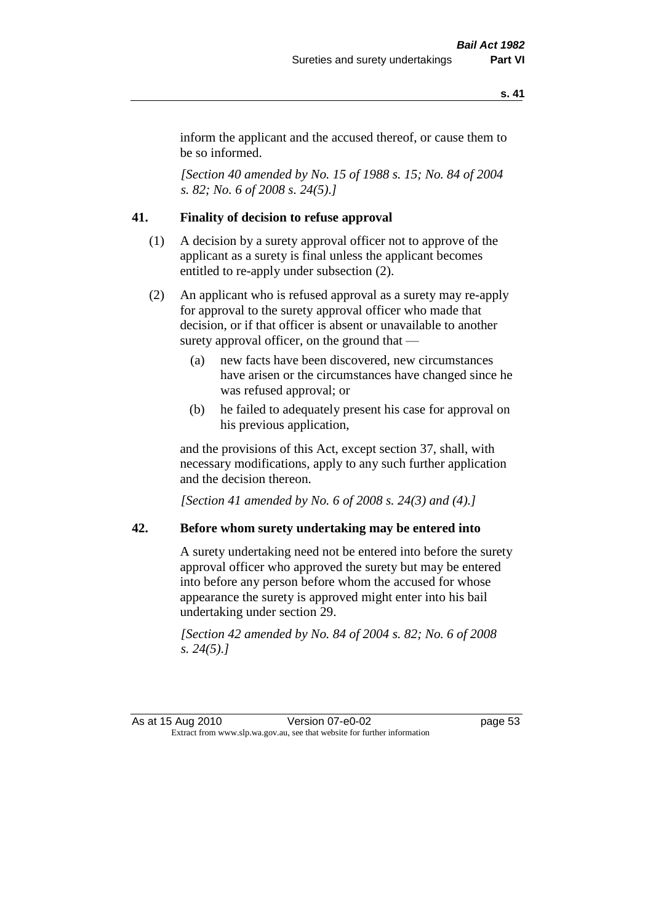inform the applicant and the accused thereof, or cause them to be so informed.

*[Section 40 amended by No. 15 of 1988 s. 15; No. 84 of 2004 s. 82; No. 6 of 2008 s. 24(5).]* 

#### **41. Finality of decision to refuse approval**

- (1) A decision by a surety approval officer not to approve of the applicant as a surety is final unless the applicant becomes entitled to re-apply under subsection (2).
- (2) An applicant who is refused approval as a surety may re-apply for approval to the surety approval officer who made that decision, or if that officer is absent or unavailable to another surety approval officer, on the ground that —
	- (a) new facts have been discovered, new circumstances have arisen or the circumstances have changed since he was refused approval; or
	- (b) he failed to adequately present his case for approval on his previous application,

and the provisions of this Act, except section 37, shall, with necessary modifications, apply to any such further application and the decision thereon.

*[Section 41 amended by No. 6 of 2008 s. 24(3) and (4).]*

#### **42. Before whom surety undertaking may be entered into**

A surety undertaking need not be entered into before the surety approval officer who approved the surety but may be entered into before any person before whom the accused for whose appearance the surety is approved might enter into his bail undertaking under section 29.

*[Section 42 amended by No. 84 of 2004 s. 82; No. 6 of 2008 s. 24(5).]* 

As at 15 Aug 2010 Version 07-e0-02 page 53 Extract from www.slp.wa.gov.au, see that website for further information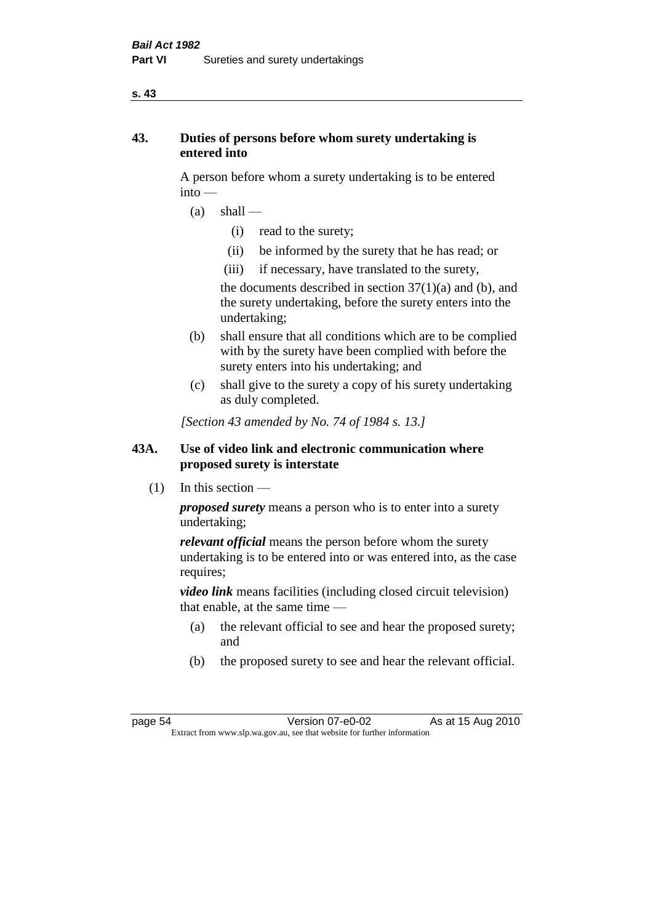#### **s. 43**

#### **43. Duties of persons before whom surety undertaking is entered into**

A person before whom a surety undertaking is to be entered into —

- $(a)$  shall
	- (i) read to the surety;
	- (ii) be informed by the surety that he has read; or
	- (iii) if necessary, have translated to the surety,

the documents described in section  $37(1)(a)$  and (b), and the surety undertaking, before the surety enters into the undertaking;

- (b) shall ensure that all conditions which are to be complied with by the surety have been complied with before the surety enters into his undertaking; and
- (c) shall give to the surety a copy of his surety undertaking as duly completed.

*[Section 43 amended by No. 74 of 1984 s. 13.]* 

#### **43A. Use of video link and electronic communication where proposed surety is interstate**

 $(1)$  In this section —

*proposed surety* means a person who is to enter into a surety undertaking;

*relevant official* means the person before whom the surety undertaking is to be entered into or was entered into, as the case requires;

*video link* means facilities (including closed circuit television) that enable, at the same time —

- (a) the relevant official to see and hear the proposed surety; and
- (b) the proposed surety to see and hear the relevant official.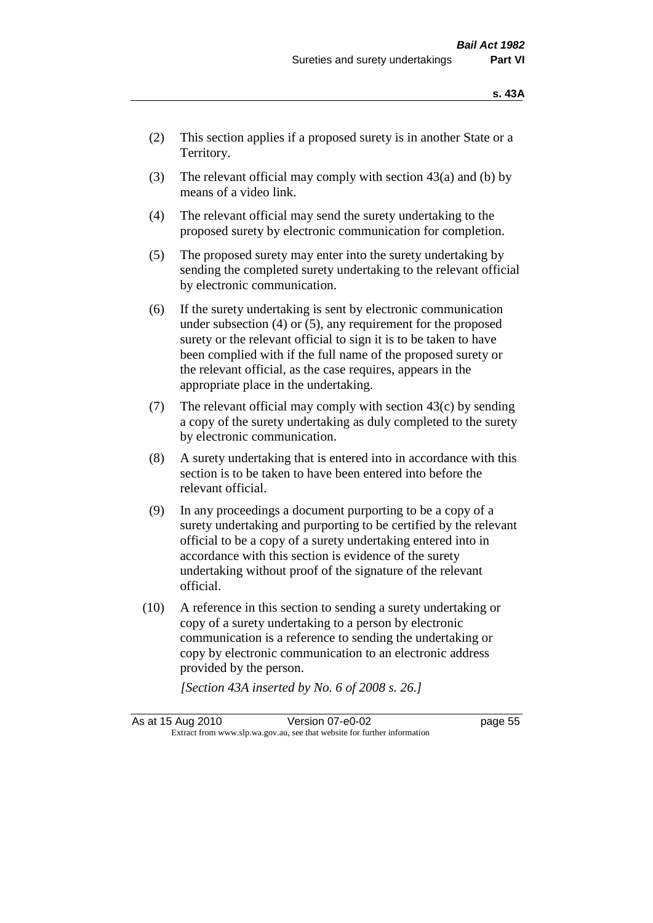- (2) This section applies if a proposed surety is in another State or a Territory.
- (3) The relevant official may comply with section  $43(a)$  and (b) by means of a video link.
- (4) The relevant official may send the surety undertaking to the proposed surety by electronic communication for completion.
- (5) The proposed surety may enter into the surety undertaking by sending the completed surety undertaking to the relevant official by electronic communication.
- (6) If the surety undertaking is sent by electronic communication under subsection (4) or (5), any requirement for the proposed surety or the relevant official to sign it is to be taken to have been complied with if the full name of the proposed surety or the relevant official, as the case requires, appears in the appropriate place in the undertaking.
- (7) The relevant official may comply with section  $43(c)$  by sending a copy of the surety undertaking as duly completed to the surety by electronic communication.
- (8) A surety undertaking that is entered into in accordance with this section is to be taken to have been entered into before the relevant official.
- (9) In any proceedings a document purporting to be a copy of a surety undertaking and purporting to be certified by the relevant official to be a copy of a surety undertaking entered into in accordance with this section is evidence of the surety undertaking without proof of the signature of the relevant official.
- (10) A reference in this section to sending a surety undertaking or copy of a surety undertaking to a person by electronic communication is a reference to sending the undertaking or copy by electronic communication to an electronic address provided by the person.

*[Section 43A inserted by No. 6 of 2008 s. 26.]*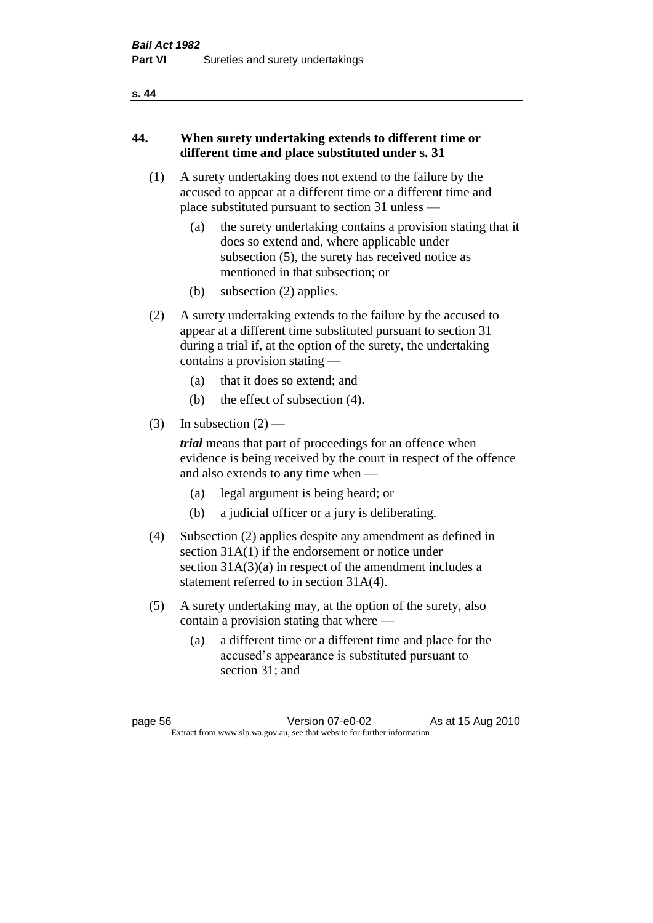#### **s. 44**

#### **44. When surety undertaking extends to different time or different time and place substituted under s. 31**

- (1) A surety undertaking does not extend to the failure by the accused to appear at a different time or a different time and place substituted pursuant to section 31 unless —
	- (a) the surety undertaking contains a provision stating that it does so extend and, where applicable under subsection (5), the surety has received notice as mentioned in that subsection; or
	- (b) subsection (2) applies.
- (2) A surety undertaking extends to the failure by the accused to appear at a different time substituted pursuant to section 31 during a trial if, at the option of the surety, the undertaking contains a provision stating —
	- (a) that it does so extend; and
	- (b) the effect of subsection (4).
- (3) In subsection  $(2)$  —

*trial* means that part of proceedings for an offence when evidence is being received by the court in respect of the offence and also extends to any time when —

- (a) legal argument is being heard; or
- (b) a judicial officer or a jury is deliberating.
- (4) Subsection (2) applies despite any amendment as defined in section 31A(1) if the endorsement or notice under section 31A(3)(a) in respect of the amendment includes a statement referred to in section 31A(4).
- (5) A surety undertaking may, at the option of the surety, also contain a provision stating that where —
	- (a) a different time or a different time and place for the accused's appearance is substituted pursuant to section 31; and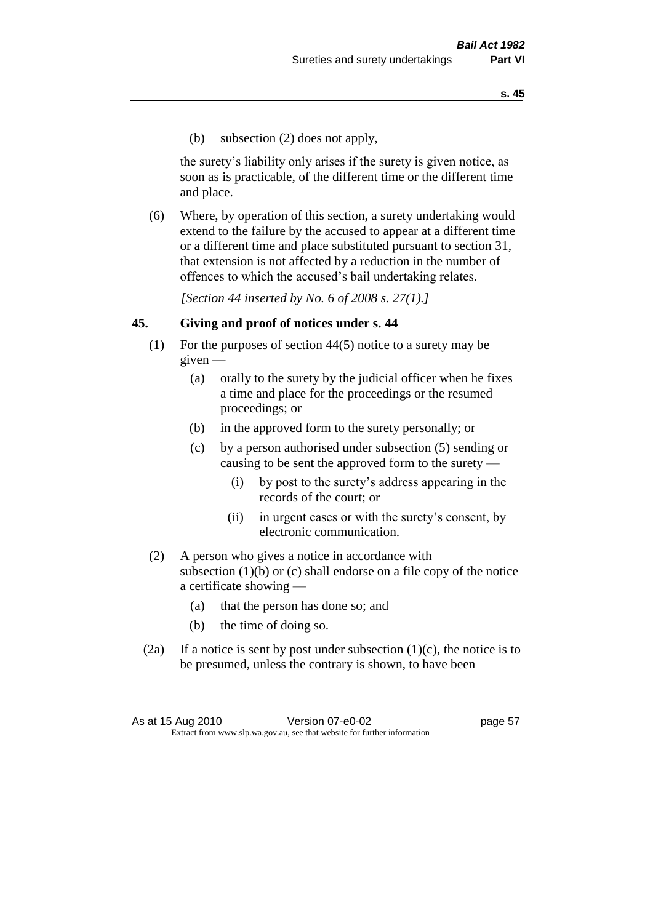(b) subsection (2) does not apply,

the surety's liability only arises if the surety is given notice, as soon as is practicable, of the different time or the different time and place.

(6) Where, by operation of this section, a surety undertaking would extend to the failure by the accused to appear at a different time or a different time and place substituted pursuant to section 31, that extension is not affected by a reduction in the number of offences to which the accused's bail undertaking relates.

*[Section 44 inserted by No. 6 of 2008 s. 27(1).]*

#### **45. Giving and proof of notices under s. 44**

- (1) For the purposes of section 44(5) notice to a surety may be  $given -$ 
	- (a) orally to the surety by the judicial officer when he fixes a time and place for the proceedings or the resumed proceedings; or
	- (b) in the approved form to the surety personally; or
	- (c) by a person authorised under subsection (5) sending or causing to be sent the approved form to the surety —
		- (i) by post to the surety's address appearing in the records of the court; or
		- (ii) in urgent cases or with the surety's consent, by electronic communication.
- (2) A person who gives a notice in accordance with subsection (1)(b) or (c) shall endorse on a file copy of the notice a certificate showing —
	- (a) that the person has done so; and
	- (b) the time of doing so.
- (2a) If a notice is sent by post under subsection  $(1)(c)$ , the notice is to be presumed, unless the contrary is shown, to have been

| As at 15 Aug 2010 | Version 07-e0-02                                                         | page 57 |
|-------------------|--------------------------------------------------------------------------|---------|
|                   | Extract from www.slp.wa.gov.au, see that website for further information |         |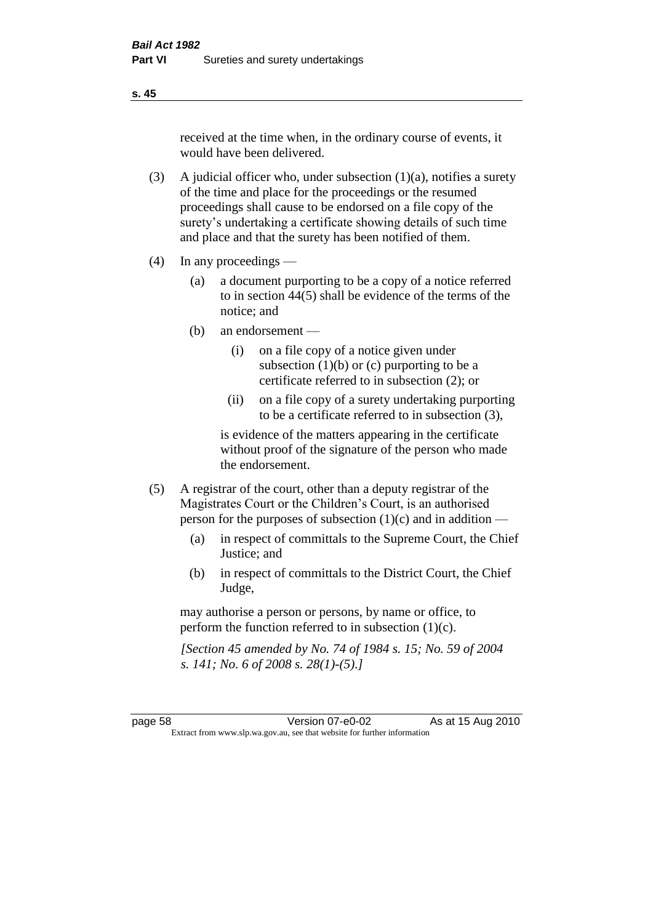received at the time when, in the ordinary course of events, it would have been delivered.

- (3) A judicial officer who, under subsection  $(1)(a)$ , notifies a surety of the time and place for the proceedings or the resumed proceedings shall cause to be endorsed on a file copy of the surety's undertaking a certificate showing details of such time and place and that the surety has been notified of them.
- (4) In any proceedings
	- (a) a document purporting to be a copy of a notice referred to in section 44(5) shall be evidence of the terms of the notice; and
	- (b) an endorsement
		- (i) on a file copy of a notice given under subsection  $(1)(b)$  or  $(c)$  purporting to be a certificate referred to in subsection (2); or
		- (ii) on a file copy of a surety undertaking purporting to be a certificate referred to in subsection (3),

is evidence of the matters appearing in the certificate without proof of the signature of the person who made the endorsement.

- (5) A registrar of the court, other than a deputy registrar of the Magistrates Court or the Children's Court, is an authorised person for the purposes of subsection (1)(c) and in addition —
	- (a) in respect of committals to the Supreme Court, the Chief Justice; and
	- (b) in respect of committals to the District Court, the Chief Judge,

may authorise a person or persons, by name or office, to perform the function referred to in subsection (1)(c).

*[Section 45 amended by No. 74 of 1984 s. 15; No. 59 of 2004 s. 141; No. 6 of 2008 s. 28(1)-(5).]* 

page 58 Version 07-e0-02 As at 15 Aug 2010 Extract from www.slp.wa.gov.au, see that website for further information

**s. 45**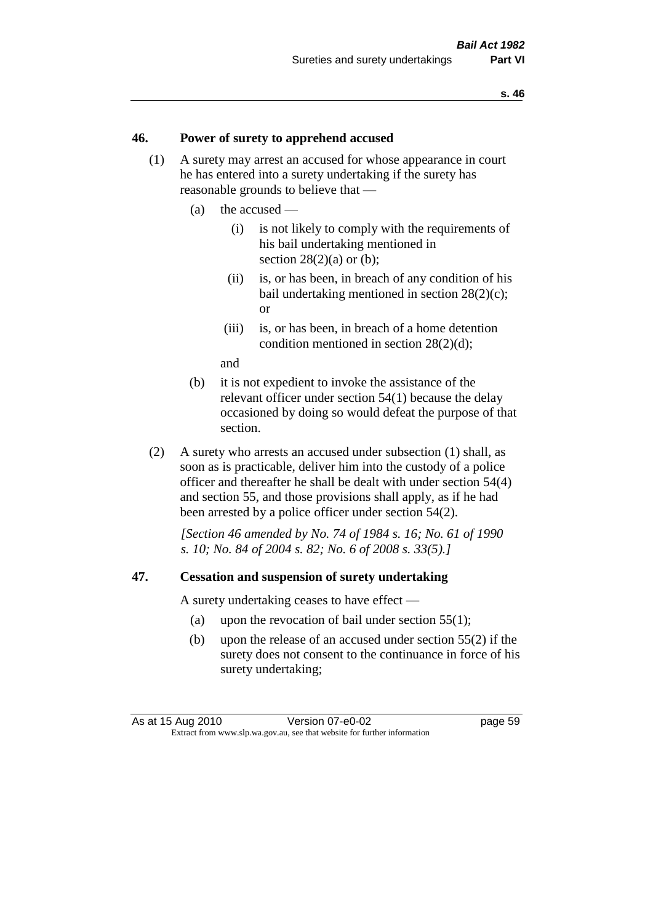#### **46. Power of surety to apprehend accused**

- (1) A surety may arrest an accused for whose appearance in court he has entered into a surety undertaking if the surety has reasonable grounds to believe that —
	- (a) the accused
		- (i) is not likely to comply with the requirements of his bail undertaking mentioned in section  $28(2)(a)$  or (b):
		- (ii) is, or has been, in breach of any condition of his bail undertaking mentioned in section 28(2)(c); or
		- (iii) is, or has been, in breach of a home detention condition mentioned in section 28(2)(d);

and

- (b) it is not expedient to invoke the assistance of the relevant officer under section 54(1) because the delay occasioned by doing so would defeat the purpose of that section.
- (2) A surety who arrests an accused under subsection (1) shall, as soon as is practicable, deliver him into the custody of a police officer and thereafter he shall be dealt with under section 54(4) and section 55, and those provisions shall apply, as if he had been arrested by a police officer under section 54(2).

*[Section 46 amended by No. 74 of 1984 s. 16; No. 61 of 1990 s. 10; No. 84 of 2004 s. 82; No. 6 of 2008 s. 33(5).]* 

#### **47. Cessation and suspension of surety undertaking**

A surety undertaking ceases to have effect —

- (a) upon the revocation of bail under section 55(1);
- (b) upon the release of an accused under section 55(2) if the surety does not consent to the continuance in force of his surety undertaking;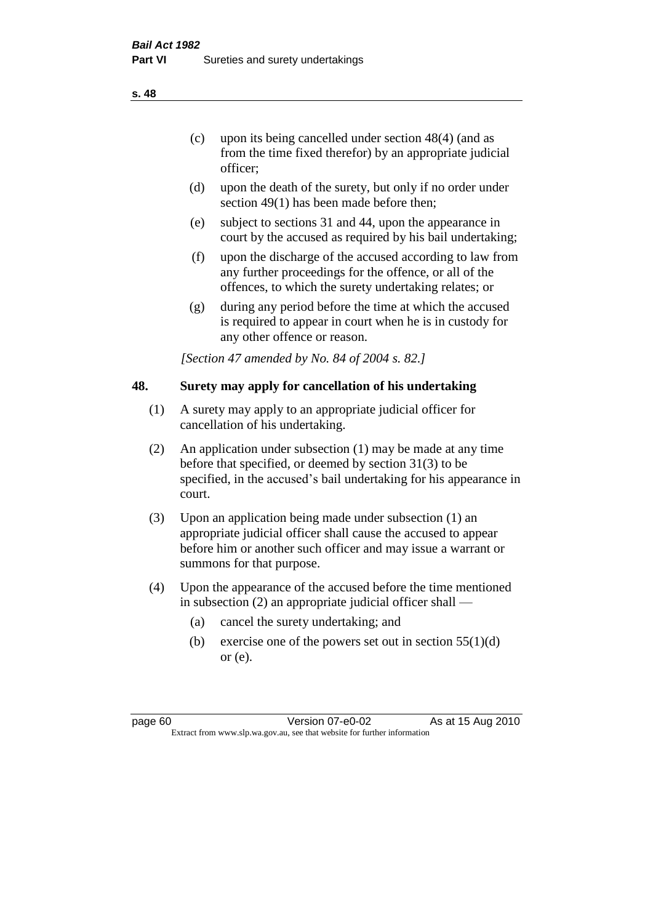- (d) upon the death of the surety, but only if no order under section 49(1) has been made before then;
- (e) subject to sections 31 and 44, upon the appearance in court by the accused as required by his bail undertaking;
- (f) upon the discharge of the accused according to law from any further proceedings for the offence, or all of the offences, to which the surety undertaking relates; or
- (g) during any period before the time at which the accused is required to appear in court when he is in custody for any other offence or reason.

*[Section 47 amended by No. 84 of 2004 s. 82.]* 

#### **48. Surety may apply for cancellation of his undertaking**

- (1) A surety may apply to an appropriate judicial officer for cancellation of his undertaking.
- (2) An application under subsection (1) may be made at any time before that specified, or deemed by section 31(3) to be specified, in the accused's bail undertaking for his appearance in court.
- (3) Upon an application being made under subsection (1) an appropriate judicial officer shall cause the accused to appear before him or another such officer and may issue a warrant or summons for that purpose.
- (4) Upon the appearance of the accused before the time mentioned in subsection (2) an appropriate judicial officer shall —
	- (a) cancel the surety undertaking; and
	- (b) exercise one of the powers set out in section  $55(1)(d)$ or (e).

**s. 48**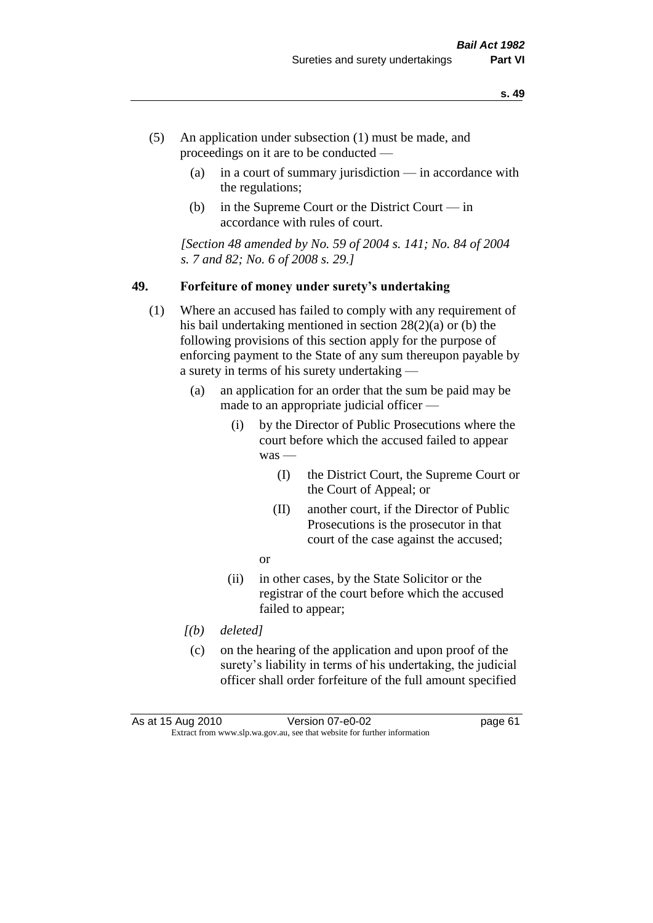- (5) An application under subsection (1) must be made, and proceedings on it are to be conducted —
	- (a) in a court of summary jurisdiction in accordance with the regulations;
	- (b) in the Supreme Court or the District Court  $-\text{in}$ accordance with rules of court.

*[Section 48 amended by No. 59 of 2004 s. 141; No. 84 of 2004 s. 7 and 82; No. 6 of 2008 s. 29.]* 

#### **49. Forfeiture of money under surety's undertaking**

- (1) Where an accused has failed to comply with any requirement of his bail undertaking mentioned in section 28(2)(a) or (b) the following provisions of this section apply for the purpose of enforcing payment to the State of any sum thereupon payable by a surety in terms of his surety undertaking —
	- (a) an application for an order that the sum be paid may be made to an appropriate judicial officer —
		- (i) by the Director of Public Prosecutions where the court before which the accused failed to appear was -
			- (I) the District Court, the Supreme Court or the Court of Appeal; or
			- (II) another court, if the Director of Public Prosecutions is the prosecutor in that court of the case against the accused;
			- or
		- (ii) in other cases, by the State Solicitor or the registrar of the court before which the accused failed to appear;
	- *[(b) deleted]*
	- (c) on the hearing of the application and upon proof of the surety's liability in terms of his undertaking, the judicial officer shall order forfeiture of the full amount specified

As at 15 Aug 2010 Version 07-e0-02 page 61 Extract from www.slp.wa.gov.au, see that website for further information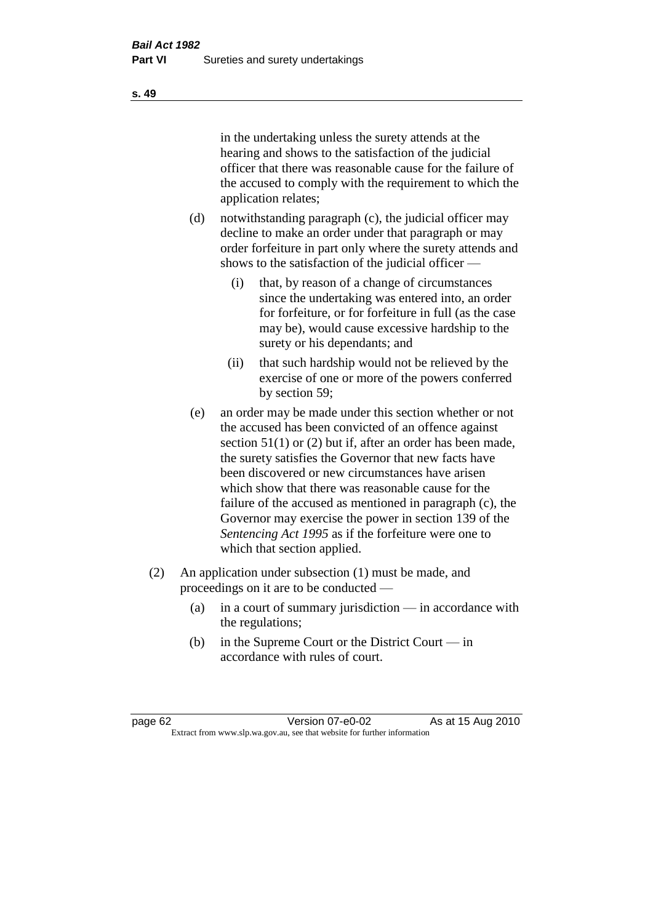in the undertaking unless the surety attends at the hearing and shows to the satisfaction of the judicial officer that there was reasonable cause for the failure of the accused to comply with the requirement to which the application relates;

- (d) notwithstanding paragraph (c), the judicial officer may decline to make an order under that paragraph or may order forfeiture in part only where the surety attends and shows to the satisfaction of the judicial officer —
	- (i) that, by reason of a change of circumstances since the undertaking was entered into, an order for forfeiture, or for forfeiture in full (as the case may be), would cause excessive hardship to the surety or his dependants; and
	- (ii) that such hardship would not be relieved by the exercise of one or more of the powers conferred by section 59;
- (e) an order may be made under this section whether or not the accused has been convicted of an offence against section 51(1) or (2) but if, after an order has been made, the surety satisfies the Governor that new facts have been discovered or new circumstances have arisen which show that there was reasonable cause for the failure of the accused as mentioned in paragraph (c), the Governor may exercise the power in section 139 of the *Sentencing Act 1995* as if the forfeiture were one to which that section applied.
- (2) An application under subsection (1) must be made, and proceedings on it are to be conducted —
	- (a) in a court of summary jurisdiction in accordance with the regulations;
	- (b) in the Supreme Court or the District Court in accordance with rules of court.

page 62 Version 07-e0-02 As at 15 Aug 2010 Extract from www.slp.wa.gov.au, see that website for further information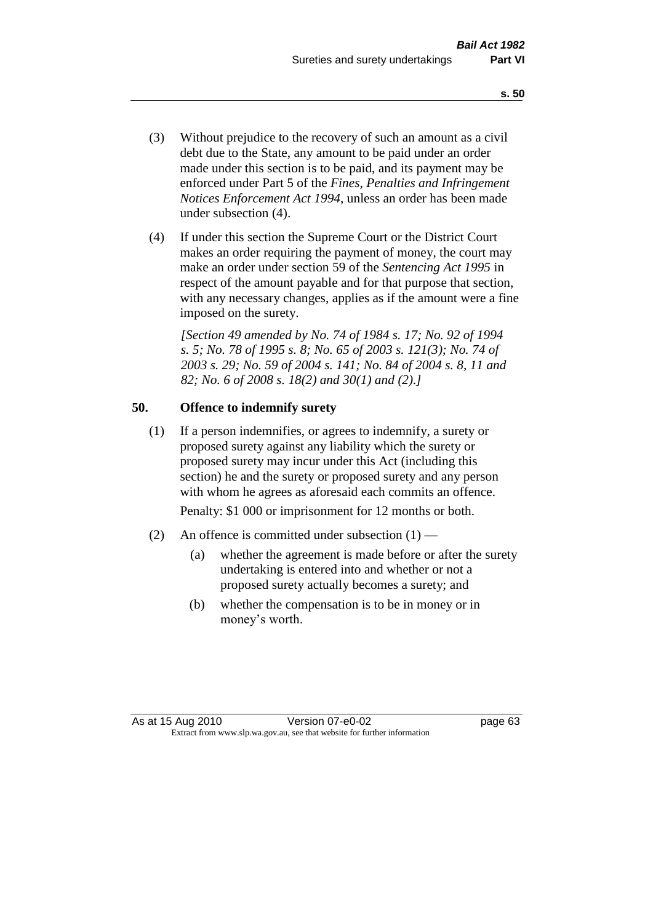- (3) Without prejudice to the recovery of such an amount as a civil debt due to the State, any amount to be paid under an order made under this section is to be paid, and its payment may be enforced under Part 5 of the *Fines, Penalties and Infringement Notices Enforcement Act 1994*, unless an order has been made under subsection (4).
- (4) If under this section the Supreme Court or the District Court makes an order requiring the payment of money, the court may make an order under section 59 of the *Sentencing Act 1995* in respect of the amount payable and for that purpose that section, with any necessary changes, applies as if the amount were a fine imposed on the surety.

*[Section 49 amended by No. 74 of 1984 s. 17; No. 92 of 1994 s. 5; No. 78 of 1995 s. 8; No. 65 of 2003 s. 121(3); No. 74 of 2003 s. 29; No. 59 of 2004 s. 141; No. 84 of 2004 s. 8, 11 and 82; No. 6 of 2008 s. 18(2) and 30(1) and (2).]* 

#### **50. Offence to indemnify surety**

(1) If a person indemnifies, or agrees to indemnify, a surety or proposed surety against any liability which the surety or proposed surety may incur under this Act (including this section) he and the surety or proposed surety and any person with whom he agrees as aforesaid each commits an offence.

Penalty: \$1 000 or imprisonment for 12 months or both.

- (2) An offence is committed under subsection  $(1)$ 
	- (a) whether the agreement is made before or after the surety undertaking is entered into and whether or not a proposed surety actually becomes a surety; and
	- (b) whether the compensation is to be in money or in money's worth.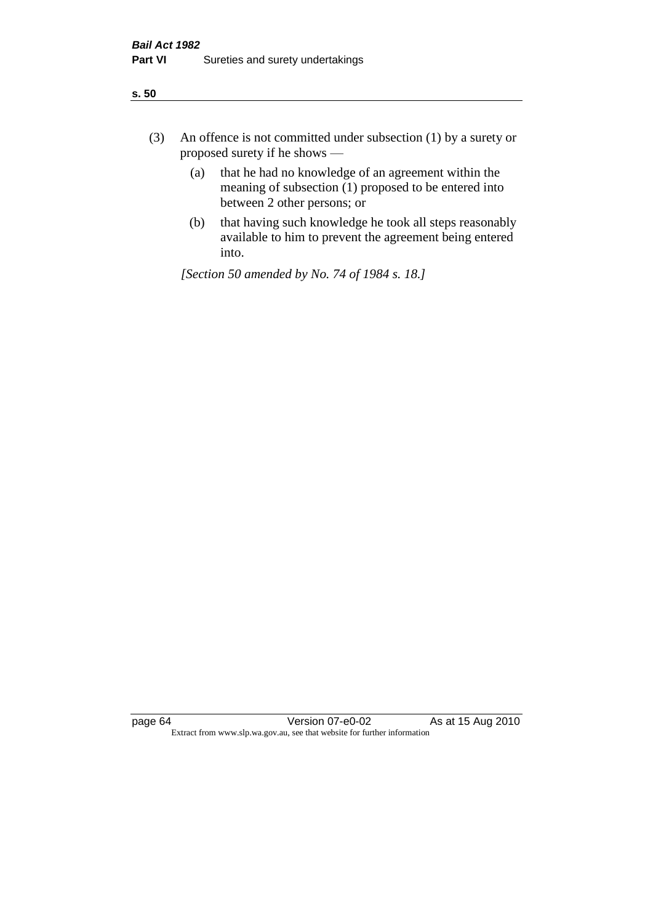| ÷<br>×<br>I<br>. .<br>×<br>۰.<br>×<br>۰.<br>v |
|-----------------------------------------------|
|-----------------------------------------------|

- (3) An offence is not committed under subsection (1) by a surety or proposed surety if he shows —
	- (a) that he had no knowledge of an agreement within the meaning of subsection  $(1)$  proposed to be entered into between 2 other persons; or
	- (b) that having such knowledge he took all steps reasonably available to him to prevent the agreement being entered into.

*[Section 50 amended by No. 74 of 1984 s. 18.]*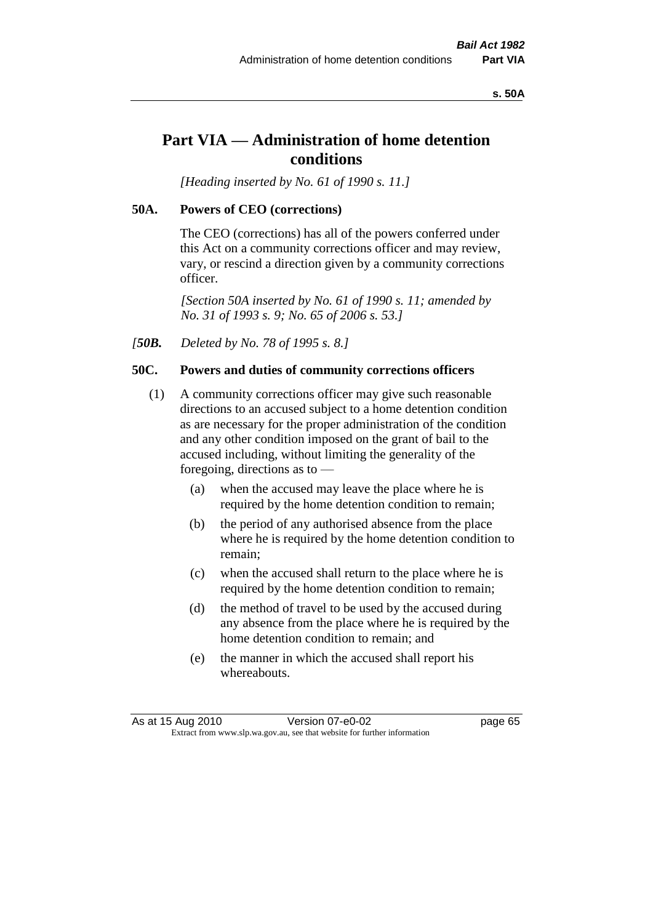#### **s. 50A**

# **Part VIA — Administration of home detention conditions**

*[Heading inserted by No. 61 of 1990 s. 11.]* 

#### **50A. Powers of CEO (corrections)**

The CEO (corrections) has all of the powers conferred under this Act on a community corrections officer and may review, vary, or rescind a direction given by a community corrections officer.

*[Section 50A inserted by No. 61 of 1990 s. 11; amended by No. 31 of 1993 s. 9; No. 65 of 2006 s. 53.]* 

*[50B. Deleted by No. 78 of 1995 s. 8.]* 

### **50C. Powers and duties of community corrections officers**

- (1) A community corrections officer may give such reasonable directions to an accused subject to a home detention condition as are necessary for the proper administration of the condition and any other condition imposed on the grant of bail to the accused including, without limiting the generality of the foregoing, directions as to —
	- (a) when the accused may leave the place where he is required by the home detention condition to remain;
	- (b) the period of any authorised absence from the place where he is required by the home detention condition to remain;
	- (c) when the accused shall return to the place where he is required by the home detention condition to remain;
	- (d) the method of travel to be used by the accused during any absence from the place where he is required by the home detention condition to remain; and
	- (e) the manner in which the accused shall report his whereabouts.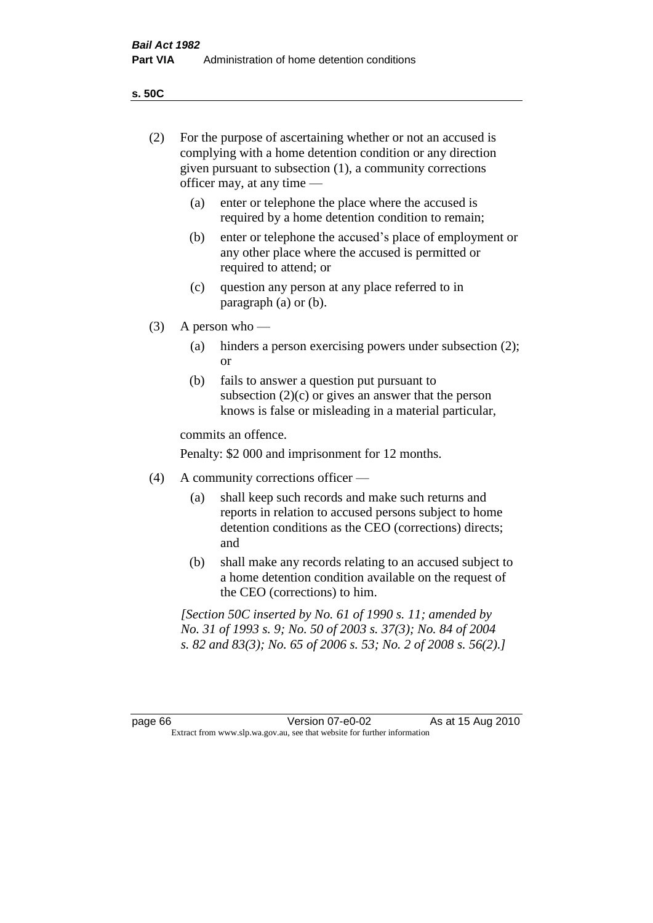**s. 50C**

| (2)     |     | For the purpose of ascertaining whether or not an accused is<br>complying with a home detention condition or any direction<br>given pursuant to subsection (1), a community corrections<br>officer may, at any time — |
|---------|-----|-----------------------------------------------------------------------------------------------------------------------------------------------------------------------------------------------------------------------|
|         | (a) | enter or telephone the place where the accused is<br>required by a home detention condition to remain;                                                                                                                |
|         | (b) | enter or telephone the accused's place of employment or<br>any other place where the accused is permitted or<br>required to attend; or                                                                                |
|         | (c) | question any person at any place referred to in<br>paragraph $(a)$ or $(b)$ .                                                                                                                                         |
| (3)     |     | A person who $-$                                                                                                                                                                                                      |
|         | (a) | hinders a person exercising powers under subsection (2);<br><sub>or</sub>                                                                                                                                             |
|         | (b) | fails to answer a question put pursuant to<br>subsection $(2)(c)$ or gives an answer that the person<br>knows is false or misleading in a material particular,                                                        |
|         |     | commits an offence.                                                                                                                                                                                                   |
|         |     | Penalty: \$2 000 and imprisonment for 12 months.                                                                                                                                                                      |
| (4)     |     | A community corrections officer -                                                                                                                                                                                     |
|         | (a) | shall keep such records and make such returns and<br>reports in relation to accused persons subject to home<br>detention conditions as the CEO (corrections) directs;<br>and                                          |
|         | (b) | shall make any records relating to an accused subject to<br>a home detention condition available on the request of<br>the CEO (corrections) to him.                                                                   |
|         |     | [Section 50C inserted by No. 61 of 1990 s. 11; amended by<br>No. 31 of 1993 s. 9; No. 50 of 2003 s. 37(3); No. 84 of 2004<br>s. 82 and 83(3); No. 65 of 2006 s. 53; No. 2 of 2008 s. 56(2).]                          |
|         |     |                                                                                                                                                                                                                       |
| page 66 |     | Version 07-e0-02<br>As at 15 Aug 2010<br>Extract from www.slp.wa.gov.au, see that website for further information                                                                                                     |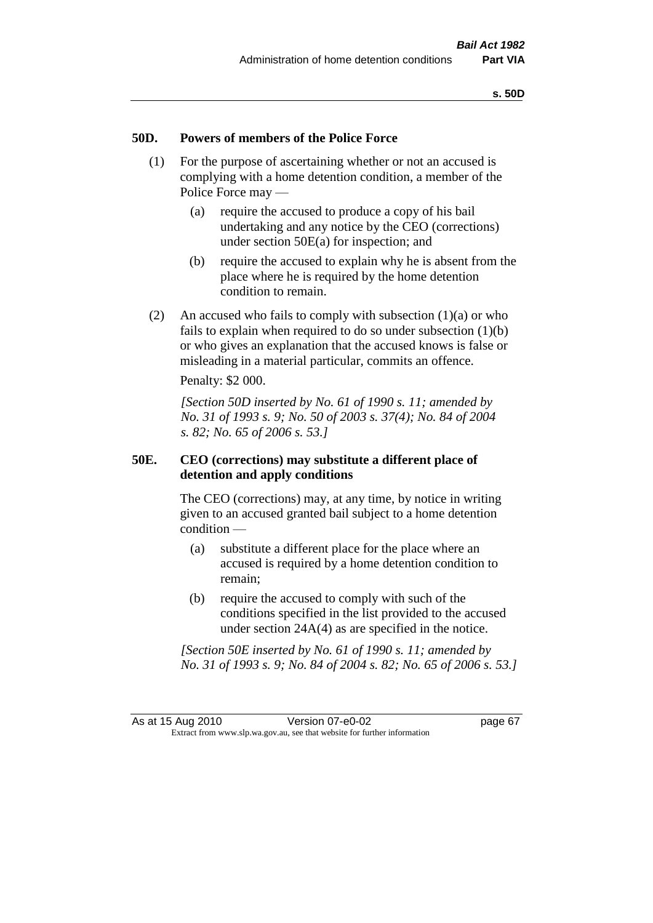### **50D. Powers of members of the Police Force**

- (1) For the purpose of ascertaining whether or not an accused is complying with a home detention condition, a member of the Police Force may —
	- (a) require the accused to produce a copy of his bail undertaking and any notice by the CEO (corrections) under section 50E(a) for inspection; and
	- (b) require the accused to explain why he is absent from the place where he is required by the home detention condition to remain.
- (2) An accused who fails to comply with subsection  $(1)(a)$  or who fails to explain when required to do so under subsection  $(1)(b)$ or who gives an explanation that the accused knows is false or misleading in a material particular, commits an offence.

Penalty: \$2 000.

*[Section 50D inserted by No. 61 of 1990 s. 11; amended by No. 31 of 1993 s. 9; No. 50 of 2003 s. 37(4); No. 84 of 2004 s. 82; No. 65 of 2006 s. 53.]* 

# **50E. CEO (corrections) may substitute a different place of detention and apply conditions**

The CEO (corrections) may, at any time, by notice in writing given to an accused granted bail subject to a home detention condition —

- (a) substitute a different place for the place where an accused is required by a home detention condition to remain;
- (b) require the accused to comply with such of the conditions specified in the list provided to the accused under section 24A(4) as are specified in the notice.

*[Section 50E inserted by No. 61 of 1990 s. 11; amended by No. 31 of 1993 s. 9; No. 84 of 2004 s. 82; No. 65 of 2006 s. 53.]*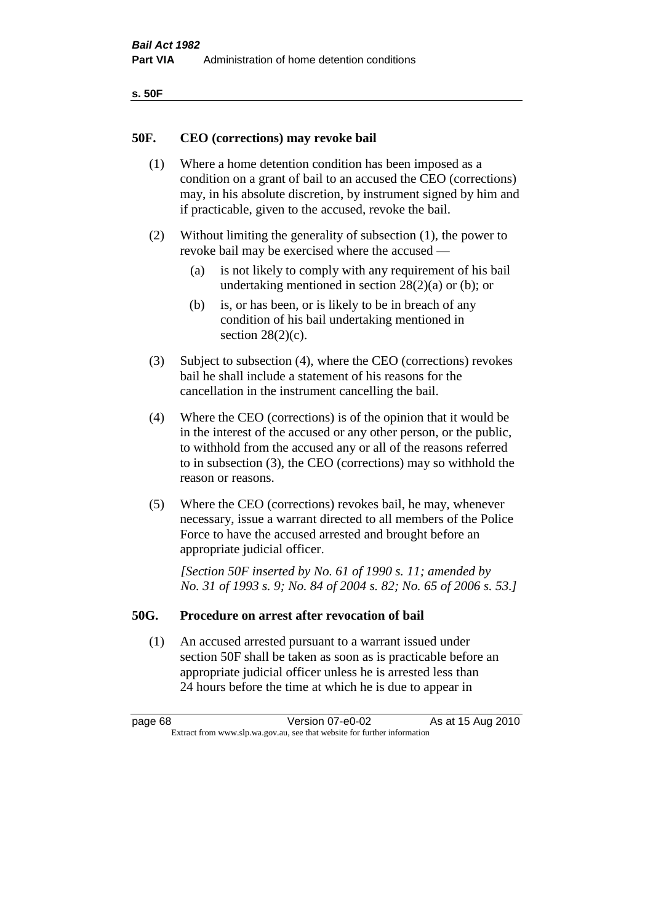| ۰.<br>×<br>-<br>۰.<br>× |  |
|-------------------------|--|
|-------------------------|--|

### **50F. CEO (corrections) may revoke bail**

- (1) Where a home detention condition has been imposed as a condition on a grant of bail to an accused the CEO (corrections) may, in his absolute discretion, by instrument signed by him and if practicable, given to the accused, revoke the bail.
- (2) Without limiting the generality of subsection (1), the power to revoke bail may be exercised where the accused —
	- (a) is not likely to comply with any requirement of his bail undertaking mentioned in section  $28(2)(a)$  or (b); or
	- (b) is, or has been, or is likely to be in breach of any condition of his bail undertaking mentioned in section  $28(2)(c)$ .
- (3) Subject to subsection (4), where the CEO (corrections) revokes bail he shall include a statement of his reasons for the cancellation in the instrument cancelling the bail.
- (4) Where the CEO (corrections) is of the opinion that it would be in the interest of the accused or any other person, or the public, to withhold from the accused any or all of the reasons referred to in subsection (3), the CEO (corrections) may so withhold the reason or reasons.
- (5) Where the CEO (corrections) revokes bail, he may, whenever necessary, issue a warrant directed to all members of the Police Force to have the accused arrested and brought before an appropriate judicial officer.

*[Section 50F inserted by No. 61 of 1990 s. 11; amended by No. 31 of 1993 s. 9; No. 84 of 2004 s. 82; No. 65 of 2006 s. 53.]* 

#### **50G. Procedure on arrest after revocation of bail**

(1) An accused arrested pursuant to a warrant issued under section 50F shall be taken as soon as is practicable before an appropriate judicial officer unless he is arrested less than 24 hours before the time at which he is due to appear in

page 68 Version 07-e0-02 As at 15 Aug 2010 Extract from www.slp.wa.gov.au, see that website for further information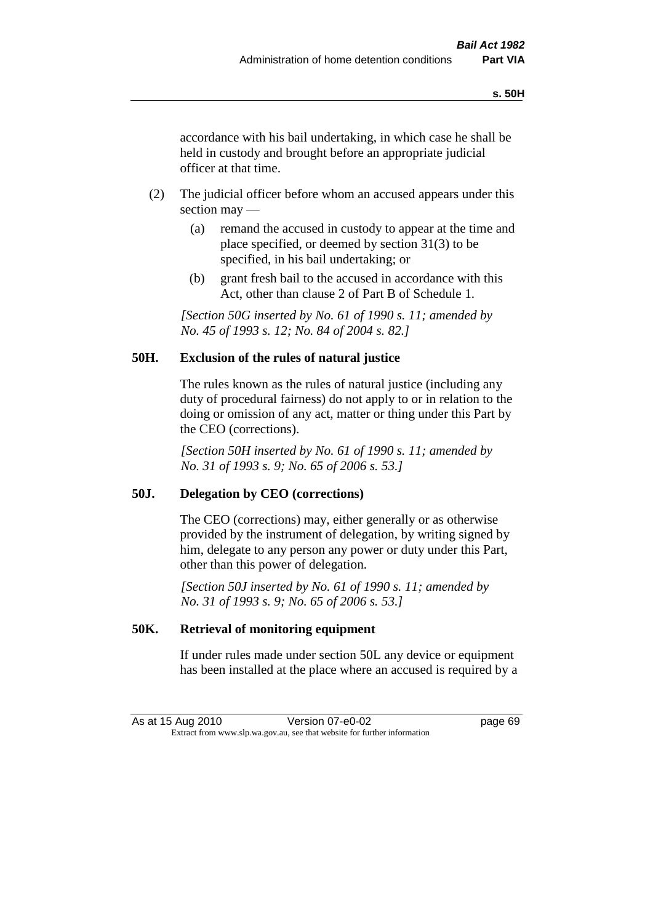accordance with his bail undertaking, in which case he shall be held in custody and brought before an appropriate judicial officer at that time.

- (2) The judicial officer before whom an accused appears under this section may —
	- (a) remand the accused in custody to appear at the time and place specified, or deemed by section 31(3) to be specified, in his bail undertaking; or
	- (b) grant fresh bail to the accused in accordance with this Act, other than clause 2 of Part B of Schedule 1.

*[Section 50G inserted by No. 61 of 1990 s. 11; amended by No. 45 of 1993 s. 12; No. 84 of 2004 s. 82.]* 

# **50H. Exclusion of the rules of natural justice**

The rules known as the rules of natural justice (including any duty of procedural fairness) do not apply to or in relation to the doing or omission of any act, matter or thing under this Part by the CEO (corrections).

*[Section 50H inserted by No. 61 of 1990 s. 11; amended by No. 31 of 1993 s. 9; No. 65 of 2006 s. 53.]* 

# **50J. Delegation by CEO (corrections)**

The CEO (corrections) may, either generally or as otherwise provided by the instrument of delegation, by writing signed by him, delegate to any person any power or duty under this Part, other than this power of delegation.

*[Section 50J inserted by No. 61 of 1990 s. 11; amended by No. 31 of 1993 s. 9; No. 65 of 2006 s. 53.]* 

# **50K. Retrieval of monitoring equipment**

If under rules made under section 50L any device or equipment has been installed at the place where an accused is required by a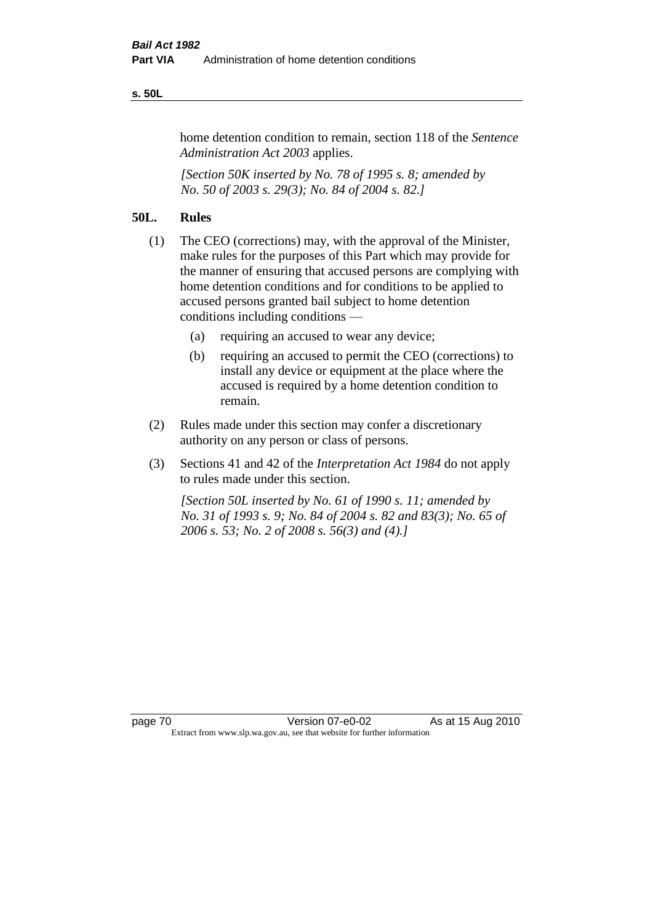#### **s. 50L**

home detention condition to remain, section 118 of the *Sentence Administration Act 2003* applies.

*[Section 50K inserted by No. 78 of 1995 s. 8; amended by No. 50 of 2003 s. 29(3); No. 84 of 2004 s. 82.]* 

# **50L. Rules**

- (1) The CEO (corrections) may, with the approval of the Minister, make rules for the purposes of this Part which may provide for the manner of ensuring that accused persons are complying with home detention conditions and for conditions to be applied to accused persons granted bail subject to home detention conditions including conditions —
	- (a) requiring an accused to wear any device;
	- (b) requiring an accused to permit the CEO (corrections) to install any device or equipment at the place where the accused is required by a home detention condition to remain.
- (2) Rules made under this section may confer a discretionary authority on any person or class of persons.
- (3) Sections 41 and 42 of the *Interpretation Act 1984* do not apply to rules made under this section.

*[Section 50L inserted by No. 61 of 1990 s. 11; amended by No. 31 of 1993 s. 9; No. 84 of 2004 s. 82 and 83(3); No. 65 of 2006 s. 53; No. 2 of 2008 s. 56(3) and (4).]*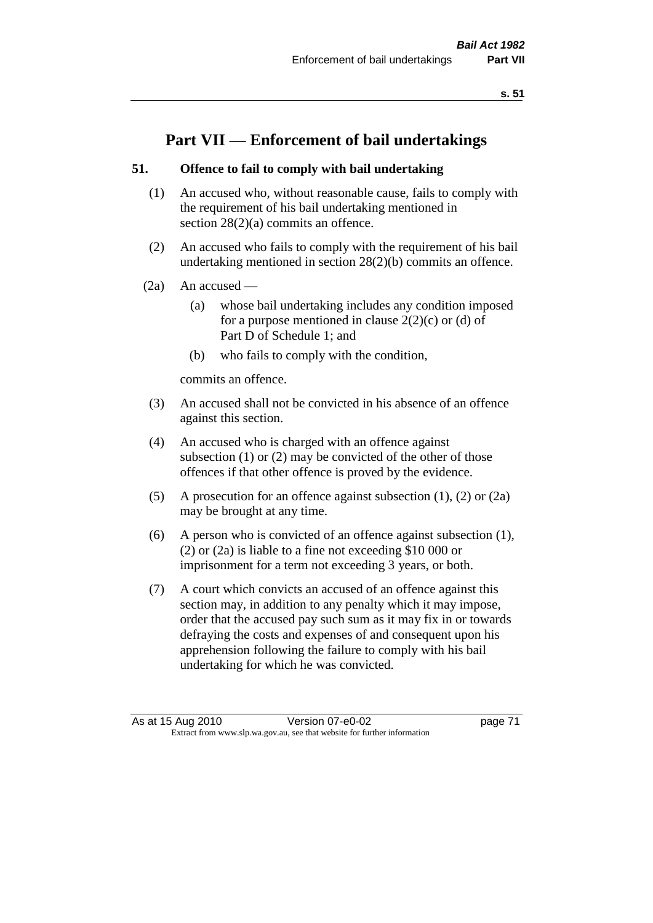# **Part VII — Enforcement of bail undertakings**

# **51. Offence to fail to comply with bail undertaking**

- (1) An accused who, without reasonable cause, fails to comply with the requirement of his bail undertaking mentioned in section 28(2)(a) commits an offence.
- (2) An accused who fails to comply with the requirement of his bail undertaking mentioned in section 28(2)(b) commits an offence.
- $(2a)$  An accused
	- (a) whose bail undertaking includes any condition imposed for a purpose mentioned in clause  $2(2)(c)$  or (d) of Part D of Schedule 1; and
	- (b) who fails to comply with the condition,

commits an offence.

- (3) An accused shall not be convicted in his absence of an offence against this section.
- (4) An accused who is charged with an offence against subsection (1) or (2) may be convicted of the other of those offences if that other offence is proved by the evidence.
- (5) A prosecution for an offence against subsection (1), (2) or (2a) may be brought at any time.
- (6) A person who is convicted of an offence against subsection (1), (2) or (2a) is liable to a fine not exceeding \$10 000 or imprisonment for a term not exceeding 3 years, or both.
- (7) A court which convicts an accused of an offence against this section may, in addition to any penalty which it may impose, order that the accused pay such sum as it may fix in or towards defraying the costs and expenses of and consequent upon his apprehension following the failure to comply with his bail undertaking for which he was convicted.

As at 15 Aug 2010 Version 07-e0-02 Page 71 Extract from www.slp.wa.gov.au, see that website for further information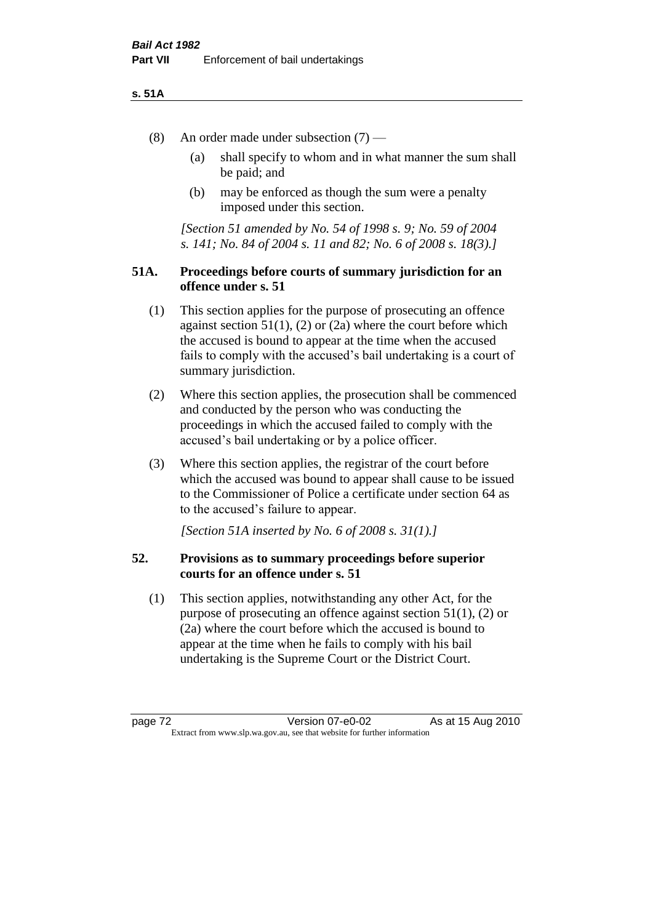#### **s. 51A**

- (8) An order made under subsection (7)
	- (a) shall specify to whom and in what manner the sum shall be paid; and
	- (b) may be enforced as though the sum were a penalty imposed under this section.

*[Section 51 amended by No. 54 of 1998 s. 9; No. 59 of 2004 s. 141; No. 84 of 2004 s. 11 and 82; No. 6 of 2008 s. 18(3).]*

# **51A. Proceedings before courts of summary jurisdiction for an offence under s. 51**

- (1) This section applies for the purpose of prosecuting an offence against section  $51(1)$ ,  $(2)$  or  $(2a)$  where the court before which the accused is bound to appear at the time when the accused fails to comply with the accused's bail undertaking is a court of summary jurisdiction.
- (2) Where this section applies, the prosecution shall be commenced and conducted by the person who was conducting the proceedings in which the accused failed to comply with the accused's bail undertaking or by a police officer.
- (3) Where this section applies, the registrar of the court before which the accused was bound to appear shall cause to be issued to the Commissioner of Police a certificate under section 64 as to the accused's failure to appear.

*[Section 51A inserted by No. 6 of 2008 s. 31(1).]*

# **52. Provisions as to summary proceedings before superior courts for an offence under s. 51**

(1) This section applies, notwithstanding any other Act, for the purpose of prosecuting an offence against section 51(1), (2) or (2a) where the court before which the accused is bound to appear at the time when he fails to comply with his bail undertaking is the Supreme Court or the District Court.

page 72 Version 07-e0-02 As at 15 Aug 2010 Extract from www.slp.wa.gov.au, see that website for further information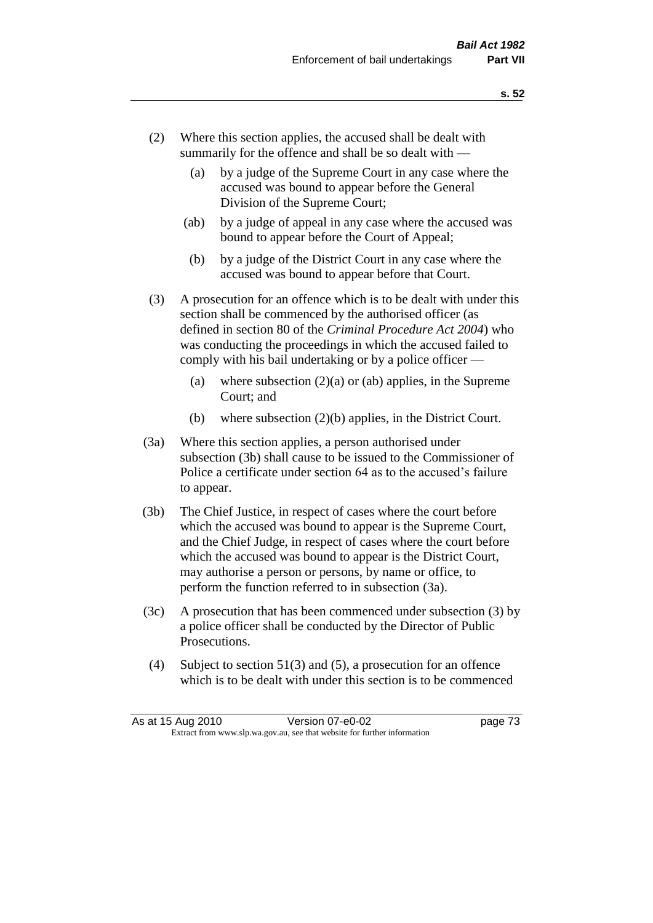- (2) Where this section applies, the accused shall be dealt with summarily for the offence and shall be so dealt with —
	- (a) by a judge of the Supreme Court in any case where the accused was bound to appear before the General Division of the Supreme Court;
	- (ab) by a judge of appeal in any case where the accused was bound to appear before the Court of Appeal;
	- (b) by a judge of the District Court in any case where the accused was bound to appear before that Court.
- (3) A prosecution for an offence which is to be dealt with under this section shall be commenced by the authorised officer (as defined in section 80 of the *Criminal Procedure Act 2004*) who was conducting the proceedings in which the accused failed to comply with his bail undertaking or by a police officer —
	- (a) where subsection  $(2)(a)$  or (ab) applies, in the Supreme Court; and
	- (b) where subsection (2)(b) applies, in the District Court.
- (3a) Where this section applies, a person authorised under subsection (3b) shall cause to be issued to the Commissioner of Police a certificate under section 64 as to the accused's failure to appear.
- (3b) The Chief Justice, in respect of cases where the court before which the accused was bound to appear is the Supreme Court, and the Chief Judge, in respect of cases where the court before which the accused was bound to appear is the District Court, may authorise a person or persons, by name or office, to perform the function referred to in subsection (3a).
- (3c) A prosecution that has been commenced under subsection (3) by a police officer shall be conducted by the Director of Public Prosecutions.
- (4) Subject to section 51(3) and (5), a prosecution for an offence which is to be dealt with under this section is to be commenced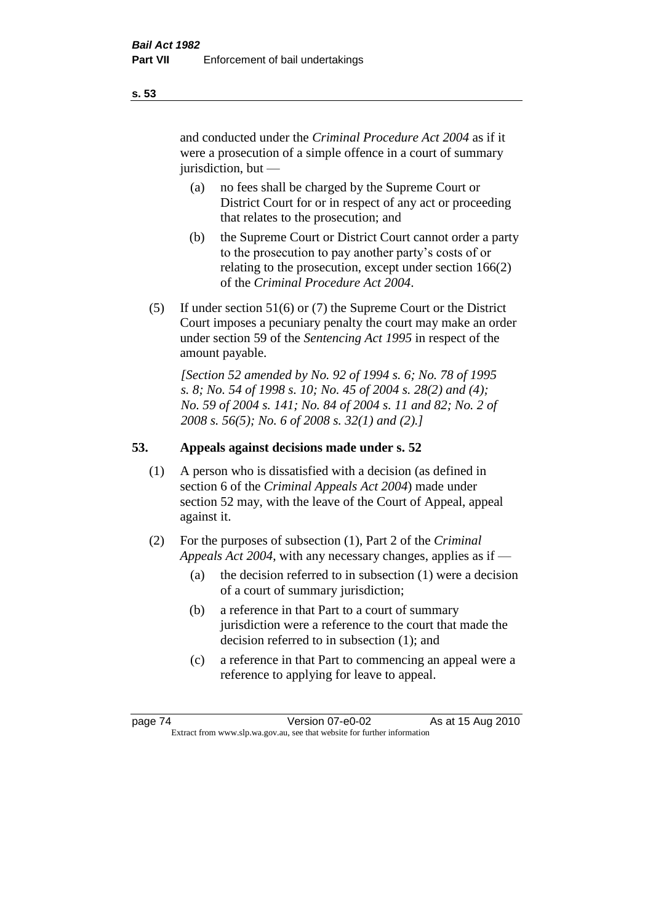and conducted under the *Criminal Procedure Act 2004* as if it were a prosecution of a simple offence in a court of summary jurisdiction, but —

- (a) no fees shall be charged by the Supreme Court or District Court for or in respect of any act or proceeding that relates to the prosecution; and
- (b) the Supreme Court or District Court cannot order a party to the prosecution to pay another party's costs of or relating to the prosecution, except under section 166(2) of the *Criminal Procedure Act 2004*.
- (5) If under section 51(6) or (7) the Supreme Court or the District Court imposes a pecuniary penalty the court may make an order under section 59 of the *Sentencing Act 1995* in respect of the amount payable.

*[Section 52 amended by No. 92 of 1994 s. 6; No. 78 of 1995 s. 8; No. 54 of 1998 s. 10; No. 45 of 2004 s. 28(2) and (4); No. 59 of 2004 s. 141; No. 84 of 2004 s. 11 and 82; No. 2 of 2008 s. 56(5); No. 6 of 2008 s. 32(1) and (2).]* 

# **53. Appeals against decisions made under s. 52**

- (1) A person who is dissatisfied with a decision (as defined in section 6 of the *Criminal Appeals Act 2004*) made under section 52 may, with the leave of the Court of Appeal, appeal against it.
- (2) For the purposes of subsection (1), Part 2 of the *Criminal Appeals Act 2004*, with any necessary changes, applies as if —
	- (a) the decision referred to in subsection (1) were a decision of a court of summary jurisdiction;
	- (b) a reference in that Part to a court of summary jurisdiction were a reference to the court that made the decision referred to in subsection (1); and
	- (c) a reference in that Part to commencing an appeal were a reference to applying for leave to appeal.

#### **s. 53**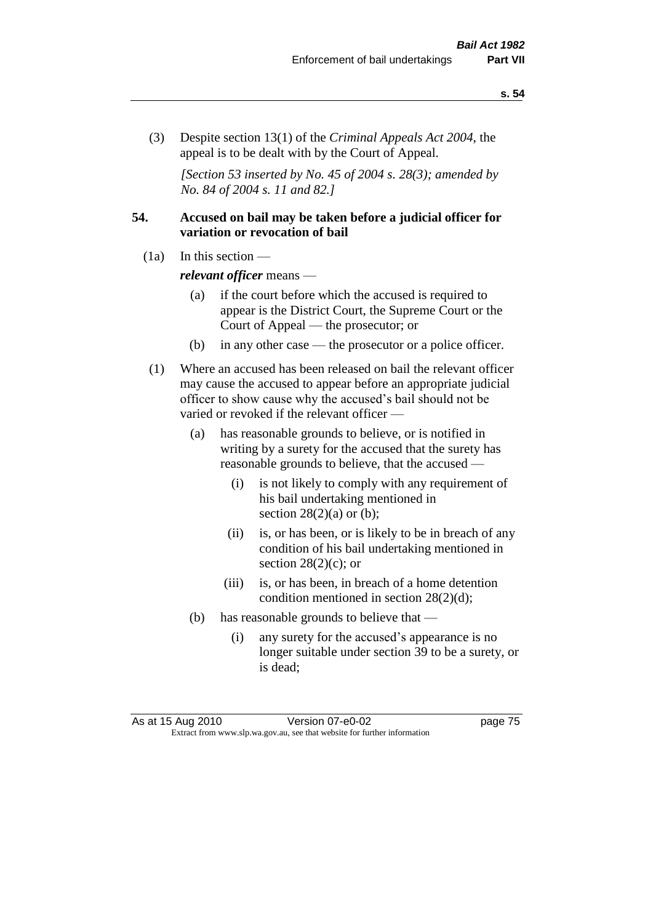(3) Despite section 13(1) of the *Criminal Appeals Act 2004*, the appeal is to be dealt with by the Court of Appeal.

*[Section 53 inserted by No. 45 of 2004 s. 28(3); amended by No. 84 of 2004 s. 11 and 82.]*

# **54. Accused on bail may be taken before a judicial officer for variation or revocation of bail**

(1a) In this section —

*relevant officer* means —

- (a) if the court before which the accused is required to appear is the District Court, the Supreme Court or the Court of Appeal — the prosecutor; or
- (b) in any other case the prosecutor or a police officer.
- (1) Where an accused has been released on bail the relevant officer may cause the accused to appear before an appropriate judicial officer to show cause why the accused's bail should not be varied or revoked if the relevant officer —
	- (a) has reasonable grounds to believe, or is notified in writing by a surety for the accused that the surety has reasonable grounds to believe, that the accused —
		- (i) is not likely to comply with any requirement of his bail undertaking mentioned in section  $28(2)(a)$  or (b);
		- (ii) is, or has been, or is likely to be in breach of any condition of his bail undertaking mentioned in section  $28(2)(c)$ ; or
		- (iii) is, or has been, in breach of a home detention condition mentioned in section 28(2)(d);
	- (b) has reasonable grounds to believe that
		- (i) any surety for the accused's appearance is no longer suitable under section 39 to be a surety, or is dead;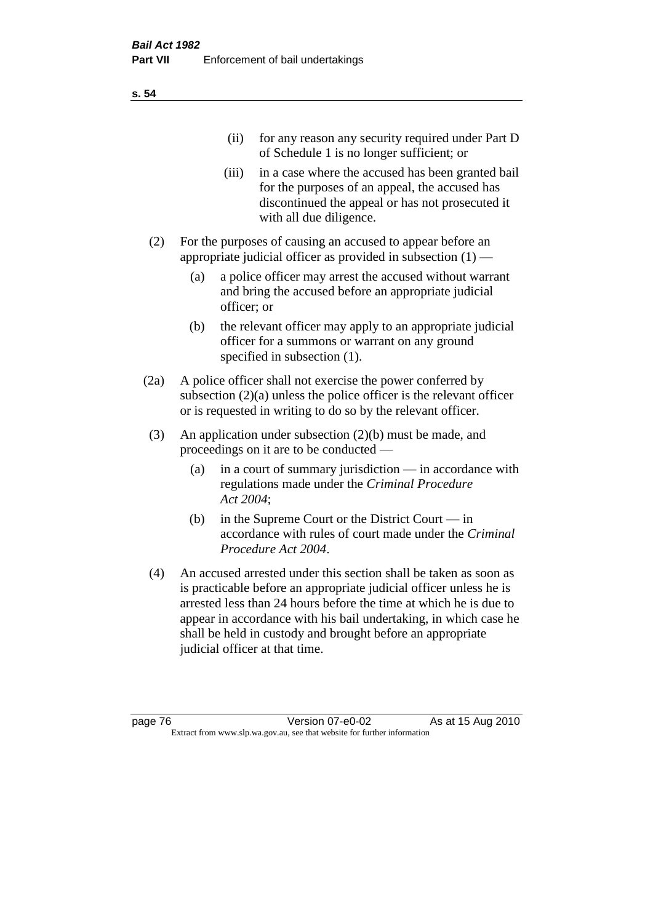| (11)  | for any reason any security required under Part D<br>of Schedule 1 is no longer sufficient; or                                                                                     |
|-------|------------------------------------------------------------------------------------------------------------------------------------------------------------------------------------|
| (111) | in a case where the accused has been granted bail<br>for the purposes of an appeal, the accused has<br>discontinued the appeal or has not prosecuted it<br>with all due diligence. |
|       | For the purposes of causing an accused to appear before an                                                                                                                         |

- appropriate judicial officer as provided in subsection  $(1)$ 
	- (a) a police officer may arrest the accused without warrant and bring the accused before an appropriate judicial officer; or
	- (b) the relevant officer may apply to an appropriate judicial officer for a summons or warrant on any ground specified in subsection  $(1)$ .
- (2a) A police officer shall not exercise the power conferred by subsection (2)(a) unless the police officer is the relevant officer or is requested in writing to do so by the relevant officer.
- (3) An application under subsection (2)(b) must be made, and proceedings on it are to be conducted —
	- (a) in a court of summary jurisdiction in accordance with regulations made under the *Criminal Procedure Act 2004*;
	- (b) in the Supreme Court or the District Court in accordance with rules of court made under the *Criminal Procedure Act 2004*.
- (4) An accused arrested under this section shall be taken as soon as is practicable before an appropriate judicial officer unless he is arrested less than 24 hours before the time at which he is due to appear in accordance with his bail undertaking, in which case he shall be held in custody and brought before an appropriate judicial officer at that time.

**s. 54**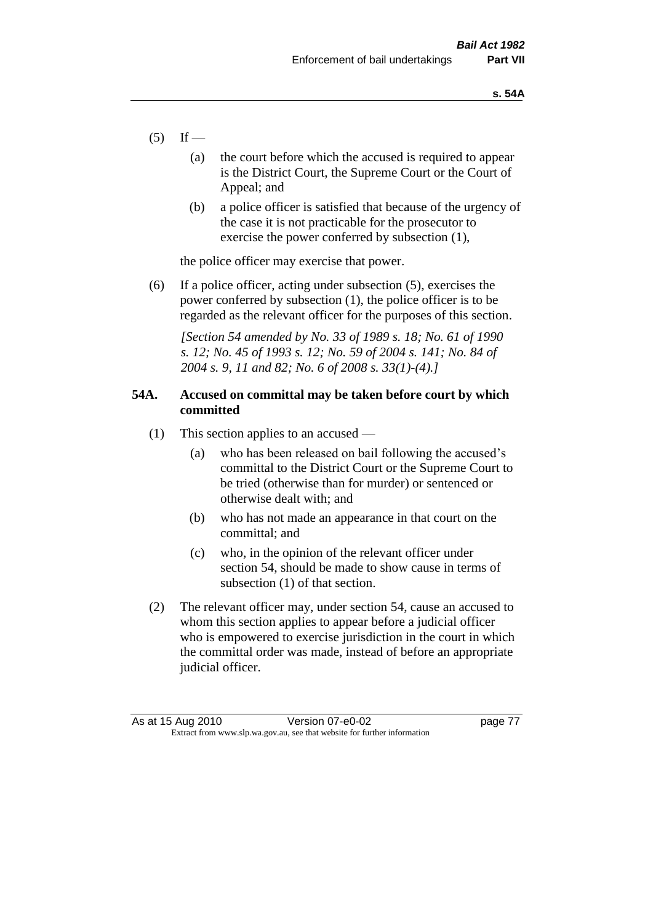- $(5)$  If
	- (a) the court before which the accused is required to appear is the District Court, the Supreme Court or the Court of Appeal; and
	- (b) a police officer is satisfied that because of the urgency of the case it is not practicable for the prosecutor to exercise the power conferred by subsection (1),

the police officer may exercise that power.

(6) If a police officer, acting under subsection (5), exercises the power conferred by subsection (1), the police officer is to be regarded as the relevant officer for the purposes of this section.

*[Section 54 amended by No. 33 of 1989 s. 18; No. 61 of 1990 s. 12; No. 45 of 1993 s. 12; No. 59 of 2004 s. 141; No. 84 of 2004 s. 9, 11 and 82; No. 6 of 2008 s. 33(1)-(4).]* 

# **54A. Accused on committal may be taken before court by which committed**

- (1) This section applies to an accused
	- (a) who has been released on bail following the accused's committal to the District Court or the Supreme Court to be tried (otherwise than for murder) or sentenced or otherwise dealt with; and
	- (b) who has not made an appearance in that court on the committal; and
	- (c) who, in the opinion of the relevant officer under section 54, should be made to show cause in terms of subsection (1) of that section.
- (2) The relevant officer may, under section 54, cause an accused to whom this section applies to appear before a judicial officer who is empowered to exercise jurisdiction in the court in which the committal order was made, instead of before an appropriate judicial officer.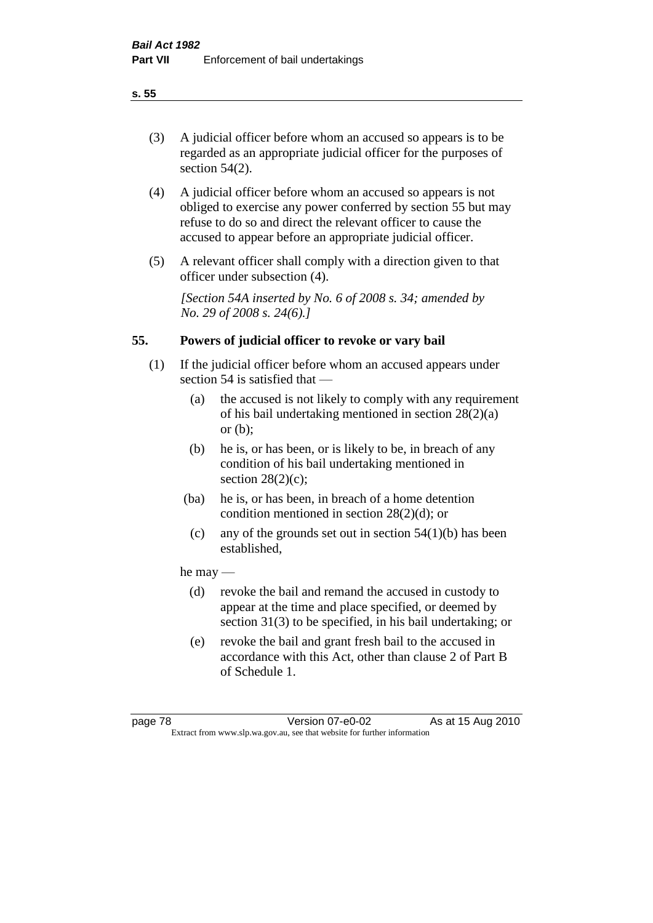# (3) A judicial officer before whom an accused so appears is to be regarded as an appropriate judicial officer for the purposes of section 54(2).

- (4) A judicial officer before whom an accused so appears is not obliged to exercise any power conferred by section 55 but may refuse to do so and direct the relevant officer to cause the accused to appear before an appropriate judicial officer.
- (5) A relevant officer shall comply with a direction given to that officer under subsection (4).

*[Section 54A inserted by No. 6 of 2008 s. 34; amended by No. 29 of 2008 s. 24(6).]*

# **55. Powers of judicial officer to revoke or vary bail**

- (1) If the judicial officer before whom an accused appears under section 54 is satisfied that —
	- (a) the accused is not likely to comply with any requirement of his bail undertaking mentioned in section 28(2)(a) or (b);
	- (b) he is, or has been, or is likely to be, in breach of any condition of his bail undertaking mentioned in section  $28(2)(c)$ ;
	- (ba) he is, or has been, in breach of a home detention condition mentioned in section 28(2)(d); or
		- (c) any of the grounds set out in section  $54(1)(b)$  has been established,

# he may —

- (d) revoke the bail and remand the accused in custody to appear at the time and place specified, or deemed by section 31(3) to be specified, in his bail undertaking; or
- (e) revoke the bail and grant fresh bail to the accused in accordance with this Act, other than clause 2 of Part B of Schedule 1.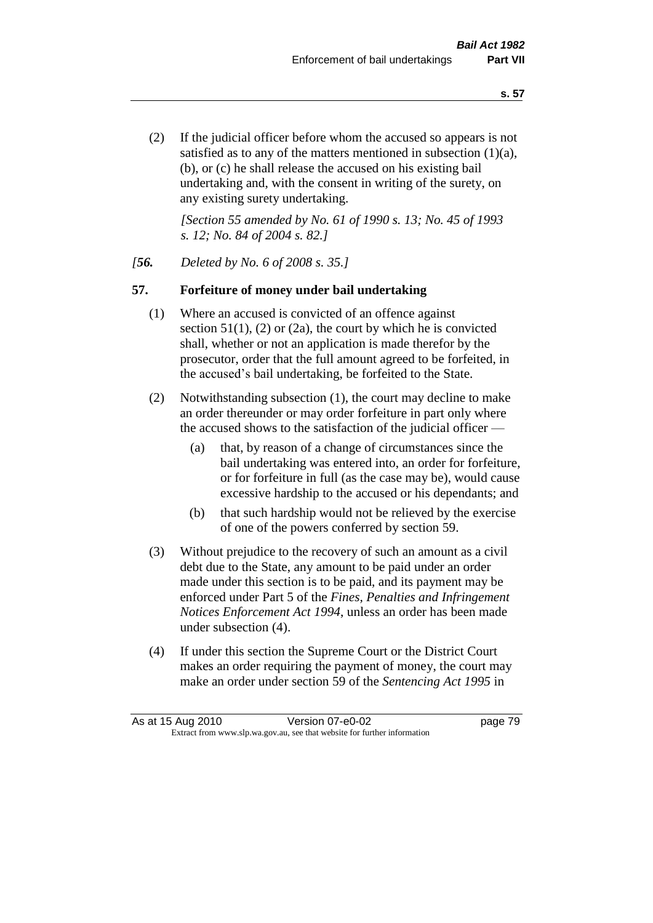(2) If the judicial officer before whom the accused so appears is not satisfied as to any of the matters mentioned in subsection (1)(a), (b), or (c) he shall release the accused on his existing bail undertaking and, with the consent in writing of the surety, on any existing surety undertaking.

*[Section 55 amended by No. 61 of 1990 s. 13; No. 45 of 1993 s. 12; No. 84 of 2004 s. 82.]* 

#### *[56. Deleted by No. 6 of 2008 s. 35.]*

#### **57. Forfeiture of money under bail undertaking**

- (1) Where an accused is convicted of an offence against section  $51(1)$ , (2) or (2a), the court by which he is convicted shall, whether or not an application is made therefor by the prosecutor, order that the full amount agreed to be forfeited, in the accused's bail undertaking, be forfeited to the State.
- (2) Notwithstanding subsection (1), the court may decline to make an order thereunder or may order forfeiture in part only where the accused shows to the satisfaction of the judicial officer —
	- (a) that, by reason of a change of circumstances since the bail undertaking was entered into, an order for forfeiture, or for forfeiture in full (as the case may be), would cause excessive hardship to the accused or his dependants; and
	- (b) that such hardship would not be relieved by the exercise of one of the powers conferred by section 59.
- (3) Without prejudice to the recovery of such an amount as a civil debt due to the State, any amount to be paid under an order made under this section is to be paid, and its payment may be enforced under Part 5 of the *Fines, Penalties and Infringement Notices Enforcement Act 1994*, unless an order has been made under subsection (4).
- (4) If under this section the Supreme Court or the District Court makes an order requiring the payment of money, the court may make an order under section 59 of the *Sentencing Act 1995* in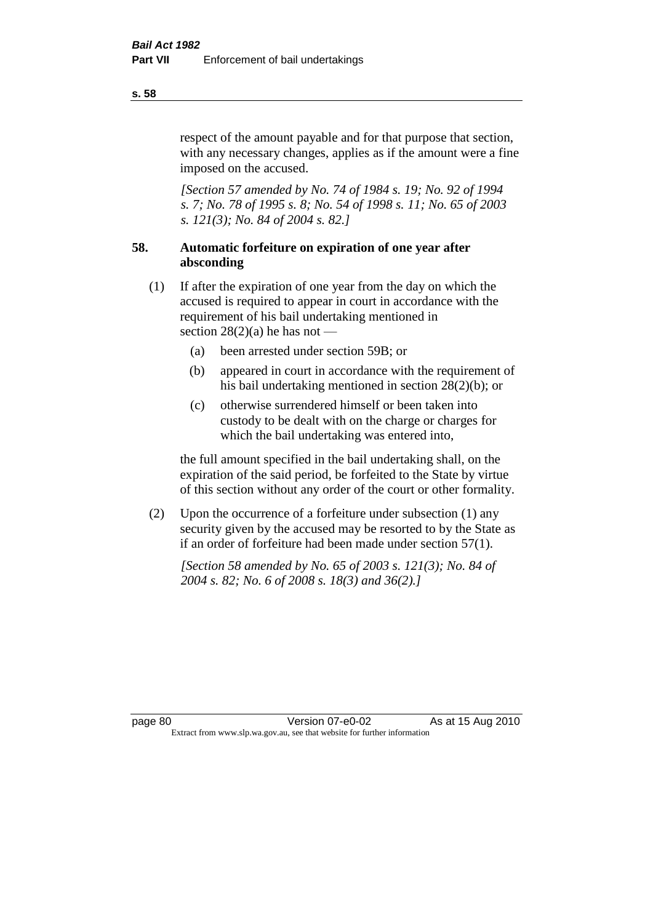respect of the amount payable and for that purpose that section, with any necessary changes, applies as if the amount were a fine imposed on the accused.

*[Section 57 amended by No. 74 of 1984 s. 19; No. 92 of 1994 s. 7; No. 78 of 1995 s. 8; No. 54 of 1998 s. 11; No. 65 of 2003 s. 121(3); No. 84 of 2004 s. 82.]* 

# **58. Automatic forfeiture on expiration of one year after absconding**

- (1) If after the expiration of one year from the day on which the accused is required to appear in court in accordance with the requirement of his bail undertaking mentioned in section  $28(2)(a)$  he has not —
	- (a) been arrested under section 59B; or
	- (b) appeared in court in accordance with the requirement of his bail undertaking mentioned in section 28(2)(b); or
	- (c) otherwise surrendered himself or been taken into custody to be dealt with on the charge or charges for which the bail undertaking was entered into,

the full amount specified in the bail undertaking shall, on the expiration of the said period, be forfeited to the State by virtue of this section without any order of the court or other formality.

(2) Upon the occurrence of a forfeiture under subsection (1) any security given by the accused may be resorted to by the State as if an order of forfeiture had been made under section 57(1).

*[Section 58 amended by No. 65 of 2003 s. 121(3); No. 84 of 2004 s. 82; No. 6 of 2008 s. 18(3) and 36(2).]*

**s. 58**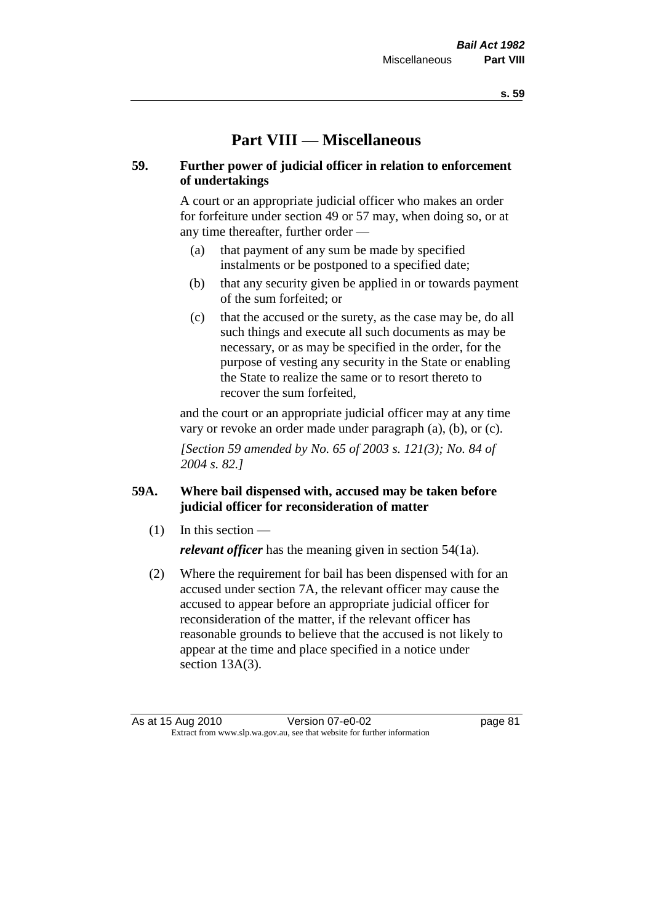# **Part VIII — Miscellaneous**

# **59. Further power of judicial officer in relation to enforcement of undertakings**

A court or an appropriate judicial officer who makes an order for forfeiture under section 49 or 57 may, when doing so, or at any time thereafter, further order —

- (a) that payment of any sum be made by specified instalments or be postponed to a specified date;
- (b) that any security given be applied in or towards payment of the sum forfeited; or
- (c) that the accused or the surety, as the case may be, do all such things and execute all such documents as may be necessary, or as may be specified in the order, for the purpose of vesting any security in the State or enabling the State to realize the same or to resort thereto to recover the sum forfeited,

and the court or an appropriate judicial officer may at any time vary or revoke an order made under paragraph (a), (b), or (c).

*[Section 59 amended by No. 65 of 2003 s. 121(3); No. 84 of 2004 s. 82.]*

# **59A. Where bail dispensed with, accused may be taken before judicial officer for reconsideration of matter**

- $(1)$  In this section *relevant officer* has the meaning given in section 54(1a).
- (2) Where the requirement for bail has been dispensed with for an accused under section 7A, the relevant officer may cause the accused to appear before an appropriate judicial officer for reconsideration of the matter, if the relevant officer has reasonable grounds to believe that the accused is not likely to appear at the time and place specified in a notice under section 13A(3).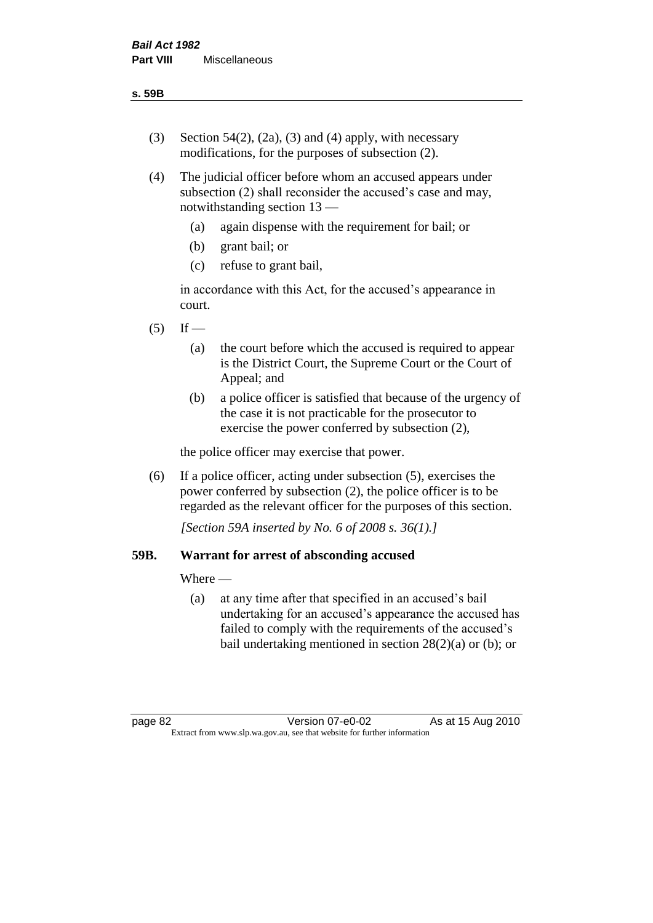- (3) Section 54(2), (2a), (3) and (4) apply, with necessary modifications, for the purposes of subsection (2).
- (4) The judicial officer before whom an accused appears under subsection (2) shall reconsider the accused's case and may, notwithstanding section 13 —
	- (a) again dispense with the requirement for bail; or
	- (b) grant bail; or
	- (c) refuse to grant bail,

in accordance with this Act, for the accused's appearance in court.

- $(5)$  If
	- (a) the court before which the accused is required to appear is the District Court, the Supreme Court or the Court of Appeal; and
	- (b) a police officer is satisfied that because of the urgency of the case it is not practicable for the prosecutor to exercise the power conferred by subsection (2),

the police officer may exercise that power.

(6) If a police officer, acting under subsection (5), exercises the power conferred by subsection (2), the police officer is to be regarded as the relevant officer for the purposes of this section.

*[Section 59A inserted by No. 6 of 2008 s. 36(1).]*

# **59B. Warrant for arrest of absconding accused**

Where —

(a) at any time after that specified in an accused's bail undertaking for an accused's appearance the accused has failed to comply with the requirements of the accused's bail undertaking mentioned in section  $28(2)(a)$  or (b); or

page 82 Version 07-e0-02 As at 15 Aug 2010 Extract from www.slp.wa.gov.au, see that website for further information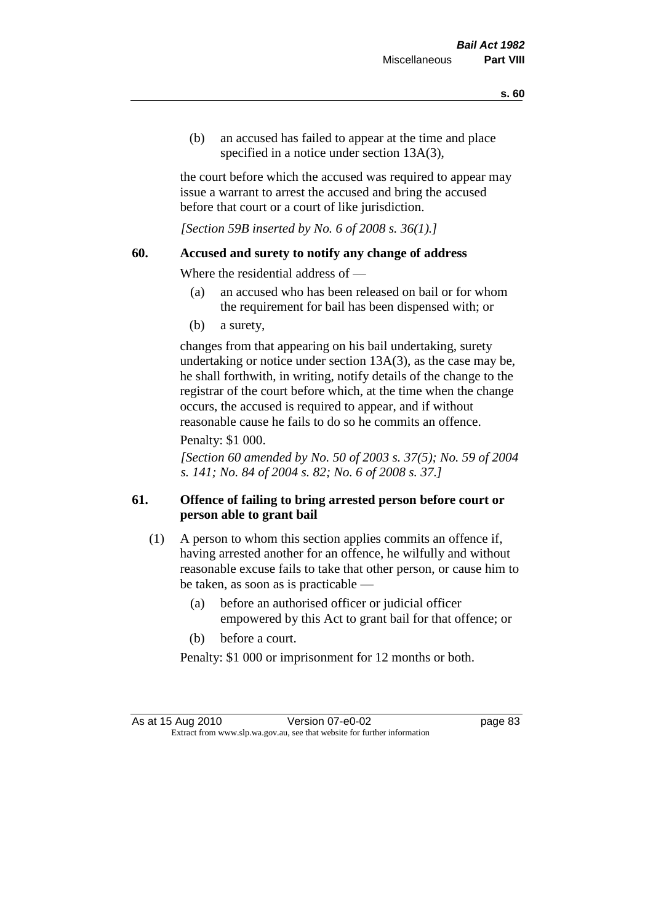(b) an accused has failed to appear at the time and place specified in a notice under section 13A(3).

the court before which the accused was required to appear may issue a warrant to arrest the accused and bring the accused before that court or a court of like jurisdiction.

*[Section 59B inserted by No. 6 of 2008 s. 36(1).]*

#### **60. Accused and surety to notify any change of address**

Where the residential address of —

- (a) an accused who has been released on bail or for whom the requirement for bail has been dispensed with; or
- (b) a surety,

changes from that appearing on his bail undertaking, surety undertaking or notice under section 13A(3), as the case may be, he shall forthwith, in writing, notify details of the change to the registrar of the court before which, at the time when the change occurs, the accused is required to appear, and if without reasonable cause he fails to do so he commits an offence.

#### Penalty: \$1 000.

*[Section 60 amended by No. 50 of 2003 s. 37(5); No. 59 of 2004 s. 141; No. 84 of 2004 s. 82; No. 6 of 2008 s. 37.]*

# **61. Offence of failing to bring arrested person before court or person able to grant bail**

- (1) A person to whom this section applies commits an offence if, having arrested another for an offence, he wilfully and without reasonable excuse fails to take that other person, or cause him to be taken, as soon as is practicable —
	- (a) before an authorised officer or judicial officer empowered by this Act to grant bail for that offence; or
	- (b) before a court.

Penalty: \$1 000 or imprisonment for 12 months or both.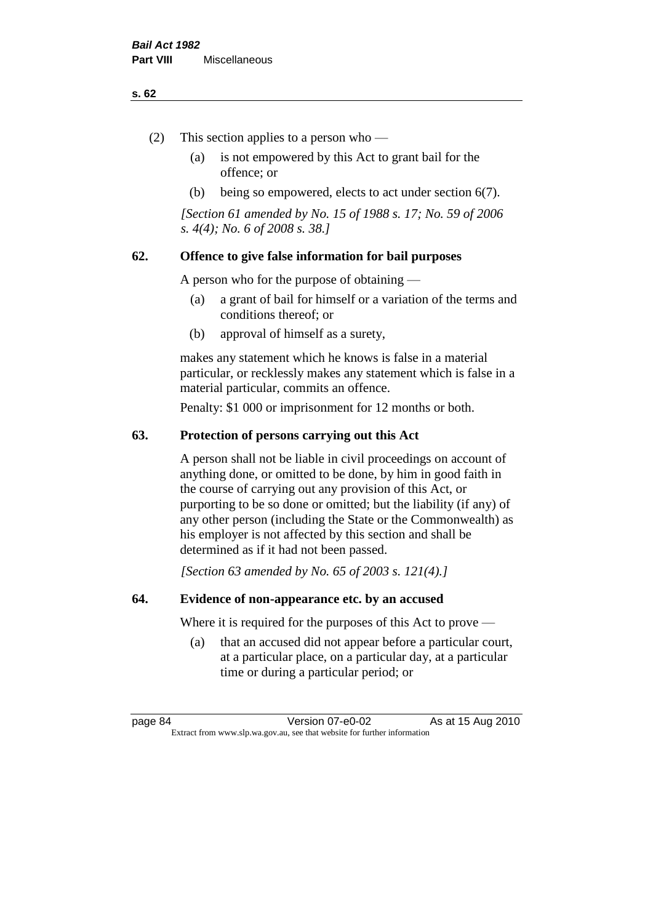#### **s. 62**

- (2) This section applies to a person who
	- (a) is not empowered by this Act to grant bail for the offence; or
	- (b) being so empowered, elects to act under section 6(7).

*[Section 61 amended by No. 15 of 1988 s. 17; No. 59 of 2006 s. 4(4); No. 6 of 2008 s. 38.]* 

# **62. Offence to give false information for bail purposes**

A person who for the purpose of obtaining —

- (a) a grant of bail for himself or a variation of the terms and conditions thereof; or
- (b) approval of himself as a surety,

makes any statement which he knows is false in a material particular, or recklessly makes any statement which is false in a material particular, commits an offence.

Penalty: \$1 000 or imprisonment for 12 months or both.

#### **63. Protection of persons carrying out this Act**

A person shall not be liable in civil proceedings on account of anything done, or omitted to be done, by him in good faith in the course of carrying out any provision of this Act, or purporting to be so done or omitted; but the liability (if any) of any other person (including the State or the Commonwealth) as his employer is not affected by this section and shall be determined as if it had not been passed.

*[Section 63 amended by No. 65 of 2003 s. 121(4).]*

#### **64. Evidence of non-appearance etc. by an accused**

Where it is required for the purposes of this Act to prove —

(a) that an accused did not appear before a particular court, at a particular place, on a particular day, at a particular time or during a particular period; or

page 84 Version 07-e0-02 As at 15 Aug 2010 Extract from www.slp.wa.gov.au, see that website for further information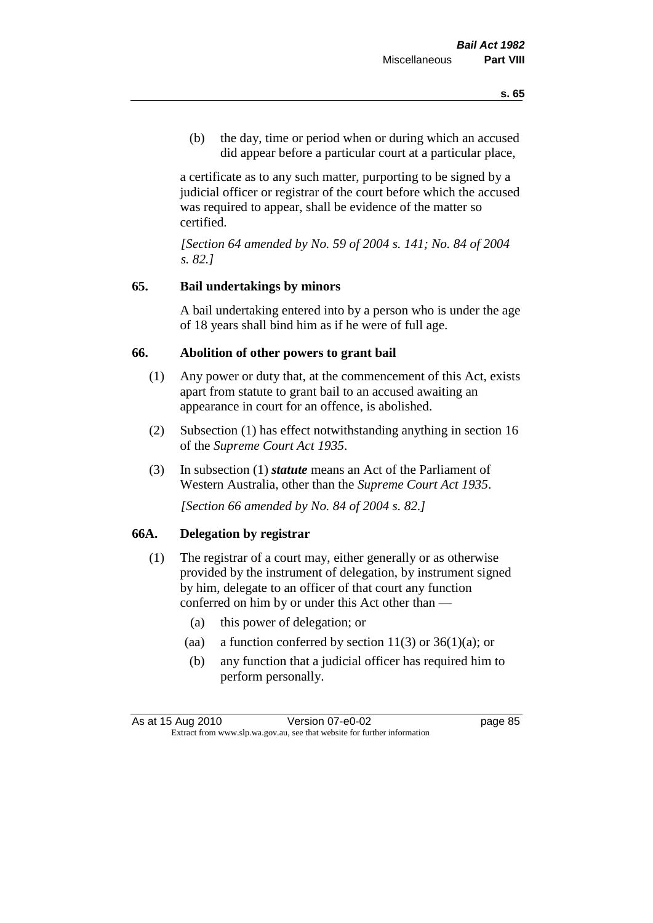(b) the day, time or period when or during which an accused did appear before a particular court at a particular place,

a certificate as to any such matter, purporting to be signed by a judicial officer or registrar of the court before which the accused was required to appear, shall be evidence of the matter so certified.

*[Section 64 amended by No. 59 of 2004 s. 141; No. 84 of 2004 s. 82.]* 

# **65. Bail undertakings by minors**

A bail undertaking entered into by a person who is under the age of 18 years shall bind him as if he were of full age.

#### **66. Abolition of other powers to grant bail**

- (1) Any power or duty that, at the commencement of this Act, exists apart from statute to grant bail to an accused awaiting an appearance in court for an offence, is abolished.
- (2) Subsection (1) has effect notwithstanding anything in section 16 of the *Supreme Court Act 1935*.
- (3) In subsection (1) *statute* means an Act of the Parliament of Western Australia, other than the *Supreme Court Act 1935*.

*[Section 66 amended by No. 84 of 2004 s. 82.]*

#### **66A. Delegation by registrar**

- (1) The registrar of a court may, either generally or as otherwise provided by the instrument of delegation, by instrument signed by him, delegate to an officer of that court any function conferred on him by or under this Act other than —
	- (a) this power of delegation; or
	- (aa) a function conferred by section  $11(3)$  or  $36(1)(a)$ ; or
	- (b) any function that a judicial officer has required him to perform personally.

As at 15 Aug 2010 Version 07-e0-02 page 85 Extract from www.slp.wa.gov.au, see that website for further information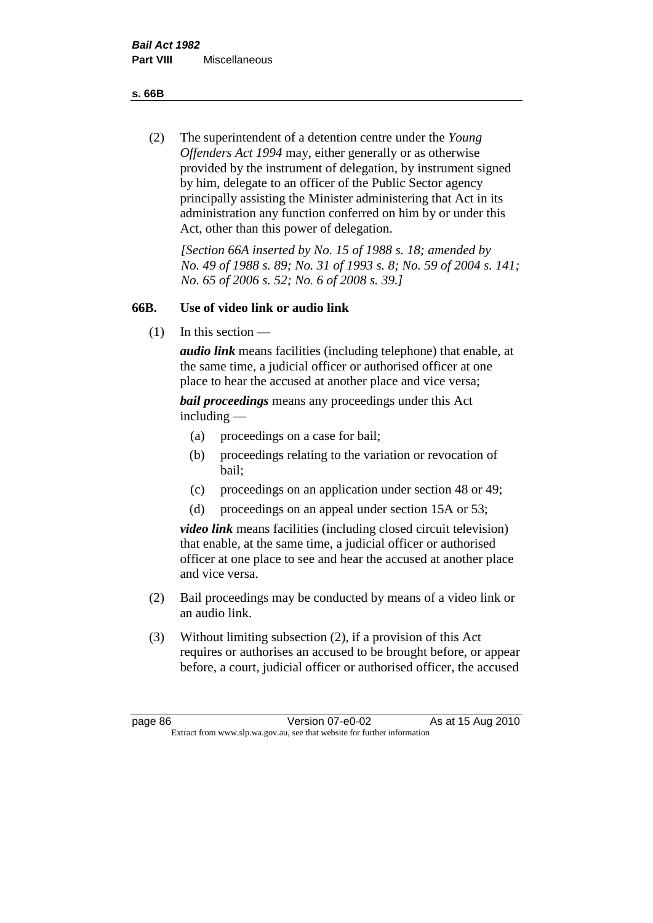**s. 66B**

(2) The superintendent of a detention centre under the *Young Offenders Act 1994* may, either generally or as otherwise provided by the instrument of delegation, by instrument signed by him, delegate to an officer of the Public Sector agency principally assisting the Minister administering that Act in its administration any function conferred on him by or under this Act, other than this power of delegation.

*[Section 66A inserted by No. 15 of 1988 s. 18; amended by No. 49 of 1988 s. 89; No. 31 of 1993 s. 8; No. 59 of 2004 s. 141; No. 65 of 2006 s. 52; No. 6 of 2008 s. 39.]* 

# **66B. Use of video link or audio link**

(1) In this section —

*audio link* means facilities (including telephone) that enable, at the same time, a judicial officer or authorised officer at one place to hear the accused at another place and vice versa;

*bail proceedings* means any proceedings under this Act including —

- (a) proceedings on a case for bail;
- (b) proceedings relating to the variation or revocation of bail;
- (c) proceedings on an application under section 48 or 49;
- (d) proceedings on an appeal under section 15A or 53;

*video link* means facilities (including closed circuit television) that enable, at the same time, a judicial officer or authorised officer at one place to see and hear the accused at another place and vice versa.

- (2) Bail proceedings may be conducted by means of a video link or an audio link.
- (3) Without limiting subsection (2), if a provision of this Act requires or authorises an accused to be brought before, or appear before, a court, judicial officer or authorised officer, the accused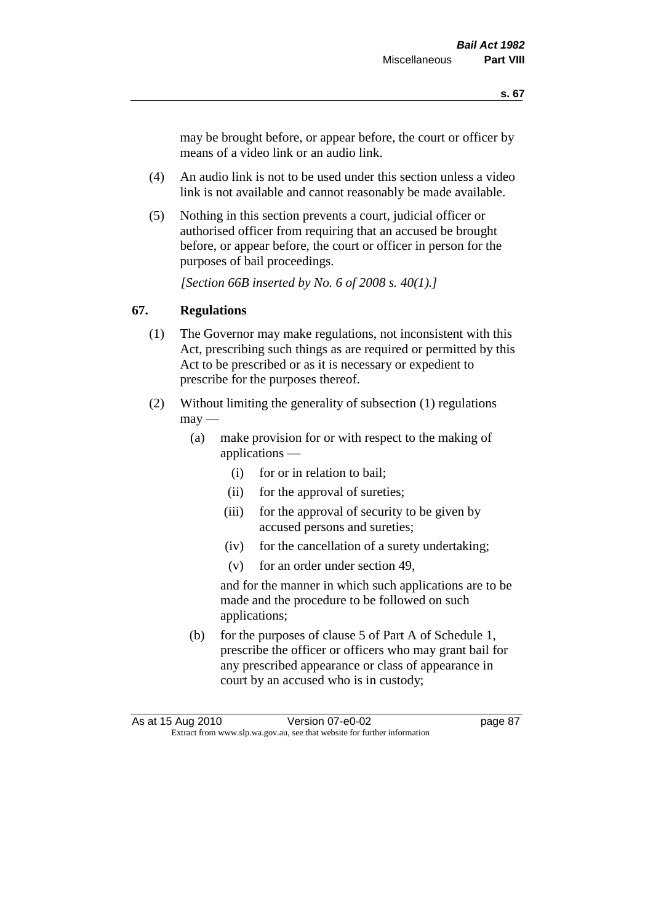may be brought before, or appear before, the court or officer by means of a video link or an audio link.

- (4) An audio link is not to be used under this section unless a video link is not available and cannot reasonably be made available.
- (5) Nothing in this section prevents a court, judicial officer or authorised officer from requiring that an accused be brought before, or appear before, the court or officer in person for the purposes of bail proceedings.

*[Section 66B inserted by No. 6 of 2008 s. 40(1).]*

# **67. Regulations**

- (1) The Governor may make regulations, not inconsistent with this Act, prescribing such things as are required or permitted by this Act to be prescribed or as it is necessary or expedient to prescribe for the purposes thereof.
- (2) Without limiting the generality of subsection (1) regulations  $\text{max}$  —
	- (a) make provision for or with respect to the making of applications —
		- (i) for or in relation to bail;
		- (ii) for the approval of sureties;
		- (iii) for the approval of security to be given by accused persons and sureties;
		- (iv) for the cancellation of a surety undertaking;
		- (v) for an order under section 49,

and for the manner in which such applications are to be made and the procedure to be followed on such applications;

(b) for the purposes of clause 5 of Part A of Schedule 1, prescribe the officer or officers who may grant bail for any prescribed appearance or class of appearance in court by an accused who is in custody;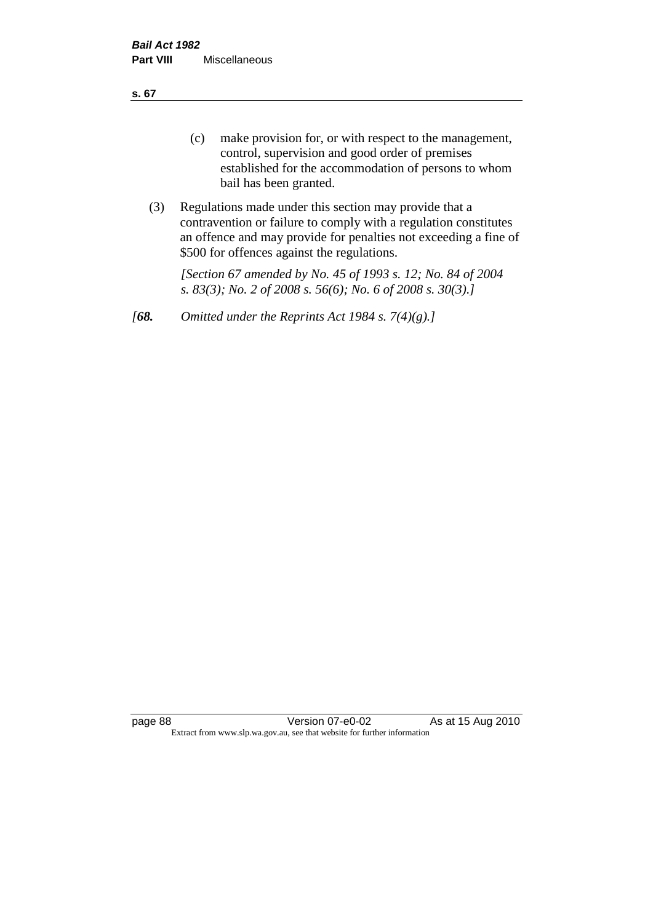**s. 67**

- (c) make provision for, or with respect to the management, control, supervision and good order of premises established for the accommodation of persons to whom bail has been granted.
- (3) Regulations made under this section may provide that a contravention or failure to comply with a regulation constitutes an offence and may provide for penalties not exceeding a fine of \$500 for offences against the regulations.

*[Section 67 amended by No. 45 of 1993 s. 12; No. 84 of 2004 s. 83(3); No. 2 of 2008 s. 56(6); No. 6 of 2008 s. 30(3).]* 

*[68. Omitted under the Reprints Act 1984 s. 7(4)(g).]*

page 88 Version 07-e0-02 As at 15 Aug 2010 Extract from www.slp.wa.gov.au, see that website for further information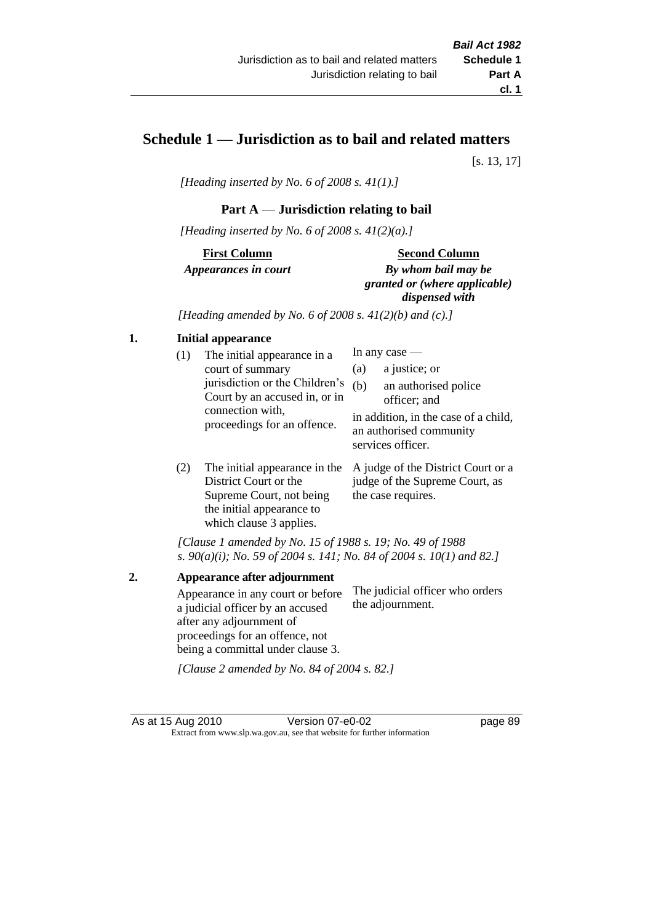# **Schedule 1 — Jurisdiction as to bail and related matters**

[s. 13, 17]

*[Heading inserted by No. 6 of 2008 s. 41(1).]*

# **Part A** — **Jurisdiction relating to bail**

*[Heading inserted by No. 6 of 2008 s. 41(2)(a).]*

**First Column** *Appearances in court* 

#### **Second Column**

*By whom bail may be granted or (where applicable) dispensed with*

*[Heading amended by No. 6 of 2008 s. 41(2)(b) and (c).]*

#### **1. Initial appearance**

| (1) | The initial appearance in a<br>court of summary<br>jurisdiction or the Children's | (a)<br>(b) | In any case $-$<br>a justice; or<br>an authorised police                                             |
|-----|-----------------------------------------------------------------------------------|------------|------------------------------------------------------------------------------------------------------|
|     | Court by an accused in, or in<br>connection with,<br>proceedings for an offence.  |            | officer; and<br>in addition, in the case of a child,<br>an authorised community<br>services officer. |
|     |                                                                                   |            |                                                                                                      |

(2) The initial appearance in the A judge of the District Court or a District Court or the Supreme Court, not being the initial appearance to which clause 3 applies. judge of the Supreme Court, as the case requires.

*[Clause 1 amended by No. 15 of 1988 s. 19; No. 49 of 1988 s. 90(a)(i); No. 59 of 2004 s. 141; No. 84 of 2004 s. 10(1) and 82.]*

**2. Appearance after adjournment** Appearance in any court or before a judicial officer by an accused after any adjournment of proceedings for an offence, not being a committal under clause 3. The judicial officer who orders the adjournment.

*[Clause 2 amended by No. 84 of 2004 s. 82.]*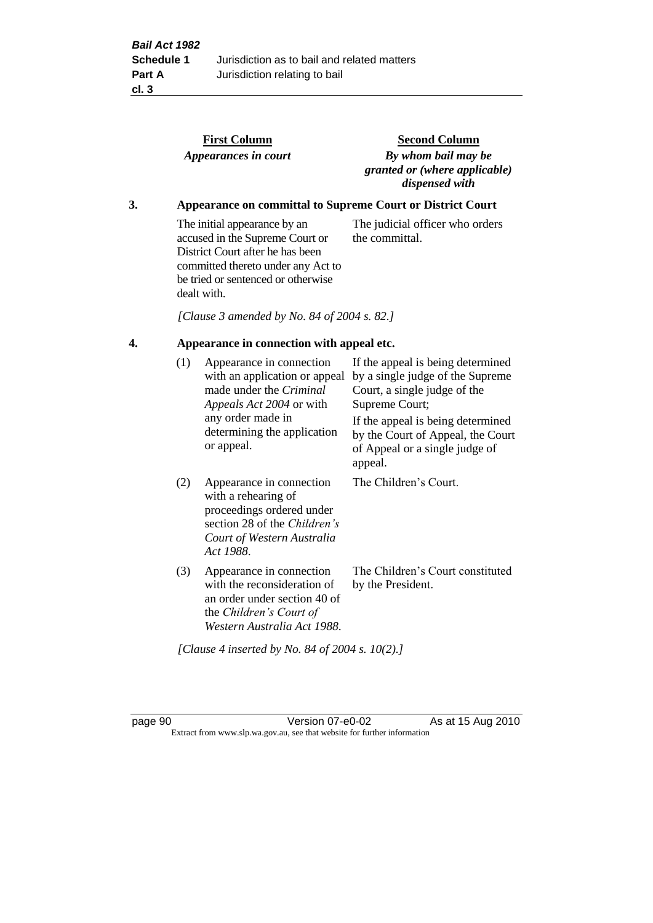|                                                 |     | <b>First Column</b><br>Appearances in court                                                                                                                                                    | <b>Second Column</b><br>By whom bail may be<br>granted or (where applicable)<br>dispensed with                                                               |
|-------------------------------------------------|-----|------------------------------------------------------------------------------------------------------------------------------------------------------------------------------------------------|--------------------------------------------------------------------------------------------------------------------------------------------------------------|
| 3.                                              |     |                                                                                                                                                                                                | Appearance on committal to Supreme Court or District Court                                                                                                   |
|                                                 |     | The initial appearance by an<br>accused in the Supreme Court or<br>District Court after he has been<br>committed thereto under any Act to<br>be tried or sentenced or otherwise<br>dealt with. | The judicial officer who orders<br>the committal.                                                                                                            |
|                                                 |     | [Clause 3 amended by No. 84 of 2004 s. 82.]                                                                                                                                                    |                                                                                                                                                              |
| 4.<br>Appearance in connection with appeal etc. |     |                                                                                                                                                                                                |                                                                                                                                                              |
|                                                 | (1) | Appearance in connection<br>with an application or appeal<br>made under the Criminal<br>Appeals Act 2004 or with<br>any order made in<br>determining the application                           | If the appeal is being determined<br>by a single judge of the Supreme<br>Court, a single judge of the<br>Supreme Court;<br>If the appeal is being determined |
|                                                 |     | or appeal.                                                                                                                                                                                     | by the Court of Appeal, the Court<br>of Appeal or a single judge of<br>appeal.                                                                               |
|                                                 | (2) | Appearance in connection<br>with a rehearing of<br>proceedings ordered under<br>section 28 of the Children's<br>Court of Western Australia<br>Act 1988.                                        | The Children's Court.                                                                                                                                        |
|                                                 | (3) | Appearance in connection<br>with the reconsideration of<br>an order under section 40 of<br>the Children's Court of<br>Western Australia Act 1988.                                              | The Children's Court constituted<br>by the President.                                                                                                        |

*[Clause 4 inserted by No. 84 of 2004 s. 10(2).]*

page 90 Version 07-e0-02 As at 15 Aug 2010 Extract from www.slp.wa.gov.au, see that website for further information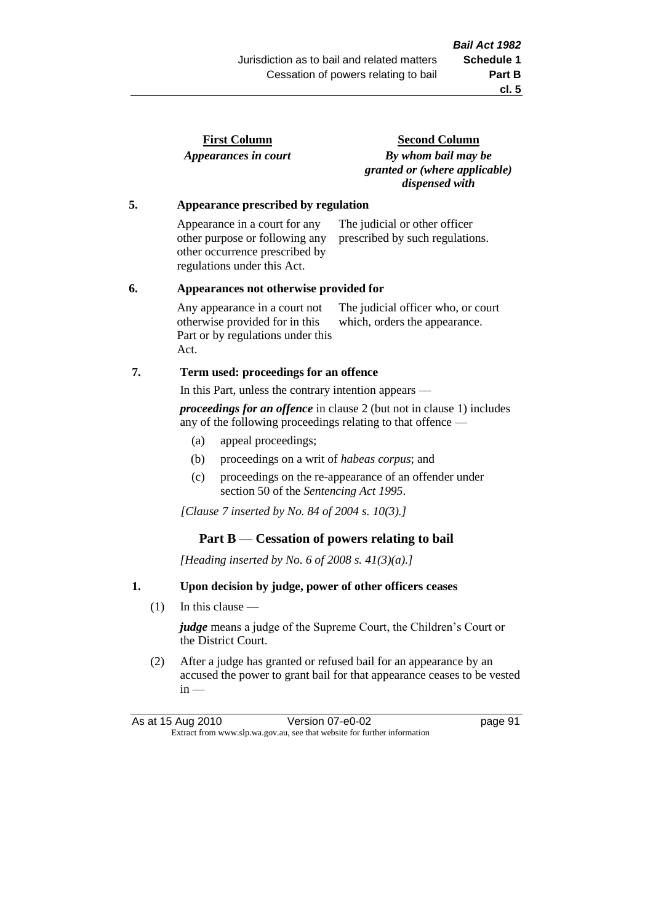| <b>First Column</b>  |  |
|----------------------|--|
| Appearances in court |  |

**Second Column** *By whom bail may be granted or (where applicable) dispensed with*

#### **5. Appearance prescribed by regulation**

Appearance in a court for any other purpose or following any other occurrence prescribed by regulations under this Act. The judicial or other officer prescribed by such regulations.

#### **6. Appearances not otherwise provided for**

Any appearance in a court not otherwise provided for in this Part or by regulations under this Act. The judicial officer who, or court which, orders the appearance.

#### **7. Term used: proceedings for an offence**

In this Part, unless the contrary intention appears —

*proceedings for an offence* in clause 2 (but not in clause 1) includes any of the following proceedings relating to that offence —

- (a) appeal proceedings;
- (b) proceedings on a writ of *habeas corpus*; and
- (c) proceedings on the re-appearance of an offender under section 50 of the *Sentencing Act 1995*.

*[Clause 7 inserted by No. 84 of 2004 s. 10(3).]*

#### **Part B** — **Cessation of powers relating to bail**

*[Heading inserted by No. 6 of 2008 s. 41(3)(a).]*

#### **1. Upon decision by judge, power of other officers ceases**

(1) In this clause —

*judge* means a judge of the Supreme Court, the Children's Court or the District Court.

(2) After a judge has granted or refused bail for an appearance by an accused the power to grant bail for that appearance ceases to be vested  $in -$ 

As at 15 Aug 2010 Version 07-e0-02 Page 91 Extract from www.slp.wa.gov.au, see that website for further information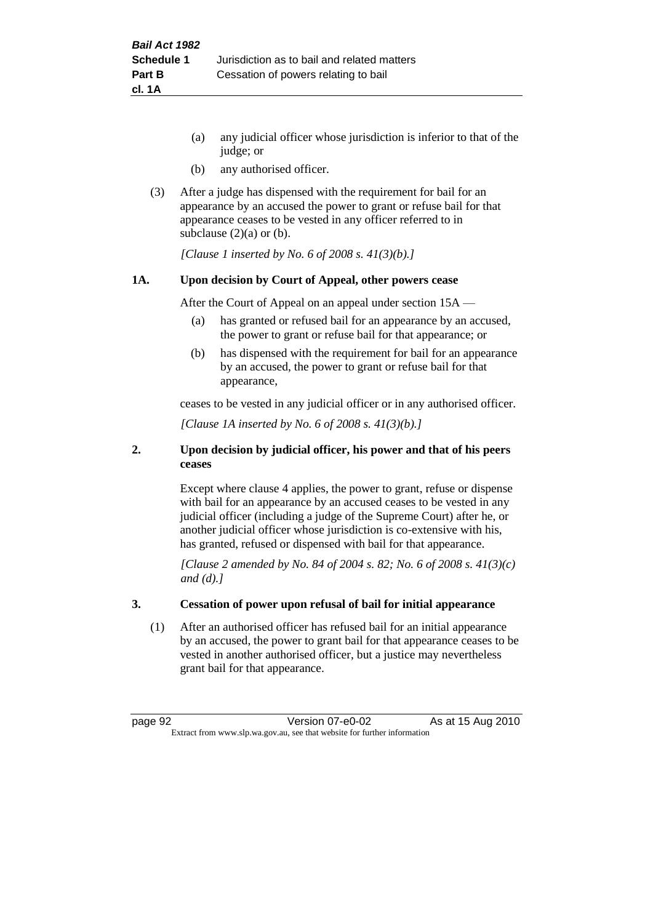- (a) any judicial officer whose jurisdiction is inferior to that of the judge; or
- (b) any authorised officer.
- (3) After a judge has dispensed with the requirement for bail for an appearance by an accused the power to grant or refuse bail for that appearance ceases to be vested in any officer referred to in subclause  $(2)(a)$  or  $(b)$ .

*[Clause 1 inserted by No. 6 of 2008 s. 41(3)(b).]*

#### **1A. Upon decision by Court of Appeal, other powers cease**

After the Court of Appeal on an appeal under section 15A —

- (a) has granted or refused bail for an appearance by an accused, the power to grant or refuse bail for that appearance; or
- (b) has dispensed with the requirement for bail for an appearance by an accused, the power to grant or refuse bail for that appearance,

ceases to be vested in any judicial officer or in any authorised officer.

*[Clause 1A inserted by No. 6 of 2008 s. 41(3)(b).]*

#### **2. Upon decision by judicial officer, his power and that of his peers ceases**

Except where clause 4 applies, the power to grant, refuse or dispense with bail for an appearance by an accused ceases to be vested in any judicial officer (including a judge of the Supreme Court) after he, or another judicial officer whose jurisdiction is co-extensive with his, has granted, refused or dispensed with bail for that appearance.

*[Clause 2 amended by No. 84 of 2004 s. 82; No. 6 of 2008 s. 41(3)(c) and (d).]*

#### **3. Cessation of power upon refusal of bail for initial appearance**

(1) After an authorised officer has refused bail for an initial appearance by an accused, the power to grant bail for that appearance ceases to be vested in another authorised officer, but a justice may nevertheless grant bail for that appearance.

page 92 Version 07-e0-02 As at 15 Aug 2010 Extract from www.slp.wa.gov.au, see that website for further information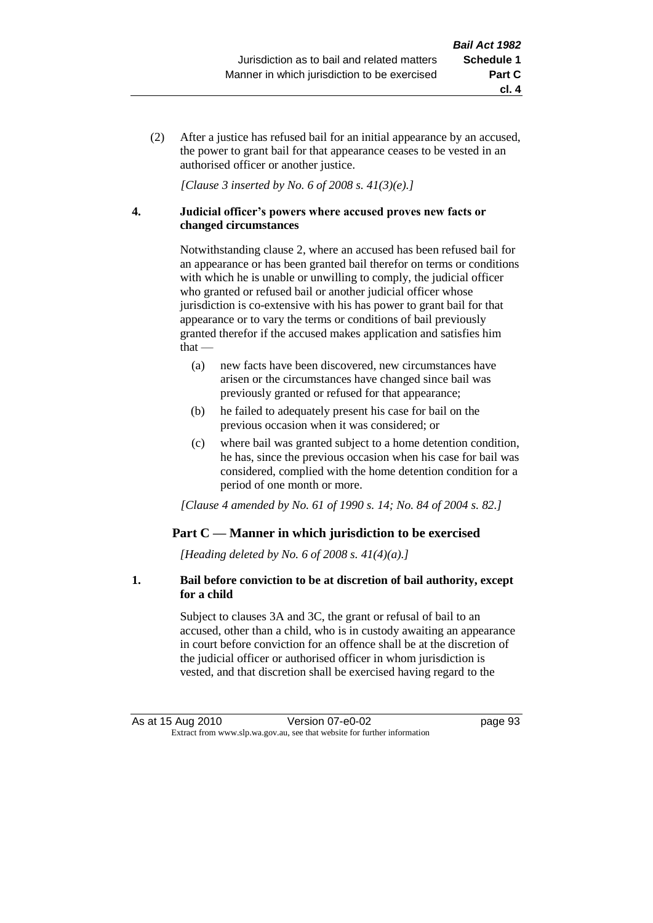**cl. 4**

(2) After a justice has refused bail for an initial appearance by an accused, the power to grant bail for that appearance ceases to be vested in an authorised officer or another justice.

*[Clause 3 inserted by No. 6 of 2008 s. 41(3)(e).]*

#### **4. Judicial officer's powers where accused proves new facts or changed circumstances**

Notwithstanding clause 2, where an accused has been refused bail for an appearance or has been granted bail therefor on terms or conditions with which he is unable or unwilling to comply, the judicial officer who granted or refused bail or another judicial officer whose jurisdiction is co-extensive with his has power to grant bail for that appearance or to vary the terms or conditions of bail previously granted therefor if the accused makes application and satisfies him  $that -$ 

- (a) new facts have been discovered, new circumstances have arisen or the circumstances have changed since bail was previously granted or refused for that appearance;
- (b) he failed to adequately present his case for bail on the previous occasion when it was considered; or
- (c) where bail was granted subject to a home detention condition, he has, since the previous occasion when his case for bail was considered, complied with the home detention condition for a period of one month or more.

*[Clause 4 amended by No. 61 of 1990 s. 14; No. 84 of 2004 s. 82.]*

# **Part C — Manner in which jurisdiction to be exercised**

*[Heading deleted by No. 6 of 2008 s. 41(4)(a).]*

#### **1. Bail before conviction to be at discretion of bail authority, except for a child**

Subject to clauses 3A and 3C, the grant or refusal of bail to an accused, other than a child, who is in custody awaiting an appearance in court before conviction for an offence shall be at the discretion of the judicial officer or authorised officer in whom jurisdiction is vested, and that discretion shall be exercised having regard to the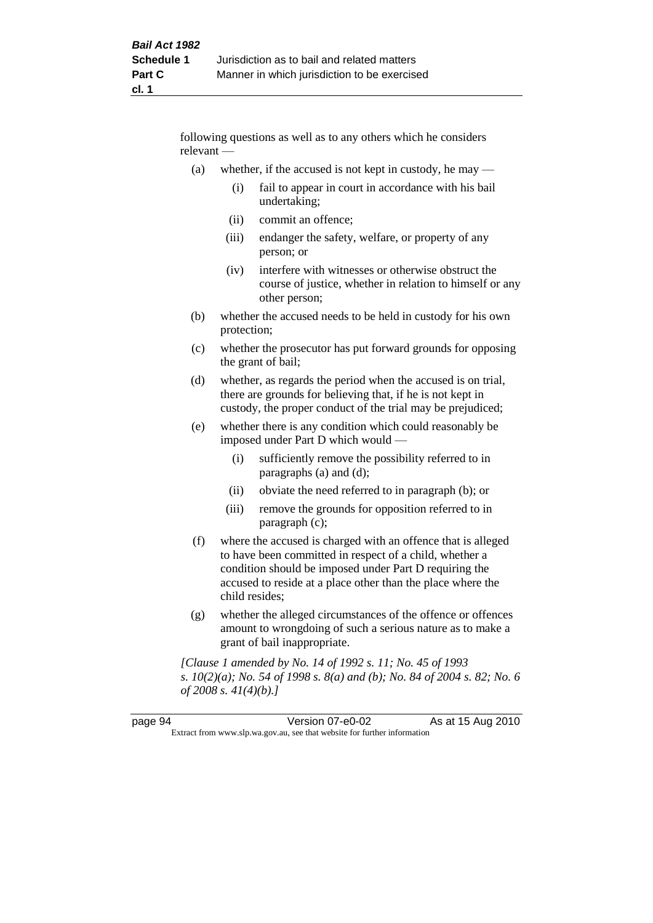following questions as well as to any others which he considers relevant —

- (a) whether, if the accused is not kept in custody, he may
	- (i) fail to appear in court in accordance with his bail undertaking;
	- (ii) commit an offence;
	- (iii) endanger the safety, welfare, or property of any person; or
	- (iv) interfere with witnesses or otherwise obstruct the course of justice, whether in relation to himself or any other person;
- (b) whether the accused needs to be held in custody for his own protection;
- (c) whether the prosecutor has put forward grounds for opposing the grant of bail;
- (d) whether, as regards the period when the accused is on trial, there are grounds for believing that, if he is not kept in custody, the proper conduct of the trial may be prejudiced;
- (e) whether there is any condition which could reasonably be imposed under Part D which would —
	- (i) sufficiently remove the possibility referred to in paragraphs (a) and (d);
	- (ii) obviate the need referred to in paragraph (b); or
	- (iii) remove the grounds for opposition referred to in paragraph (c);
- (f) where the accused is charged with an offence that is alleged to have been committed in respect of a child, whether a condition should be imposed under Part D requiring the accused to reside at a place other than the place where the child resides;
- (g) whether the alleged circumstances of the offence or offences amount to wrongdoing of such a serious nature as to make a grant of bail inappropriate.

*[Clause 1 amended by No. 14 of 1992 s. 11; No. 45 of 1993 s. 10(2)(a); No. 54 of 1998 s. 8(a) and (b); No. 84 of 2004 s. 82; No. 6 of 2008 s. 41(4)(b).]*

| page 94                                                                  | Version 07-e0-02 | As at 15 Aug 2010 |
|--------------------------------------------------------------------------|------------------|-------------------|
| Extract from www.slp.wa.gov.au, see that website for further information |                  |                   |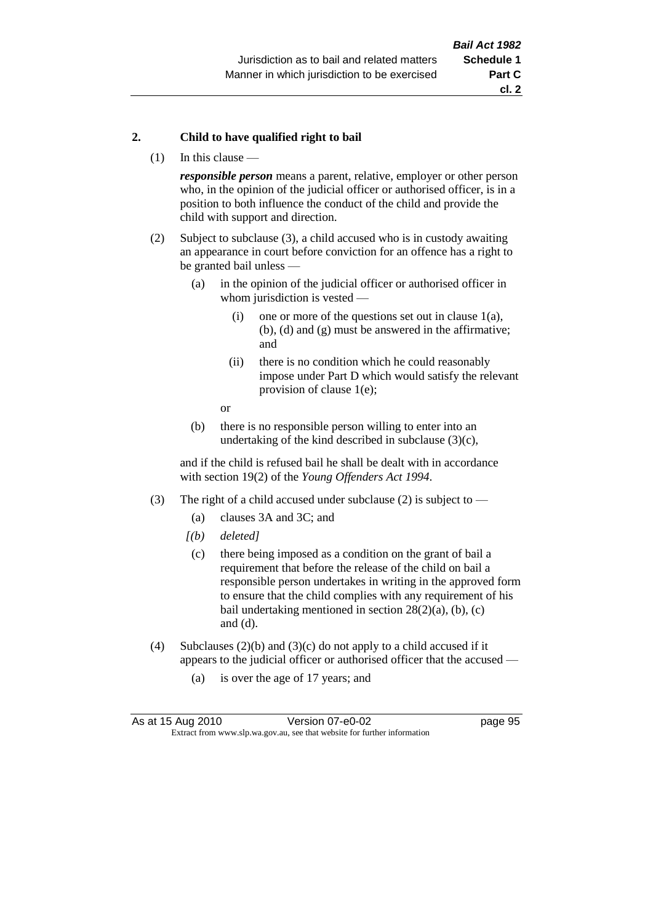#### **2. Child to have qualified right to bail**

(1) In this clause —

*responsible person* means a parent, relative, employer or other person who, in the opinion of the judicial officer or authorised officer, is in a position to both influence the conduct of the child and provide the child with support and direction.

- (2) Subject to subclause (3), a child accused who is in custody awaiting an appearance in court before conviction for an offence has a right to be granted bail unless —
	- (a) in the opinion of the judicial officer or authorised officer in whom jurisdiction is vested —
		- (i) one or more of the questions set out in clause  $1(a)$ , (b), (d) and (g) must be answered in the affirmative; and
		- (ii) there is no condition which he could reasonably impose under Part D which would satisfy the relevant provision of clause 1(e);
		- or
	- (b) there is no responsible person willing to enter into an undertaking of the kind described in subclause  $(3)(c)$ ,

and if the child is refused bail he shall be dealt with in accordance with section 19(2) of the *Young Offenders Act 1994*.

- (3) The right of a child accused under subclause (2) is subject to
	- (a) clauses 3A and 3C; and
	- *[(b) deleted]*
	- (c) there being imposed as a condition on the grant of bail a requirement that before the release of the child on bail a responsible person undertakes in writing in the approved form to ensure that the child complies with any requirement of his bail undertaking mentioned in section  $28(2)(a)$ , (b), (c) and (d).
- (4) Subclauses (2)(b) and (3)(c) do not apply to a child accused if it appears to the judicial officer or authorised officer that the accused —
	- (a) is over the age of 17 years; and

| As at 15 Aug 2010                                                        | Version 07-e0-02 | page 95 |
|--------------------------------------------------------------------------|------------------|---------|
| Extract from www.slp.wa.gov.au, see that website for further information |                  |         |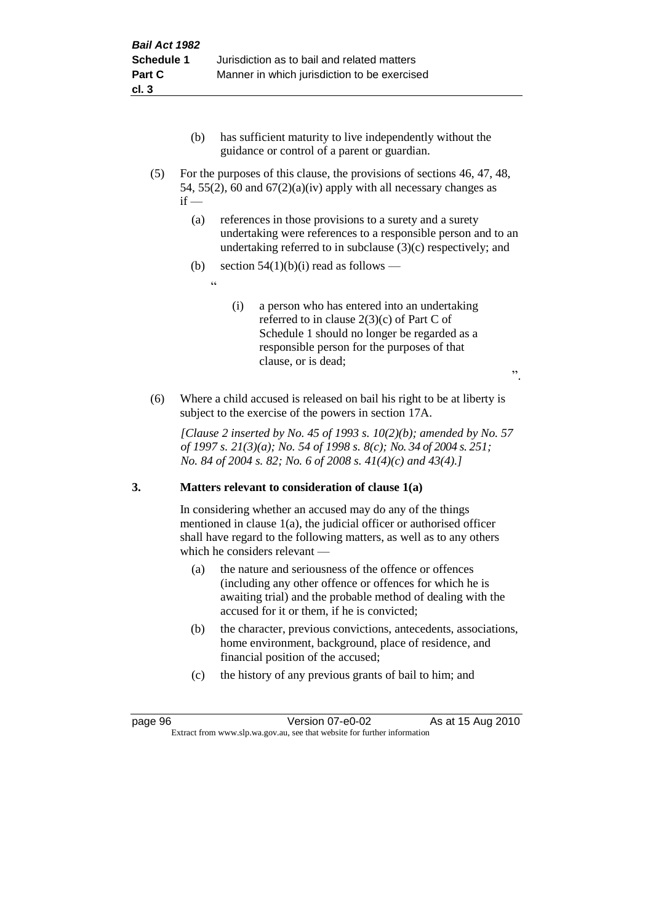- (b) has sufficient maturity to live independently without the guidance or control of a parent or guardian.
- (5) For the purposes of this clause, the provisions of sections 46, 47, 48, 54, 55(2), 60 and  $67(2)(a)(iv)$  apply with all necessary changes as  $if -$ 
	- (a) references in those provisions to a surety and a surety undertaking were references to a responsible person and to an undertaking referred to in subclause (3)(c) respectively; and
	- (b) section  $54(1)(b)(i)$  read as follows
		- <u>، د</u>
- (i) a person who has entered into an undertaking referred to in clause 2(3)(c) of Part C of Schedule 1 should no longer be regarded as a responsible person for the purposes of that clause, or is dead;

".

(6) Where a child accused is released on bail his right to be at liberty is subject to the exercise of the powers in section 17A.

*[Clause 2 inserted by No. 45 of 1993 s. 10(2)(b); amended by No. 57 of 1997 s. 21(3)(a); No. 54 of 1998 s. 8(c); No. 34 of 2004 s. 251; No. 84 of 2004 s. 82; No. 6 of 2008 s. 41(4)(c) and 43(4).]*

# **3. Matters relevant to consideration of clause 1(a)**

In considering whether an accused may do any of the things mentioned in clause 1(a), the judicial officer or authorised officer shall have regard to the following matters, as well as to any others which he considers relevant —

- (a) the nature and seriousness of the offence or offences (including any other offence or offences for which he is awaiting trial) and the probable method of dealing with the accused for it or them, if he is convicted;
- (b) the character, previous convictions, antecedents, associations, home environment, background, place of residence, and financial position of the accused;
- (c) the history of any previous grants of bail to him; and

page 96 Version 07-e0-02 As at 15 Aug 2010 Extract from www.slp.wa.gov.au, see that website for further information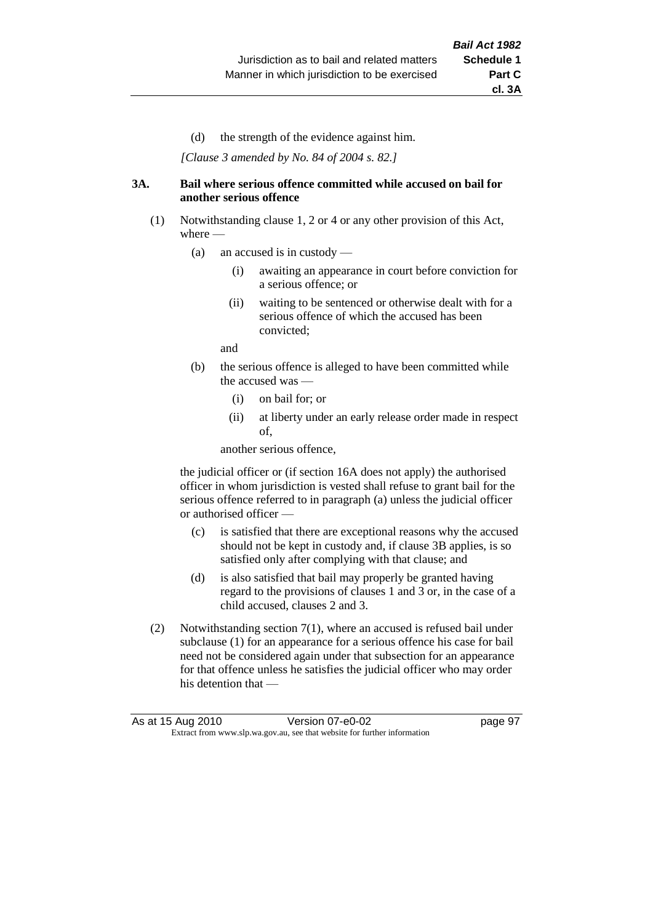(d) the strength of the evidence against him.

*[Clause 3 amended by No. 84 of 2004 s. 82.]*

#### **3A. Bail where serious offence committed while accused on bail for another serious offence**

- (1) Notwithstanding clause 1, 2 or 4 or any other provision of this Act, where —
	- (a) an accused is in custody
		- (i) awaiting an appearance in court before conviction for a serious offence; or
		- (ii) waiting to be sentenced or otherwise dealt with for a serious offence of which the accused has been convicted;

and

- (b) the serious offence is alleged to have been committed while the accused was
	- (i) on bail for; or
	- (ii) at liberty under an early release order made in respect of,

another serious offence,

the judicial officer or (if section 16A does not apply) the authorised officer in whom jurisdiction is vested shall refuse to grant bail for the serious offence referred to in paragraph (a) unless the judicial officer or authorised officer —

- (c) is satisfied that there are exceptional reasons why the accused should not be kept in custody and, if clause 3B applies, is so satisfied only after complying with that clause; and
- (d) is also satisfied that bail may properly be granted having regard to the provisions of clauses 1 and 3 or, in the case of a child accused, clauses 2 and 3.
- (2) Notwithstanding section 7(1), where an accused is refused bail under subclause (1) for an appearance for a serious offence his case for bail need not be considered again under that subsection for an appearance for that offence unless he satisfies the judicial officer who may order his detention that —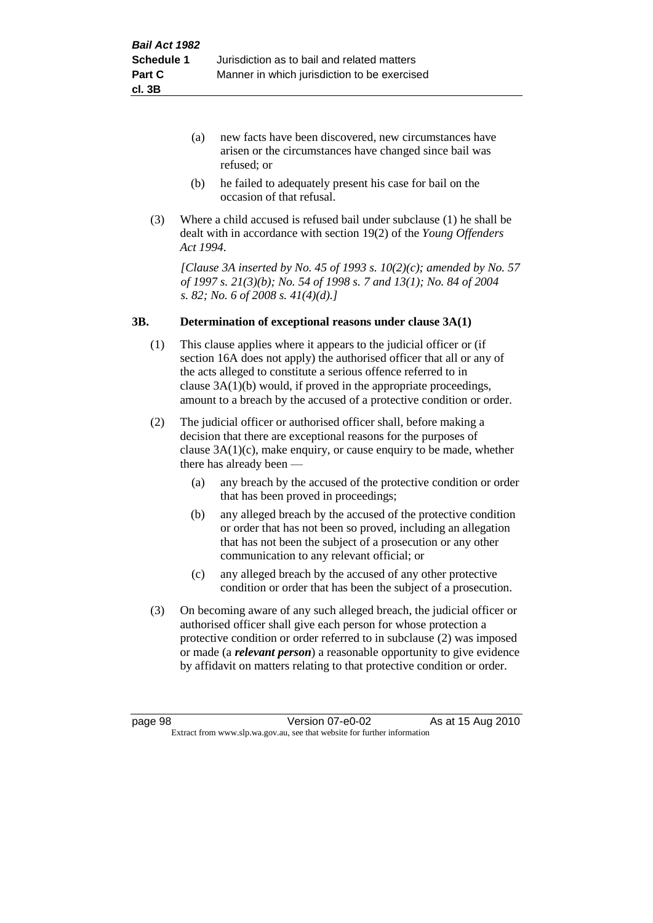- (a) new facts have been discovered, new circumstances have arisen or the circumstances have changed since bail was refused; or
- (b) he failed to adequately present his case for bail on the occasion of that refusal.
- (3) Where a child accused is refused bail under subclause (1) he shall be dealt with in accordance with section 19(2) of the *Young Offenders Act 1994*.

*[Clause 3A inserted by No. 45 of 1993 s. 10(2)(c); amended by No. 57 of 1997 s. 21(3)(b); No. 54 of 1998 s. 7 and 13(1); No. 84 of 2004 s. 82; No. 6 of 2008 s. 41(4)(d).]*

#### **3B. Determination of exceptional reasons under clause 3A(1)**

- (1) This clause applies where it appears to the judicial officer or (if section 16A does not apply) the authorised officer that all or any of the acts alleged to constitute a serious offence referred to in clause 3A(1)(b) would, if proved in the appropriate proceedings, amount to a breach by the accused of a protective condition or order.
- (2) The judicial officer or authorised officer shall, before making a decision that there are exceptional reasons for the purposes of clause  $3A(1)(c)$ , make enquiry, or cause enquiry to be made, whether there has already been —
	- (a) any breach by the accused of the protective condition or order that has been proved in proceedings;
	- (b) any alleged breach by the accused of the protective condition or order that has not been so proved, including an allegation that has not been the subject of a prosecution or any other communication to any relevant official; or
	- (c) any alleged breach by the accused of any other protective condition or order that has been the subject of a prosecution.
- (3) On becoming aware of any such alleged breach, the judicial officer or authorised officer shall give each person for whose protection a protective condition or order referred to in subclause (2) was imposed or made (a *relevant person*) a reasonable opportunity to give evidence by affidavit on matters relating to that protective condition or order.

page 98 Version 07-e0-02 As at 15 Aug 2010 Extract from www.slp.wa.gov.au, see that website for further information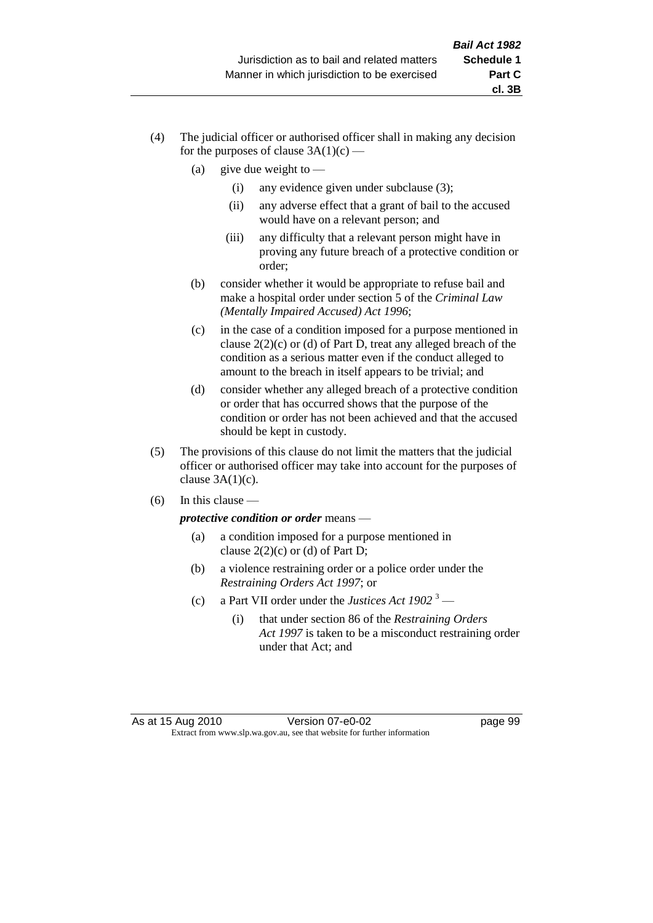- (4) The judicial officer or authorised officer shall in making any decision for the purposes of clause  $3A(1)(c)$  —
	- (a) give due weight to  $-$ 
		- (i) any evidence given under subclause (3);
		- (ii) any adverse effect that a grant of bail to the accused would have on a relevant person; and
		- (iii) any difficulty that a relevant person might have in proving any future breach of a protective condition or order;
	- (b) consider whether it would be appropriate to refuse bail and make a hospital order under section 5 of the *Criminal Law (Mentally Impaired Accused) Act 1996*;
	- (c) in the case of a condition imposed for a purpose mentioned in clause 2(2)(c) or (d) of Part D, treat any alleged breach of the condition as a serious matter even if the conduct alleged to amount to the breach in itself appears to be trivial; and
	- (d) consider whether any alleged breach of a protective condition or order that has occurred shows that the purpose of the condition or order has not been achieved and that the accused should be kept in custody.
- (5) The provisions of this clause do not limit the matters that the judicial officer or authorised officer may take into account for the purposes of clause  $3A(1)(c)$ .
- $(6)$  In this clause —

*protective condition or order* means —

- (a) a condition imposed for a purpose mentioned in clause  $2(2)(c)$  or (d) of Part D;
- (b) a violence restraining order or a police order under the *Restraining Orders Act 1997*; or
- (c) a Part VII order under the *Justices Act 1902* <sup>3</sup>
	- (i) that under section 86 of the *Restraining Orders Act 1997* is taken to be a misconduct restraining order under that Act; and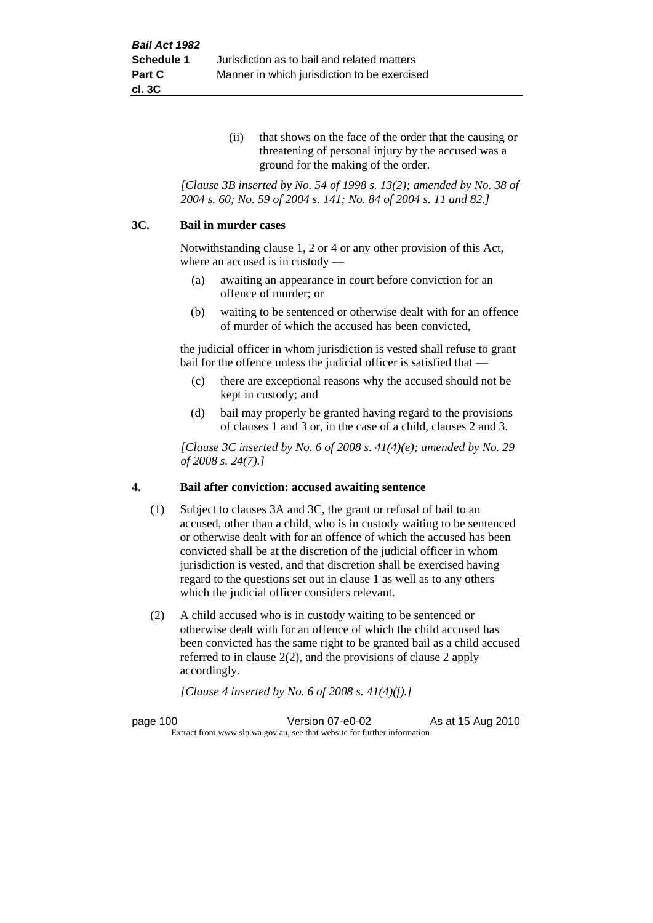(ii) that shows on the face of the order that the causing or threatening of personal injury by the accused was a ground for the making of the order.

*[Clause 3B inserted by No. 54 of 1998 s. 13(2); amended by No. 38 of 2004 s. 60; No. 59 of 2004 s. 141; No. 84 of 2004 s. 11 and 82.]*

#### **3C. Bail in murder cases**

Notwithstanding clause 1, 2 or 4 or any other provision of this Act, where an accused is in custody —

- (a) awaiting an appearance in court before conviction for an offence of murder; or
- (b) waiting to be sentenced or otherwise dealt with for an offence of murder of which the accused has been convicted,

the judicial officer in whom jurisdiction is vested shall refuse to grant bail for the offence unless the judicial officer is satisfied that —

- (c) there are exceptional reasons why the accused should not be kept in custody; and
- (d) bail may properly be granted having regard to the provisions of clauses 1 and 3 or, in the case of a child, clauses 2 and 3.

*[Clause 3C inserted by No. 6 of 2008 s. 41(4)(e); amended by No. 29 of 2008 s. 24(7).]*

#### **4. Bail after conviction: accused awaiting sentence**

- (1) Subject to clauses 3A and 3C, the grant or refusal of bail to an accused, other than a child, who is in custody waiting to be sentenced or otherwise dealt with for an offence of which the accused has been convicted shall be at the discretion of the judicial officer in whom jurisdiction is vested, and that discretion shall be exercised having regard to the questions set out in clause 1 as well as to any others which the judicial officer considers relevant.
- (2) A child accused who is in custody waiting to be sentenced or otherwise dealt with for an offence of which the child accused has been convicted has the same right to be granted bail as a child accused referred to in clause 2(2), and the provisions of clause 2 apply accordingly.

*[Clause 4 inserted by No. 6 of 2008 s. 41(4)(f).]*

page 100 Version 07-e0-02 As at 15 Aug 2010 Extract from www.slp.wa.gov.au, see that website for further information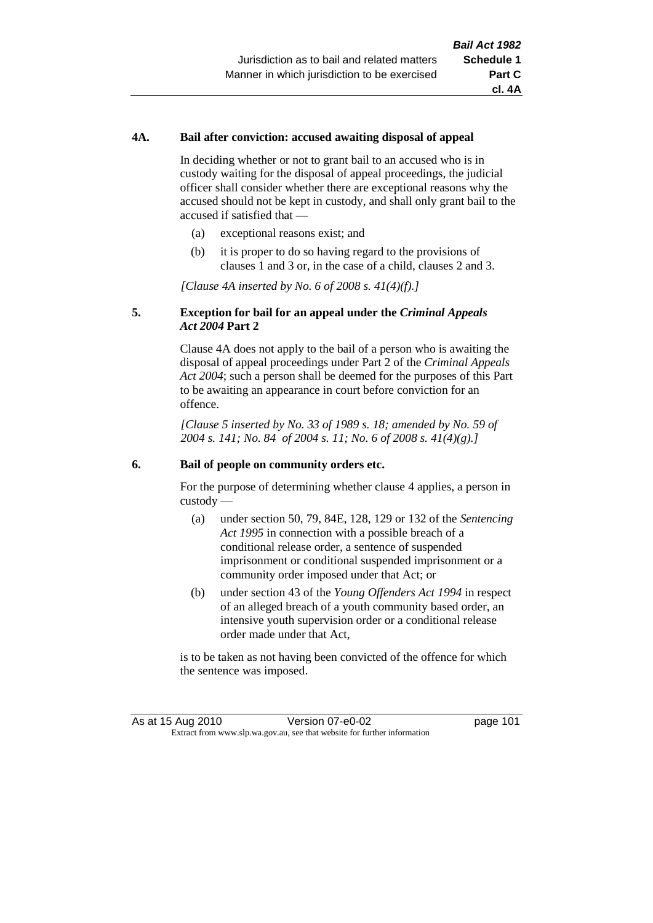# **4A. Bail after conviction: accused awaiting disposal of appeal**

In deciding whether or not to grant bail to an accused who is in custody waiting for the disposal of appeal proceedings, the judicial officer shall consider whether there are exceptional reasons why the accused should not be kept in custody, and shall only grant bail to the accused if satisfied that —

- (a) exceptional reasons exist; and
- (b) it is proper to do so having regard to the provisions of clauses 1 and 3 or, in the case of a child, clauses 2 and 3.

*[Clause 4A inserted by No. 6 of 2008 s. 41(4)(f).]*

## **5. Exception for bail for an appeal under the** *Criminal Appeals Act 2004* **Part 2**

Clause 4A does not apply to the bail of a person who is awaiting the disposal of appeal proceedings under Part 2 of the *Criminal Appeals Act 2004*; such a person shall be deemed for the purposes of this Part to be awaiting an appearance in court before conviction for an offence.

*[Clause 5 inserted by No. 33 of 1989 s. 18; amended by No. 59 of 2004 s. 141; No. 84 of 2004 s. 11; No. 6 of 2008 s. 41(4)(g).]*

#### **6. Bail of people on community orders etc.**

For the purpose of determining whether clause 4 applies, a person in custody —

- (a) under section 50, 79, 84E, 128, 129 or 132 of the *Sentencing Act 1995* in connection with a possible breach of a conditional release order, a sentence of suspended imprisonment or conditional suspended imprisonment or a community order imposed under that Act; or
- (b) under section 43 of the *Young Offenders Act 1994* in respect of an alleged breach of a youth community based order, an intensive youth supervision order or a conditional release order made under that Act,

is to be taken as not having been convicted of the offence for which the sentence was imposed.

As at 15 Aug 2010 Version 07-e0-02 Page 101 Extract from www.slp.wa.gov.au, see that website for further information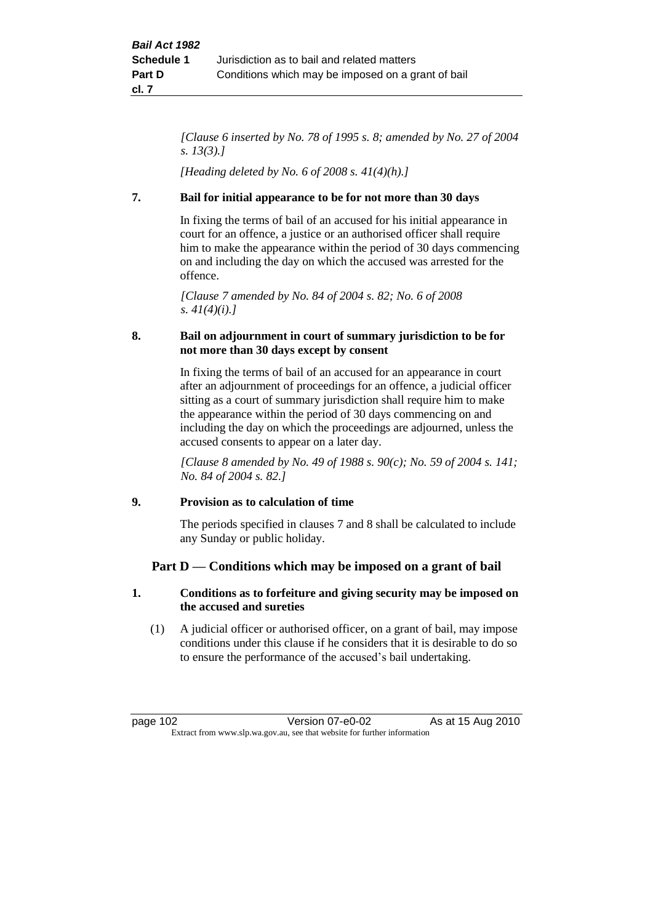*[Clause 6 inserted by No. 78 of 1995 s. 8; amended by No. 27 of 2004 s. 13(3).]*

*[Heading deleted by No. 6 of 2008 s. 41(4)(h).]*

# **7. Bail for initial appearance to be for not more than 30 days**

In fixing the terms of bail of an accused for his initial appearance in court for an offence, a justice or an authorised officer shall require him to make the appearance within the period of 30 days commencing on and including the day on which the accused was arrested for the offence.

*[Clause 7 amended by No. 84 of 2004 s. 82; No. 6 of 2008 s. 41(4)(i).]*

# **8. Bail on adjournment in court of summary jurisdiction to be for not more than 30 days except by consent**

In fixing the terms of bail of an accused for an appearance in court after an adjournment of proceedings for an offence, a judicial officer sitting as a court of summary jurisdiction shall require him to make the appearance within the period of 30 days commencing on and including the day on which the proceedings are adjourned, unless the accused consents to appear on a later day.

*[Clause 8 amended by No. 49 of 1988 s. 90(c); No. 59 of 2004 s. 141; No. 84 of 2004 s. 82.]*

# **9. Provision as to calculation of time**

The periods specified in clauses 7 and 8 shall be calculated to include any Sunday or public holiday.

# **Part D — Conditions which may be imposed on a grant of bail**

# **1. Conditions as to forfeiture and giving security may be imposed on the accused and sureties**

(1) A judicial officer or authorised officer, on a grant of bail, may impose conditions under this clause if he considers that it is desirable to do so to ensure the performance of the accused's bail undertaking.

page 102 Version 07-e0-02 As at 15 Aug 2010 Extract from www.slp.wa.gov.au, see that website for further information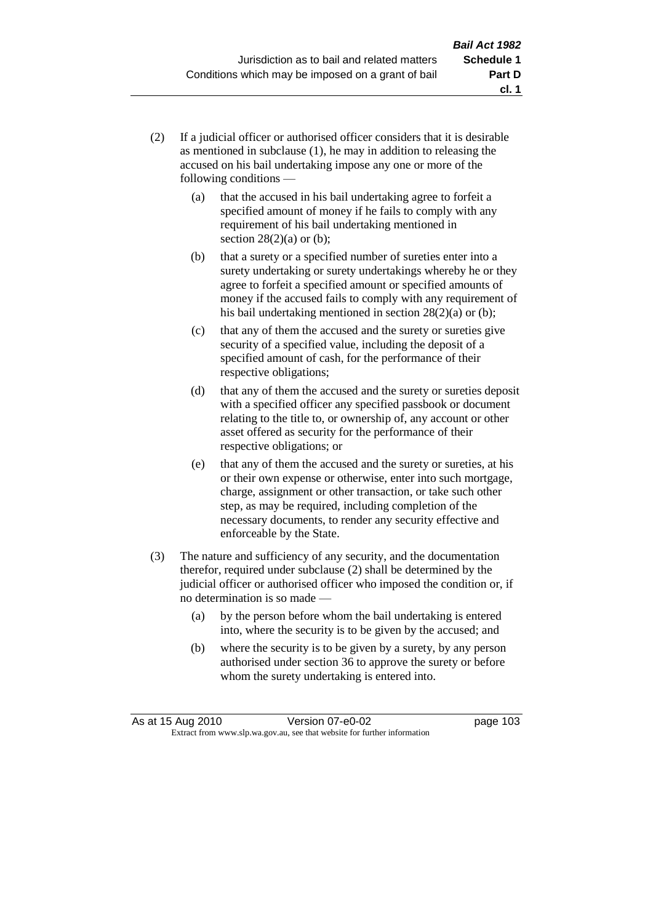- (2) If a judicial officer or authorised officer considers that it is desirable as mentioned in subclause (1), he may in addition to releasing the accused on his bail undertaking impose any one or more of the following conditions —
	- (a) that the accused in his bail undertaking agree to forfeit a specified amount of money if he fails to comply with any requirement of his bail undertaking mentioned in section  $28(2)(a)$  or (b);
	- (b) that a surety or a specified number of sureties enter into a surety undertaking or surety undertakings whereby he or they agree to forfeit a specified amount or specified amounts of money if the accused fails to comply with any requirement of his bail undertaking mentioned in section 28(2)(a) or (b);
	- (c) that any of them the accused and the surety or sureties give security of a specified value, including the deposit of a specified amount of cash, for the performance of their respective obligations;
	- (d) that any of them the accused and the surety or sureties deposit with a specified officer any specified passbook or document relating to the title to, or ownership of, any account or other asset offered as security for the performance of their respective obligations; or
	- (e) that any of them the accused and the surety or sureties, at his or their own expense or otherwise, enter into such mortgage, charge, assignment or other transaction, or take such other step, as may be required, including completion of the necessary documents, to render any security effective and enforceable by the State.
- (3) The nature and sufficiency of any security, and the documentation therefor, required under subclause (2) shall be determined by the judicial officer or authorised officer who imposed the condition or, if no determination is so made —
	- (a) by the person before whom the bail undertaking is entered into, where the security is to be given by the accused; and
	- (b) where the security is to be given by a surety, by any person authorised under section 36 to approve the surety or before whom the surety undertaking is entered into.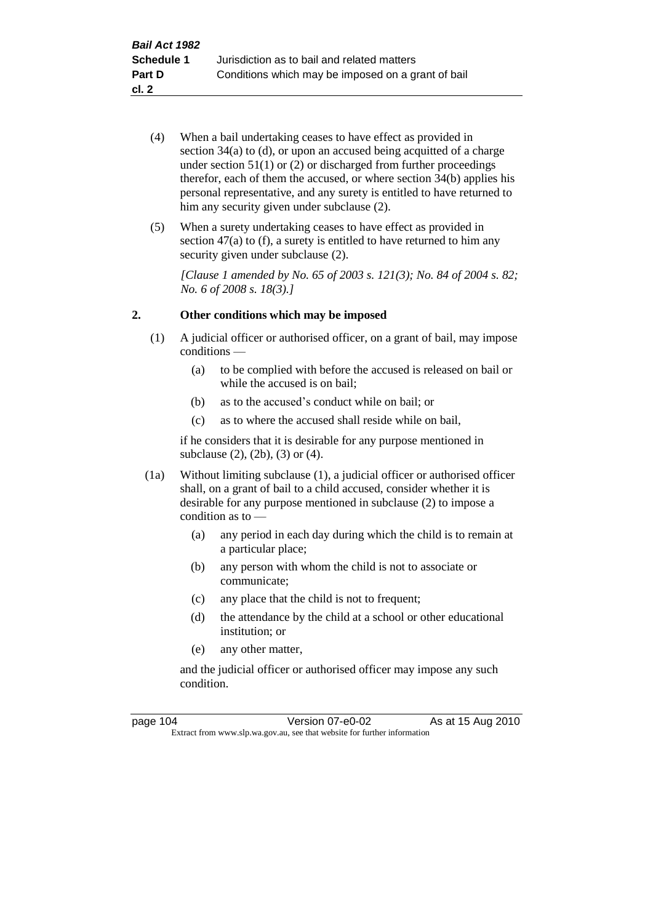- (4) When a bail undertaking ceases to have effect as provided in section 34(a) to (d), or upon an accused being acquitted of a charge under section  $51(1)$  or  $(2)$  or discharged from further proceedings therefor, each of them the accused, or where section  $34(b)$  applies his personal representative, and any surety is entitled to have returned to him any security given under subclause  $(2)$ .
- (5) When a surety undertaking ceases to have effect as provided in section 47(a) to (f), a surety is entitled to have returned to him any security given under subclause  $(2)$ .

*[Clause 1 amended by No. 65 of 2003 s. 121(3); No. 84 of 2004 s. 82; No. 6 of 2008 s. 18(3).]*

## **2. Other conditions which may be imposed**

- (1) A judicial officer or authorised officer, on a grant of bail, may impose conditions —
	- (a) to be complied with before the accused is released on bail or while the accused is on bail;
	- (b) as to the accused's conduct while on bail; or
	- (c) as to where the accused shall reside while on bail,

if he considers that it is desirable for any purpose mentioned in subclause (2), (2b), (3) or (4).

- (1a) Without limiting subclause (1), a judicial officer or authorised officer shall, on a grant of bail to a child accused, consider whether it is desirable for any purpose mentioned in subclause (2) to impose a condition as to —
	- (a) any period in each day during which the child is to remain at a particular place;
	- (b) any person with whom the child is not to associate or communicate;
	- (c) any place that the child is not to frequent;
	- (d) the attendance by the child at a school or other educational institution; or
	- (e) any other matter,

and the judicial officer or authorised officer may impose any such condition.

| page 104 | Version 07-e0-02                                                         | As at 15 Aug 2010 |
|----------|--------------------------------------------------------------------------|-------------------|
|          | Extract from www.slp.wa.gov.au, see that website for further information |                   |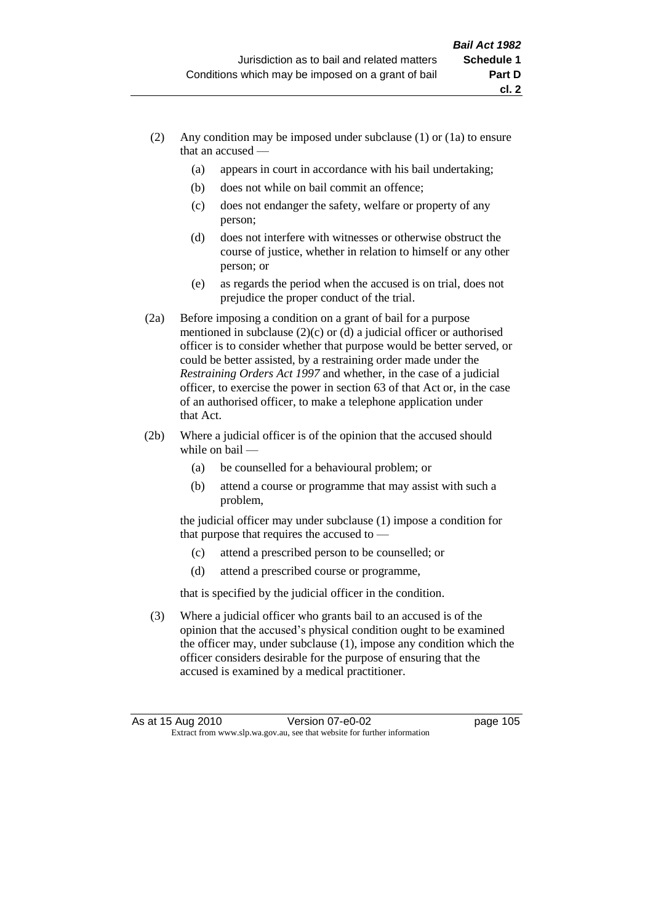- (2) Any condition may be imposed under subclause (1) or (1a) to ensure that an accused —
	- (a) appears in court in accordance with his bail undertaking;
	- (b) does not while on bail commit an offence;
	- (c) does not endanger the safety, welfare or property of any person;
	- (d) does not interfere with witnesses or otherwise obstruct the course of justice, whether in relation to himself or any other person; or
	- (e) as regards the period when the accused is on trial, does not prejudice the proper conduct of the trial.
- (2a) Before imposing a condition on a grant of bail for a purpose mentioned in subclause (2)(c) or (d) a judicial officer or authorised officer is to consider whether that purpose would be better served, or could be better assisted, by a restraining order made under the *Restraining Orders Act 1997* and whether, in the case of a judicial officer, to exercise the power in section 63 of that Act or, in the case of an authorised officer, to make a telephone application under that Act.
- (2b) Where a judicial officer is of the opinion that the accused should while on bail —
	- (a) be counselled for a behavioural problem; or
	- (b) attend a course or programme that may assist with such a problem,

the judicial officer may under subclause (1) impose a condition for that purpose that requires the accused to —

- (c) attend a prescribed person to be counselled; or
- (d) attend a prescribed course or programme,

that is specified by the judicial officer in the condition.

(3) Where a judicial officer who grants bail to an accused is of the opinion that the accused's physical condition ought to be examined the officer may, under subclause (1), impose any condition which the officer considers desirable for the purpose of ensuring that the accused is examined by a medical practitioner.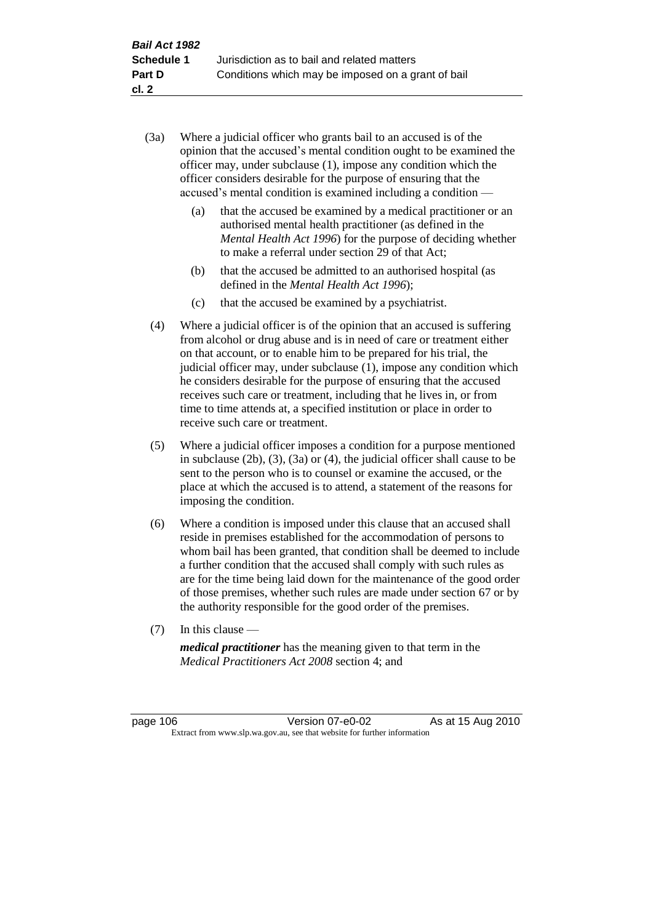- (3a) Where a judicial officer who grants bail to an accused is of the opinion that the accused's mental condition ought to be examined the officer may, under subclause (1), impose any condition which the officer considers desirable for the purpose of ensuring that the accused's mental condition is examined including a condition —
	- (a) that the accused be examined by a medical practitioner or an authorised mental health practitioner (as defined in the *Mental Health Act 1996*) for the purpose of deciding whether to make a referral under section 29 of that Act;
	- (b) that the accused be admitted to an authorised hospital (as defined in the *Mental Health Act 1996*);
	- (c) that the accused be examined by a psychiatrist.
- (4) Where a judicial officer is of the opinion that an accused is suffering from alcohol or drug abuse and is in need of care or treatment either on that account, or to enable him to be prepared for his trial, the judicial officer may, under subclause (1), impose any condition which he considers desirable for the purpose of ensuring that the accused receives such care or treatment, including that he lives in, or from time to time attends at, a specified institution or place in order to receive such care or treatment.
- (5) Where a judicial officer imposes a condition for a purpose mentioned in subclause (2b), (3), (3a) or (4), the judicial officer shall cause to be sent to the person who is to counsel or examine the accused, or the place at which the accused is to attend, a statement of the reasons for imposing the condition.
- (6) Where a condition is imposed under this clause that an accused shall reside in premises established for the accommodation of persons to whom bail has been granted, that condition shall be deemed to include a further condition that the accused shall comply with such rules as are for the time being laid down for the maintenance of the good order of those premises, whether such rules are made under section 67 or by the authority responsible for the good order of the premises.
- (7) In this clause —

*medical practitioner* has the meaning given to that term in the *Medical Practitioners Act 2008* section 4; and

page 106 **Version 07-e0-02** As at 15 Aug 2010 Extract from www.slp.wa.gov.au, see that website for further information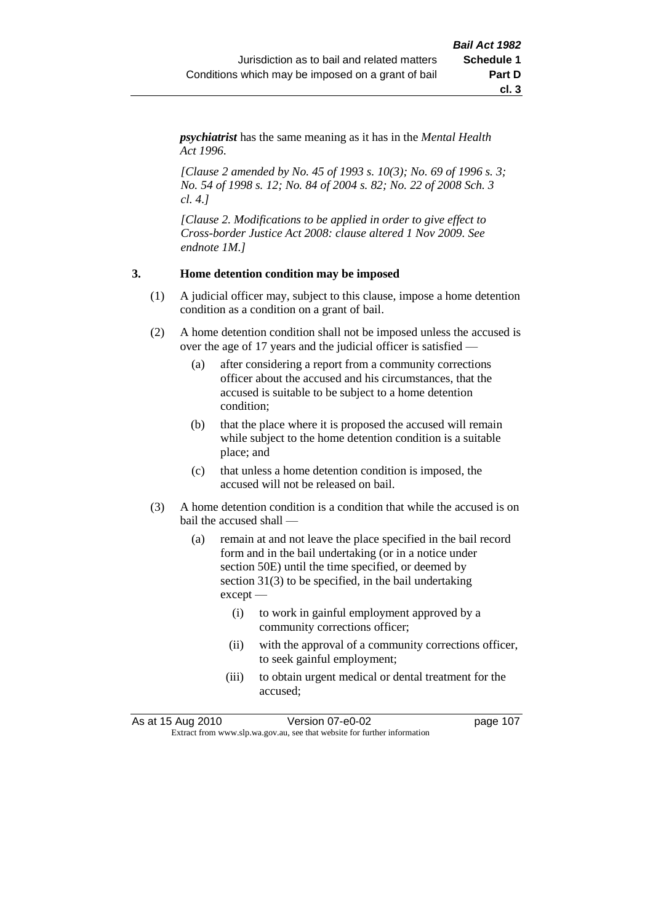*psychiatrist* has the same meaning as it has in the *Mental Health Act 1996*.

*[Clause 2 amended by No. 45 of 1993 s. 10(3); No. 69 of 1996 s. 3; No. 54 of 1998 s. 12; No. 84 of 2004 s. 82; No. 22 of 2008 Sch. 3 cl. 4.]*

*[Clause 2. Modifications to be applied in order to give effect to Cross-border Justice Act 2008: clause altered 1 Nov 2009. See endnote 1M.]*

## **3. Home detention condition may be imposed**

- (1) A judicial officer may, subject to this clause, impose a home detention condition as a condition on a grant of bail.
- (2) A home detention condition shall not be imposed unless the accused is over the age of 17 years and the judicial officer is satisfied —
	- (a) after considering a report from a community corrections officer about the accused and his circumstances, that the accused is suitable to be subject to a home detention condition;
	- (b) that the place where it is proposed the accused will remain while subject to the home detention condition is a suitable place; and
	- (c) that unless a home detention condition is imposed, the accused will not be released on bail.
- (3) A home detention condition is a condition that while the accused is on bail the accused shall —
	- (a) remain at and not leave the place specified in the bail record form and in the bail undertaking (or in a notice under section 50E) until the time specified, or deemed by section 31(3) to be specified, in the bail undertaking except —
		- (i) to work in gainful employment approved by a community corrections officer;
		- (ii) with the approval of a community corrections officer, to seek gainful employment;
		- (iii) to obtain urgent medical or dental treatment for the accused;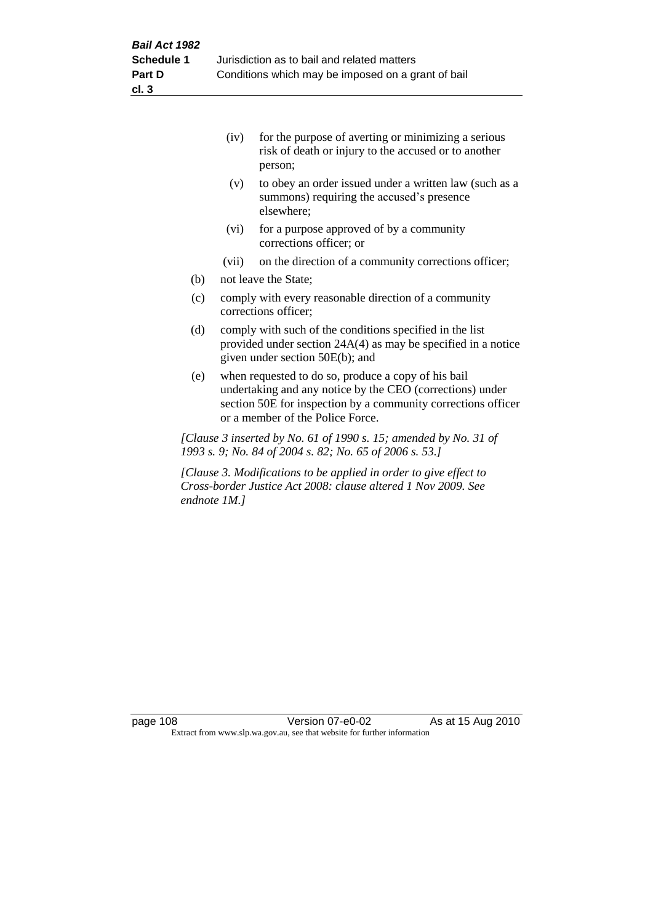|     | (iv)              | for the purpose of averting or minimizing a serious<br>risk of death or injury to the accused or to another<br>person; |
|-----|-------------------|------------------------------------------------------------------------------------------------------------------------|
|     | (v)               | to obey an order issued under a written law (such as a<br>summons) requiring the accused's presence<br>elsewhere:      |
|     | (v <sub>i</sub> ) | for a purpose approved of by a community<br>corrections officer; or                                                    |
|     | (vii)             | on the direction of a community corrections officer;                                                                   |
| (b) |                   | not leave the State;                                                                                                   |

- (c) comply with every reasonable direction of a community corrections officer;
- (d) comply with such of the conditions specified in the list provided under section 24A(4) as may be specified in a notice given under section 50E(b); and
- (e) when requested to do so, produce a copy of his bail undertaking and any notice by the CEO (corrections) under section 50E for inspection by a community corrections officer or a member of the Police Force.

*[Clause 3 inserted by No. 61 of 1990 s. 15; amended by No. 31 of 1993 s. 9; No. 84 of 2004 s. 82; No. 65 of 2006 s. 53.]*

*[Clause 3. Modifications to be applied in order to give effect to Cross-border Justice Act 2008: clause altered 1 Nov 2009. See endnote 1M.]*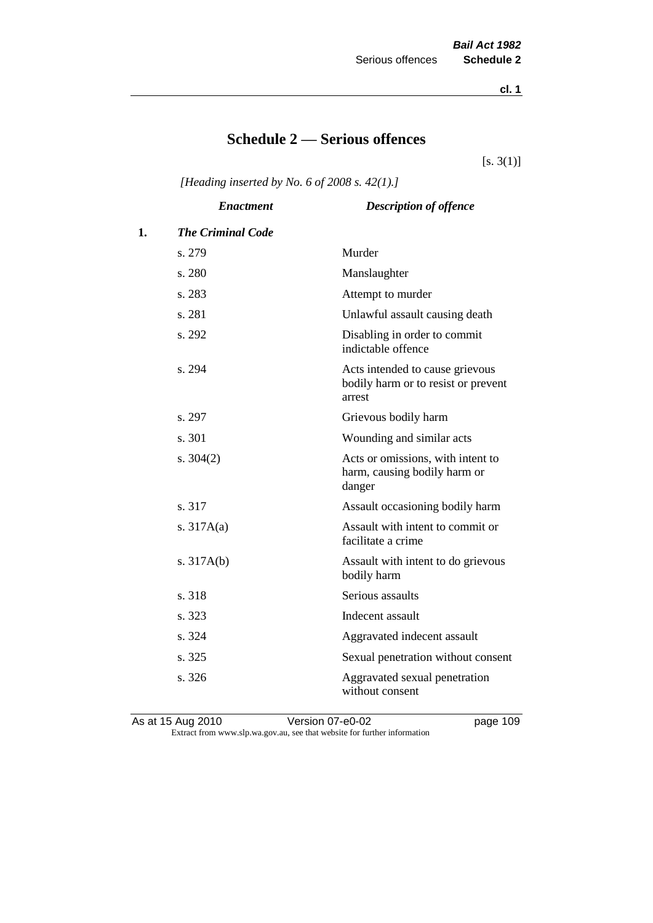**cl. 1**

# **Schedule 2 — Serious offences**

 $[s. 3(1)]$ 

*[Heading inserted by No. 6 of 2008 s. 42(1).]*

|    | <b>Enactment</b>         | <b>Description of offence</b>                                                    |
|----|--------------------------|----------------------------------------------------------------------------------|
| 1. | <b>The Criminal Code</b> |                                                                                  |
|    | s. 279                   | Murder                                                                           |
|    | s. 280                   | Manslaughter                                                                     |
|    | s. 283                   | Attempt to murder                                                                |
|    | s. 281                   | Unlawful assault causing death                                                   |
|    | s. 292                   | Disabling in order to commit<br>indictable offence                               |
|    | s. 294                   | Acts intended to cause grievous<br>bodily harm or to resist or prevent<br>arrest |
|    | s. 297                   | Grievous bodily harm                                                             |
|    | s. 301                   | Wounding and similar acts                                                        |
|    | s. $304(2)$              | Acts or omissions, with intent to<br>harm, causing bodily harm or<br>danger      |
|    | s. 317                   | Assault occasioning bodily harm                                                  |
|    | s. $317A(a)$             | Assault with intent to commit or<br>facilitate a crime                           |
|    | s. $317A(b)$             | Assault with intent to do grievous<br>bodily harm                                |
|    | s. 318                   | Serious assaults                                                                 |
|    | s. 323                   | Indecent assault                                                                 |
|    | s. 324                   | Aggravated indecent assault                                                      |
|    | s. 325                   | Sexual penetration without consent                                               |
|    | s. 326                   | Aggravated sexual penetration<br>without consent                                 |
|    |                          |                                                                                  |

As at 15 Aug 2010 **Version 07-e0-02 page 109 page 109** Extract from www.slp.wa.gov.au, see that website for further information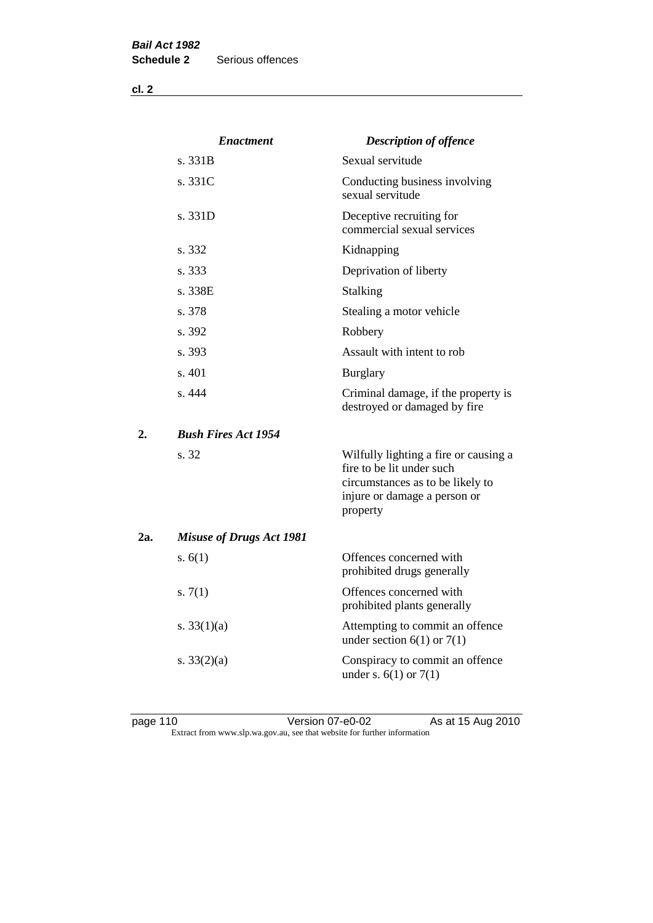**cl. 2**

|     | <b>Enactment</b>                | <b>Description of offence</b>                                                                                                                      |
|-----|---------------------------------|----------------------------------------------------------------------------------------------------------------------------------------------------|
|     | s. 331B                         | Sexual servitude                                                                                                                                   |
|     | s. 331C                         | Conducting business involving<br>sexual servitude                                                                                                  |
|     | s. 331D                         | Deceptive recruiting for<br>commercial sexual services                                                                                             |
|     | s. 332                          | Kidnapping                                                                                                                                         |
|     | s. 333                          | Deprivation of liberty                                                                                                                             |
|     | s. 338E                         | Stalking                                                                                                                                           |
|     | s. 378                          | Stealing a motor vehicle                                                                                                                           |
|     | s. 392                          | Robbery                                                                                                                                            |
|     | s. 393                          | Assault with intent to rob                                                                                                                         |
|     | s. 401                          | <b>Burglary</b>                                                                                                                                    |
|     | s.444                           | Criminal damage, if the property is<br>destroyed or damaged by fire                                                                                |
| 2.  | <b>Bush Fires Act 1954</b>      |                                                                                                                                                    |
|     | s. 32                           | Wilfully lighting a fire or causing a<br>fire to be lit under such<br>circumstances as to be likely to<br>injure or damage a person or<br>property |
| 2a. | <b>Misuse of Drugs Act 1981</b> |                                                                                                                                                    |
|     | s. $6(1)$                       | Offences concerned with<br>prohibited drugs generally                                                                                              |
|     | s. $7(1)$                       | Offences concerned with<br>prohibited plants generally                                                                                             |
|     | s. $33(1)(a)$                   | Attempting to commit an offence<br>under section $6(1)$ or $7(1)$                                                                                  |
|     | s. $33(2)(a)$                   | Conspiracy to commit an offence<br>under s. $6(1)$ or $7(1)$                                                                                       |

page 110 **Denotive Stratege 110** Version 07-e0-02 As at 15 Aug 2010 Extract from www.slp.wa.gov.au, see that website for further information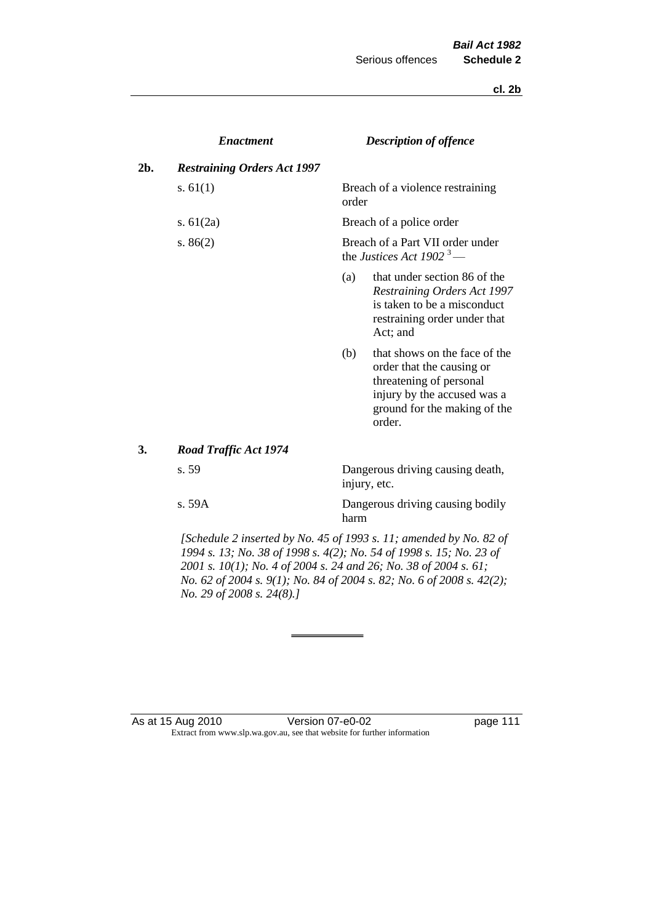**cl. 2b**

|     | <b>Enactment</b>                   | <b>Description of offence</b>                                            |                                                                                                                                                                |  |
|-----|------------------------------------|--------------------------------------------------------------------------|----------------------------------------------------------------------------------------------------------------------------------------------------------------|--|
| 2b. | <b>Restraining Orders Act 1997</b> |                                                                          |                                                                                                                                                                |  |
|     | s. $61(1)$                         | order                                                                    | Breach of a violence restraining                                                                                                                               |  |
|     | s. $61(2a)$                        |                                                                          | Breach of a police order                                                                                                                                       |  |
|     | s. $86(2)$                         | Breach of a Part VII order under<br>the Justices Act 1902 <sup>3</sup> — |                                                                                                                                                                |  |
|     |                                    | (a)                                                                      | that under section 86 of the<br><b>Restraining Orders Act 1997</b><br>is taken to be a misconduct<br>restraining order under that<br>Act; and                  |  |
|     |                                    | (b)                                                                      | that shows on the face of the<br>order that the causing or<br>threatening of personal<br>injury by the accused was a<br>ground for the making of the<br>order. |  |
| 3.  | <b>Road Traffic Act 1974</b>       |                                                                          |                                                                                                                                                                |  |
|     | s. 59                              |                                                                          | Dangerous driving causing death,<br>injury, etc.                                                                                                               |  |
|     | s.59A                              | harm                                                                     | Dangerous driving causing bodily                                                                                                                               |  |

*[Schedule 2 inserted by No. 45 of 1993 s. 11; amended by No. 82 of 1994 s. 13; No. 38 of 1998 s. 4(2); No. 54 of 1998 s. 15; No. 23 of 2001 s. 10(1); No. 4 of 2004 s. 24 and 26; No. 38 of 2004 s. 61; No. 62 of 2004 s. 9(1); No. 84 of 2004 s. 82; No. 6 of 2008 s. 42(2); No. 29 of 2008 s. 24(8).]* 

#### As at 15 Aug 2010 Version 07-e0-02 Page 111 Extract from www.slp.wa.gov.au, see that website for further information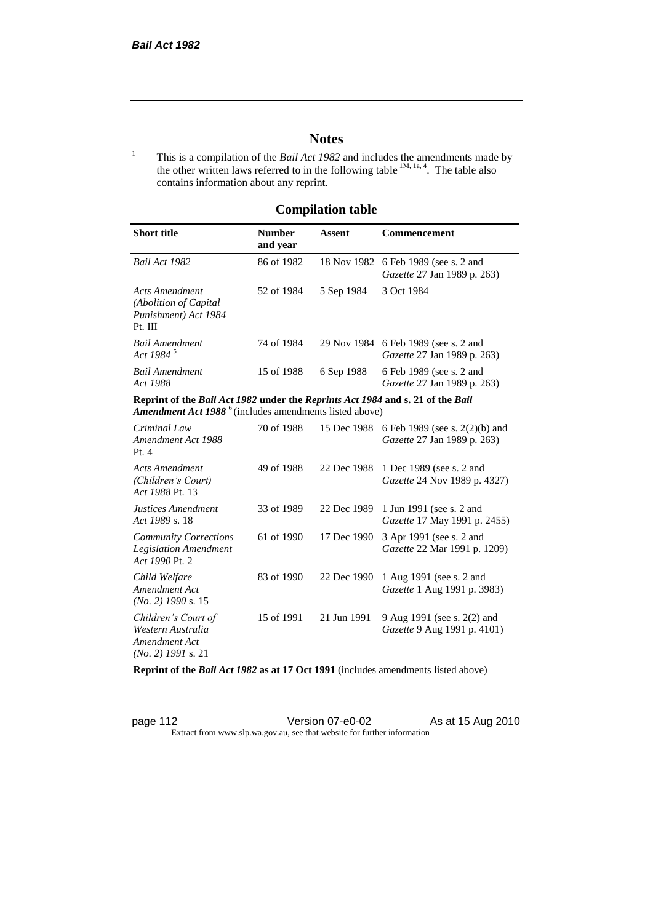# **Notes**

<sup>1</sup> This is a compilation of the *Bail Act 1982* and includes the amendments made by the other written laws referred to in the following table  $^{1M, 1a, 4}$ . The table also contains information about any reprint.

# **Compilation table**

| <b>Short title</b>                                                                                                                                          | <b>Number</b><br>and year | Assent     | Commencement                                                               |
|-------------------------------------------------------------------------------------------------------------------------------------------------------------|---------------------------|------------|----------------------------------------------------------------------------|
| Bail Act 1982                                                                                                                                               | 86 of 1982                |            | 18 Nov 1982 6 Feb 1989 (see s. 2 and<br><i>Gazette</i> 27 Jan 1989 p. 263) |
| Acts Amendment<br>(Abolition of Capital)<br>Punishment) Act 1984<br>Pt. III                                                                                 | 52 of 1984                | 5 Sep 1984 | 3 Oct 1984                                                                 |
| Bail Amendment<br>Act 1984 <sup>5</sup>                                                                                                                     | 74 of 1984                |            | 29 Nov 1984 6 Feb 1989 (see s. 2 and<br><i>Gazette</i> 27 Jan 1989 p. 263) |
| <b>Bail Amendment</b><br>Act 1988                                                                                                                           | 15 of 1988                | 6 Sep 1988 | 6 Feb 1989 (see s. 2 and<br><i>Gazette</i> 27 Jan 1989 p. 263)             |
| Reprint of the Bail Act 1982 under the Reprints Act 1984 and s. 21 of the Bail<br><b>Amendment Act 1988</b> <sup>6</sup> (includes amendments listed above) |                           |            |                                                                            |
| Criminal Law                                                                                                                                                | 70 of 1988                |            | 15 Dec 1988 6 Feb 1989 (see s. 2(2)(b) and                                 |

| Children Law<br>Amendment Act 1988<br>Pt.4                                        | 10.011200  |             | $1.9$ DCC 1700 - 0.1 CO 1707 (SCC 3. $2(270)$ and<br><i>Gazette</i> 27 Jan 1989 p. 263) |
|-----------------------------------------------------------------------------------|------------|-------------|-----------------------------------------------------------------------------------------|
| Acts Amendment<br>(Children's Court)<br>Act 1988 Pt. 13                           | 49 of 1988 |             | 22 Dec 1988 1 Dec 1989 (see s. 2 and<br><i>Gazette</i> 24 Nov 1989 p. 4327)             |
| Justices Amendment<br>Act 1989 s. 18                                              | 33 of 1989 | 22 Dec 1989 | 1 Jun 1991 (see s. 2 and<br><i>Gazette</i> 17 May 1991 p. 2455)                         |
| <b>Community Corrections</b><br><b>Legislation Amendment</b><br>Act 1990 Pt. 2    | 61 of 1990 | 17 Dec 1990 | 3 Apr 1991 (see s. 2 and<br>Gazette 22 Mar 1991 p. 1209)                                |
| Child Welfare<br>Amendment Act<br>$(No. 2)$ 1990 s. 15                            | 83 of 1990 | 22 Dec 1990 | 1 Aug 1991 (see s. 2 and<br><i>Gazette</i> 1 Aug 1991 p. 3983)                          |
| Children's Court of<br>Western Australia<br>Amendment Act<br>$(No. 2)$ 1991 s. 21 | 15 of 1991 | 21 Jun 1991 | 9 Aug 1991 (see s. 2(2) and<br>Gazette 9 Aug 1991 p. 4101)                              |

**Reprint of the** *Bail Act 1982* **as at 17 Oct 1991** (includes amendments listed above)

page 112 Version 07-e0-02 As at 15 Aug 2010 Extract from www.slp.wa.gov.au, see that website for further information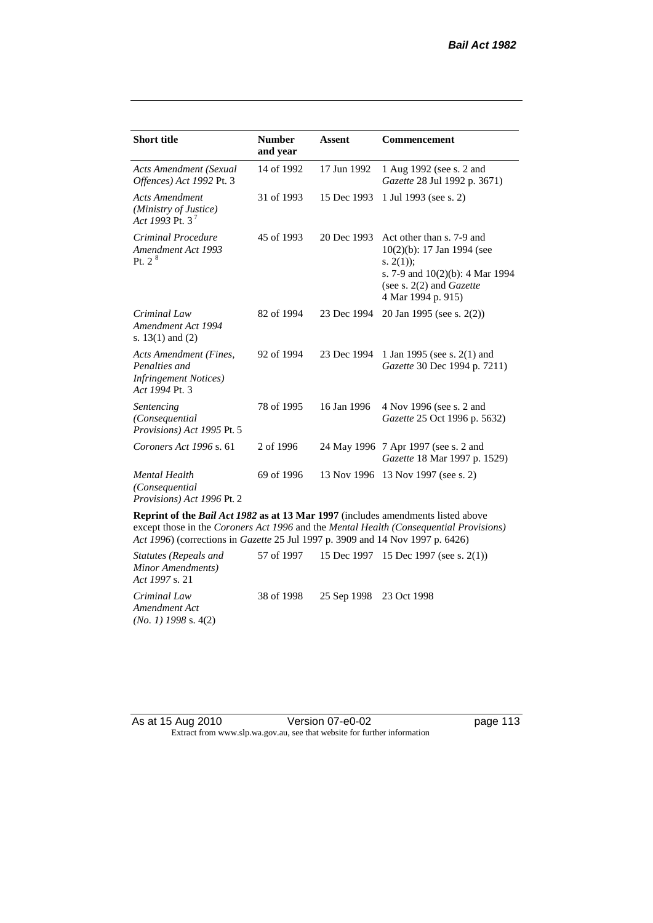| <b>Short title</b>                                                                         | <b>Number</b><br>and year | Assent      | <b>Commencement</b>                                                                                                                                                        |
|--------------------------------------------------------------------------------------------|---------------------------|-------------|----------------------------------------------------------------------------------------------------------------------------------------------------------------------------|
| <b>Acts Amendment (Sexual</b><br>Offences) Act 1992 Pt. 3                                  | 14 of 1992                | 17 Jun 1992 | 1 Aug 1992 (see s. 2 and<br>Gazette 28 Jul 1992 p. 3671)                                                                                                                   |
| <b>Acts Amendment</b><br>(Ministry of Justice)<br>Act 1993 Pt. 3 <sup>7</sup>              | 31 of 1993                | 15 Dec 1993 | 1 Jul 1993 (see s. 2)                                                                                                                                                      |
| Criminal Procedure<br>Amendment Act 1993<br>Pt. 2 <sup>8</sup>                             | 45 of 1993                | 20 Dec 1993 | Act other than s. 7-9 and<br>$10(2)(b)$ : 17 Jan 1994 (see<br>s. $2(1)$ ;<br>s. 7-9 and $10(2)(b)$ : 4 Mar 1994<br>(see s. $2(2)$ and <i>Gazette</i><br>4 Mar 1994 p. 915) |
| Criminal Law<br>Amendment Act 1994<br>s. $13(1)$ and $(2)$                                 | 82 of 1994                | 23 Dec 1994 | 20 Jan 1995 (see s. 2(2))                                                                                                                                                  |
| Acts Amendment (Fines,<br>Penalties and<br><b>Infringement Notices</b> )<br>Act 1994 Pt. 3 | 92 of 1994                | 23 Dec 1994 | 1 Jan 1995 (see s. 2(1) and<br>Gazette 30 Dec 1994 p. 7211)                                                                                                                |
| Sentencing<br>(Consequential<br>Provisions) Act 1995 Pt. 5                                 | 78 of 1995                | 16 Jan 1996 | 4 Nov 1996 (see s. 2 and<br>Gazette 25 Oct 1996 p. 5632)                                                                                                                   |
| Coroners Act 1996 s. 61                                                                    | 2 of 1996                 |             | 24 May 1996 7 Apr 1997 (see s. 2 and<br>Gazette 18 Mar 1997 p. 1529)                                                                                                       |
| <b>Mental Health</b><br>(Consequential)<br>Provisions) Act 1996 Pt. 2                      | 69 of 1996                |             | 13 Nov 1996 13 Nov 1997 (see s. 2)                                                                                                                                         |

**Reprint of the** *Bail Act 1982* **as at 13 Mar 1997** (includes amendments listed above except those in the *Coroners Act 1996* and the *Mental Health (Consequential Provisions) Act 1996*) (corrections in *Gazette* 25 Jul 1997 p. 3909 and 14 Nov 1997 p. 6426)

*Statutes (Repeals and Minor Amendments) Act 1997* s. 21 57 of 1997 15 Dec 1997 15 Dec 1997 (see s. 2(1)) *Criminal Law Amendment Act (No. 1) 1998* s. 4(2) 38 of 1998 25 Sep 1998 23 Oct 1998

As at 15 Aug 2010 Version 07-e0-02 Page 113 Extract from www.slp.wa.gov.au, see that website for further information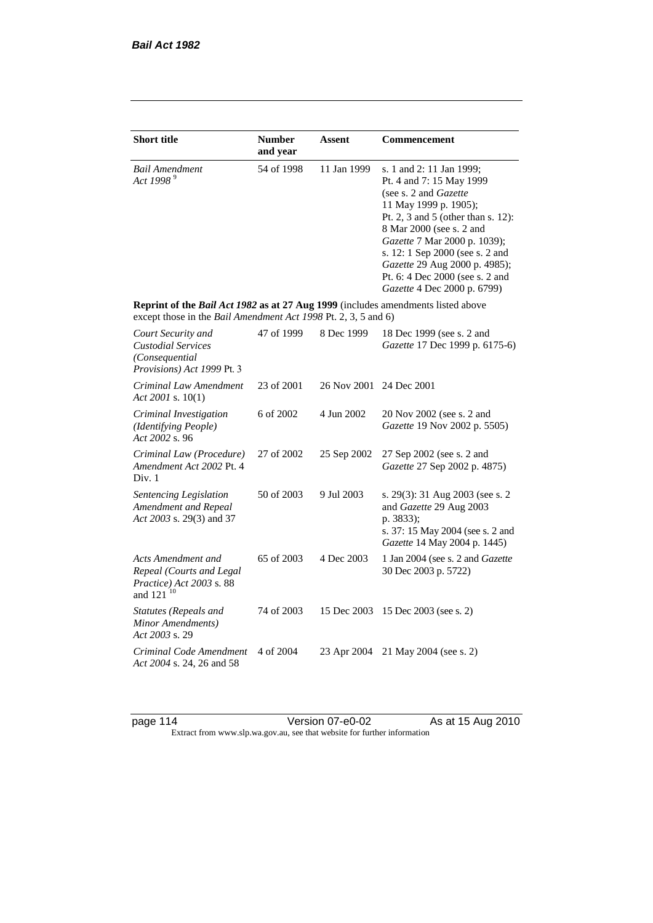| <b>Short title</b>                                                                                                                                 | <b>Number</b><br>and year | Assent      | Commencement                                                                                                                                                                                                                                                                                                                                            |
|----------------------------------------------------------------------------------------------------------------------------------------------------|---------------------------|-------------|---------------------------------------------------------------------------------------------------------------------------------------------------------------------------------------------------------------------------------------------------------------------------------------------------------------------------------------------------------|
| <b>Bail Amendment</b><br>Act 1998 <sup>9</sup>                                                                                                     | 54 of 1998                | 11 Jan 1999 | s. 1 and 2: 11 Jan 1999;<br>Pt. 4 and 7: 15 May 1999<br>(see s. 2 and <i>Gazette</i> )<br>11 May 1999 p. 1905);<br>Pt. 2, 3 and 5 (other than s. 12):<br>8 Mar 2000 (see s. 2 and<br>Gazette 7 Mar 2000 p. 1039);<br>s. 12: 1 Sep 2000 (see s. 2 and<br>Gazette 29 Aug 2000 p. 4985);<br>Pt. 6: 4 Dec 2000 (see s. 2 and<br>Gazette 4 Dec 2000 p. 6799) |
| Reprint of the Bail Act 1982 as at 27 Aug 1999 (includes amendments listed above<br>except those in the Bail Amendment Act 1998 Pt. 2, 3, 5 and 6) |                           |             |                                                                                                                                                                                                                                                                                                                                                         |
| Court Security and<br><b>Custodial Services</b><br>(Consequential<br>Provisions) Act 1999 Pt. 3                                                    | 47 of 1999                | 8 Dec 1999  | 18 Dec 1999 (see s. 2 and<br>Gazette 17 Dec 1999 p. 6175-6)                                                                                                                                                                                                                                                                                             |
| Criminal Law Amendment<br>Act 2001 s. $10(1)$                                                                                                      | 23 of 2001                | 26 Nov 2001 | 24 Dec 2001                                                                                                                                                                                                                                                                                                                                             |
| Criminal Investigation<br>(Identifying People)<br>Act 2002 s. 96                                                                                   | 6 of 2002                 | 4 Jun 2002  | 20 Nov 2002 (see s. 2 and<br>Gazette 19 Nov 2002 p. 5505)                                                                                                                                                                                                                                                                                               |
| Criminal Law (Procedure)<br>Amendment Act 2002 Pt. 4<br>Div. 1                                                                                     | 27 of 2002                | 25 Sep 2002 | 27 Sep 2002 (see s. 2 and<br>Gazette 27 Sep 2002 p. 4875)                                                                                                                                                                                                                                                                                               |
| Sentencing Legislation<br>Amendment and Repeal<br>Act 2003 s. 29(3) and 37                                                                         | 50 of 2003                | 9 Jul 2003  | s. 29(3): 31 Aug 2003 (see s. 2)<br>and Gazette 29 Aug 2003<br>p. 3833);<br>s. 37: 15 May 2004 (see s. 2 and<br>Gazette 14 May 2004 p. 1445)                                                                                                                                                                                                            |
| Acts Amendment and<br>Repeal (Courts and Legal<br>Practice) Act 2003 s. 88<br>and 121 <sup>10</sup>                                                | 65 of 2003                | 4 Dec 2003  | 1 Jan 2004 (see s. 2 and Gazette<br>30 Dec 2003 p. 5722)                                                                                                                                                                                                                                                                                                |
| <b>Statutes (Repeals and</b><br>Minor Amendments)<br>Act 2003 s. 29                                                                                | 74 of 2003                | 15 Dec 2003 | 15 Dec 2003 (see s. 2)                                                                                                                                                                                                                                                                                                                                  |
| Criminal Code Amendment<br>Act 2004 s. 24, 26 and 58                                                                                               | 4 of 2004                 | 23 Apr 2004 | 21 May 2004 (see s. 2)                                                                                                                                                                                                                                                                                                                                  |

page 114 **Deciminal Version 07-e0-02** As at 15 Aug 2010 Extract from www.slp.wa.gov.au, see that website for further information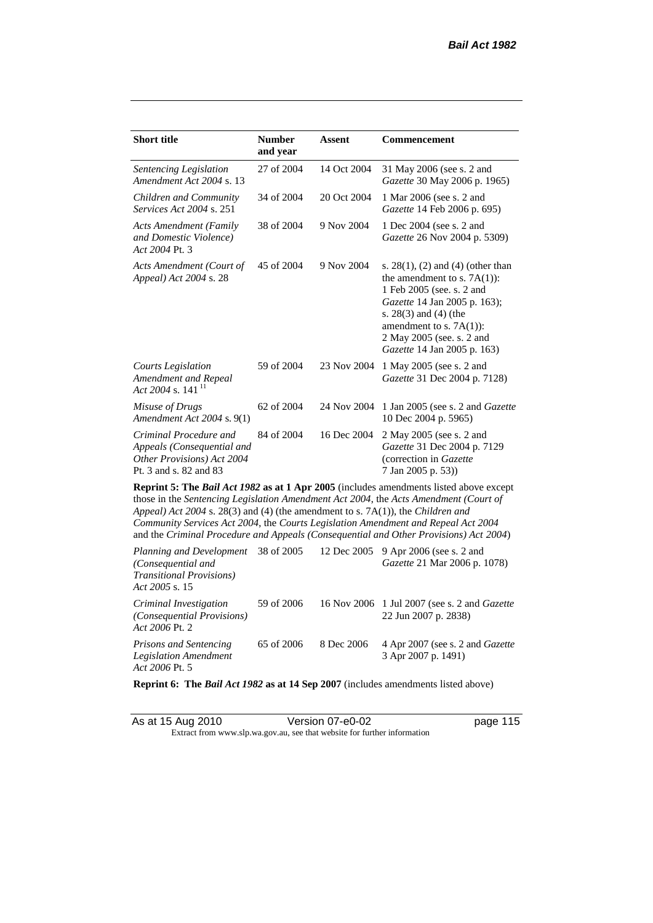| <b>Short title</b>                                                                                                                                                                                                                                                                                                                                                                                                                                     | <b>Number</b><br>and year | <b>Assent</b> | Commencement                                                                                                                                                                                                                                             |  |
|--------------------------------------------------------------------------------------------------------------------------------------------------------------------------------------------------------------------------------------------------------------------------------------------------------------------------------------------------------------------------------------------------------------------------------------------------------|---------------------------|---------------|----------------------------------------------------------------------------------------------------------------------------------------------------------------------------------------------------------------------------------------------------------|--|
| Sentencing Legislation<br>Amendment Act 2004 s. 13                                                                                                                                                                                                                                                                                                                                                                                                     | 27 of 2004                | 14 Oct 2004   | 31 May 2006 (see s. 2 and<br>Gazette 30 May 2006 p. 1965)                                                                                                                                                                                                |  |
| Children and Community<br>Services Act 2004 s. 251                                                                                                                                                                                                                                                                                                                                                                                                     | 34 of 2004                | 20 Oct 2004   | 1 Mar 2006 (see s. 2 and<br>Gazette 14 Feb 2006 p. 695)                                                                                                                                                                                                  |  |
| <b>Acts Amendment (Family</b><br>and Domestic Violence)<br>Act 2004 Pt. 3                                                                                                                                                                                                                                                                                                                                                                              | 38 of 2004                | 9 Nov 2004    | 1 Dec 2004 (see s. 2 and<br>Gazette 26 Nov 2004 p. 5309)                                                                                                                                                                                                 |  |
| Acts Amendment (Court of<br>Appeal) Act 2004 s. 28                                                                                                                                                                                                                                                                                                                                                                                                     | 45 of 2004                | 9 Nov 2004    | s. $28(1)$ , (2) and (4) (other than<br>the amendment to s. $7A(1)$ :<br>1 Feb 2005 (see. s. 2 and<br>Gazette 14 Jan 2005 p. 163);<br>s. $28(3)$ and $(4)$ (the<br>amendment to s. $7A(1)$ :<br>2 May 2005 (see. s. 2 and<br>Gazette 14 Jan 2005 p. 163) |  |
| <b>Courts Legislation</b><br>Amendment and Repeal<br>Act 2004 s. 141 $^{11}$                                                                                                                                                                                                                                                                                                                                                                           | 59 of 2004                | 23 Nov 2004   | 1 May 2005 (see s. 2 and<br>Gazette 31 Dec 2004 p. 7128)                                                                                                                                                                                                 |  |
| Misuse of Drugs<br>Amendment Act 2004 s. 9(1)                                                                                                                                                                                                                                                                                                                                                                                                          | 62 of 2004                | 24 Nov 2004   | 1 Jan 2005 (see s. 2 and <i>Gazette</i><br>10 Dec 2004 p. 5965)                                                                                                                                                                                          |  |
| Criminal Procedure and<br>Appeals (Consequential and<br>Other Provisions) Act 2004<br>Pt. 3 and s. 82 and 83                                                                                                                                                                                                                                                                                                                                           | 84 of 2004                | 16 Dec 2004   | 2 May 2005 (see s. 2 and<br>Gazette 31 Dec 2004 p. 7129<br>(correction in Gazette<br>7 Jan 2005 p. 53))                                                                                                                                                  |  |
| <b>Reprint 5: The Bail Act 1982 as at 1 Apr 2005</b> (includes amendments listed above except<br>those in the Sentencing Legislation Amendment Act 2004, the Acts Amendment (Court of<br>Appeal) Act 2004 s. 28(3) and (4) (the amendment to s. 7A(1)), the Children and<br>Community Services Act 2004, the Courts Legislation Amendment and Repeal Act 2004<br>and the Criminal Procedure and Appeals (Consequential and Other Provisions) Act 2004) |                           |               |                                                                                                                                                                                                                                                          |  |

| <i>Planning and Development</i> 38 of 2005 12 Dec 2005 9 Apr 2006 (see s. 2 and<br>(Consequential and<br><i>Transitional Provisions</i> )<br>Act 2005 s. 15 |            |            | <i>Gazette</i> 21 Mar 2006 p. 1078)                                         |
|-------------------------------------------------------------------------------------------------------------------------------------------------------------|------------|------------|-----------------------------------------------------------------------------|
| Criminal Investigation<br>(Consequential Provisions)<br>Act 2006 Pt. 2                                                                                      | 59 of 2006 |            | 16 Nov 2006 1 Jul 2007 (see s. 2 and <i>Gazette</i><br>22 Jun 2007 p. 2838) |
| <b>Prisons and Sentencing</b><br>Legislation Amendment<br>Act 2006 Pt. 5                                                                                    | 65 of 2006 | 8 Dec 2006 | 4 Apr 2007 (see s. 2 and <i>Gazette</i><br>3 Apr 2007 p. 1491)              |

**Reprint 6: The** *Bail Act 1982* **as at 14 Sep 2007** (includes amendments listed above)

| As at 15 Aug 2010 | Version 07-e0-02                                                         | page 115 |
|-------------------|--------------------------------------------------------------------------|----------|
|                   | Extract from www.slp.wa.gov.au, see that website for further information |          |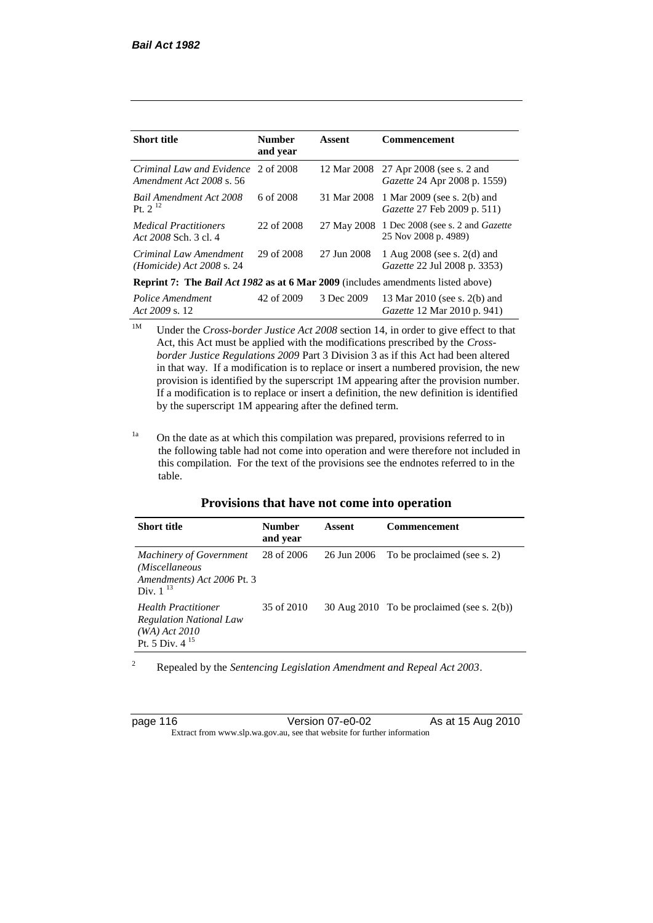| <b>Short title</b>                                                                      | <b>Number</b><br>and year | Assent      | <b>Commencement</b>                                                    |  |
|-----------------------------------------------------------------------------------------|---------------------------|-------------|------------------------------------------------------------------------|--|
| Criminal Law and Evidence 2 of 2008<br>Amendment Act 2008 s. 56                         |                           | 12 Mar 2008 | 27 Apr 2008 (see s. 2 and<br>Gazette 24 Apr 2008 p. 1559)              |  |
| <b>Bail Amendment Act 2008</b><br>Pt. $2^{12}$                                          | 6 of 2008                 | 31 Mar 2008 | 1 Mar 2009 (see s. 2(b) and<br>Gazette 27 Feb 2009 p. 511)             |  |
| <i>Medical Practitioners</i><br>Act 2008 Sch. 3 cl. 4                                   | 22 of 2008                |             | 27 May 2008 1 Dec 2008 (see s. 2 and Gazette<br>25 Nov 2008 p. 4989)   |  |
| Criminal Law Amendment<br><i>(Homicide)</i> Act 2008 s. 24                              | 29 of 2008                | 27 Jun 2008 | 1 Aug $2008$ (see s. $2(d)$ and<br><i>Gazette</i> 22 Jul 2008 p. 3353) |  |
| <b>Reprint 7: The Bail Act 1982 as at 6 Mar 2009</b> (includes amendments listed above) |                           |             |                                                                        |  |
| Police Amendment<br>Act 2009 s. 12                                                      | 42 of 2009                | 3 Dec 2009  | 13 Mar 2010 (see s. 2(b) and<br><i>Gazette</i> 12 Mar 2010 p. 941)     |  |

<sup>1M</sup> Under the *Cross-border Justice Act 2008* section 14, in order to give effect to that Act, this Act must be applied with the modifications prescribed by the *Crossborder Justice Regulations 2009* Part 3 Division 3 as if this Act had been altered in that way. If a modification is to replace or insert a numbered provision, the new provision is identified by the superscript 1M appearing after the provision number. If a modification is to replace or insert a definition, the new definition is identified by the superscript 1M appearing after the defined term.

<sup>1a</sup> On the date as at which this compilation was prepared, provisions referred to in the following table had not come into operation and were therefore not included in this compilation. For the text of the provisions see the endnotes referred to in the table.

#### **Provisions that have not come into operation**

| <b>Short title</b>                                                                                     | <b>Number</b><br>and year | Assent      | <b>Commencement</b>                           |
|--------------------------------------------------------------------------------------------------------|---------------------------|-------------|-----------------------------------------------|
| <b>Machinery of Government</b><br>(Miscellaneous<br>Amendments) Act 2006 Pt. 3<br>Div. $1^{13}$        | 28 of 2006                | 26 Jun 2006 | To be proclaimed (see s. 2)                   |
| <b>Health Practitioner</b><br><b>Regulation National Law</b><br>$(WA)$ Act 2010<br>Pt. 5 Div. $4^{15}$ | 35 of 2010                |             | 30 Aug 2010 To be proclaimed (see s. $2(b)$ ) |

<sup>2</sup> Repealed by the *Sentencing Legislation Amendment and Repeal Act 2003*.

| page 116 |  |  |
|----------|--|--|
|----------|--|--|

page 116 Version 07-e0-02 As at 15 Aug 2010 Extract from www.slp.wa.gov.au, see that website for further information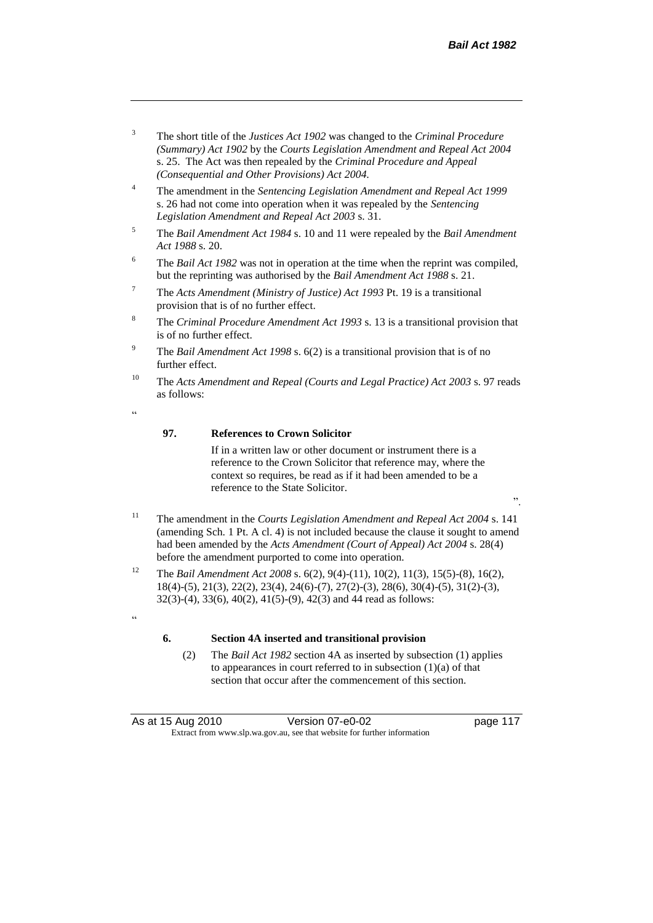".

- <sup>3</sup> The short title of the *Justices Act 1902* was changed to the *Criminal Procedure (Summary) Act 1902* by the *Courts Legislation Amendment and Repeal Act 2004*  s. 25. The Act was then repealed by the *Criminal Procedure and Appeal (Consequential and Other Provisions) Act 2004.*
- <sup>4</sup> The amendment in the *Sentencing Legislation Amendment and Repeal Act 1999* s. 26 had not come into operation when it was repealed by the *Sentencing Legislation Amendment and Repeal Act 2003* s. 31.
- <sup>5</sup> The *Bail Amendment Act 1984* s. 10 and 11 were repealed by the *Bail Amendment Act 1988* s. 20.
- <sup>6</sup> The *Bail Act 1982* was not in operation at the time when the reprint was compiled, but the reprinting was authorised by the *Bail Amendment Act 1988* s. 21.
- <sup>7</sup> The *Acts Amendment (Ministry of Justice) Act 1993* Pt. 19 is a transitional provision that is of no further effect.
- <sup>8</sup> The *Criminal Procedure Amendment Act 1993* s. 13 is a transitional provision that is of no further effect.
- <sup>9</sup> The *Bail Amendment Act 1998* s. 6(2) is a transitional provision that is of no further effect.
- <sup>10</sup> The *Acts Amendment and Repeal (Courts and Legal Practice) Act 2003* s. 97 reads as follows:
- .<br>د د

.<br>cc

#### **97. References to Crown Solicitor**

If in a written law or other document or instrument there is a reference to the Crown Solicitor that reference may, where the context so requires, be read as if it had been amended to be a reference to the State Solicitor.

- <sup>11</sup> The amendment in the *Courts Legislation Amendment and Repeal Act 2004* s. 141 (amending Sch. 1 Pt. A cl. 4) is not included because the clause it sought to amend had been amended by the *Acts Amendment (Court of Appeal) Act 2004* s. 28(4) before the amendment purported to come into operation.
- <sup>12</sup> The *Bail Amendment Act 2008* s. 6(2), 9(4)-(11), 10(2), 11(3), 15(5)-(8), 16(2), 18(4)-(5), 21(3), 22(2), 23(4), 24(6)-(7), 27(2)-(3), 28(6), 30(4)-(5), 31(2)-(3), 32(3)-(4), 33(6), 40(2), 41(5)-(9), 42(3) and 44 read as follows:

#### **6. Section 4A inserted and transitional provision**

(2) The *Bail Act 1982* section 4A as inserted by subsection (1) applies to appearances in court referred to in subsection (1)(a) of that section that occur after the commencement of this section.

As at 15 Aug 2010 Version 07-e0-02 Page 117 Extract from www.slp.wa.gov.au, see that website for further information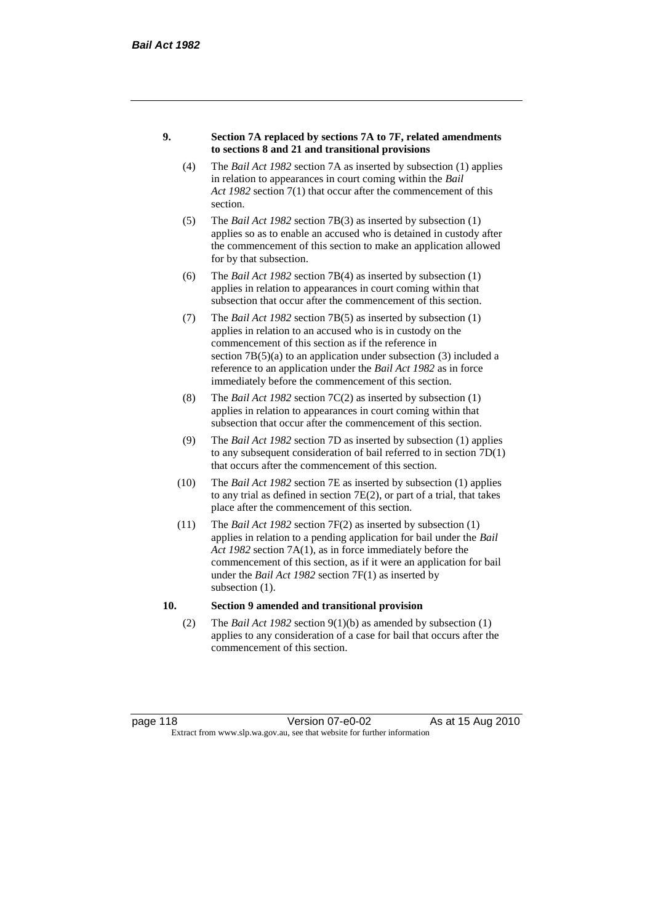#### **9. Section 7A replaced by sections 7A to 7F, related amendments to sections 8 and 21 and transitional provisions**

- (4) The *Bail Act 1982* section 7A as inserted by subsection (1) applies in relation to appearances in court coming within the *Bail Act 1982* section 7(1) that occur after the commencement of this section.
- (5) The *Bail Act 1982* section 7B(3) as inserted by subsection (1) applies so as to enable an accused who is detained in custody after the commencement of this section to make an application allowed for by that subsection.
- (6) The *Bail Act 1982* section 7B(4) as inserted by subsection (1) applies in relation to appearances in court coming within that subsection that occur after the commencement of this section.
- (7) The *Bail Act 1982* section 7B(5) as inserted by subsection (1) applies in relation to an accused who is in custody on the commencement of this section as if the reference in section  $7B(5)(a)$  to an application under subsection (3) included a reference to an application under the *Bail Act 1982* as in force immediately before the commencement of this section.
- (8) The *Bail Act 1982* section 7C(2) as inserted by subsection (1) applies in relation to appearances in court coming within that subsection that occur after the commencement of this section.
- (9) The *Bail Act 1982* section 7D as inserted by subsection (1) applies to any subsequent consideration of bail referred to in section 7D(1) that occurs after the commencement of this section.
- (10) The *Bail Act 1982* section 7E as inserted by subsection (1) applies to any trial as defined in section 7E(2), or part of a trial, that takes place after the commencement of this section.
- (11) The *Bail Act 1982* section 7F(2) as inserted by subsection (1) applies in relation to a pending application for bail under the *Bail Act 1982* section 7A(1), as in force immediately before the commencement of this section, as if it were an application for bail under the *Bail Act 1982* section 7F(1) as inserted by subsection  $(1)$ .

#### **10. Section 9 amended and transitional provision**

(2) The *Bail Act 1982* section 9(1)(b) as amended by subsection (1) applies to any consideration of a case for bail that occurs after the commencement of this section.

page 118 Version 07-e0-02 As at 15 Aug 2010 Extract from www.slp.wa.gov.au, see that website for further information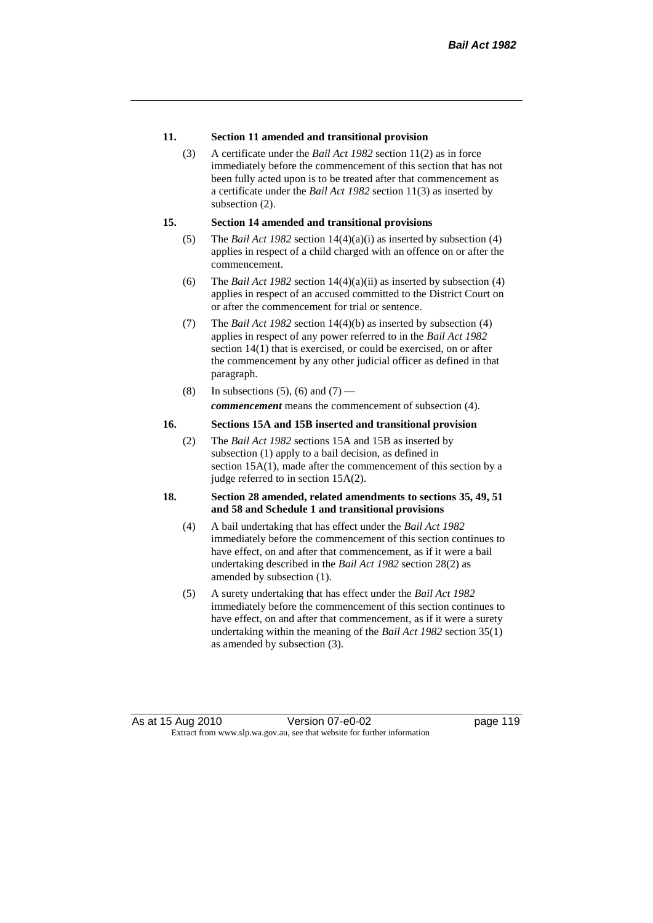#### **11. Section 11 amended and transitional provision**

(3) A certificate under the *Bail Act 1982* section 11(2) as in force immediately before the commencement of this section that has not been fully acted upon is to be treated after that commencement as a certificate under the *Bail Act 1982* section 11(3) as inserted by subsection  $(2)$ .

#### **15. Section 14 amended and transitional provisions**

- (5) The *Bail Act 1982* section 14(4)(a)(i) as inserted by subsection (4) applies in respect of a child charged with an offence on or after the commencement.
- (6) The *Bail Act 1982* section 14(4)(a)(ii) as inserted by subsection (4) applies in respect of an accused committed to the District Court on or after the commencement for trial or sentence.
- (7) The *Bail Act 1982* section 14(4)(b) as inserted by subsection (4) applies in respect of any power referred to in the *Bail Act 1982* section 14(1) that is exercised, or could be exercised, on or after the commencement by any other judicial officer as defined in that paragraph.
- (8) In subsections (5), (6) and (7) *commencement* means the commencement of subsection (4).

#### **16. Sections 15A and 15B inserted and transitional provision**

(2) The *Bail Act 1982* sections 15A and 15B as inserted by subsection (1) apply to a bail decision, as defined in section 15A(1), made after the commencement of this section by a judge referred to in section 15A(2).

#### **18. Section 28 amended, related amendments to sections 35, 49, 51 and 58 and Schedule 1 and transitional provisions**

- (4) A bail undertaking that has effect under the *Bail Act 1982* immediately before the commencement of this section continues to have effect, on and after that commencement, as if it were a bail undertaking described in the *Bail Act 1982* section 28(2) as amended by subsection (1).
- (5) A surety undertaking that has effect under the *Bail Act 1982* immediately before the commencement of this section continues to have effect, on and after that commencement, as if it were a surety undertaking within the meaning of the *Bail Act 1982* section 35(1) as amended by subsection (3).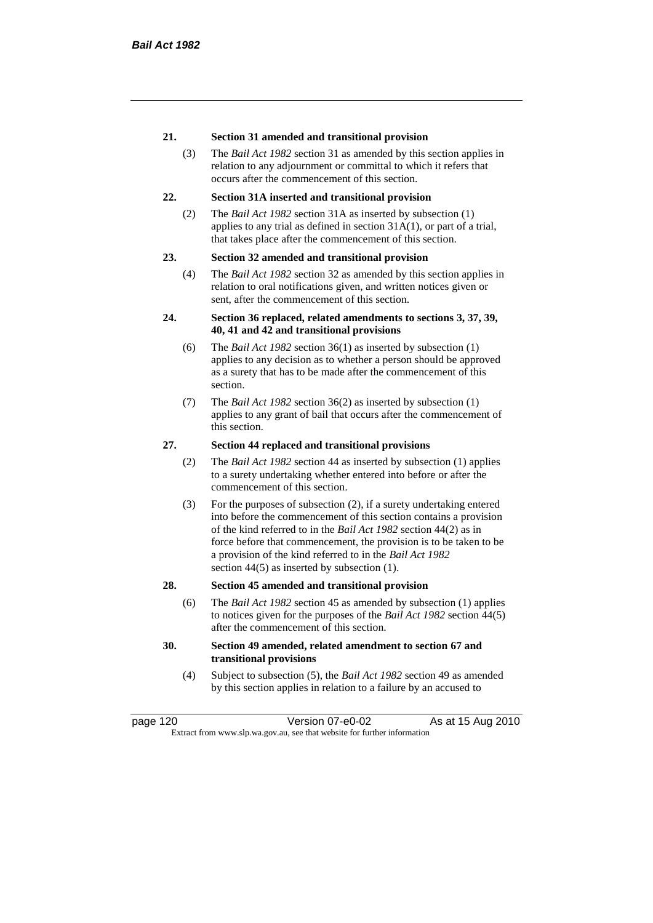#### **21. Section 31 amended and transitional provision**

(3) The *Bail Act 1982* section 31 as amended by this section applies in relation to any adjournment or committal to which it refers that occurs after the commencement of this section.

#### **22. Section 31A inserted and transitional provision**

(2) The *Bail Act 1982* section 31A as inserted by subsection (1) applies to any trial as defined in section 31A(1), or part of a trial, that takes place after the commencement of this section.

#### **23. Section 32 amended and transitional provision**

(4) The *Bail Act 1982* section 32 as amended by this section applies in relation to oral notifications given, and written notices given or sent, after the commencement of this section.

#### **24. Section 36 replaced, related amendments to sections 3, 37, 39, 40, 41 and 42 and transitional provisions**

- (6) The *Bail Act 1982* section 36(1) as inserted by subsection (1) applies to any decision as to whether a person should be approved as a surety that has to be made after the commencement of this section.
- (7) The *Bail Act 1982* section 36(2) as inserted by subsection (1) applies to any grant of bail that occurs after the commencement of this section.

#### **27. Section 44 replaced and transitional provisions**

- (2) The *Bail Act 1982* section 44 as inserted by subsection (1) applies to a surety undertaking whether entered into before or after the commencement of this section.
- (3) For the purposes of subsection (2), if a surety undertaking entered into before the commencement of this section contains a provision of the kind referred to in the *Bail Act 1982* section 44(2) as in force before that commencement, the provision is to be taken to be a provision of the kind referred to in the *Bail Act 1982*  section 44(5) as inserted by subsection (1).

#### **28. Section 45 amended and transitional provision**

(6) The *Bail Act 1982* section 45 as amended by subsection (1) applies to notices given for the purposes of the *Bail Act 1982* section 44(5) after the commencement of this section.

#### **30. Section 49 amended, related amendment to section 67 and transitional provisions**

(4) Subject to subsection (5), the *Bail Act 1982* section 49 as amended by this section applies in relation to a failure by an accused to

page 120 Version 07-e0-02 As at 15 Aug 2010 Extract from www.slp.wa.gov.au, see that website for further information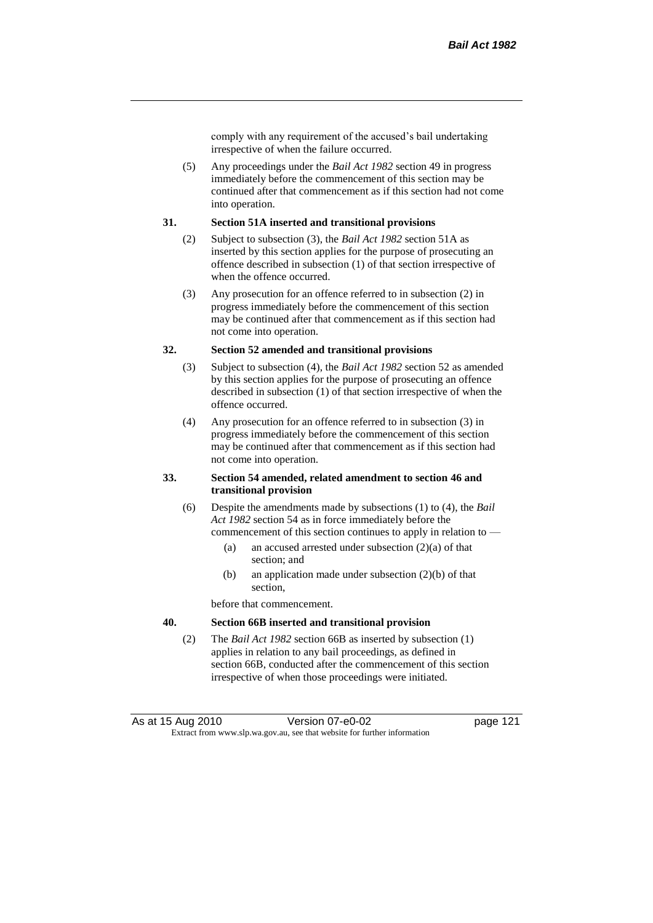comply with any requirement of the accused's bail undertaking irrespective of when the failure occurred.

(5) Any proceedings under the *Bail Act 1982* section 49 in progress immediately before the commencement of this section may be continued after that commencement as if this section had not come into operation.

#### **31. Section 51A inserted and transitional provisions**

- (2) Subject to subsection (3), the *Bail Act 1982* section 51A as inserted by this section applies for the purpose of prosecuting an offence described in subsection (1) of that section irrespective of when the offence occurred.
- (3) Any prosecution for an offence referred to in subsection (2) in progress immediately before the commencement of this section may be continued after that commencement as if this section had not come into operation.

#### **32. Section 52 amended and transitional provisions**

- (3) Subject to subsection (4), the *Bail Act 1982* section 52 as amended by this section applies for the purpose of prosecuting an offence described in subsection (1) of that section irrespective of when the offence occurred.
- (4) Any prosecution for an offence referred to in subsection (3) in progress immediately before the commencement of this section may be continued after that commencement as if this section had not come into operation.

#### **33. Section 54 amended, related amendment to section 46 and transitional provision**

- (6) Despite the amendments made by subsections (1) to (4), the *Bail Act 1982* section 54 as in force immediately before the commencement of this section continues to apply in relation to —
	- (a) an accused arrested under subsection (2)(a) of that section; and
	- (b) an application made under subsection (2)(b) of that section,

before that commencement.

#### **40. Section 66B inserted and transitional provision**

(2) The *Bail Act 1982* section 66B as inserted by subsection (1) applies in relation to any bail proceedings, as defined in section 66B, conducted after the commencement of this section irrespective of when those proceedings were initiated.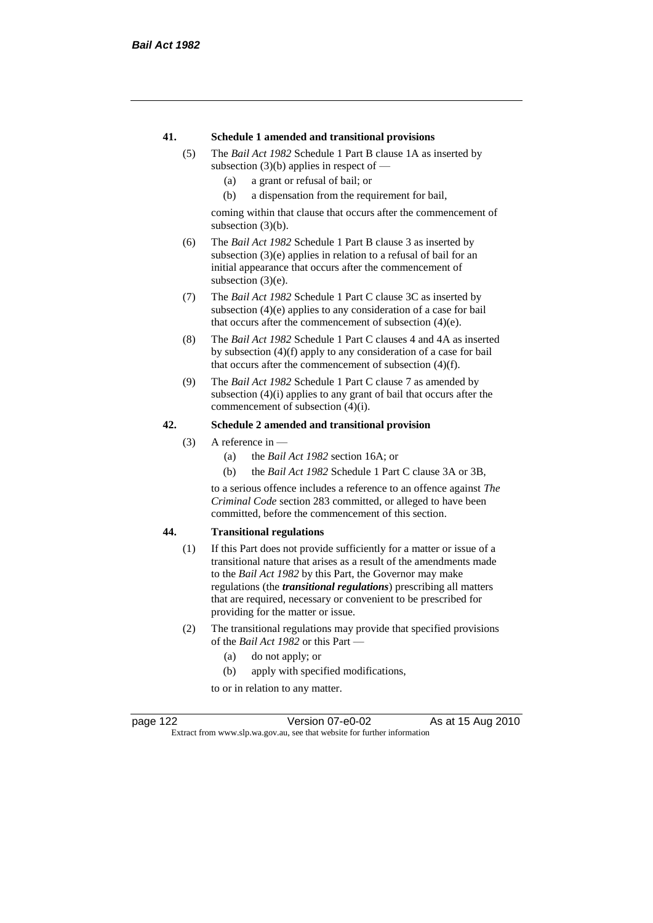#### **41. Schedule 1 amended and transitional provisions**

- (5) The *Bail Act 1982* Schedule 1 Part B clause 1A as inserted by subsection  $(3)(b)$  applies in respect of —
	- (a) a grant or refusal of bail; or
	- (b) a dispensation from the requirement for bail,

coming within that clause that occurs after the commencement of subsection (3)(b).

- (6) The *Bail Act 1982* Schedule 1 Part B clause 3 as inserted by subsection (3)(e) applies in relation to a refusal of bail for an initial appearance that occurs after the commencement of subsection  $(3)(e)$ .
- (7) The *Bail Act 1982* Schedule 1 Part C clause 3C as inserted by subsection (4)(e) applies to any consideration of a case for bail that occurs after the commencement of subsection (4)(e).
- (8) The *Bail Act 1982* Schedule 1 Part C clauses 4 and 4A as inserted by subsection (4)(f) apply to any consideration of a case for bail that occurs after the commencement of subsection (4)(f).
- (9) The *Bail Act 1982* Schedule 1 Part C clause 7 as amended by subsection (4)(i) applies to any grant of bail that occurs after the commencement of subsection (4)(i).

#### **42. Schedule 2 amended and transitional provision**

- (3) A reference in
	- (a) the *Bail Act 1982* section 16A; or
	- (b) the *Bail Act 1982* Schedule 1 Part C clause 3A or 3B,

to a serious offence includes a reference to an offence against *The Criminal Code* section 283 committed, or alleged to have been committed, before the commencement of this section.

#### **44. Transitional regulations**

- (1) If this Part does not provide sufficiently for a matter or issue of a transitional nature that arises as a result of the amendments made to the *Bail Act 1982* by this Part, the Governor may make regulations (the *transitional regulations*) prescribing all matters that are required, necessary or convenient to be prescribed for providing for the matter or issue.
- (2) The transitional regulations may provide that specified provisions of the *Bail Act 1982* or this Part —
	- (a) do not apply; or
	- (b) apply with specified modifications,

to or in relation to any matter.

page 122 Version 07-e0-02 As at 15 Aug 2010 Extract from www.slp.wa.gov.au, see that website for further information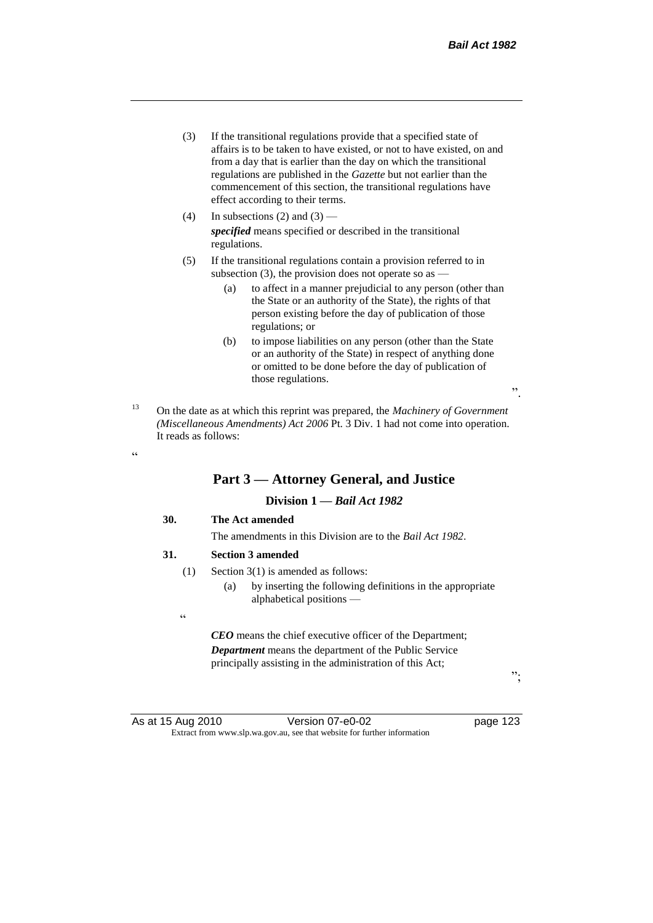- (3) If the transitional regulations provide that a specified state of affairs is to be taken to have existed, or not to have existed, on and from a day that is earlier than the day on which the transitional regulations are published in the *Gazette* but not earlier than the commencement of this section, the transitional regulations have effect according to their terms.
- (4) In subsections (2) and (3) *specified* means specified or described in the transitional regulations.
- (5) If the transitional regulations contain a provision referred to in subsection (3), the provision does not operate so as —
	- (a) to affect in a manner prejudicial to any person (other than the State or an authority of the State), the rights of that person existing before the day of publication of those regulations; or
	- (b) to impose liabilities on any person (other than the State or an authority of the State) in respect of anything done or omitted to be done before the day of publication of those regulations.
- <sup>13</sup> On the date as at which this reprint was prepared, the *Machinery of Government (Miscellaneous Amendments) Act 2006* Pt. 3 Div. 1 had not come into operation. It reads as follows:

# **Part 3 — Attorney General, and Justice**

# **Division 1 —** *Bail Act 1982*

#### **30. The Act amended**

The amendments in this Division are to the *Bail Act 1982*.

#### **31. Section 3 amended**

- (1) Section 3(1) is amended as follows:
	- (a) by inserting the following definitions in the appropriate alphabetical positions —
- .<br>C

<u>، د</u>

*CEO* means the chief executive officer of the Department; *Department* means the department of the Public Service principally assisting in the administration of this Act;

";

".

As at 15 Aug 2010 Version 07-e0-02 page 123 Extract from www.slp.wa.gov.au, see that website for further information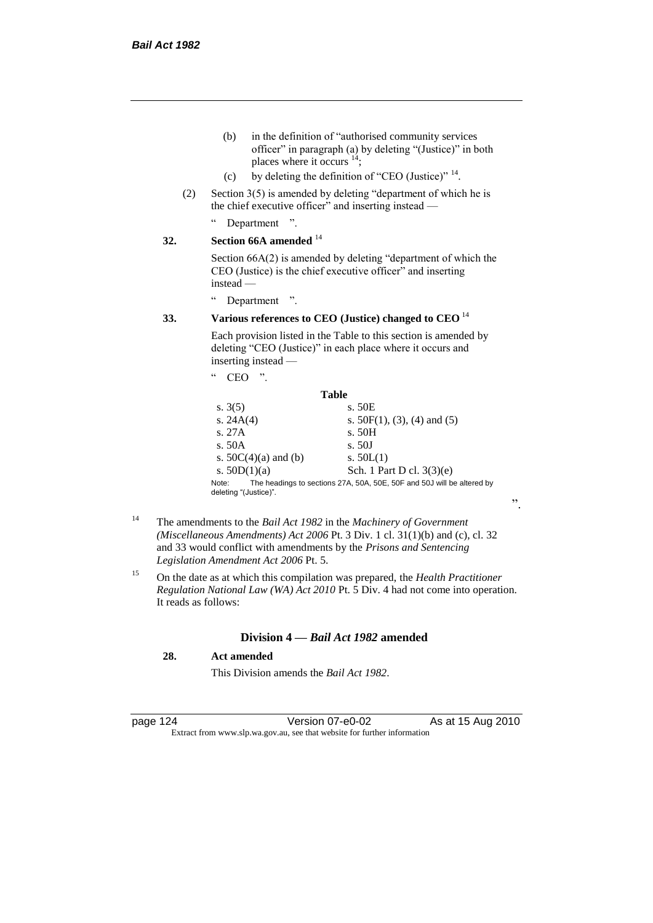- (b) in the definition of "authorised community services officer" in paragraph (a) by deleting "(Justice)" in both places where it occurs  $14$ ;
- (c) by deleting the definition of "CEO (Justice)"  $14$ .
- (2) Section 3(5) is amended by deleting "department of which he is the chief executive officer" and inserting instead —
	- " Department ".

#### **32. Section 66A amended** <sup>14</sup>

Section 66A(2) is amended by deleting "department of which the CEO (Justice) is the chief executive officer" and inserting instead —

" Department ".

#### **33. Various references to CEO (Justice) changed to CEO** <sup>14</sup>

Each provision listed in the Table to this section is amended by deleting "CEO (Justice)" in each place where it occurs and inserting instead —

| ,,<br>C C<br>CEO                                                                                         |                                |  |
|----------------------------------------------------------------------------------------------------------|--------------------------------|--|
| Table                                                                                                    |                                |  |
| s. $3(5)$                                                                                                | s. 50E                         |  |
| s. $24A(4)$                                                                                              | s. $50F(1)$ , (3), (4) and (5) |  |
| s.27A                                                                                                    | s.50H                          |  |
| s.50A                                                                                                    | s. 50J                         |  |
| s. $50C(4)(a)$ and (b)                                                                                   | s. $50L(1)$                    |  |
| s. $50D(1)(a)$                                                                                           | Sch. 1 Part D cl. 3(3)(e)      |  |
| The headings to sections 27A, 50A, 50E, 50F and 50J will be altered by<br>Note:<br>deleting "(Justice)". |                                |  |

- <sup>14</sup> The amendments to the *Bail Act 1982* in the *Machinery of Government (Miscellaneous Amendments) Act 2006* Pt. 3 Div. 1 cl. 31(1)(b) and (c), cl. 32 and 33 would conflict with amendments by the *Prisons and Sentencing Legislation Amendment Act 2006* Pt. 5.
- <sup>15</sup> On the date as at which this compilation was prepared, the *Health Practitioner Regulation National Law (WA) Act 2010* Pt. 5 Div. 4 had not come into operation. It reads as follows:

#### **Division 4 —** *Bail Act 1982* **amended**

## **28. Act amended**

This Division amends the *Bail Act 1982*.

page 124 Version 07-e0-02 As at 15 Aug 2010 Extract from www.slp.wa.gov.au, see that website for further information

".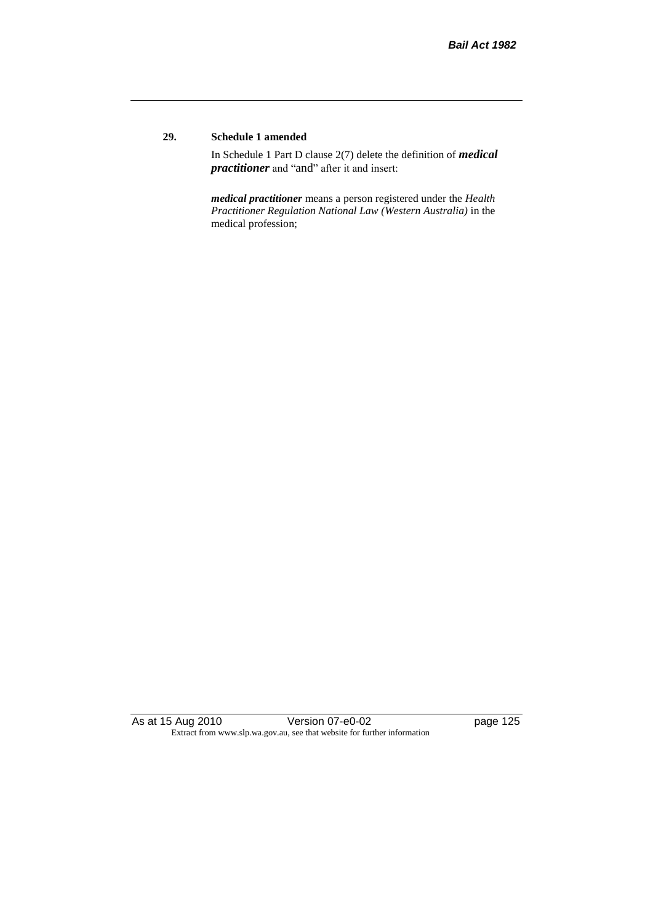### **29. Schedule 1 amended**

In Schedule 1 Part D clause 2(7) delete the definition of *medical practitioner* and "and" after it and insert:

*medical practitioner* means a person registered under the *Health Practitioner Regulation National Law (Western Australia)* in the medical profession;

As at 15 Aug 2010 Version 07-e0-02 Page 125 Extract from www.slp.wa.gov.au, see that website for further information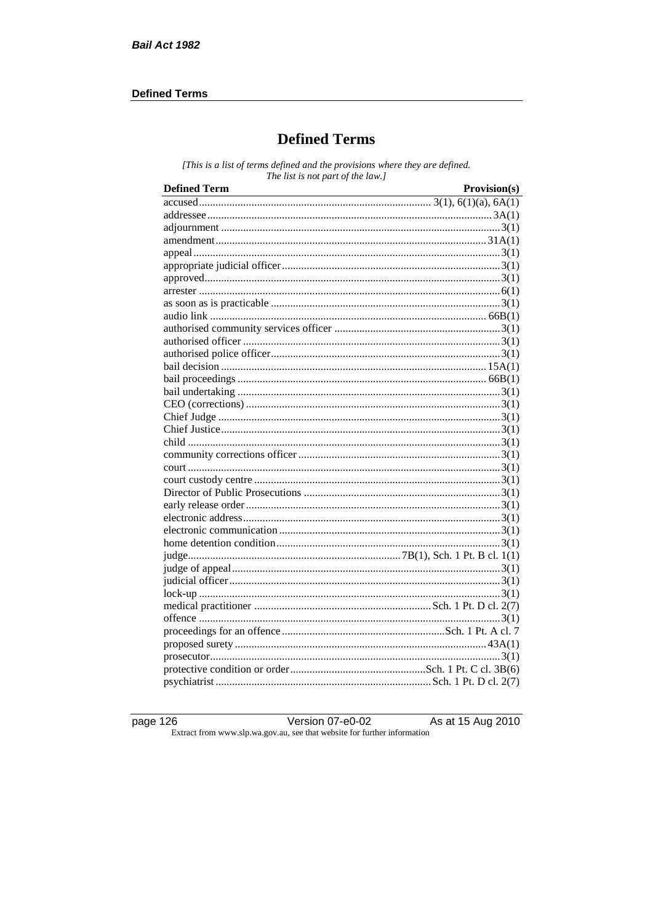### **Defined Terms**

# **Defined Terms**

[This is a list of terms defined and the provisions where they are defined. The list is not part of the law.]

| <b>Defined Term</b> | Provision(s) |
|---------------------|--------------|
|                     |              |
|                     |              |
|                     |              |
|                     |              |
|                     |              |
|                     |              |
|                     |              |
|                     |              |
|                     |              |
|                     |              |
|                     |              |
|                     |              |
|                     |              |
|                     |              |
|                     |              |
|                     |              |
|                     |              |
|                     |              |
|                     |              |
|                     |              |
|                     |              |
|                     |              |
|                     |              |
|                     |              |
|                     |              |
|                     |              |
|                     |              |
|                     |              |
|                     |              |
|                     |              |
|                     |              |
|                     |              |
|                     |              |
|                     |              |
|                     |              |
|                     |              |
|                     |              |
|                     |              |
|                     |              |

page  $126$ 

Version 07-e0-02 Extract from www.slp.wa.gov.au, see that website for further information

As at 15 Aug 2010